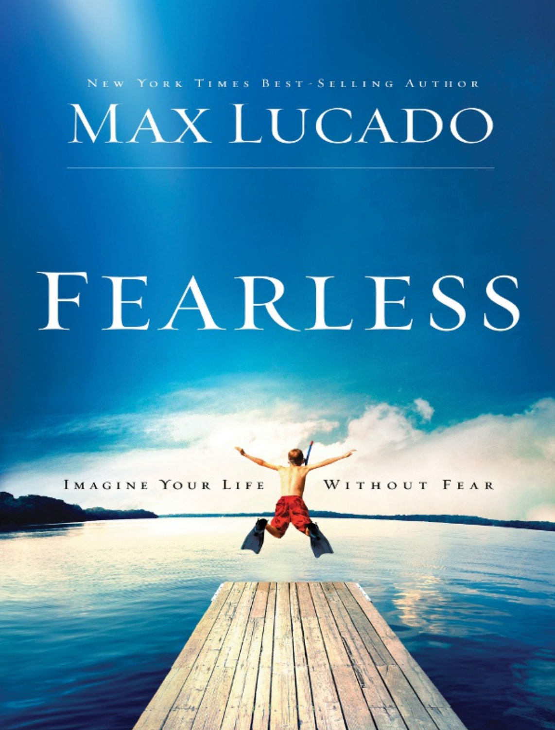# YORK TIMES BEST-SELLING AUTHOR **MAX LUCADO**

# FEARLESS

IMAGINE YOUR LIFE

WITHOUT FEAR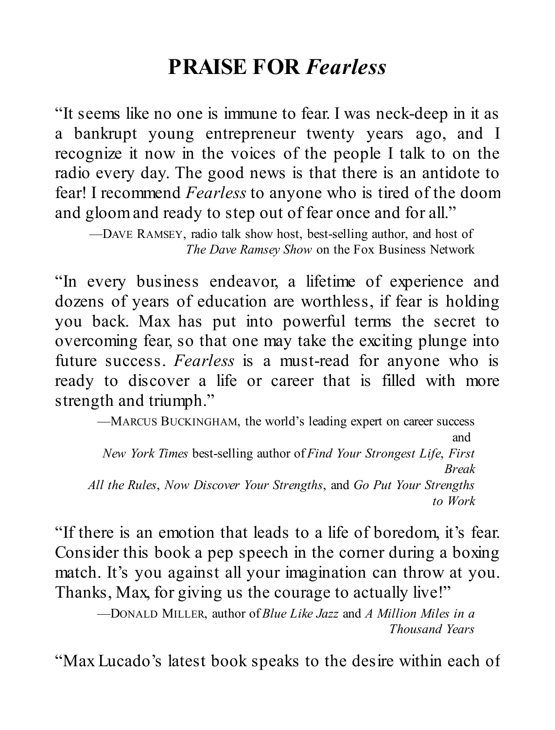### **PRAISE FOR** *Fearless*

"It seems like no one is immune to fear. I was neck-deep in it as a bankrupt young entrepreneur twenty years ago, and I recognize it now in the voices of the people I talk to on the radio every day. The good news is that there is an antidote to fear! I recommend *Fearless* to anyone who is tired of the doom and gloomand ready to step out of fear once and for all."

—DAVE RAMSEY, radio talk show host, best-selling author, and host of *The Dave Ramsey Show* on the Fox Business Network

"In every business endeavor, a lifetime of experience and dozens of years of education are worthless, if fear is holding you back. Max has put into powerful terms the secret to overcoming fear, so that one may take the exciting plunge into future success. *Fearless* is a must-read for anyone who is ready to discover a life or career that is filled with more strength and triumph."

—MARCUS BUCKINGHAM, the world's leading expert on career success and *New York Times* best-selling author of *Find Your Strongest Life*, *First Break All the Rules*, *Now Discover Your Strengths*, and *Go Put Your Strengths to Work*

"If there is an emotion that leads to a life of boredom, it's fear. Consider this book a pep speech in the corner during a boxing match. It's you against all your imagination can throw at you. Thanks, Max, for giving us the courage to actually live!"

—DONALD MILLER, author of *Blue Like Jazz* and *A Million Miles in a Thousand Years*

"Max Lucado's latest book speaks to the desire within each of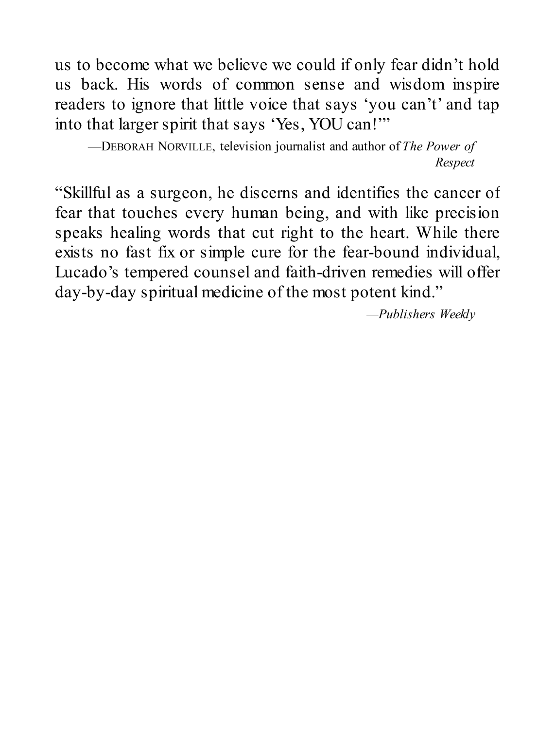us to become what we believe we could if only fear didn't hold us back. His words of common sense and wisdom inspire readers to ignore that little voice that says 'you can't' and tap into that larger spirit that says 'Yes, YOU can!'"

—DEBORAH NORVILLE, television journalist and author of*The Power of Respect*

"Skillful as a surgeon, he discerns and identifies the cancer of fear that touches every human being, and with like precision speaks healing words that cut right to the heart. While there exists no fast fix or simple cure for the fear-bound individual, Lucado's tempered counsel and faith-driven remedies will offer day-by-day spiritual medicine of the most potent kind."

*—Publishers Weekly*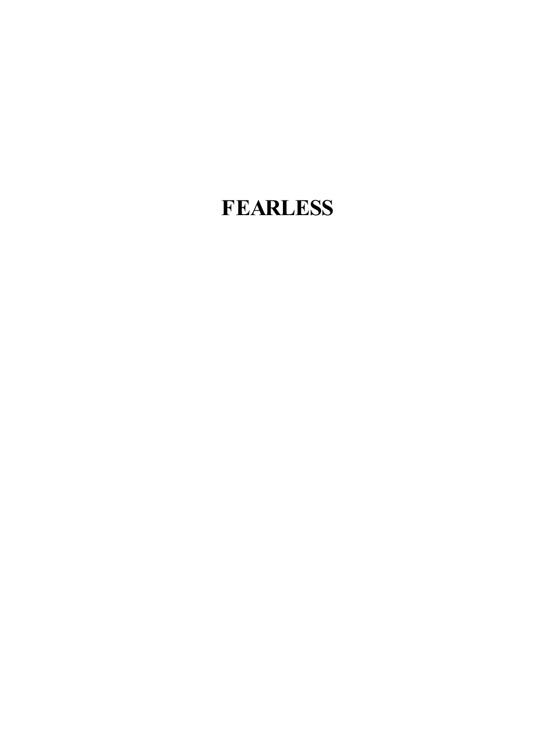## **FEARLESS**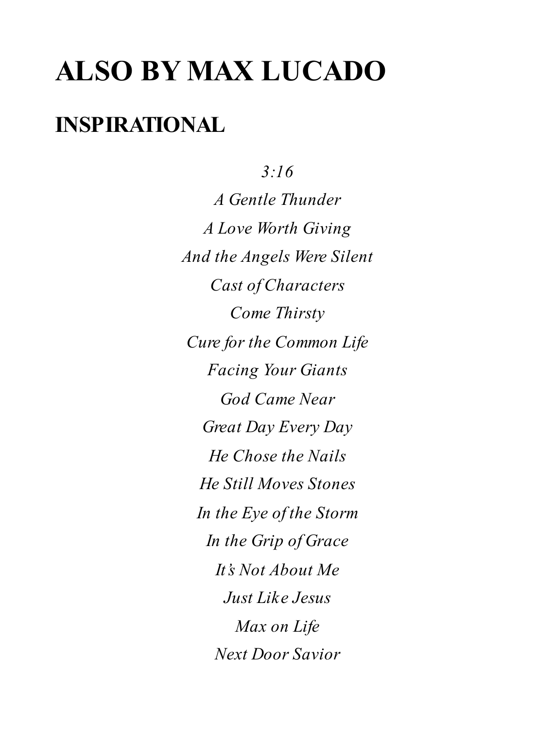# **ALSO BY MAX LUCADO**

### **INSPIRATIONAL**

*3:16*

*A Gentle Thunder A Love Worth Giving And the Angels Were Silent Cast of Characters Come Thirsty Cure for the Common Life Facing Your Giants God Came Near Great Day Every Day He Chose the Nails He Still Moves Stones In the Eye of the Storm In the Grip of Grace It's Not About Me Just Like Jesus Max on Life Next Door Savior*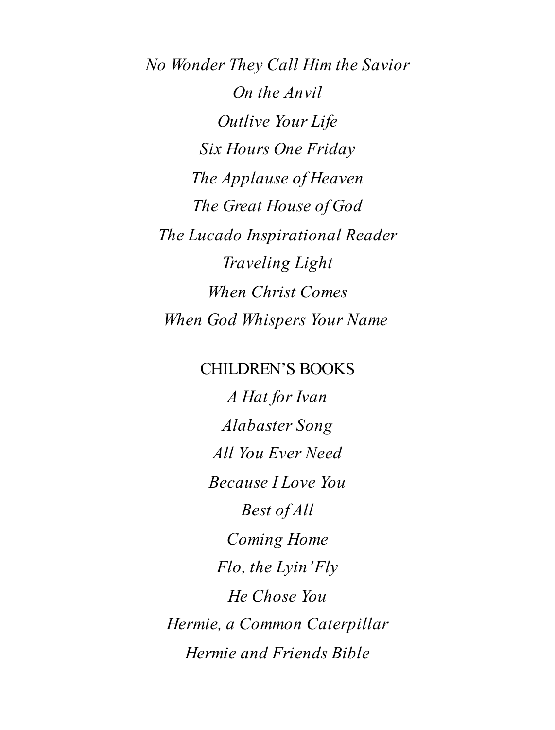*No Wonder They Call Him the Savior On the Anvil Outlive Your Life Six Hours One Friday The Applause of Heaven The Great House of God The Lucado Inspirational Reader Traveling Light When Christ Comes When God Whispers Your Name*

#### CHILDREN'S BOOKS

*A Hat for Ivan Alabaster Song All You Ever Need Because I Love You Best of All Coming Home Flo, the Lyin'Fly He Chose You Hermie, a Common Caterpillar Hermie and Friends Bible*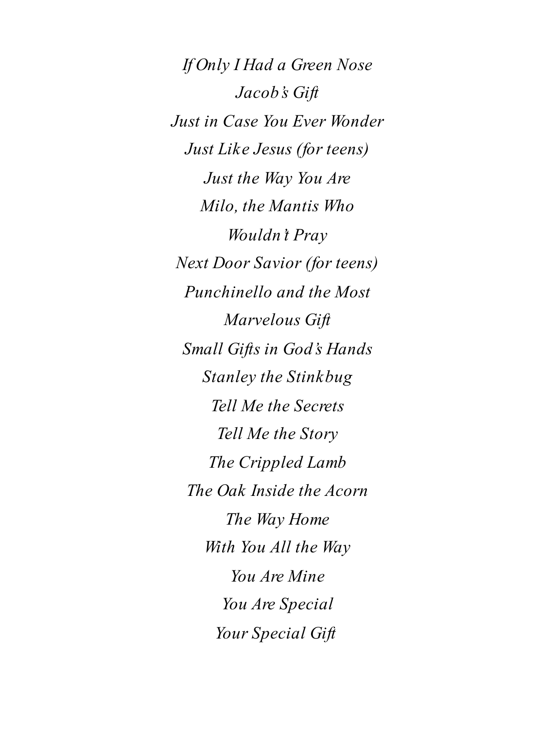*If Only I Had a Green Nose Jacob's Gift Just in Case You Ever Wonder Just Like Jesus (for teens) Just the Way You Are Milo, the Mantis Who Wouldn't Pray Next Door Savior (for teens) Punchinello and the Most Marvelous Gift Small Gifts in God's Hands Stanley the Stinkbug Tell Me the Secrets Tell Me the Story The Crippled Lamb The Oak Inside the Acorn The Way Home With You All the Way You Are Mine You Are Special Your Special Gift*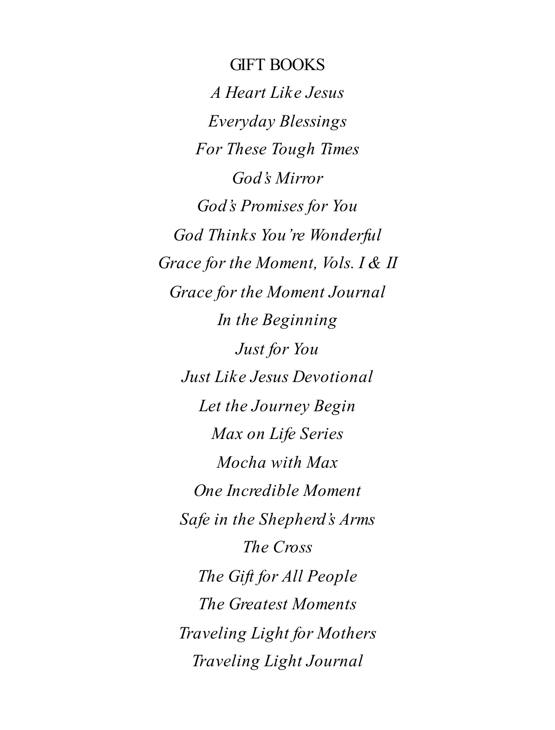#### GIFT BOOKS

*A Heart Like Jesus Everyday Blessings For These Tough Times God's Mirror God's Promises for You God Thinks You're Wonderful Grace for the Moment, Vols. I & II Grace for the Moment Journal In the Beginning Just for You Just Like Jesus Devotional Let the Journey Begin Max on Life Series Mocha with Max One Incredible Moment Safe in the Shepherd's Arms The Cross The Gift for All People The Greatest Moments Traveling Light for Mothers Traveling Light Journal*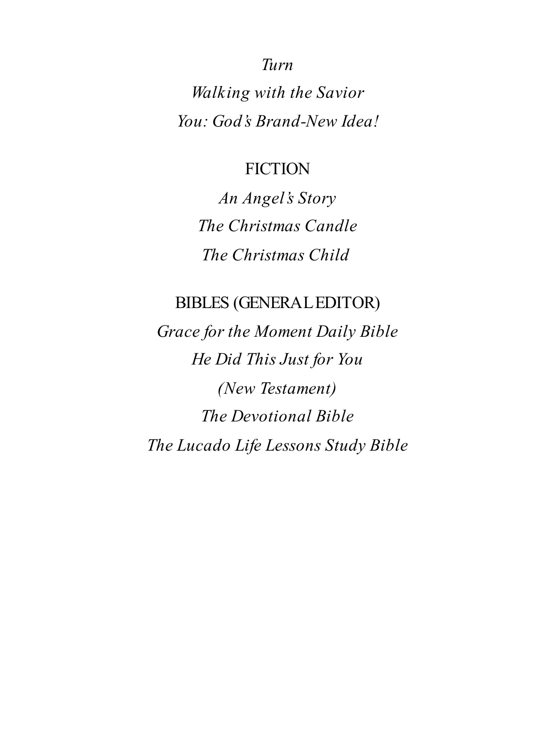*Turn*

*Walking with the Savior You: God's Brand-New Idea!*

#### FICTION

*An Angel's Story The Christmas Candle The Christmas Child*

#### BIBLES (GENERALEDITOR)

*Grace for the Moment Daily Bible He Did This Just for You (New Testament) The Devotional Bible The Lucado Life Lessons Study Bible*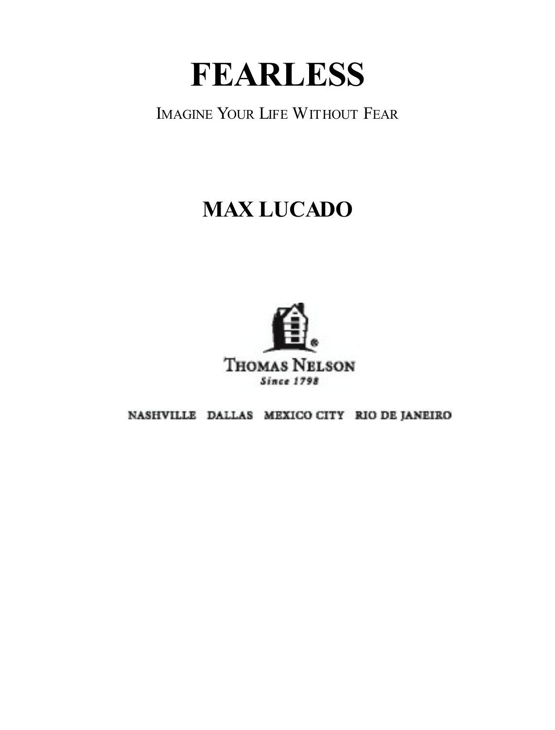# **FEARLESS**

IMAGINE YOUR LIFE WITHOUT FEAR

### **MAX LUCADO**



NASHVILLE DALLAS MEXICO CITY RIO DE IANEIRO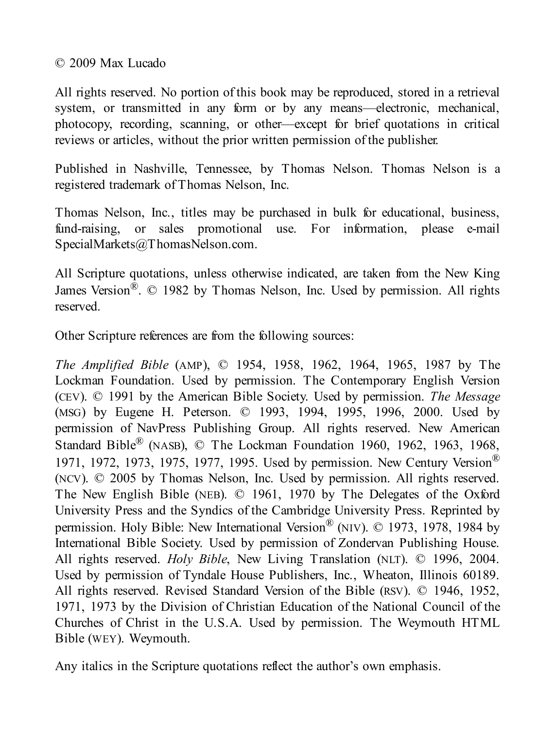© 2009 Max Lucado

All rights reserved. No portion of this book may be reproduced, stored in a retrieval system, or transmitted in any form or by any means—electronic, mechanical, photocopy, recording, scanning, or other—except for brief quotations in critical reviews or articles, without the prior written permission of the publisher.

Published in Nashville, Tennessee, by Thomas Nelson. Thomas Nelson is a registered trademark of Thomas Nelson, Inc.

Thomas Nelson, Inc., titles may be purchased in bulk for educational, business, fund-raising, or sales promotional use. For information, please e-mail SpecialMarkets@ThomasNelson.com.

All Scripture quotations, unless otherwise indicated, are taken from the New King James Version®. © 1982 by Thomas Nelson, Inc. Used by permission. All rights reserved.

Other Scripture references are from the following sources:

*The Amplified Bible* (AMP), © 1954, 1958, 1962, 1964, 1965, 1987 by The Lockman Foundation. Used by permission. The Contemporary English Version (CEV). © 1991 by the American Bible Society. Used by permission. *The Message* (MSG) by Eugene H. Peterson. © 1993, 1994, 1995, 1996, 2000. Used by permission of NavPress Publishing Group. All rights reserved. New American Standard Bible<sup>®</sup> (NASB), © The Lockman Foundation 1960, 1962, 1963, 1968, 1971, 1972, 1973, 1975, 1977, 1995. Used by permission. New Century Version® (NCV). © 2005 by Thomas Nelson, Inc. Used by permission. All rights reserved. The New English Bible (NEB). © 1961, 1970 by The Delegates of the Oxford University Press and the Syndics of the Cambridge University Press. Reprinted by permission. Holy Bible: New International Version® (NIV). © 1973, 1978, 1984 by International Bible Society. Used by permission of Zondervan Publishing House. All rights reserved. *Holy Bible*, New Living Translation (NLT). © 1996, 2004. Used by permission of Tyndale House Publishers, Inc., Wheaton, Illinois 60189. All rights reserved. Revised Standard Version of the Bible (RSV). © 1946, 1952 1971, 1973 by the Division of Christian Education of the National Council of the Churches of Christ in the U.S.A. Used by permission. The Weymouth HTML Bible (WEY). Weymouth.

Any italics in the Scripture quotations reflect the author's own emphasis.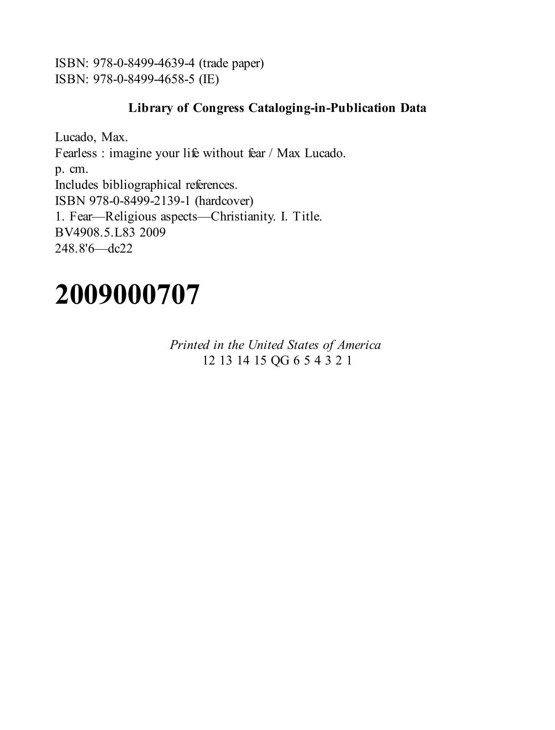ISBN: 978-0-8499-4639-4 (trade paper) ISBN: 978-0-8499-4658-5 (IE)

#### **Library of Congress Cataloging-in-Publication Data**

Lucado, Max. Fearless : imagine your life without fear / Max Lucado. p. cm. Includes bibliographical references. ISBN 978-0-8499-2139-1 (hardcover) 1. Fear—Religious aspects—Christianity. I. Title. BV4908.5.L83.2009 248.8'6—dc22

# **2009000707**

*Printed in the United States of America* 12 13 14 15 QG 6 5 4 3 2 1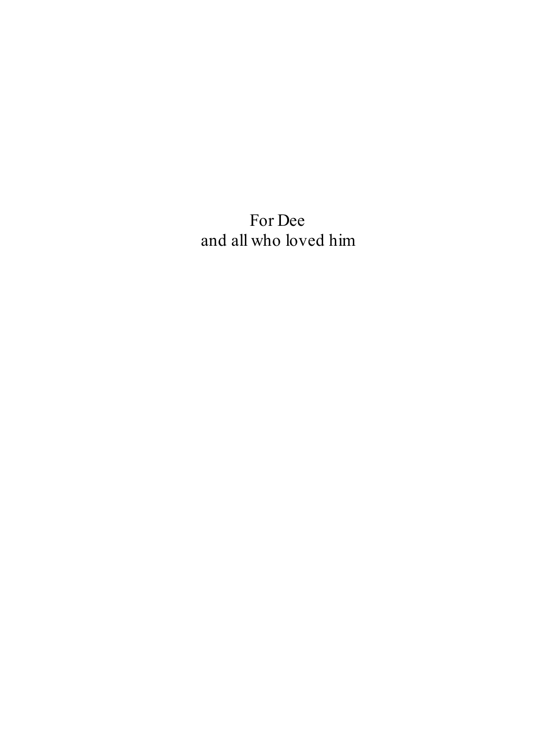For Dee and all who loved him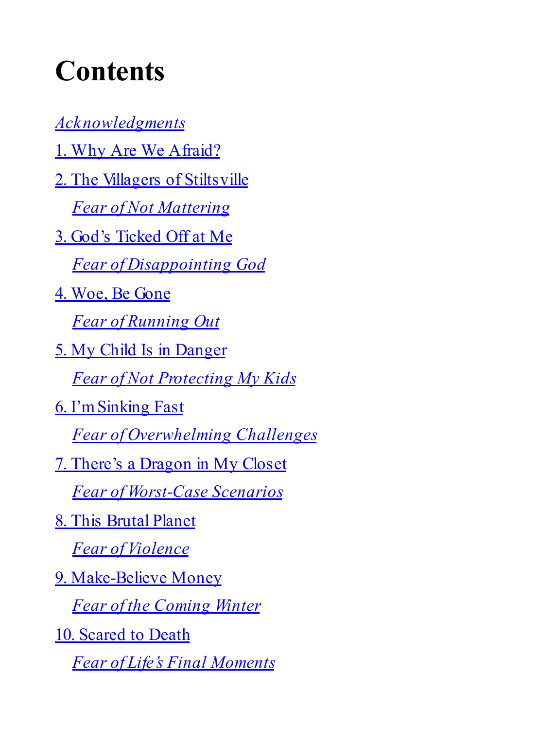# **Contents**

*Acknowledgments* 1. Why Are We Afraid? 2. The Villagers of Stiltsville *Fear of Not Mattering* 3. God's Ticked Off at Me *Fear of Disappointing God* 4. Woe, Be Gone *Fear of Running Out* 5. My Child Is in Danger *Fear of Not Protecting My Kids* 6. I'mSinking Fast *Fear of Overwhelming Challenges* 7. There's a Dragon in My Closet *Fear of Worst-Case Scenarios* 8. This Brutal Planet *Fear of Violence* 9. Make-Believe Money *Fear of the Coming Winter* 10. Scared to Death *Fear of Life's Final Moments*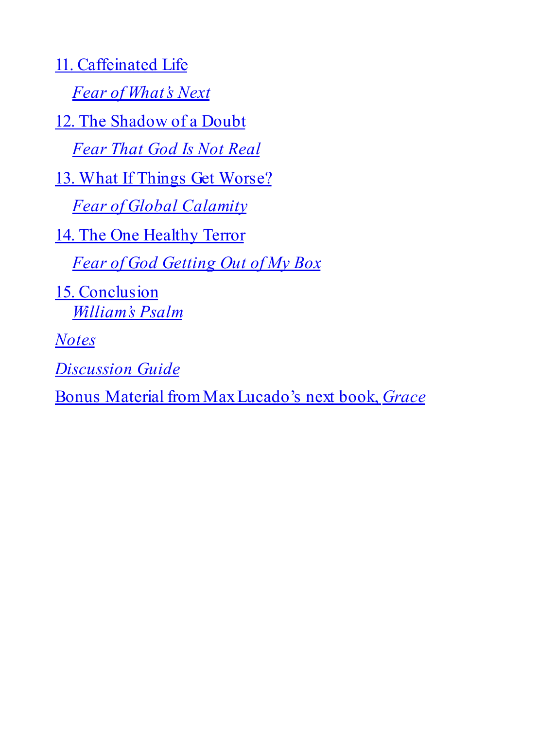11. Caffeinated Life *Fear of What's Next* 12. The Shadow of a Doubt *Fear That God Is Not Real* 13. What If Things Get Worse? *Fear of Global Calamity* 14. The One Healthy Terror *Fear of God Getting Out of My Box* 15. Conclusion *William's Psalm Notes Discussion Guide*

Bonus Material fromMaxLucado's next book, *Grace*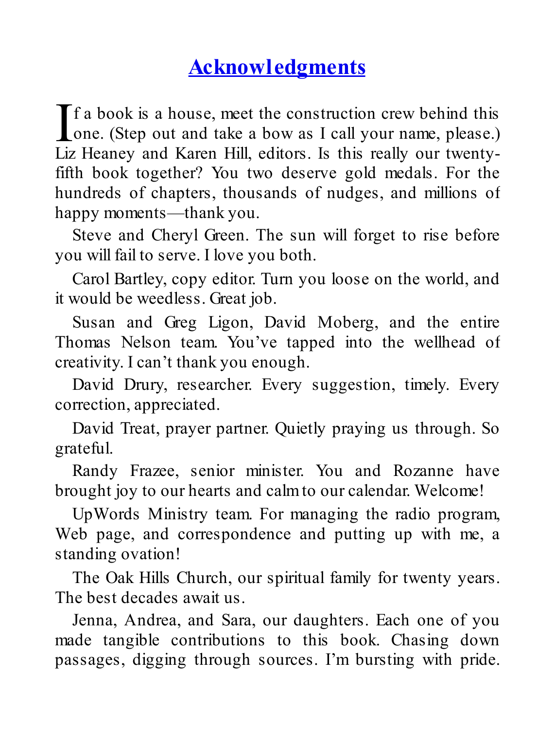### **Acknowledgments**

 $\prod$  f a book is a house, meet the construction crew behind this one. (Step out and take a bow as I call your name, please.) one. (Step out and take a bow as I call your name, please.) Liz Heaney and Karen Hill, editors. Is this really our twentyfifth book together? You two deserve gold medals. For the hundreds of chapters, thousands of nudges, and millions of happy moments—thank you.

Steve and Cheryl Green. The sun will forget to rise before you will fail to serve. I love you both.

Carol Bartley, copy editor. Turn you loose on the world, and it would be weedless. Great job.

Susan and Greg Ligon, David Moberg, and the entire Thomas Nelson team. You've tapped into the wellhead of creativity. I can't thank you enough.

David Drury, researcher. Every suggestion, timely. Every correction, appreciated.

David Treat, prayer partner. Quietly praying us through. So grateful.

Randy Frazee, senior minister. You and Rozanne have brought joy to our hearts and calmto our calendar. Welcome!

UpWords Ministry team. For managing the radio program, Web page, and correspondence and putting up with me, a standing ovation!

The Oak Hills Church, our spiritual family for twenty years. The best decades await us.

Jenna, Andrea, and Sara, our daughters. Each one of you made tangible contributions to this book. Chasing down passages, digging through sources. I'm bursting with pride.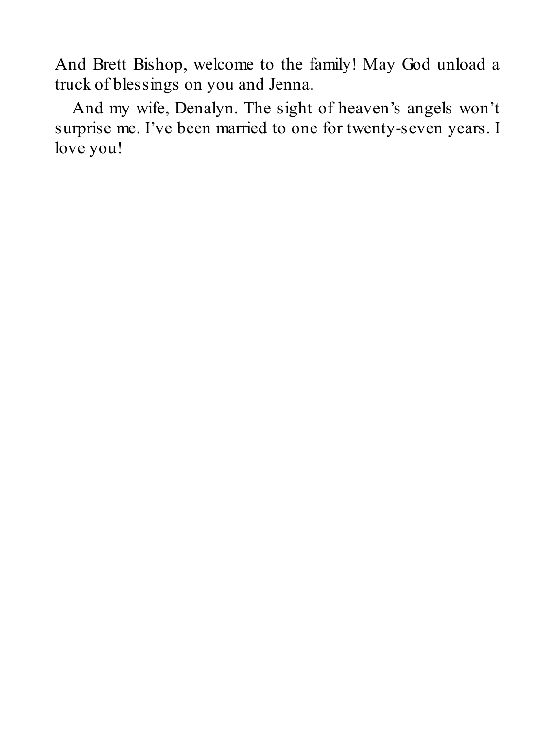And Brett Bishop, welcome to the family! May God unload a truck of blessings on you and Jenna.

And my wife, Denalyn. The sight of heaven's angels won't surprise me. I've been married to one for twenty-seven years. I love you!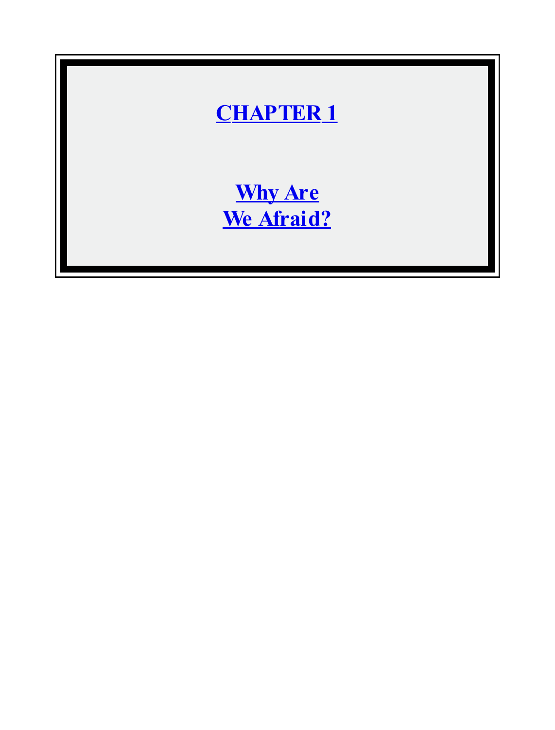**CHAPTER 1**

**Why Are We Afraid?**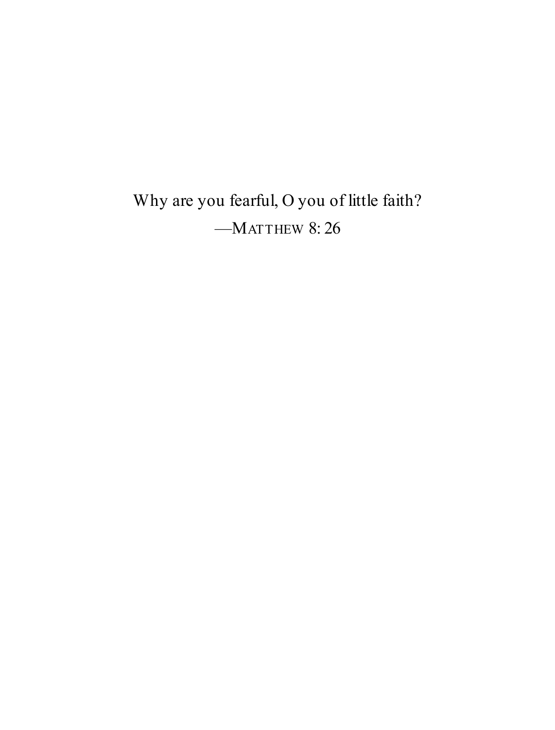### Why are you fearful, O you of little faith? —MATTHEW 8: 26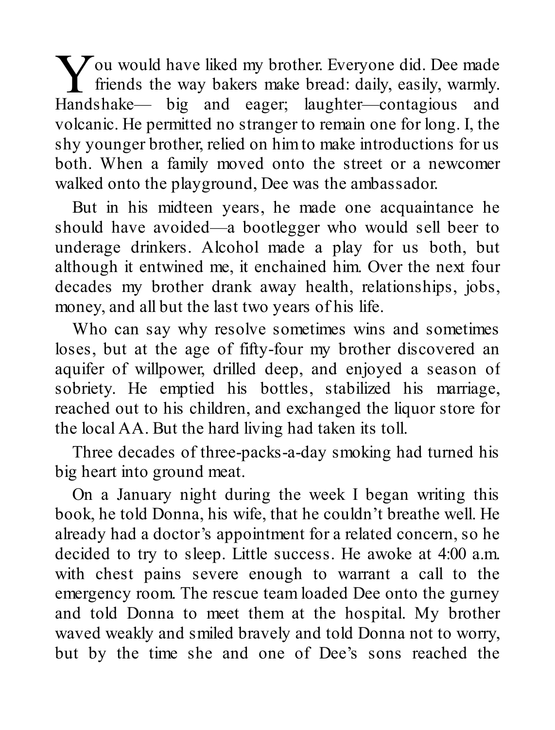$\sum$  ou would have liked my brother. Everyone did. Dee made<br>
Handshake — hig and eager: laughter contagious and friends the way bakers make bread: daily, easily, warmly. Handshake— big and eager; laughter—contagious and volcanic. He permitted no stranger to remain one for long. I, the shy younger brother, relied on himto make introductions for us both. When a family moved onto the street or a newcomer walked onto the playground, Dee was the ambassador.

But in his midteen years, he made one acquaintance he should have avoided—a bootlegger who would sell beer to underage drinkers. Alcohol made a play for us both, but although it entwined me, it enchained him. Over the next four decades my brother drank away health, relationships, jobs, money, and all but the last two years of his life.

Who can say why resolve sometimes wins and sometimes loses, but at the age of fifty-four my brother discovered an aquifer of willpower, drilled deep, and enjoyed a season of sobriety. He emptied his bottles, stabilized his marriage, reached out to his children, and exchanged the liquor store for the local AA. But the hard living had taken its toll.

Three decades of three-packs-a-day smoking had turned his big heart into ground meat.

On a January night during the week I began writing this book, he told Donna, his wife, that he couldn't breathe well. He already had a doctor's appointment for a related concern, so he decided to try to sleep. Little success. He awoke at 4:00 a.m. with chest pains severe enough to warrant a call to the emergency room. The rescue team loaded Dee onto the gurney and told Donna to meet them at the hospital. My brother waved weakly and smiled bravely and told Donna not to worry, but by the time she and one of Dee's sons reached the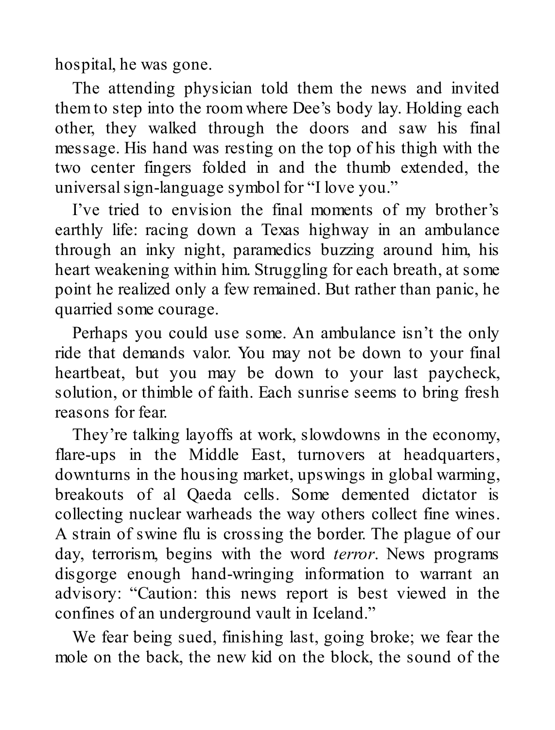hospital, he was gone.

The attending physician told them the news and invited them to step into the room where Dee's body lay. Holding each other, they walked through the doors and saw his final message. His hand was resting on the top of his thigh with the two center fingers folded in and the thumb extended, the universalsign-language symbol for "I love you."

I've tried to envision the final moments of my brother's earthly life: racing down a Texas highway in an ambulance through an inky night, paramedics buzzing around him, his heart weakening within him. Struggling for each breath, at some point he realized only a few remained. But rather than panic, he quarried some courage.

Perhaps you could use some. An ambulance isn't the only ride that demands valor. You may not be down to your final heartbeat, but you may be down to your last paycheck, solution, or thimble of faith. Each sunrise seems to bring fresh reasons for fear.

They're talking layoffs at work, slowdowns in the economy, flare-ups in the Middle East, turnovers at headquarters, downturns in the housing market, upswings in global warming, breakouts of al Qaeda cells. Some demented dictator is collecting nuclear warheads the way others collect fine wines. A strain of swine flu is crossing the border. The plague of our day, terrorism, begins with the word *terror*. News programs disgorge enough hand-wringing information to warrant an advisory: "Caution: this news report is best viewed in the confines of an underground vault in Iceland."

We fear being sued, finishing last, going broke; we fear the mole on the back, the new kid on the block, the sound of the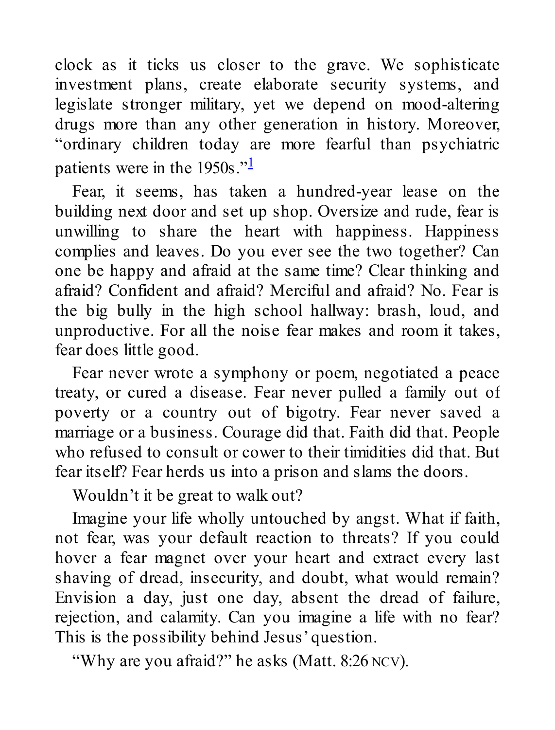clock as it ticks us closer to the grave. We sophisticate investment plans, create elaborate security systems, and legislate stronger military, yet we depend on mood-altering drugs more than any other generation in history. Moreover, "ordinary children today are more fearful than psychiatric patients were in the 1950s."<sup>1</sup>

Fear, it seems, has taken a hundred-year lease on the building next door and set up shop. Oversize and rude, fear is unwilling to share the heart with happiness. Happiness complies and leaves. Do you ever see the two together? Can one be happy and afraid at the same time? Clear thinking and afraid? Confident and afraid? Merciful and afraid? No. Fear is the big bully in the high school hallway: brash, loud, and unproductive. For all the noise fear makes and room it takes, fear does little good.

Fear never wrote a symphony or poem, negotiated a peace treaty, or cured a disease. Fear never pulled a family out of poverty or a country out of bigotry. Fear never saved a marriage or a business. Courage did that. Faith did that. People who refused to consult or cower to their timidities did that. But fear itself? Fear herds us into a prison and slams the doors.

Wouldn't it be great to walk out?

Imagine your life wholly untouched by angst. What if faith, not fear, was your default reaction to threats? If you could hover a fear magnet over your heart and extract every last shaving of dread, insecurity, and doubt, what would remain? Envision a day, just one day, absent the dread of failure, rejection, and calamity. Can you imagine a life with no fear? This is the possibility behind Jesus' question.

"Why are you afraid?" he asks (Matt. 8:26 NCV).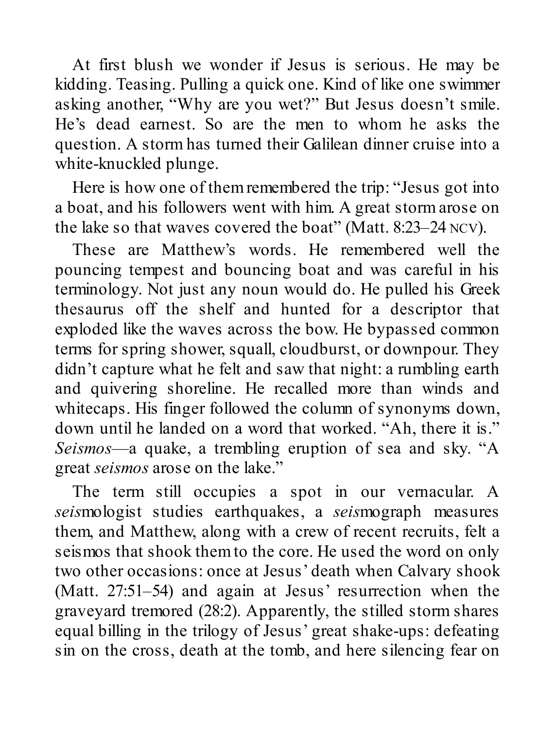At first blush we wonder if Jesus is serious. He may be kidding. Teasing. Pulling a quick one. Kind of like one swimmer asking another, "Why are you wet?" But Jesus doesn't smile. He's dead earnest. So are the men to whom he asks the question. A storm has turned their Galilean dinner cruise into a white-knuckled plunge.

Here is how one of themremembered the trip: "Jesus got into a boat, and his followers went with him. A great storm arose on the lake so that waves covered the boat" (Matt. 8:23–24 NCV).

These are Matthew's words. He remembered well the pouncing tempest and bouncing boat and was careful in his terminology. Not just any noun would do. He pulled his Greek thesaurus off the shelf and hunted for a descriptor that exploded like the waves across the bow. He bypassed common terms for spring shower, squall, cloudburst, or downpour. They didn't capture what he felt and saw that night: a rumbling earth and quivering shoreline. He recalled more than winds and whitecaps. His finger followed the column of synonyms down, down until he landed on a word that worked. "Ah, there it is." *Seismos*—a quake, a trembling eruption of sea and sky. "A great *seismos* arose on the lake."

The term still occupies a spot in our vernacular. A *seis*mologist studies earthquakes, a *seis*mograph measures them, and Matthew, along with a crew of recent recruits, felt a seismos that shook themto the core. He used the word on only two other occasions: once at Jesus' death when Calvary shook (Matt. 27:51–54) and again at Jesus' resurrection when the graveyard tremored (28:2). Apparently, the stilled storm shares equal billing in the trilogy of Jesus' great shake-ups: defeating sin on the cross, death at the tomb, and here silencing fear on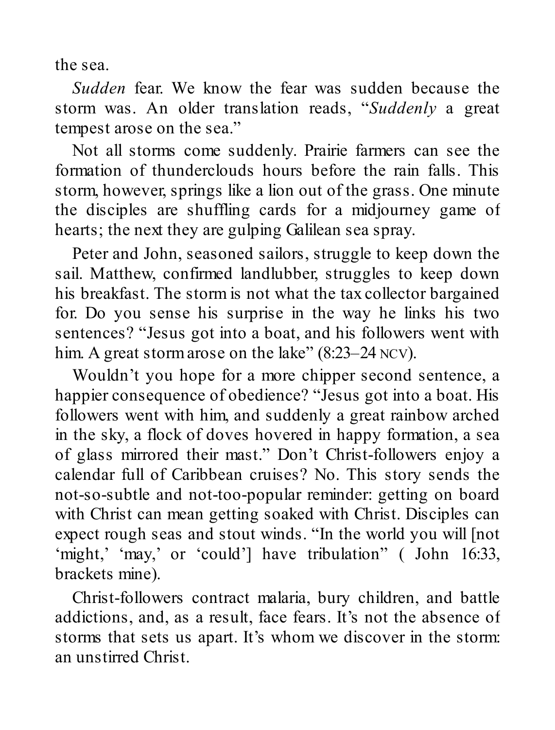the sea.

*Sudden* fear. We know the fear was sudden because the storm was. An older translation reads, "*Suddenly* a great tempest arose on the sea."

Not all storms come suddenly. Prairie farmers can see the formation of thunderclouds hours before the rain falls. This storm, however, springs like a lion out of the grass. One minute the disciples are shuffling cards for a midjourney game of hearts; the next they are gulping Galilean sea spray.

Peter and John, seasoned sailors, struggle to keep down the sail. Matthew, confirmed landlubber, struggles to keep down his breakfast. The storm is not what the tax collector bargained for. Do you sense his surprise in the way he links his two sentences? "Jesus got into a boat, and his followers went with him. A great storm arose on the lake" (8:23–24 NCV).

Wouldn't you hope for a more chipper second sentence, a happier consequence of obedience? "Jesus got into a boat. His followers went with him, and suddenly a great rainbow arched in the sky, a flock of doves hovered in happy formation, a sea of glass mirrored their mast." Don't Christ-followers enjoy a calendar full of Caribbean cruises? No. This story sends the not-so-subtle and not-too-popular reminder: getting on board with Christ can mean getting soaked with Christ. Disciples can expect rough seas and stout winds. "In the world you will [not 'might,' 'may,' or 'could'] have tribulation" (John 16:33, brackets mine).

Christ-followers contract malaria, bury children, and battle addictions, and, as a result, face fears. It's not the absence of storms that sets us apart. It's whom we discover in the storm: an unstirred Christ.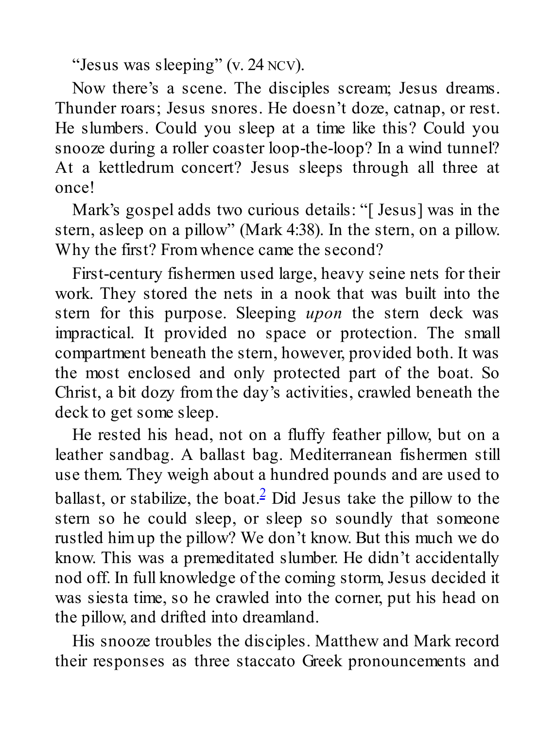"Jesus was sleeping" (v. 24 NCV).

Now there's a scene. The disciples scream; Jesus dreams. Thunder roars; Jesus snores. He doesn't doze, catnap, or rest. He slumbers. Could you sleep at a time like this? Could you snooze during a roller coaster loop-the-loop? In a wind tunnel? At a kettledrum concert? Jesus sleeps through all three at once!

Mark's gospel adds two curious details: "[ Jesus] was in the stern, asleep on a pillow" (Mark 4:38). In the stern, on a pillow. Why the first? Fromwhence came the second?

First-century fishermen used large, heavy seine nets for their work. They stored the nets in a nook that was built into the stern for this purpose. Sleeping *upon* the stern deck was impractical. It provided no space or protection. The small compartment beneath the stern, however, provided both. It was the most enclosed and only protected part of the boat. So Christ, a bit dozy from the day's activities, crawled beneath the deck to get some sleep.

He rested his head, not on a fluffy feather pillow, but on a leather sandbag. A ballast bag. Mediterranean fishermen still use them. They weigh about a hundred pounds and are used to ballast, or stabilize, the boat. $\frac{2}{5}$  Did Jesus take the pillow to the stern so he could sleep, or sleep so soundly that someone rustled himup the pillow? We don't know. But this much we do know. This was a premeditated slumber. He didn't accidentally nod off. In full knowledge of the coming storm, Jesus decided it was siesta time, so he crawled into the corner, put his head on the pillow, and drifted into dreamland.

His snooze troubles the disciples. Matthew and Mark record their responses as three staccato Greek pronouncements and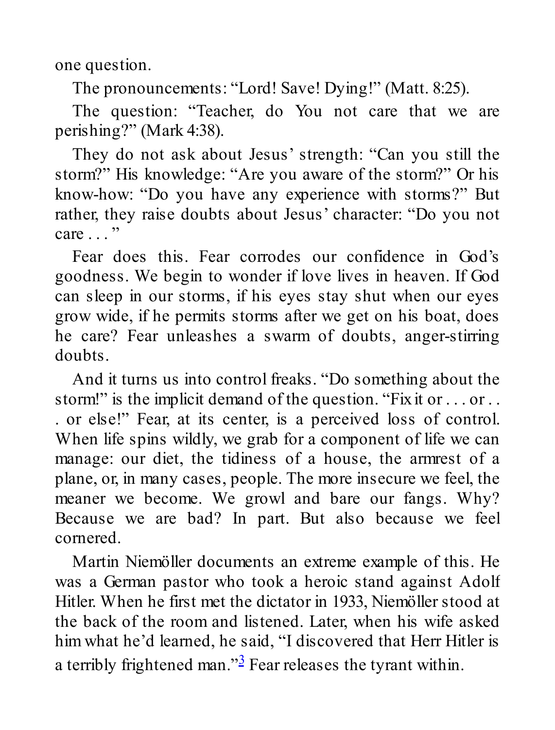one question.

The pronouncements: "Lord! Save! Dying!" (Matt. 8:25).

The question: "Teacher, do You not care that we are perishing?" (Mark 4:38).

They do not ask about Jesus' strength: "Can you still the storm?" His knowledge: "Are you aware of the storm?" Or his know-how: "Do you have any experience with storms?" But rather, they raise doubts about Jesus' character: "Do you not  $care \dots$ 

Fear does this. Fear corrodes our confidence in God's goodness. We begin to wonder if love lives in heaven. If God can sleep in our storms, if his eyes stay shut when our eyes grow wide, if he permits storms after we get on his boat, does he care? Fear unleashes a swarm of doubts, anger-stirring doubts.

And it turns us into control freaks. "Do something about the storm!" is the implicit demand of the question. "Fix it or . . . or . . . or else!" Fear, at its center, is a perceived loss of control. When life spins wildly, we grab for a component of life we can manage: our diet, the tidiness of a house, the armrest of a plane, or, in many cases, people. The more insecure we feel, the meaner we become. We growl and bare our fangs. Why? Because we are bad? In part. But also because we feel cornered.

Martin Niemöller documents an extreme example of this. He was a German pastor who took a heroic stand against Adolf Hitler. When he first met the dictator in 1933, Niemöller stood at the back of the room and listened. Later, when his wife asked him what he'd learned, he said, "I discovered that Herr Hitler is a terribly frightened man." $^{\frac{3}{2}}$  Fear releases the tyrant within.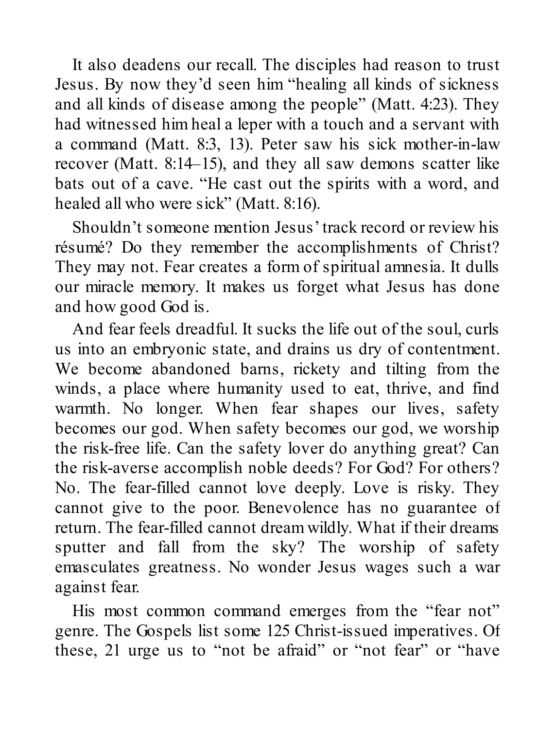It also deadens our recall. The disciples had reason to trust Jesus. By now they'd seen him "healing all kinds of sickness and all kinds of disease among the people" (Matt. 4:23). They had witnessed him heal a leper with a touch and a servant with a command (Matt. 8:3, 13). Peter saw his sick mother-in-law recover (Matt. 8:14–15), and they all saw demons scatter like bats out of a cave. "He cast out the spirits with a word, and healed all who were sick" (Matt. 8:16).

Shouldn't someone mention Jesus'track record or review his résumé? Do they remember the accomplishments of Christ? They may not. Fear creates a form of spiritual amnesia. It dulls our miracle memory. It makes us forget what Jesus has done and how good God is.

And fear feels dreadful. It sucks the life out of the soul, curls us into an embryonic state, and drains us dry of contentment. We become abandoned barns, rickety and tilting from the winds, a place where humanity used to eat, thrive, and find warmth. No longer. When fear shapes our lives, safety becomes our god. When safety becomes our god, we worship the risk-free life. Can the safety lover do anything great? Can the risk-averse accomplish noble deeds? For God? For others? No. The fear-filled cannot love deeply. Love is risky. They cannot give to the poor. Benevolence has no guarantee of return. The fear-filled cannot dream wildly. What if their dreams sputter and fall from the sky? The worship of safety emasculates greatness. No wonder Jesus wages such a war against fear.

His most common command emerges from the "fear not" genre. The Gospels list some 125 Christ-issued imperatives. Of these, 21 urge us to "not be afraid" or "not fear" or "have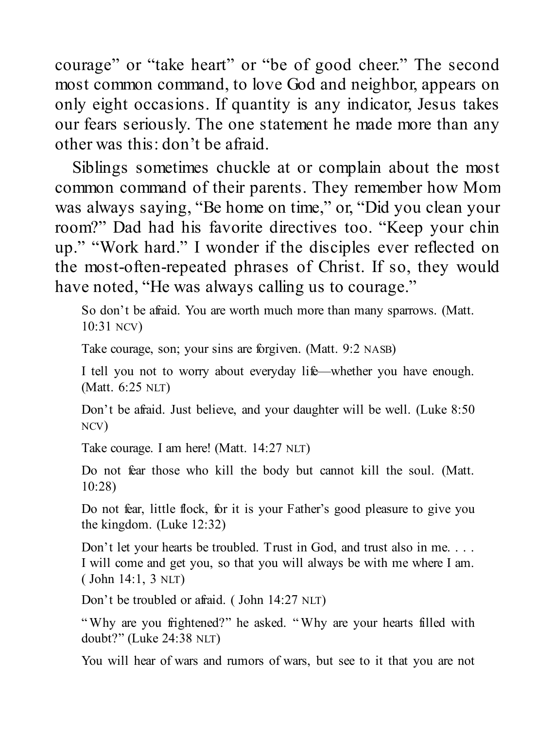courage" or "take heart" or "be of good cheer." The second most common command, to love God and neighbor, appears on only eight occasions. If quantity is any indicator, Jesus takes our fears seriously. The one statement he made more than any other was this: don't be afraid.

Siblings sometimes chuckle at or complain about the most common command of their parents. They remember how Mom was always saying, "Be home on time," or, "Did you clean your room?" Dad had his favorite directives too. "Keep your chin up." "Work hard." I wonder if the disciples ever reflected on the most-often-repeated phrases of Christ. If so, they would have noted, "He was always calling us to courage."

So don't be afraid. You are worth much more than many sparrows. (Matt. 10:31 NCV)

Take courage, son; your sins are forgiven. (Matt. 9:2 NASB)

I tell you not to worry about everyday life—whether you have enough. (Matt. 6:25 NLT)

Don't be afraid. Just believe, and your daughter will be well. (Luke 8:50 NCV)

Take courage. I am here! (Matt. 14:27 NLT)

Do not fear those who kill the body but cannot kill the soul. (Matt. 10:28)

Do not fear, little flock, for it is your Father's good pleasure to give you the kingdom. (Luke 12:32)

Don't let your hearts be troubled. Trust in God, and trust also in me. . . . I will come and get you, so that you will always be with me where I am. ( John 14:1, 3 NLT)

Don't be troubled or afraid. ( John 14:27 NLT)

"Why are you frightened?" he asked. "Why are your hearts filled with doubt?" (Luke 24:38 NLT)

You will hear of wars and rumors of wars, but see to it that you are not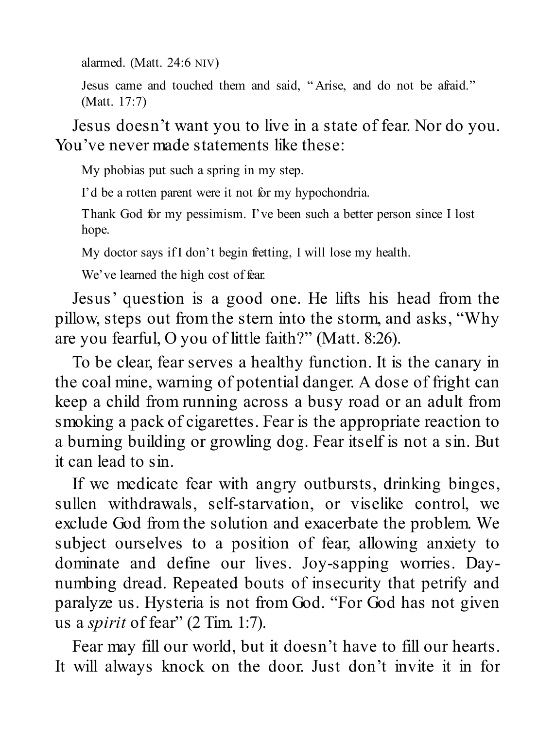alarmed. (Matt. 24:6 NIV)

Jesus came and touched them and said, " Arise, and do not be afraid." (Matt. 17:7)

Jesus doesn't want you to live in a state of fear. Nor do you. You've never made statements like these:

My phobias put such a spring in my step.

I'd be a rotten parent were it not for my hypochondria.

Thank God for my pessimism. I've been such a better person since I lost hope.

My doctor says if I don't begin fretting. I will lose my health

We've learned the high cost of fear.

Jesus' question is a good one. He lifts his head from the pillow, steps out from the stern into the storm, and asks, "Why are you fearful, O you of little faith?" (Matt. 8:26).

To be clear, fear serves a healthy function. It is the canary in the coal mine, warning of potential danger. A dose of fright can keep a child from running across a busy road or an adult from smoking a pack of cigarettes. Fear is the appropriate reaction to a burning building or growling dog. Fear itself is not a sin. But it can lead to sin.

If we medicate fear with angry outbursts, drinking binges, sullen withdrawals, self-starvation, or viselike control, we exclude God from the solution and exacerbate the problem. We subject ourselves to a position of fear, allowing anxiety to dominate and define our lives. Joy-sapping worries. Daynumbing dread. Repeated bouts of insecurity that petrify and paralyze us. Hysteria is not from God. "For God has not given us a *spirit* of fear" (2 Tim. 1:7).

Fear may fill our world, but it doesn't have to fill our hearts. It will always knock on the door. Just don't invite it in for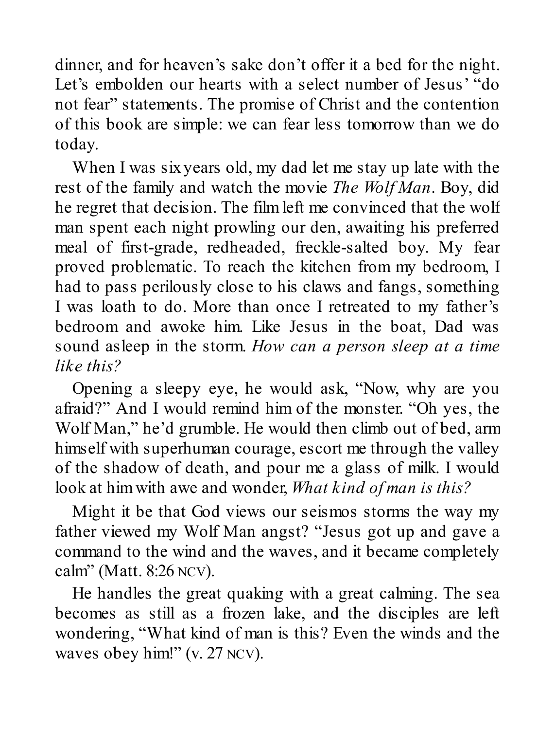dinner, and for heaven's sake don't offer it a bed for the night. Let's embolden our hearts with a select number of Jesus' "do not fear" statements. The promise of Christ and the contention of this book are simple: we can fear less tomorrow than we do today.

When I was sixyears old, my dad let me stay up late with the rest of the family and watch the movie *The Wolf Man*. Boy, did he regret that decision. The film left me convinced that the wolf man spent each night prowling our den, awaiting his preferred meal of first-grade, redheaded, freckle-salted boy. My fear proved problematic. To reach the kitchen from my bedroom, I had to pass perilously close to his claws and fangs, something I was loath to do. More than once I retreated to my father's bedroom and awoke him. Like Jesus in the boat, Dad was sound asleep in the storm. *How can a person sleep at a time like this?*

Opening a sleepy eye, he would ask, "Now, why are you afraid?" And I would remind him of the monster. "Oh yes, the Wolf Man," he'd grumble. He would then climb out of bed, arm himself with superhuman courage, escort me through the valley of the shadow of death, and pour me a glass of milk. I would look at himwith awe and wonder, *What kind of man is this?*

Might it be that God views our seismos storms the way my father viewed my Wolf Man angst? "Jesus got up and gave a command to the wind and the waves, and it became completely calm" (Matt. 8:26 NCV).

He handles the great quaking with a great calming. The sea becomes as still as a frozen lake, and the disciples are left wondering, "What kind of man is this? Even the winds and the waves obey him!" (v. 27 NCV).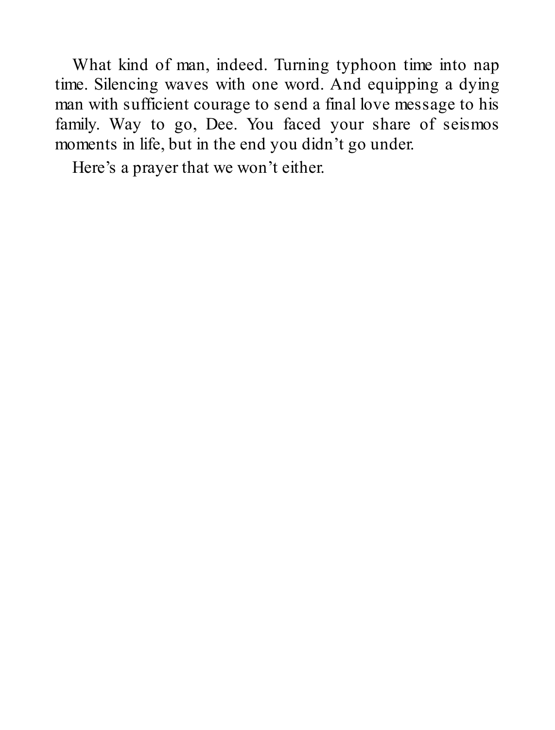What kind of man, indeed. Turning typhoon time into nap time. Silencing waves with one word. And equipping a dying man with sufficient courage to send a final love message to his family. Way to go, Dee. You faced your share of seismos moments in life, but in the end you didn't go under.

Here's a prayer that we won't either.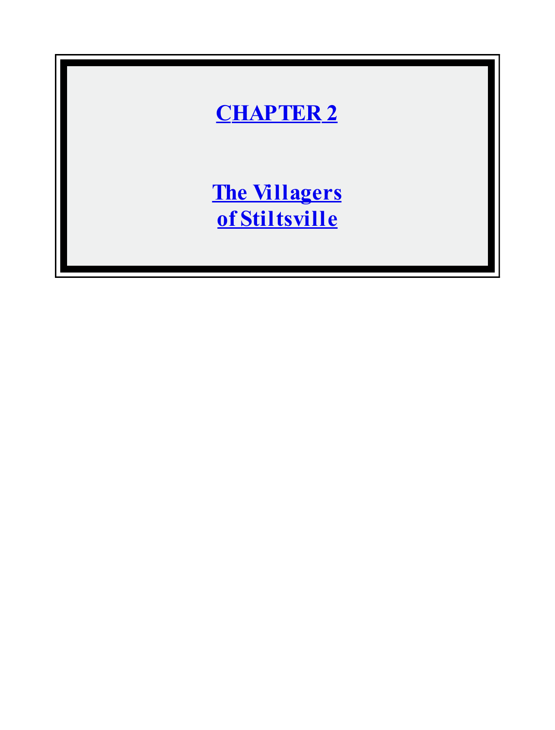**CHAPTER 2**

**The Villagers of Stiltsville**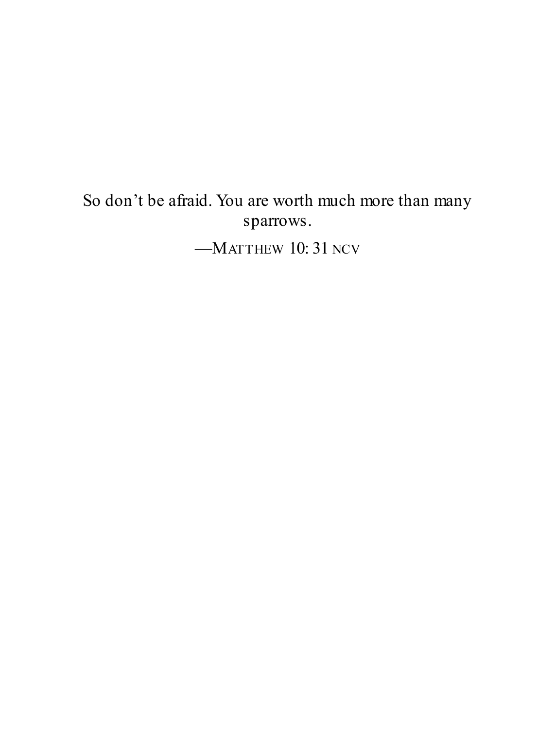#### So don't be afraid. You are worth much more than many sparrows.

—MATTHEW 10: 31 NCV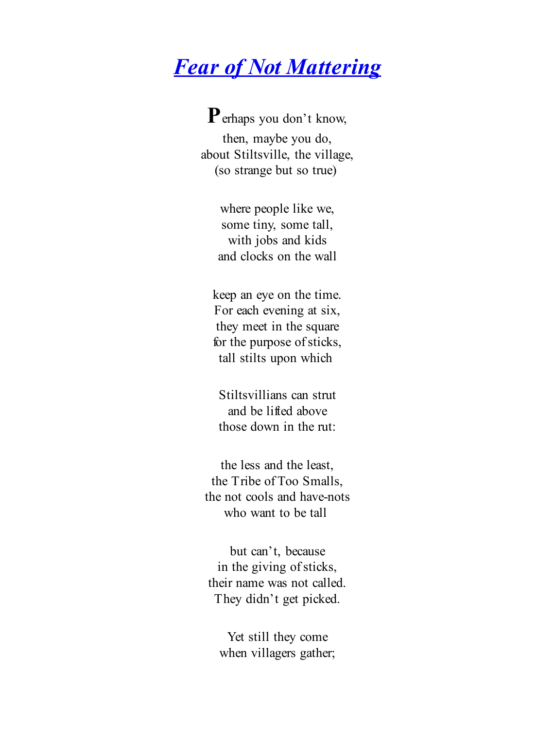# *Fear of Not Mattering*

**P**erhaps you don't know, then, maybe you do, about Stiltsville, the village, (so strange but so true)

where people like we, some tiny, some tall, with jobs and kids and clocks on the wall

keep an eye on the time. For each evening at six, they meet in the square for the purpose ofsticks, tall stilts upon which

Stiltsvillians can strut and be lifted above those down in the rut:

the less and the least, the Tribe of Too Smalls, the not cools and have-nots who want to be tall

but can't, because in the giving ofsticks, their name was not called. They didn't get picked.

Yet still they come when villagers gather;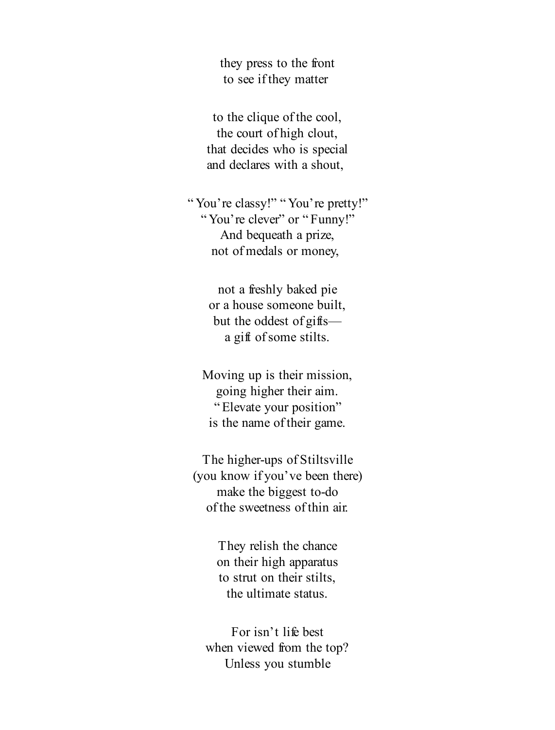they press to the front to see if they matter

to the clique of the cool, the court of high clout that decides who is special and declares with a shout,

" You're classy!" " You're pretty!" " You're clever" or "Funny!" And bequeath a prize, not of medals or money,

> not a freshly baked pie or a house someone built, but the oddest of gifts a gift ofsome stilts.

Moving up is their mission, going higher their aim. " Elevate your position" is the name of their game.

The higher-ups of Stiltsville (you know if you've been there) make the biggest to-do of the sweetness of thin air.

> They relish the chance on their high apparatus to strut on their stilts the ultimate status.

For isn't life best when viewed from the top? Unless you stumble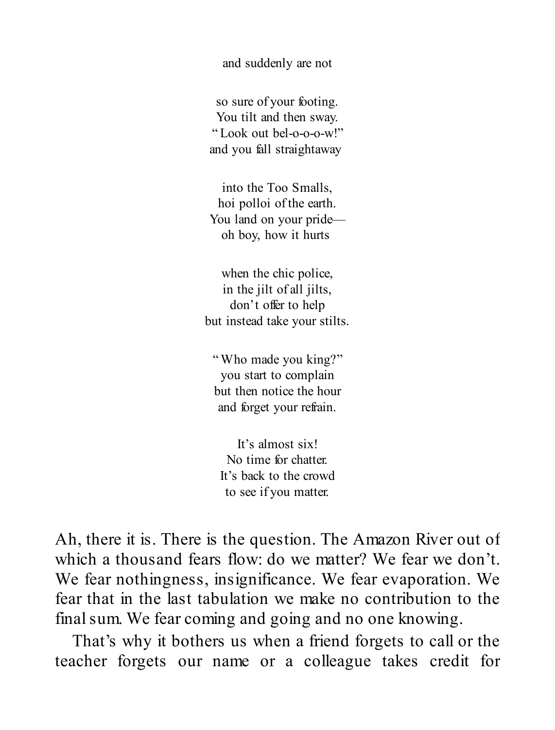and suddenly are not

so sure of your footing. You tilt and then sway. " Look out bel-o-o-o-w!" and you fall straightaway

into the Too Smalls, hoi polloi of the earth. You land on your pride oh boy, how it hurts

when the chic police, in the jilt of all jilts. don't offer to help but instead take your stilts.

"Who made you king?" you start to complain but then notice the hour and forget your refrain.

It's almost six! No time for chatter. It's back to the crowd to see if you matter.

Ah, there it is. There is the question. The Amazon River out of which a thousand fears flow do we matter? We fear we don't. We fear nothingness, insignificance. We fear evaporation. We fear that in the last tabulation we make no contribution to the final sum. We fear coming and going and no one knowing.

That's why it bothers us when a friend forgets to call or the teacher forgets our name or a colleague takes credit for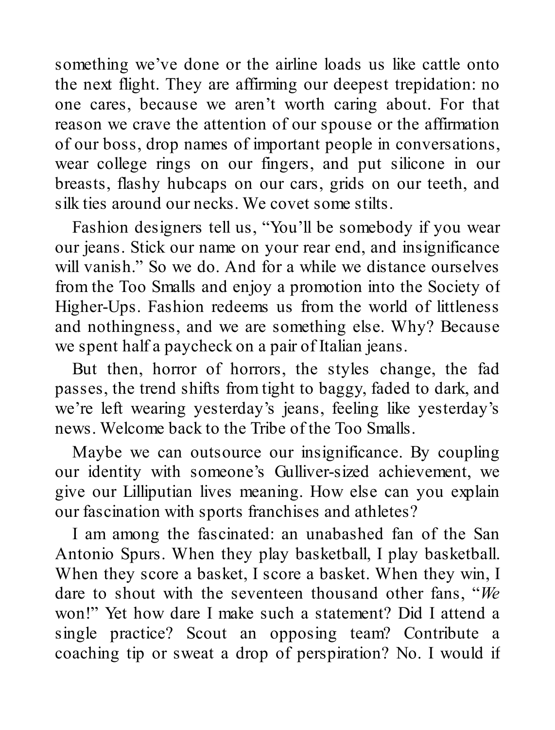something we've done or the airline loads us like cattle onto the next flight. They are affirming our deepest trepidation: no one cares, because we aren't worth caring about. For that reason we crave the attention of our spouse or the affirmation of our boss, drop names of important people in conversations, wear college rings on our fingers, and put silicone in our breasts, flashy hubcaps on our cars, grids on our teeth, and silk ties around our necks. We covet some stilts.

Fashion designers tell us, "You'll be somebody if you wear our jeans. Stick our name on your rear end, and insignificance will vanish." So we do. And for a while we distance ourselves from the Too Smalls and enjoy a promotion into the Society of Higher-Ups. Fashion redeems us from the world of littleness and nothingness, and we are something else. Why? Because we spent half a paycheck on a pair of Italian jeans.

But then, horror of horrors, the styles change, the fad passes, the trend shifts from tight to baggy, faded to dark, and we're left wearing yesterday's jeans, feeling like yesterday's news. Welcome back to the Tribe of the Too Smalls.

Maybe we can outsource our insignificance. By coupling our identity with someone's Gulliver-sized achievement, we give our Lilliputian lives meaning. How else can you explain our fascination with sports franchises and athletes?

I am among the fascinated: an unabashed fan of the San Antonio Spurs. When they play basketball, I play basketball. When they score a basket, I score a basket. When they win, I dare to shout with the seventeen thousand other fans, "*We* won!" Yet how dare I make such a statement? Did I attend a single practice? Scout an opposing team? Contribute a coaching tip or sweat a drop of perspiration? No. I would if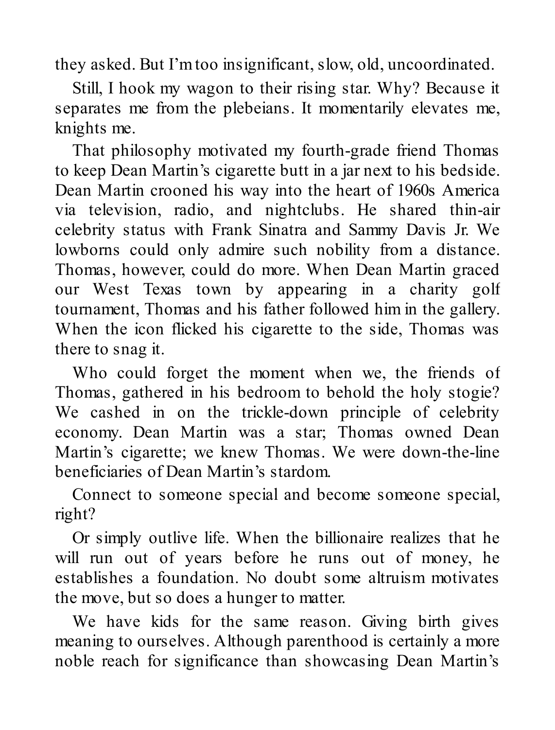they asked. But I'mtoo insignificant, slow, old, uncoordinated.

Still, I hook my wagon to their rising star. Why? Because it separates me from the plebeians. It momentarily elevates me, knights me.

That philosophy motivated my fourth-grade friend Thomas to keep Dean Martin's cigarette butt in a jar next to his bedside. Dean Martin crooned his way into the heart of 1960s America via television, radio, and nightclubs. He shared thin-air celebrity status with Frank Sinatra and Sammy Davis Jr. We lowborns could only admire such nobility from a distance. Thomas, however, could do more. When Dean Martin graced our West Texas town by appearing in a charity golf tournament, Thomas and his father followed him in the gallery. When the icon flicked his cigarette to the side, Thomas was there to snag it.

Who could forget the moment when we, the friends of Thomas, gathered in his bedroom to behold the holy stogie? We cashed in on the trickle-down principle of celebrity economy. Dean Martin was a star; Thomas owned Dean Martin's cigarette; we knew Thomas. We were down-the-line beneficiaries of Dean Martin's stardom.

Connect to someone special and become someone special, right?

Or simply outlive life. When the billionaire realizes that he will run out of years before he runs out of money, he establishes a foundation. No doubt some altruism motivates the move, but so does a hunger to matter.

We have kids for the same reason. Giving birth gives meaning to ourselves. Although parenthood is certainly a more noble reach for significance than showcasing Dean Martin's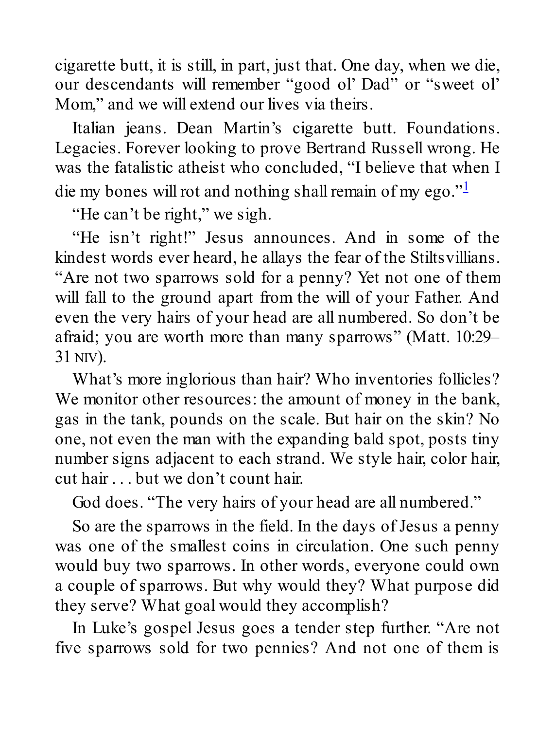cigarette butt, it is still, in part, just that. One day, when we die, our descendants will remember "good ol' Dad" or "sweet ol' Mom," and we will extend our lives via theirs.

Italian jeans. Dean Martin's cigarette butt. Foundations. Legacies. Forever looking to prove Bertrand Russell wrong. He was the fatalistic atheist who concluded, "I believe that when I

die my bones will rot and nothing shall remain of my ego."<sup>1</sup>

"He can't be right," we sigh.

"He isn't right!" Jesus announces. And in some of the kindest words ever heard, he allays the fear of the Stiltsvillians. "Are not two sparrows sold for a penny? Yet not one of them will fall to the ground apart from the will of your Father. And even the very hairs of your head are all numbered. So don't be afraid; you are worth more than many sparrows" (Matt. 10:29– 31 NIV).

What's more inglorious than hair? Who inventories follicles? We monitor other resources: the amount of money in the bank, gas in the tank, pounds on the scale. But hair on the skin? No one, not even the man with the expanding bald spot, posts tiny number signs adjacent to each strand. We style hair, color hair, cut hair . . . but we don't count hair.

God does. "The very hairs of your head are all numbered."

So are the sparrows in the field. In the days of Jesus a penny was one of the smallest coins in circulation. One such penny would buy two sparrows. In other words, everyone could own a couple of sparrows. But why would they? What purpose did they serve? What goal would they accomplish?

In Luke's gospel Jesus goes a tender step further. "Are not five sparrows sold for two pennies? And not one of them is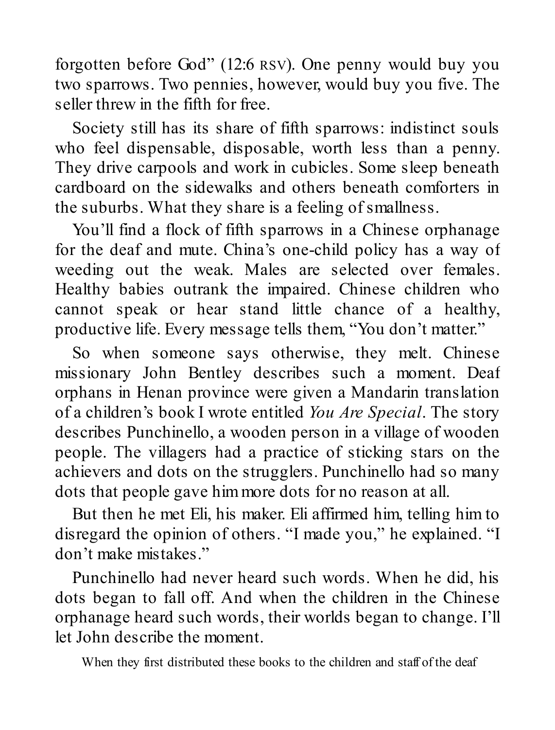forgotten before God" (12:6 RSV). One penny would buy you two sparrows. Two pennies, however, would buy you five. The seller threw in the fifth for free.

Society still has its share of fifth sparrows: indistinct souls who feel dispensable, disposable, worth less than a penny. They drive carpools and work in cubicles. Some sleep beneath cardboard on the sidewalks and others beneath comforters in the suburbs. What they share is a feeling of smallness.

You'll find a flock of fifth sparrows in a Chinese orphanage for the deaf and mute. China's one-child policy has a way of weeding out the weak. Males are selected over females. Healthy babies outrank the impaired. Chinese children who cannot speak or hear stand little chance of a healthy, productive life. Every message tells them, "You don't matter."

So when someone says otherwise, they melt. Chinese missionary John Bentley describes such a moment. Deaf orphans in Henan province were given a Mandarin translation of a children's book I wrote entitled *You Are Special*. The story describes Punchinello, a wooden person in a village of wooden people. The villagers had a practice of sticking stars on the achievers and dots on the strugglers. Punchinello had so many dots that people gave himmore dots for no reason at all.

But then he met Eli, his maker. Eli affirmed him, telling him to disregard the opinion of others. "I made you," he explained. "I don't make mistakes."

Punchinello had never heard such words. When he did, his dots began to fall off. And when the children in the Chinese orphanage heard such words, their worlds began to change. I'll let John describe the moment.

When they first distributed these books to the children and staff of the deaf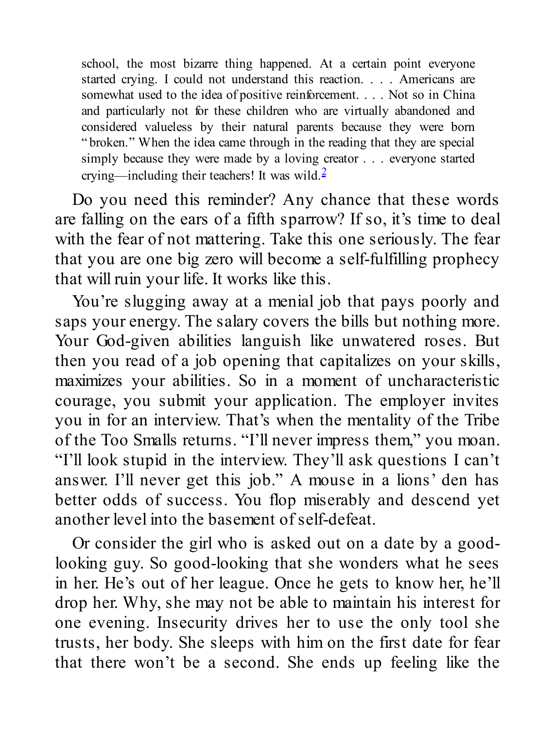school, the most bizarre thing happened. At a certain point everyone started crying. I could not understand this reaction. . . . Americans are<br>somewhat used to the idea of positive reinforcement. Not so in China somewhat used to the idea of positive reinforcement. and particularly not for these children who are virtually abandoned and considered valueless by their natural parents because they were born " broken." When the idea came through in the reading that they are special simply because they were made by a loving creator . . . everyone started crying—including their teachers! It was wild.<sup>2</sup>

Do you need this reminder? Any chance that these words are falling on the ears of a fifth sparrow? If so, it's time to deal with the fear of not mattering. Take this one seriously. The fear that you are one big zero will become a self-fulfilling prophecy that will ruin your life. It works like this.

You're slugging away at a menial job that pays poorly and saps your energy. The salary covers the bills but nothing more. Your God-given abilities languish like unwatered roses. But then you read of a job opening that capitalizes on your skills, maximizes your abilities. So in a moment of uncharacteristic courage, you submit your application. The employer invites you in for an interview. That's when the mentality of the Tribe of the Too Smalls returns. "I'll never impress them," you moan. "I'll look stupid in the interview. They'll ask questions I can't answer. I'll never get this job." A mouse in a lions' den has better odds of success. You flop miserably and descend yet another level into the basement of self-defeat.

Or consider the girl who is asked out on a date by a goodlooking guy. So good-looking that she wonders what he sees in her. He's out of her league. Once he gets to know her, he'll drop her. Why, she may not be able to maintain his interest for one evening. Insecurity drives her to use the only tool she trusts, her body. She sleeps with him on the first date for fear that there won't be a second. She ends up feeling like the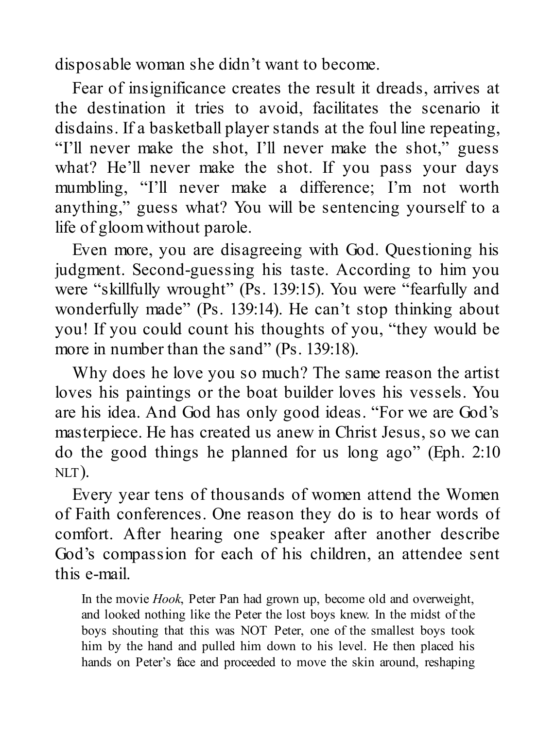disposable woman she didn't want to become.

Fear of insignificance creates the result it dreads, arrives at the destination it tries to avoid, facilitates the scenario it disdains. If a basketball player stands at the foul line repeating, "I'll never make the shot, I'll never make the shot," guess what? He'll never make the shot. If you pass your days mumbling, "I'll never make a difference; I'm not worth anything," guess what? You will be sentencing yourself to a life of gloomwithout parole.

Even more, you are disagreeing with God. Questioning his judgment. Second-guessing his taste. According to him you were "skillfully wrought" (Ps. 139:15). You were "fearfully and wonderfully made" (Ps. 139:14). He can't stop thinking about you! If you could count his thoughts of you, "they would be more in number than the sand" (Ps. 139:18).

Why does he love you so much? The same reason the artist loves his paintings or the boat builder loves his vessels. You are his idea. And God has only good ideas. "For we are God's masterpiece. He has created us anew in Christ Jesus, so we can do the good things he planned for us long ago" (Eph. 2:10 NLT).

Every year tens of thousands of women attend the Women of Faith conferences. One reason they do is to hear words of comfort. After hearing one speaker after another describe God's compassion for each of his children, an attendee sent this e-mail.

In the movie *Hook*, Peter Pan had grown up, become old and overweight, and looked nothing like the Peter the lost boys knew. In the midst of the boys shouting that this was NOT Peter, one of the smallest boys took him by the hand and pulled him down to his level. He then placed his hands on Peter's face and proceeded to move the skin around, reshaping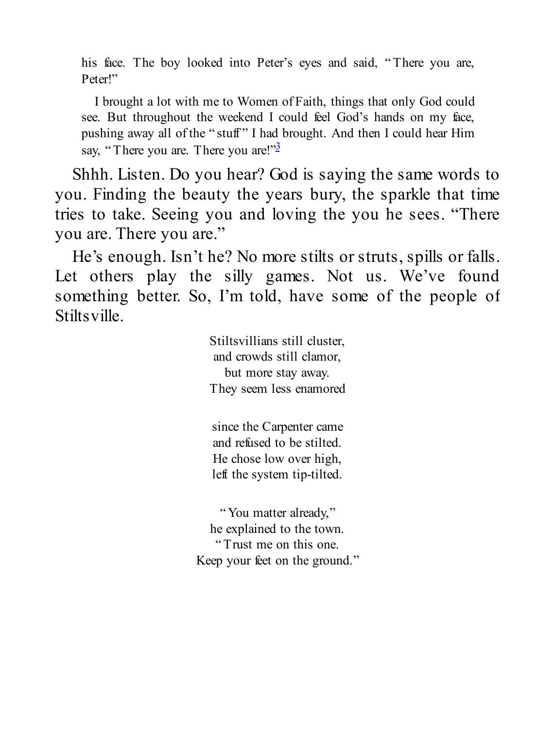his face. The boy looked into Peter's eyes and said, " There you are, Peter!"

I brought a lot with me to Women ofFaith, things that only God could see. But throughout the weekend I could feel God's hands on my face, pushing away all of the "stuff" I had brought. And then I could hear Him say, "There you are. There you are!"<sup>2</sup>

Shhh. Listen. Do you hear? God is saying the same words to you. Finding the beauty the years bury, the sparkle that time tries to take. Seeing you and loving the you he sees. "There you are. There you are."

He's enough. Isn't he? No more stilts or struts, spills or falls. Let others play the silly games. Not us. We've found something better. So, I'm told, have some of the people of Stiltsville.

> Stiltsvillians still cluster, and crowds still clamor, but more stay away. They seem less enamored

since the Carpenter came and refused to be stilted. He chose low over high, left the system tip-tilted.

" You matter already," he explained to the town. " Trust me on this one. Keep your feet on the ground."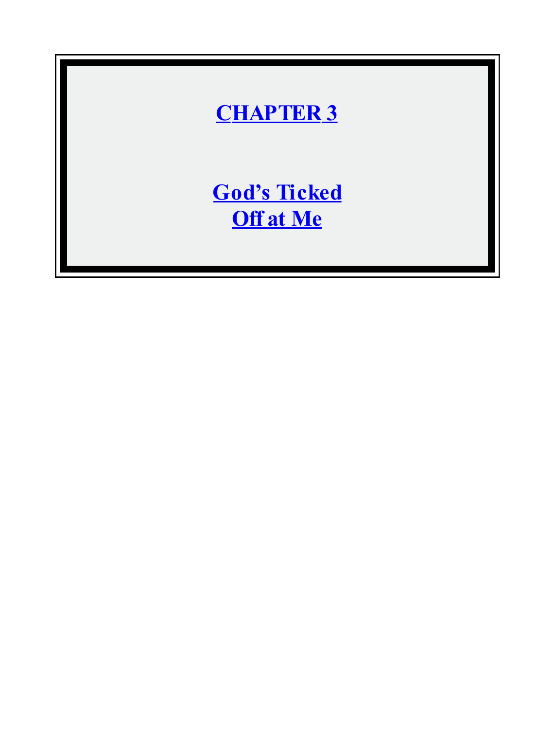**CHAPTER 3**

**God's Ticked Off at Me**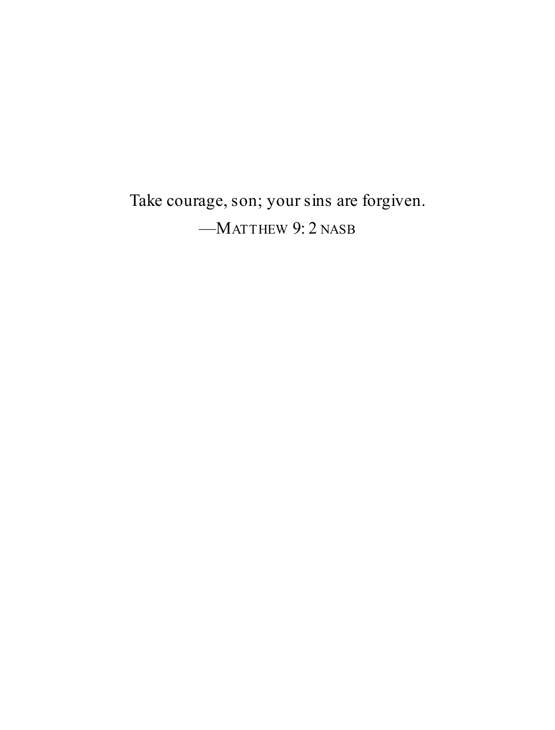#### Take courage, son; your sins are forgiven. —MATTHEW 9: 2 NASB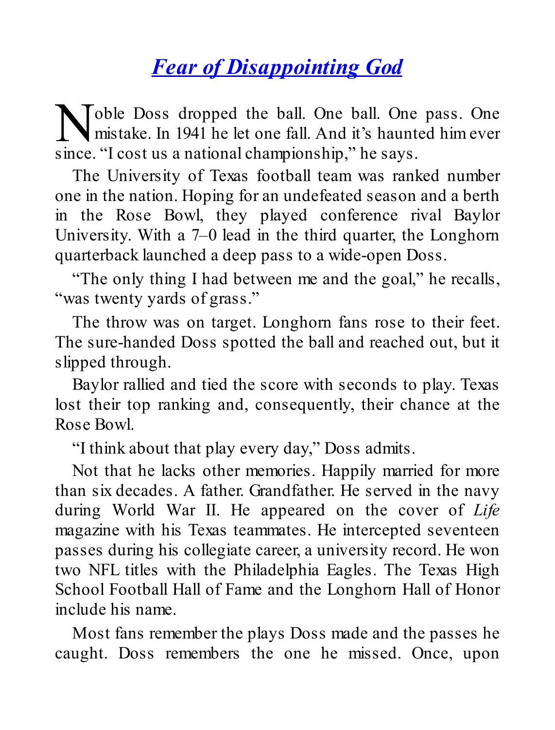## *Fear of Disappointing God*

Noble Doss dropped the ball. One ball. One pass. One mistake. In 1941 he let one fall. And it's haunted him ever mistake. In 1941 he let one fall. And it's haunted him ever since. "I cost us a national championship," he says.

The University of Texas football team was ranked number one in the nation. Hoping for an undefeated season and a berth in the Rose Bowl, they played conference rival Baylor University. With a 7–0 lead in the third quarter, the Longhorn quarterback launched a deep pass to a wide-open Doss.

"The only thing I had between me and the goal," he recalls, "was twenty yards of grass."

The throw was on target. Longhorn fans rose to their feet. The sure-handed Doss spotted the ball and reached out, but it slipped through.

Baylor rallied and tied the score with seconds to play. Texas lost their top ranking and, consequently, their chance at the Rose Bowl.

"I think about that play every day," Doss admits.

Not that he lacks other memories. Happily married for more than six decades. A father. Grandfather. He served in the navy during World War II. He appeared on the cover of *Life* magazine with his Texas teammates. He intercepted seventeen passes during his collegiate career, a university record. He won two NFL titles with the Philadelphia Eagles. The Texas High School Football Hall of Fame and the Longhorn Hall of Honor include his name.

Most fans remember the plays Doss made and the passes he caught. Doss remembers the one he missed. Once, upon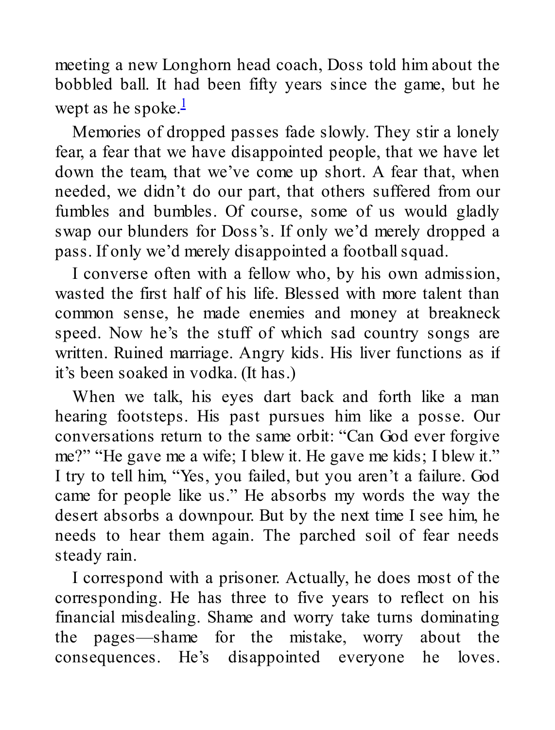meeting a new Longhorn head coach, Doss told him about the bobbled ball. It had been fifty years since the game, but he wept as he spoke.<sup>1</sup>

Memories of dropped passes fade slowly. They stir a lonely fear, a fear that we have disappointed people, that we have let down the team, that we've come up short. A fear that, when needed, we didn't do our part, that others suffered from our fumbles and bumbles. Of course, some of us would gladly swap our blunders for Doss's. If only we'd merely dropped a pass. If only we'd merely disappointed a footballsquad.

I converse often with a fellow who, by his own admission, wasted the first half of his life. Blessed with more talent than common sense, he made enemies and money at breakneck speed. Now he's the stuff of which sad country songs are written. Ruined marriage. Angry kids. His liver functions as if it's been soaked in vodka. (It has.)

When we talk, his eyes dart back and forth like a man hearing footsteps. His past pursues him like a posse. Our conversations return to the same orbit: "Can God ever forgive me?" "He gave me a wife; I blew it. He gave me kids; I blew it." I try to tell him, "Yes, you failed, but you aren't a failure. God came for people like us." He absorbs my words the way the desert absorbs a downpour. But by the next time I see him, he needs to hear them again. The parched soil of fear needs steady rain.

I correspond with a prisoner. Actually, he does most of the corresponding. He has three to five years to reflect on his financial misdealing. Shame and worry take turns dominating the pages—shame for the mistake, worry about the consequences. He's disappointed everyone he loves.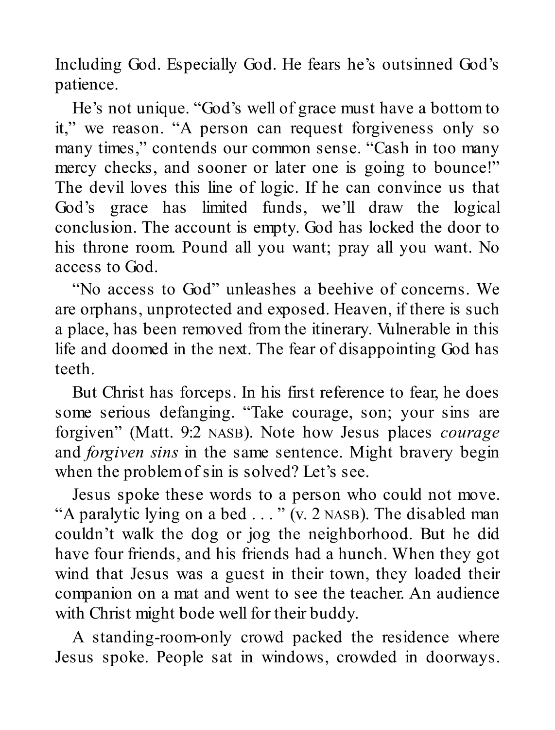Including God. Especially God. He fears he's outsinned God's patience.

He's not unique. "God's well of grace must have a bottom to it," we reason. "A person can request forgiveness only so many times," contends our common sense. "Cash in too many mercy checks, and sooner or later one is going to bounce!" The devil loves this line of logic. If he can convince us that God's grace has limited funds, we'll draw the logical conclusion. The account is empty. God has locked the door to his throne room. Pound all you want; pray all you want. No access to God.

"No access to God" unleashes a beehive of concerns. We are orphans, unprotected and exposed. Heaven, if there is such a place, has been removed from the itinerary. Vulnerable in this life and doomed in the next. The fear of disappointing God has teeth.

But Christ has forceps. In his first reference to fear, he does some serious defanging. "Take courage, son; your sins are forgiven" (Matt. 9:2 NASB). Note how Jesus places *courage* and *forgiven sins* in the same sentence. Might bravery begin when the problemof sin is solved? Let's see.

Jesus spoke these words to a person who could not move. "A paralytic lying on a bed . . . " (v. 2 NASB). The disabled man couldn't walk the dog or jog the neighborhood. But he did have four friends, and his friends had a hunch. When they got wind that Jesus was a guest in their town, they loaded their companion on a mat and went to see the teacher. An audience with Christ might bode well for their buddy.

A standing-room-only crowd packed the residence where Jesus spoke. People sat in windows, crowded in doorways.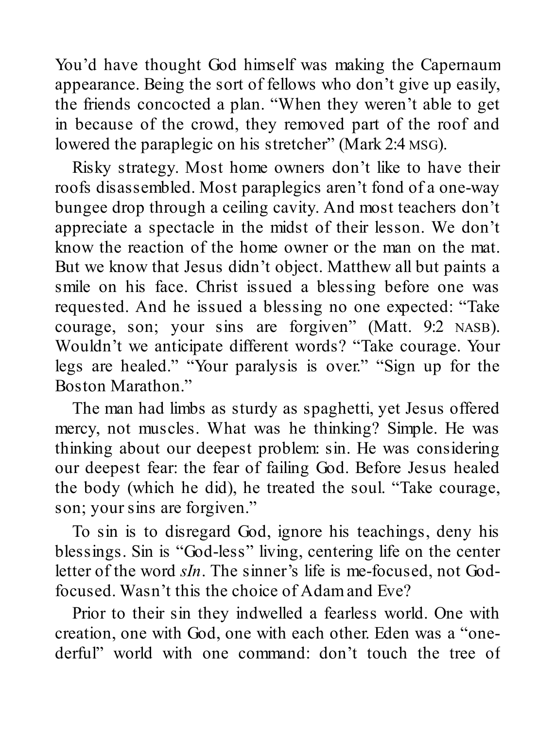You'd have thought God himself was making the Capernaum appearance. Being the sort of fellows who don't give up easily, the friends concocted a plan. "When they weren't able to get in because of the crowd, they removed part of the roof and lowered the paraplegic on his stretcher" (Mark 2:4 MSG).

Risky strategy. Most home owners don't like to have their roofs disassembled. Most paraplegics aren't fond of a one-way bungee drop through a ceiling cavity. And most teachers don't appreciate a spectacle in the midst of their lesson. We don't know the reaction of the home owner or the man on the mat. But we know that Jesus didn't object. Matthew all but paints a smile on his face. Christ issued a blessing before one was requested. And he issued a blessing no one expected: "Take courage, son; your sins are forgiven" (Matt. 9:2 NASB). Wouldn't we anticipate different words? "Take courage. Your legs are healed." "Your paralysis is over." "Sign up for the Boston Marathon."

The man had limbs as sturdy as spaghetti, yet Jesus offered mercy, not muscles. What was he thinking? Simple. He was thinking about our deepest problem: sin. He was considering our deepest fear: the fear of failing God. Before Jesus healed the body (which he did), he treated the soul. "Take courage, son; your sins are forgiven."

To sin is to disregard God, ignore his teachings, deny his blessings. Sin is "God-less" living, centering life on the center letter of the word *sIn*. The sinner's life is me-focused, not Godfocused. Wasn't this the choice of Adamand Eve?

Prior to their sin they indwelled a fearless world. One with creation, one with God, one with each other. Eden was a "onederful" world with one command: don't touch the tree of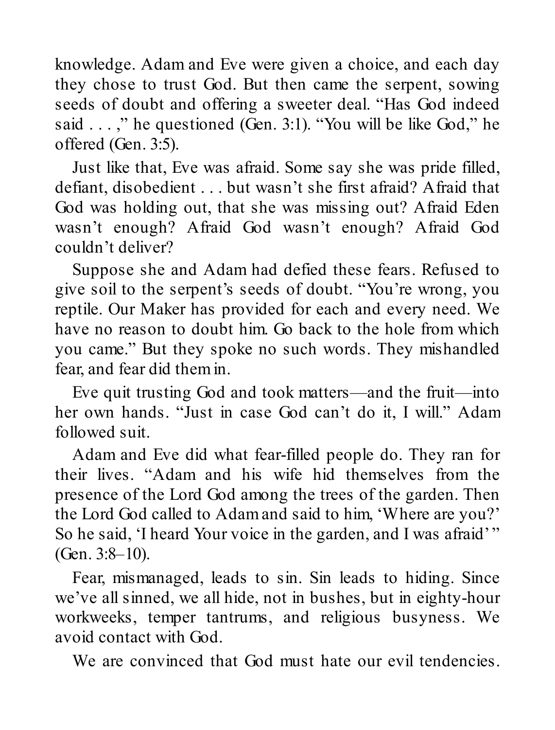knowledge. Adam and Eve were given a choice, and each day they chose to trust God. But then came the serpent, sowing seeds of doubt and offering a sweeter deal. "Has God indeed said . . . ," he questioned (Gen. 3:1). "You will be like God." he offered (Gen. 3:5).

Just like that, Eve was afraid. Some say she was pride filled, defiant, disobedient . . . but wasn't she first afraid? Afraid that God was holding out, that she was missing out? Afraid Eden wasn't enough? Afraid God wasn't enough? Afraid God couldn't deliver?

Suppose she and Adam had defied these fears. Refused to give soil to the serpent's seeds of doubt. "You're wrong, you reptile. Our Maker has provided for each and every need. We have no reason to doubt him. Go back to the hole from which you came." But they spoke no such words. They mishandled fear, and fear did themin.

Eve quit trusting God and took matters—and the fruit—into her own hands. "Just in case God can't do it, I will." Adam followed suit.

Adam and Eve did what fear-filled people do. They ran for their lives. "Adam and his wife hid themselves from the presence of the Lord God among the trees of the garden. Then the Lord God called to Adamand said to him, 'Where are you?' So he said, 'I heard Your voice in the garden, and I was afraid'" (Gen. 3:8–10).

Fear, mismanaged, leads to sin. Sin leads to hiding. Since we've all sinned, we all hide, not in bushes, but in eighty-hour workweeks, temper tantrums, and religious busyness. We avoid contact with God.

We are convinced that God must hate our evil tendencies.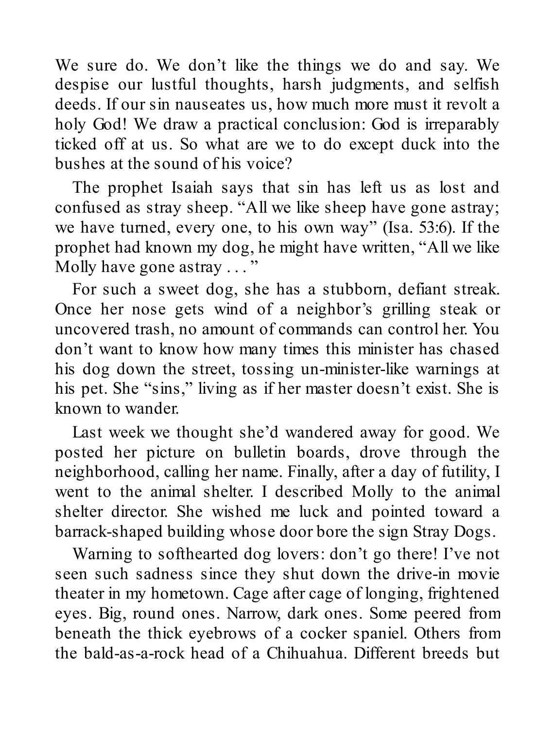We sure do. We don't like the things we do and say. We despise our lustful thoughts, harsh judgments, and selfish deeds. If our sin nauseates us, how much more must it revolt a holy God! We draw a practical conclusion: God is irreparably ticked off at us. So what are we to do except duck into the bushes at the sound of his voice?

The prophet Isaiah says that sin has left us as lost and confused as stray sheep. "All we like sheep have gone astray; we have turned, every one, to his own way" (Isa. 53:6). If the prophet had known my dog, he might have written, "All we like Molly have gone astray . . . "

For such a sweet dog, she has a stubborn, defiant streak. Once her nose gets wind of a neighbor's grilling steak or uncovered trash, no amount of commands can control her. You don't want to know how many times this minister has chased his dog down the street, tossing un-minister-like warnings at his pet. She "sins," living as if her master doesn't exist. She is known to wander.

Last week we thought she'd wandered away for good. We posted her picture on bulletin boards, drove through the neighborhood, calling her name. Finally, after a day of futility, I went to the animal shelter. I described Molly to the animal shelter director. She wished me luck and pointed toward a barrack-shaped building whose door bore the sign Stray Dogs.

Warning to softhearted dog lovers: don't go there! I've not seen such sadness since they shut down the drive-in movie theater in my hometown. Cage after cage of longing, frightened eyes. Big, round ones. Narrow, dark ones. Some peered from beneath the thick eyebrows of a cocker spaniel. Others from the bald-as-a-rock head of a Chihuahua. Different breeds but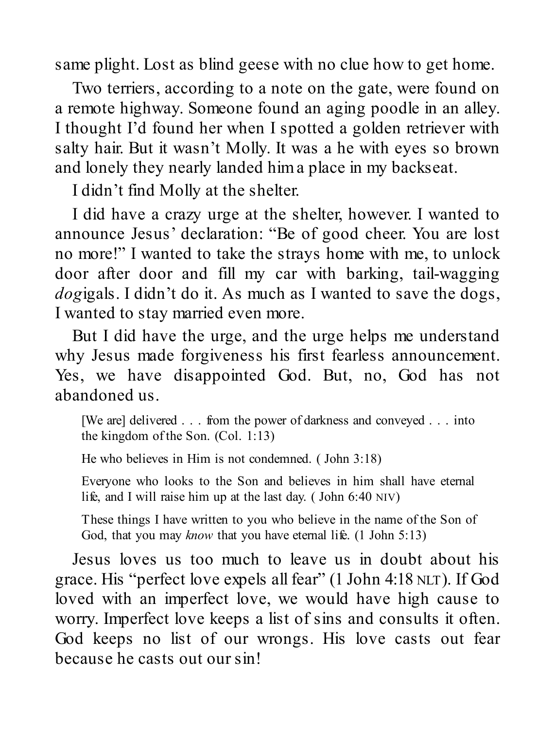same plight. Lost as blind geese with no clue how to get home.

Two terriers, according to a note on the gate, were found on a remote highway. Someone found an aging poodle in an alley. I thought I'd found her when I spotted a golden retriever with salty hair. But it wasn't Molly. It was a he with eyes so brown and lonely they nearly landed hima place in my backseat.

I didn't find Molly at the shelter.

I did have a crazy urge at the shelter, however. I wanted to announce Jesus' declaration: "Be of good cheer. You are lost no more!" I wanted to take the strays home with me, to unlock door after door and fill my car with barking, tail-wagging *dog*igals. I didn't do it. As much as I wanted to save the dogs, I wanted to stay married even more.

But I did have the urge, and the urge helps me understand why Jesus made forgiveness his first fearless announcement. Yes, we have disappointed God. But, no, God has not abandoned us.

[We are] delivered . . . from the power of darkness and conveyed . . . into the kingdom of the Son. (Col. 1:13)

He who believes in Him is not condemned. ( John 3:18)

Everyone who looks to the Son and believes in him shall have eternal life, and I will raise him up at the last day. ( John 6:40 NIV)

These things I have written to you who believe in the name of the Son of God, that you may *know* that you have eternal life. (1 John 5:13)

Jesus loves us too much to leave us in doubt about his grace. His "perfect love expels all fear" (1 John 4:18 NLT). If God loved with an imperfect love, we would have high cause to worry. Imperfect love keeps a list of sins and consults it often. God keeps no list of our wrongs. His love casts out fear because he casts out our sin!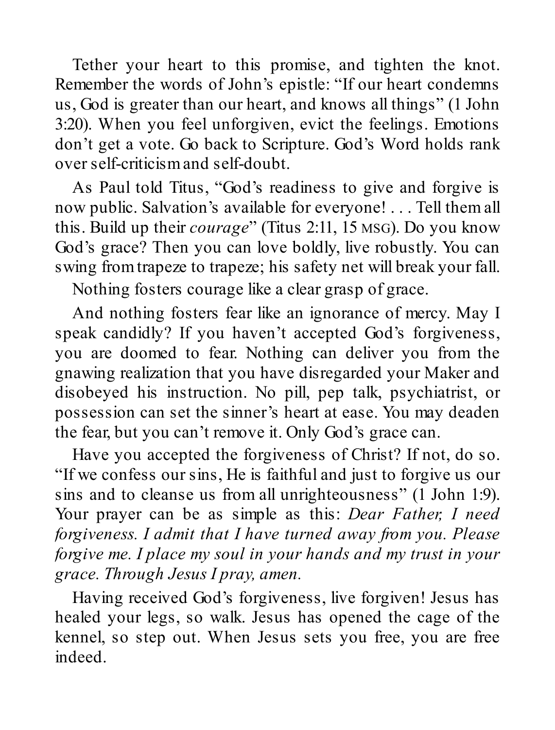Tether your heart to this promise, and tighten the knot. Remember the words of John's epistle: "If our heart condemns us, God is greater than our heart, and knows all things" (1 John 3:20). When you feel unforgiven, evict the feelings. Emotions don't get a vote. Go back to Scripture. God's Word holds rank over self-criticismand self-doubt.

As Paul told Titus, "God's readiness to give and forgive is now public. Salvation's available for everyone! . . . Tell them all this. Build up their *courage*" (Titus 2:11, 15 MSG). Do you know God's grace? Then you can love boldly, live robustly. You can swing fromtrapeze to trapeze; his safety net will break your fall.

Nothing fosters courage like a clear grasp of grace.

And nothing fosters fear like an ignorance of mercy. May I speak candidly? If you haven't accepted God's forgiveness. you are doomed to fear. Nothing can deliver you from the gnawing realization that you have disregarded your Maker and disobeyed his instruction. No pill, pep talk, psychiatrist, or possession can set the sinner's heart at ease. You may deaden the fear, but you can't remove it. Only God's grace can.

Have you accepted the forgiveness of Christ? If not, do so. "If we confess our sins, He is faithful and just to forgive us our sins and to cleanse us from all unrighteousness" (1 John 1:9). Your prayer can be as simple as this: *Dear Father, I need forgiveness. I admit that I have turned away from you. Please forgive me. I place my soul in your hands and my trust in your grace. Through Jesus I pray, amen.*

Having received God's forgiveness, live forgiven! Jesus has healed your legs, so walk. Jesus has opened the cage of the kennel, so step out. When Jesus sets you free, you are free indeed.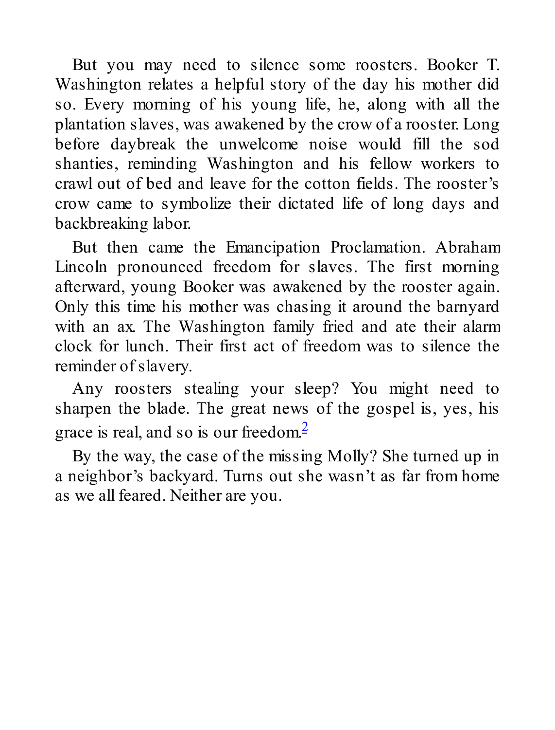But you may need to silence some roosters. Booker T. Washington relates a helpful story of the day his mother did so. Every morning of his young life, he, along with all the plantation slaves, was awakened by the crow of a rooster. Long before daybreak the unwelcome noise would fill the sod shanties, reminding Washington and his fellow workers to crawl out of bed and leave for the cotton fields. The rooster's crow came to symbolize their dictated life of long days and backbreaking labor.

But then came the Emancipation Proclamation. Abraham Lincoln pronounced freedom for slaves. The first morning afterward, young Booker was awakened by the rooster again. Only this time his mother was chasing it around the barnyard with an ax. The Washington family fried and ate their alarm clock for lunch. Their first act of freedom was to silence the reminder of slavery.

Any roosters stealing your sleep? You might need to sharpen the blade. The great news of the gospel is, yes, his grace is real, and so is our freedom. 2

By the way, the case of the missing Molly? She turned up in a neighbor's backyard. Turns out she wasn't as far from home as we all feared. Neither are you.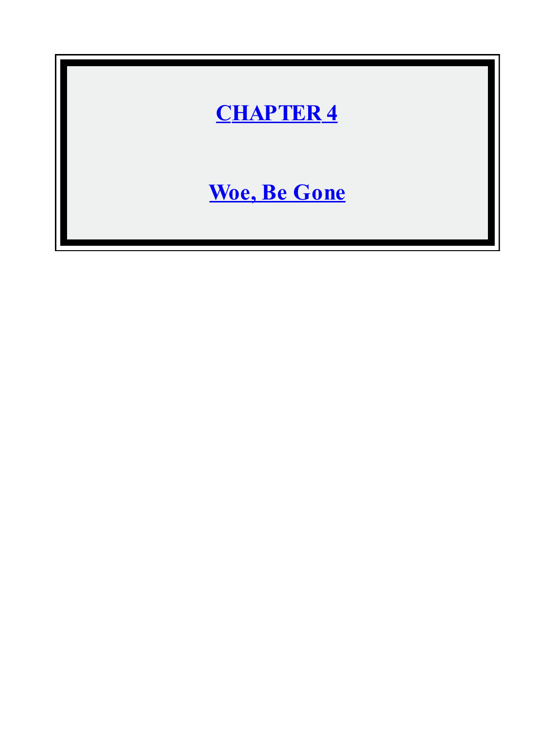**CHAPTER 4**

**Woe, Be Gone**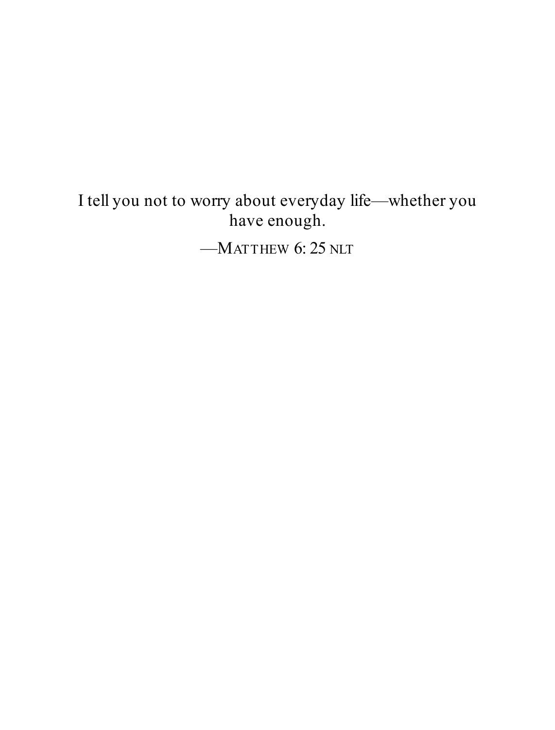#### I tell you not to worry about everyday life—whether you have enough.

—MATTHEW 6: 25 NLT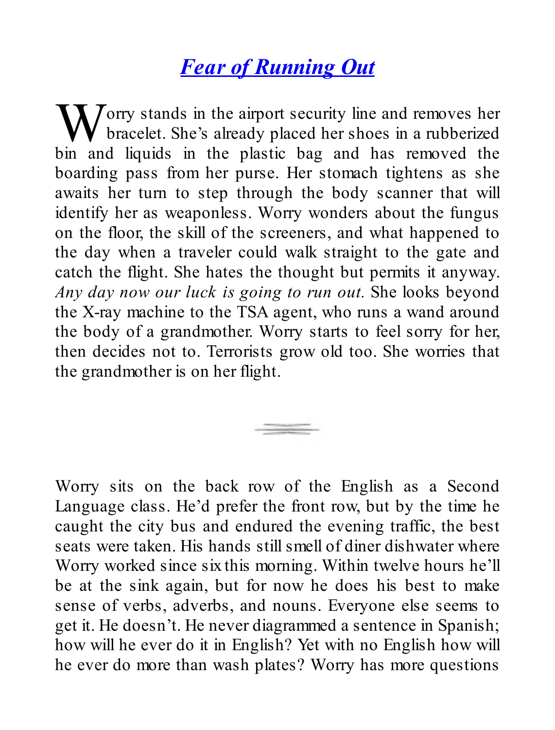# *Fear of Running Out*

**W** orry stands in the airport security line and removes her<br>him and liquids in the platfic hag and has removed the bracelet. She's already placed her shoes in a rubberized bin and liquids in the plastic bag and has removed the boarding pass from her purse. Her stomach tightens as she awaits her turn to step through the body scanner that will identify her as weaponless. Worry wonders about the fungus on the floor, the skill of the screeners, and what happened to the day when a traveler could walk straight to the gate and catch the flight. She hates the thought but permits it anyway. *Any day now our luck is going to run out.* She looks beyond the X-ray machine to the TSA agent, who runs a wand around the body of a grandmother. Worry starts to feel sorry for her, then decides not to. Terrorists grow old too. She worries that the grandmother is on her flight.

Worry sits on the back row of the English as a Second Language class. He'd prefer the front row, but by the time he caught the city bus and endured the evening traffic, the best seats were taken. His hands still smell of diner dishwater where Worry worked since six this morning. Within twelve hours he'll be at the sink again, but for now he does his best to make sense of verbs, adverbs, and nouns. Everyone else seems to get it. He doesn't. He never diagrammed a sentence in Spanish; how will he ever do it in English? Yet with no English how will he ever do more than wash plates? Worry has more questions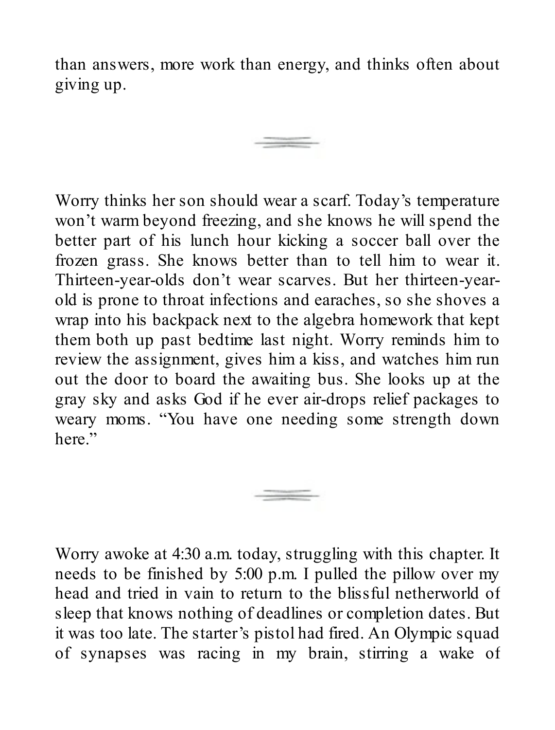than answers, more work than energy, and thinks often about giving up.

 $\sim$   $\sim$   $\sim$   $\sim$   $\sim$ 

Worry thinks her son should wear a scarf. Today's temperature won't warm beyond freezing, and she knows he will spend the better part of his lunch hour kicking a soccer ball over the frozen grass. She knows better than to tell him to wear it. Thirteen-year-olds don't wear scarves. But her thirteen-yearold is prone to throat infections and earaches, so she shoves a wrap into his backpack next to the algebra homework that kept them both up past bedtime last night. Worry reminds him to review the assignment, gives him a kiss, and watches him run out the door to board the awaiting bus. She looks up at the gray sky and asks God if he ever air-drops relief packages to weary moms. "You have one needing some strength down here."

Worry awoke at 4:30 a.m. today, struggling with this chapter. It needs to be finished by 5:00 p.m. I pulled the pillow over my head and tried in vain to return to the blissful netherworld of sleep that knows nothing of deadlines or completion dates. But it was too late. The starter's pistol had fired. An Olympic squad of synapses was racing in my brain, stirring a wake of

 $\label{eq:reduced} \begin{split} \mathcal{L}_{\text{c}}(\mathcal{L}_{\text{c}}) = \mathcal{L}_{\text{c}}(\mathcal{L}_{\text{c}}) = \mathcal{L}_{\text{c}}(\mathcal{L}_{\text{c}}) = \mathcal{L}_{\text{c}}(\mathcal{L}_{\text{c}}) = \mathcal{L}_{\text{c}}(\mathcal{L}_{\text{c}}) = \mathcal{L}_{\text{c}}(\mathcal{L}_{\text{c}}) = \mathcal{L}_{\text{c}}(\mathcal{L}_{\text{c}}) = \mathcal{L}_{\text{c}}(\mathcal{L}_{\text{c}}) = \mathcal{L}_{\text{c}}(\mathcal{$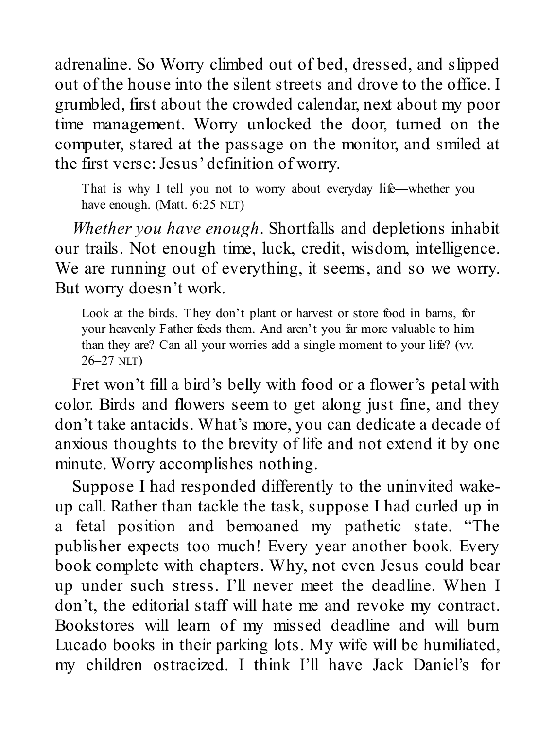adrenaline. So Worry climbed out of bed, dressed, and slipped out of the house into the silent streets and drove to the office. I grumbled, first about the crowded calendar, next about my poor time management. Worry unlocked the door, turned on the computer, stared at the passage on the monitor, and smiled at the first verse: Jesus' definition of worry.

That is why I tell you not to worry about everyday life—whether you have enough. (Matt. 6:25 NLT)

*Whether you have enough*. Shortfalls and depletions inhabit our trails. Not enough time, luck, credit, wisdom, intelligence. We are running out of everything, it seems, and so we worry. But worry doesn't work.

Look at the birds. They don't plant or harvest or store food in barns, for your heavenly Father feeds them. And aren't you far more valuable to him than they are? Can all your worries add a single moment to your life? (vv. 26–27 NLT)

Fret won't fill a bird's belly with food or a flower's petal with color. Birds and flowers seem to get along just fine, and they don't take antacids. What's more, you can dedicate a decade of anxious thoughts to the brevity of life and not extend it by one minute. Worry accomplishes nothing.

Suppose I had responded differently to the uninvited wakeup call. Rather than tackle the task, suppose I had curled up in a fetal position and bemoaned my pathetic state. "The publisher expects too much! Every year another book. Every book complete with chapters. Why, not even Jesus could bear up under such stress. I'll never meet the deadline. When I don't, the editorial staff will hate me and revoke my contract. Bookstores will learn of my missed deadline and will burn Lucado books in their parking lots. My wife will be humiliated, my children ostracized. I think I'll have Jack Daniel's for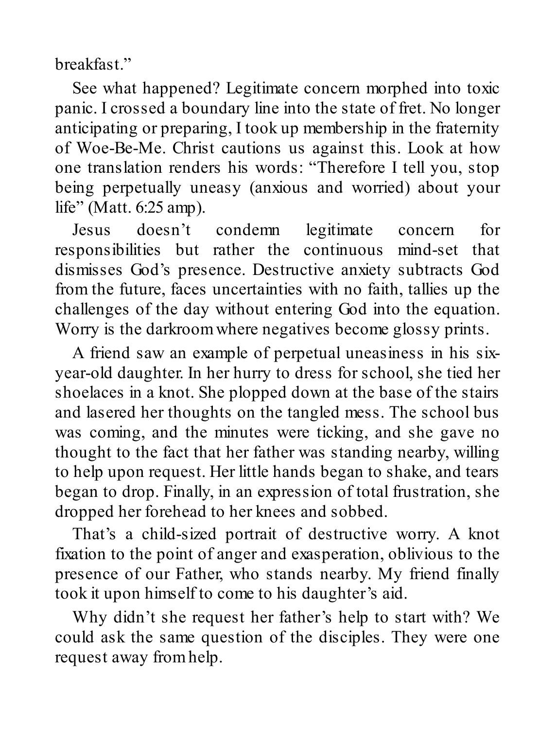breakfast."

See what happened? Legitimate concern morphed into toxic panic. I crossed a boundary line into the state of fret. No longer anticipating or preparing, I took up membership in the fraternity of Woe-Be-Me. Christ cautions us against this. Look at how one translation renders his words: "Therefore I tell you, stop being perpetually uneasy (anxious and worried) about your life" (Matt. 6:25 amp).

Jesus doesn't condemn legitimate concern for responsibilities but rather the continuous mind-set that dismisses God's presence. Destructive anxiety subtracts God from the future, faces uncertainties with no faith, tallies up the challenges of the day without entering God into the equation. Worry is the darkroomwhere negatives become glossy prints.

A friend saw an example of perpetual uneasiness in his sixyear-old daughter. In her hurry to dress for school, she tied her shoelaces in a knot. She plopped down at the base of the stairs and lasered her thoughts on the tangled mess. The school bus was coming, and the minutes were ticking, and she gave no thought to the fact that her father was standing nearby, willing to help upon request. Her little hands began to shake, and tears began to drop. Finally, in an expression of total frustration, she dropped her forehead to her knees and sobbed.

That's a child-sized portrait of destructive worry. A knot fixation to the point of anger and exasperation, oblivious to the presence of our Father, who stands nearby. My friend finally took it upon himself to come to his daughter's aid.

Why didn't she request her father's help to start with? We could ask the same question of the disciples. They were one request away fromhelp.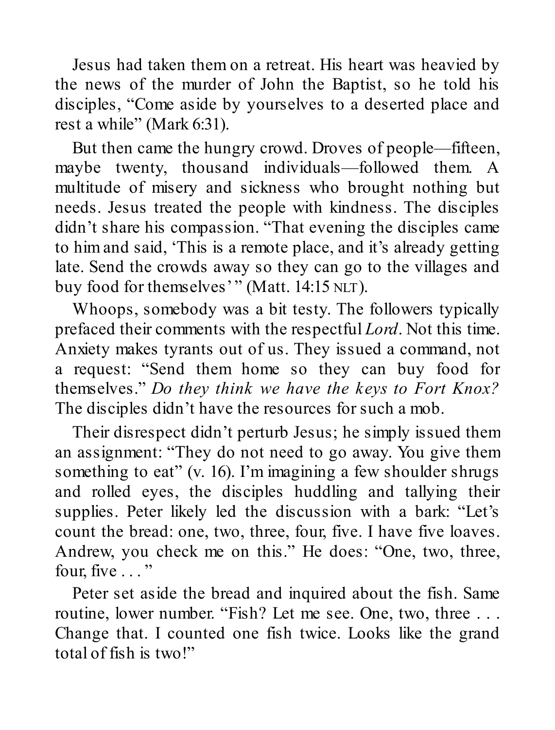Jesus had taken them on a retreat. His heart was heavied by the news of the murder of John the Baptist, so he told his disciples, "Come aside by yourselves to a deserted place and rest a while" (Mark 6:31).

But then came the hungry crowd. Droves of people—fifteen, maybe twenty, thousand individuals—followed them. A multitude of misery and sickness who brought nothing but needs. Jesus treated the people with kindness. The disciples didn't share his compassion. "That evening the disciples came to him and said, 'This is a remote place, and it's already getting late. Send the crowds away so they can go to the villages and buy food for themselves'" (Matt. 14:15 NLT).

Whoops, somebody was a bit testy. The followers typically prefaced their comments with the respectful *Lord*. Not this time. Anxiety makes tyrants out of us. They issued a command, not a request: "Send them home so they can buy food for themselves." *Do they think we have the keys to Fort Knox?* The disciples didn't have the resources for such a mob.

Their disrespect didn't perturb Jesus; he simply issued them an assignment: "They do not need to go away. You give them something to eat" (v. 16). I'm imagining a few shoulder shrugs and rolled eyes, the disciples huddling and tallying their supplies. Peter likely led the discussion with a bark: "Let's count the bread: one, two, three, four, five. I have five loaves. Andrew, you check me on this." He does: "One, two, three, four, five  $\ldots$ "

Peter set aside the bread and inquired about the fish. Same routine, lower number. "Fish? Let me see. One, two, three . . . Change that. I counted one fish twice. Looks like the grand total of fish is two!"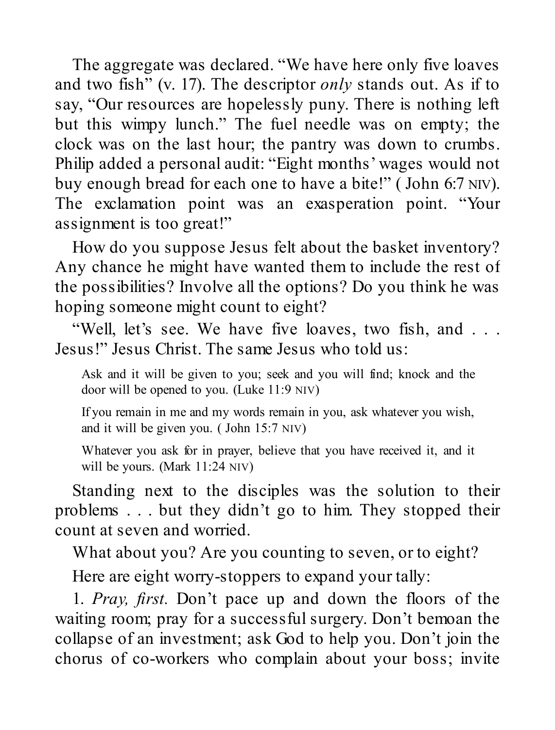The aggregate was declared. "We have here only five loaves and two fish" (v. 17). The descriptor *only* stands out. As if to say, "Our resources are hopelessly puny. There is nothing left but this wimpy lunch." The fuel needle was on empty; the clock was on the last hour; the pantry was down to crumbs. Philip added a personal audit: "Eight months' wages would not buy enough bread for each one to have a bite!" ( John 6:7 NIV). The exclamation point was an exasperation point. "Your assignment is too great!"

How do you suppose Jesus felt about the basket inventory? Any chance he might have wanted them to include the rest of the possibilities? Involve all the options? Do you think he was hoping someone might count to eight?

"Well, let's see. We have five loaves, two fish, and . . . Jesus!" Jesus Christ. The same Jesus who told us:

Ask and it will be given to you; seek and you will find; knock and the door will be opened to you. (Luke 11:9 NIV)

If you remain in me and my words remain in you, ask whatever you wish, and it will be given you. ( John 15:7 NIV)

Whatever you ask for in prayer, believe that you have received it, and it will be yours. (Mark 11:24 NIV)

Standing next to the disciples was the solution to their problems . . . but they didn't go to him. They stopped their count at seven and worried.

What about you? Are you counting to seven, or to eight?

Here are eight worry-stoppers to expand your tally:

1. *Pray, first.* Don't pace up and down the floors of the waiting room; pray for a successful surgery. Don't bemoan the collapse of an investment; ask God to help you. Don't join the chorus of co-workers who complain about your boss; invite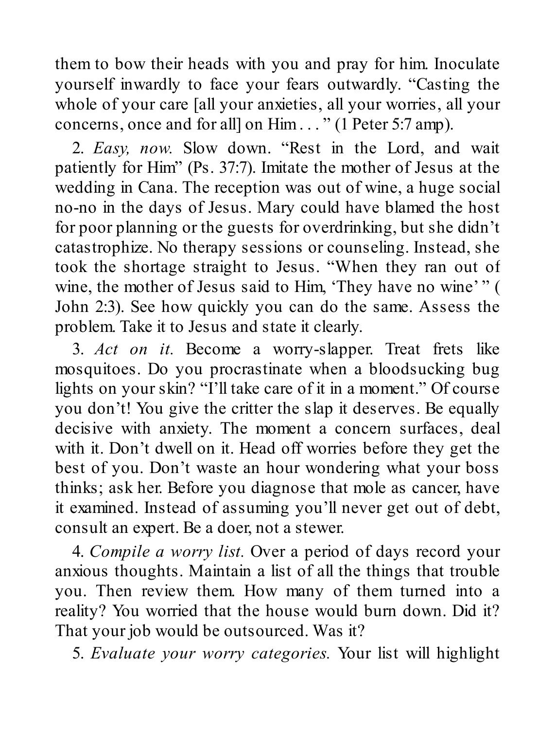them to bow their heads with you and pray for him. Inoculate yourself inwardly to face your fears outwardly. "Casting the whole of your care [all your anxieties, all your worries, all your concerns, once and for all] on Him. . . " (1 Peter 5:7 amp).

2. *Easy, now.* Slow down. "Rest in the Lord, and wait patiently for Him" (Ps. 37:7). Imitate the mother of Jesus at the wedding in Cana. The reception was out of wine, a huge social no-no in the days of Jesus. Mary could have blamed the host for poor planning or the guests for overdrinking, but she didn't catastrophize. No therapy sessions or counseling. Instead, she took the shortage straight to Jesus. "When they ran out of wine, the mother of Jesus said to Him, 'They have no wine'" ( John 2:3). See how quickly you can do the same. Assess the problem. Take it to Jesus and state it clearly.

3. *Act on it.* Become a worry-slapper. Treat frets like mosquitoes. Do you procrastinate when a bloodsucking bug lights on your skin? "I'll take care of it in a moment." Of course you don't! You give the critter the slap it deserves. Be equally decisive with anxiety. The moment a concern surfaces, deal with it. Don't dwell on it. Head off worries before they get the best of you. Don't waste an hour wondering what your boss thinks; ask her. Before you diagnose that mole as cancer, have it examined. Instead of assuming you'll never get out of debt, consult an expert. Be a doer, not a stewer.

4. *Compile a worry list.* Over a period of days record your anxious thoughts. Maintain a list of all the things that trouble you. Then review them. How many of them turned into a reality? You worried that the house would burn down. Did it? That your job would be outsourced. Was it?

5. *Evaluate your worry categories.* Your list will highlight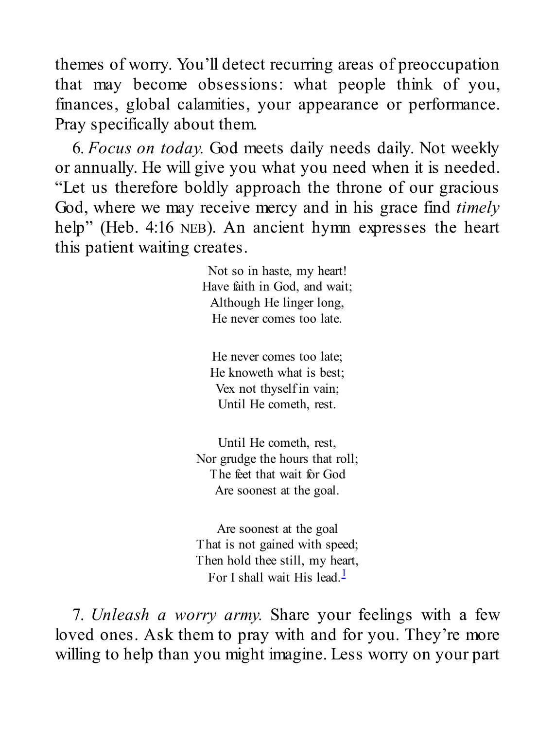themes of worry. You'll detect recurring areas of preoccupation that may become obsessions: what people think of you, finances, global calamities, your appearance or performance. Pray specifically about them.

6. *Focus on today.* God meets daily needs daily. Not weekly or annually. He will give you what you need when it is needed. "Let us therefore boldly approach the throne of our gracious God, where we may receive mercy and in his grace find *timely* help" (Heb. 4:16 NEB). An ancient hymn expresses the heart this patient waiting creates.

> Not so in haste, my heart! Have faith in God, and wait; Have latter in Soc.,<br>Although He linger long, He never comes too late. He never comes too late; He knoweth what is best; Vex not thyself in vain; Until He cometh, rest. Until He cometh, rest, Nor grudge the hours that roll; The feet that wait for God Are soonest at the goal. Are soonest at the goal That is not gained with speed; Then hold thee still, my heart,<br>For I shall wait His lead.<sup>1</sup>

7. *Unleash a worry army.* Share your feelings with a few loved ones. Ask them to pray with and for you. They're more willing to help than you might imagine. Less worry on your part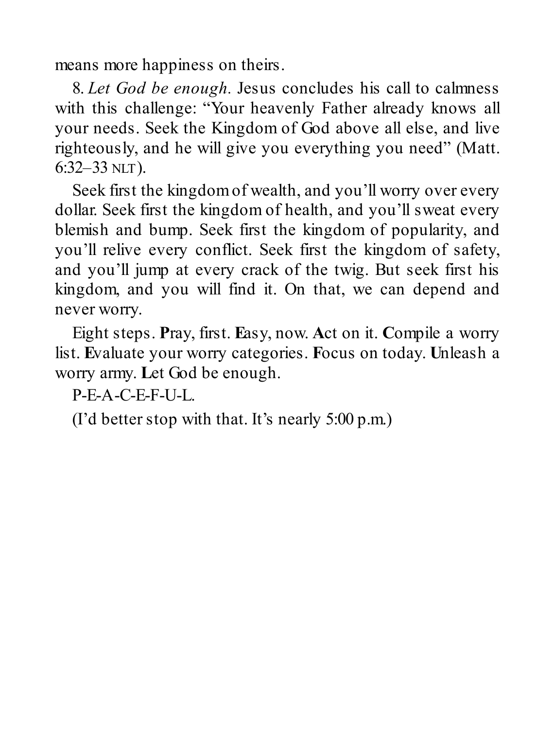means more happiness on theirs.

8. *Let God be enough.* Jesus concludes his call to calmness with this challenge: "Your heavenly Father already knows all your needs. Seek the Kingdom of God above all else, and live righteously, and he will give you everything you need" (Matt.  $6:32-33$  NLT).

Seek first the kingdomof wealth, and you'll worry over every dollar. Seek first the kingdom of health, and you'll sweat every blemish and bump. Seek first the kingdom of popularity, and you'll relive every conflict. Seek first the kingdom of safety, and you'll jump at every crack of the twig. But seek first his kingdom, and you will find it. On that, we can depend and never worry.

Eight steps. **P**ray, first. **E**asy, now. **A**ct on it. **C**ompile a worry list. **E**valuate your worry categories. **F**ocus on today. **U**nleash a worry army. **L**et God be enough.

P-E-A-C-E-F-U-L.

(I'd better stop with that. It's nearly 5:00 p.m.)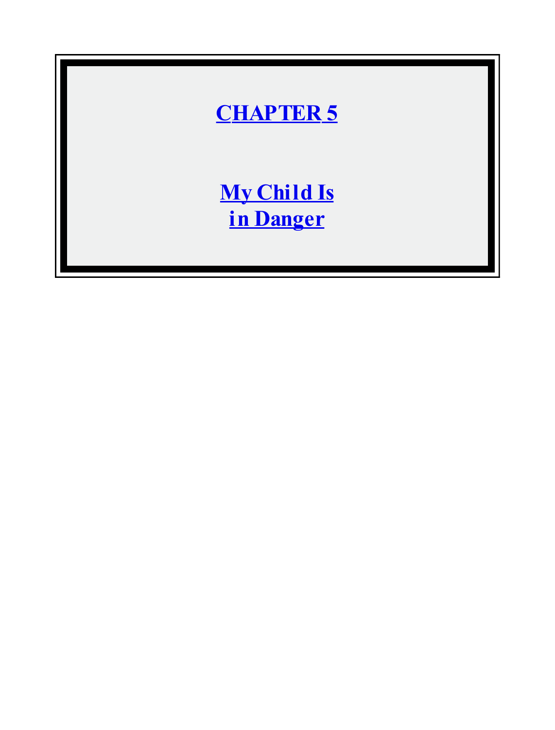**CHAPTER 5**

**My Child Is in Danger**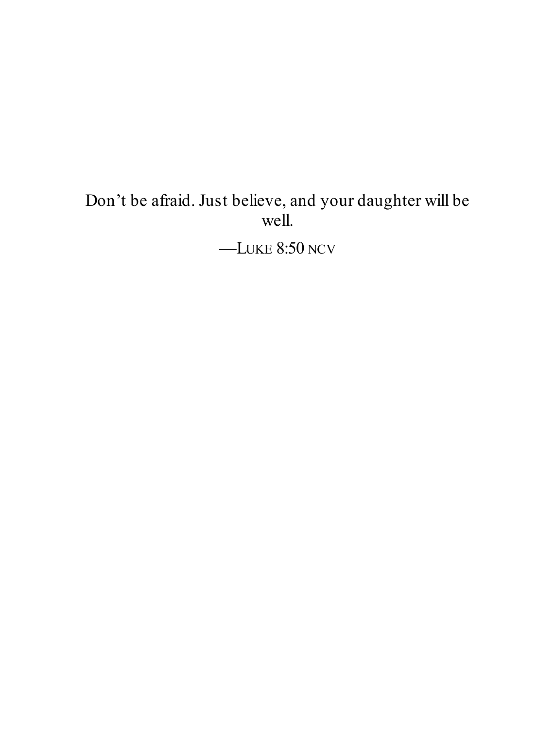#### Don't be afraid. Just believe, and your daughter will be well.

—LUKE 8:50 NCV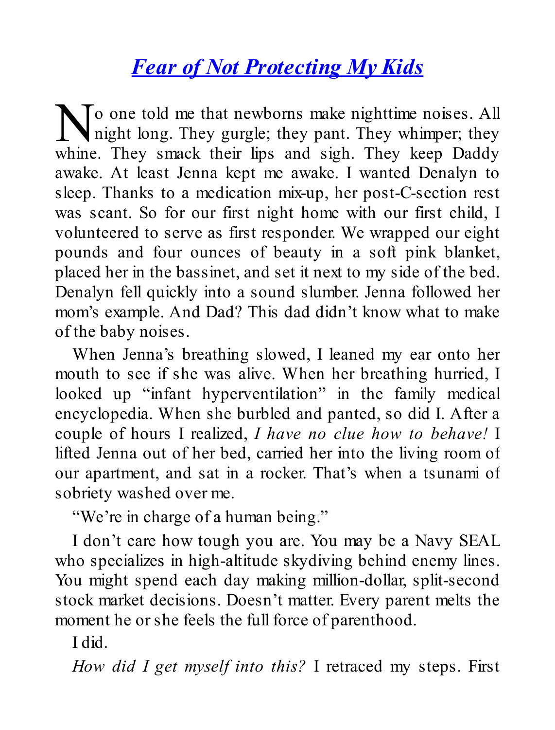## *Fear of Not Protecting My Kids*

No one told me that newborns make nighttime noises. All<br>night long. They gurgle; they pant. They whimper; they<br>whine. They graph their line and sigh. They keen Doddy night long. They gurgle; they pant. They whimper; they whine. They smack their lips and sigh. They keep Daddy awake. At least Jenna kept me awake. I wanted Denalyn to sleep. Thanks to a medication mix-up, her post-C-section rest was scant. So for our first night home with our first child, I volunteered to serve as first responder. We wrapped our eight pounds and four ounces of beauty in a soft pink blanket, placed her in the bassinet, and set it next to my side of the bed. Denalyn fell quickly into a sound slumber. Jenna followed her mom's example. And Dad? This dad didn't know what to make of the baby noises.

When Jenna's breathing slowed, I leaned my ear onto her mouth to see if she was alive. When her breathing hurried, I looked up "infant hyperventilation" in the family medical encyclopedia. When she burbled and panted, so did I. After a couple of hours I realized, *I have no clue how to behave!* I lifted Jenna out of her bed, carried her into the living room of our apartment, and sat in a rocker. That's when a tsunami of sobriety washed over me.

"We're in charge of a human being."

I don't care how tough you are. You may be a Navy SEAL who specializes in high-altitude skydiving behind enemy lines. You might spend each day making million-dollar, split-second stock market decisions. Doesn't matter. Every parent melts the moment he or she feels the full force of parenthood.

I did.

*How did I get myself into this?* I retraced my steps. First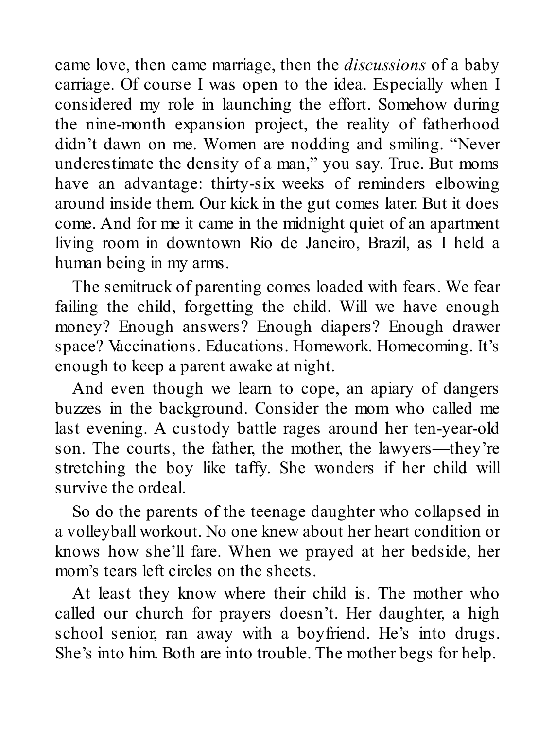came love, then came marriage, then the *discussions* of a baby carriage. Of course I was open to the idea. Especially when I considered my role in launching the effort. Somehow during the nine-month expansion project, the reality of fatherhood didn't dawn on me. Women are nodding and smiling. "Never underestimate the density of a man," you say. True. But moms have an advantage: thirty-six weeks of reminders elbowing around inside them. Our kick in the gut comes later. But it does come. And for me it came in the midnight quiet of an apartment living room in downtown Rio de Janeiro, Brazil, as I held a human being in my arms.

The semitruck of parenting comes loaded with fears. We fear failing the child, forgetting the child. Will we have enough money? Enough answers? Enough diapers? Enough drawer space? Vaccinations. Educations. Homework. Homecoming. It's enough to keep a parent awake at night.

And even though we learn to cope, an apiary of dangers buzzes in the background. Consider the mom who called me last evening. A custody battle rages around her ten-year-old son. The courts, the father, the mother, the lawyers—they're stretching the boy like taffy. She wonders if her child will survive the ordeal.

So do the parents of the teenage daughter who collapsed in a volleyball workout. No one knew about her heart condition or knows how she'll fare. When we prayed at her bedside, her mom's tears left circles on the sheets.

At least they know where their child is. The mother who called our church for prayers doesn't. Her daughter, a high school senior, ran away with a boyfriend. He's into drugs. She's into him. Both are into trouble. The mother begs for help.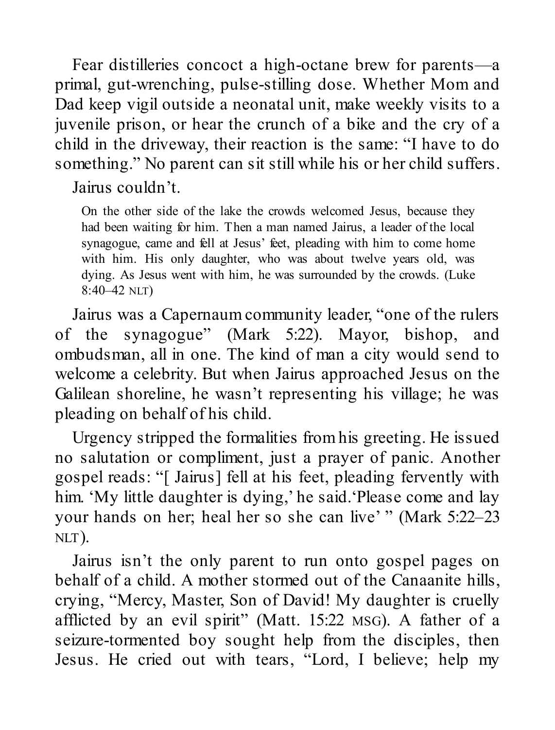Fear distilleries concoct a high-octane brew for parents—a primal, gut-wrenching, pulse-stilling dose. Whether Mom and Dad keep vigil outside a neonatal unit, make weekly visits to a juvenile prison, or hear the crunch of a bike and the cry of a child in the driveway, their reaction is the same: "I have to do something." No parent can sit still while his or her child suffers.

Jairus couldn't.

On the other side of the lake the crowds welcomed Jesus, because they had been waiting for him. Then a man named Jairus, a leader of the local synagogue, came and fell at Jesus' feet, pleading with him to come home with him. His only daughter, who was about twelve years old, was dying. As Jesus went with him, he was surrounded by the crowds. (Luke 8:40–42 NLT)

Jairus was a Capernaum community leader, "one of the rulers of the synagogue" (Mark 5:22). Mayor, bishop, and ombudsman, all in one. The kind of man a city would send to welcome a celebrity. But when Jairus approached Jesus on the Galilean shoreline, he wasn't representing his village; he was pleading on behalf of his child.

Urgency stripped the formalities fromhis greeting. He issued no salutation or compliment, just a prayer of panic. Another gospel reads: "[ Jairus] fell at his feet, pleading fervently with him. 'My little daughter is dying,' he said.'Please come and lay your hands on her; heal her so she can live' " (Mark 5:22–23  $NTL$ 

Jairus isn't the only parent to run onto gospel pages on behalf of a child. A mother stormed out of the Canaanite hills, crying, "Mercy, Master, Son of David! My daughter is cruelly afflicted by an evil spirit" (Matt. 15:22 MSG). A father of a seizure-tormented boy sought help from the disciples, then Jesus. He cried out with tears, "Lord, I believe; help my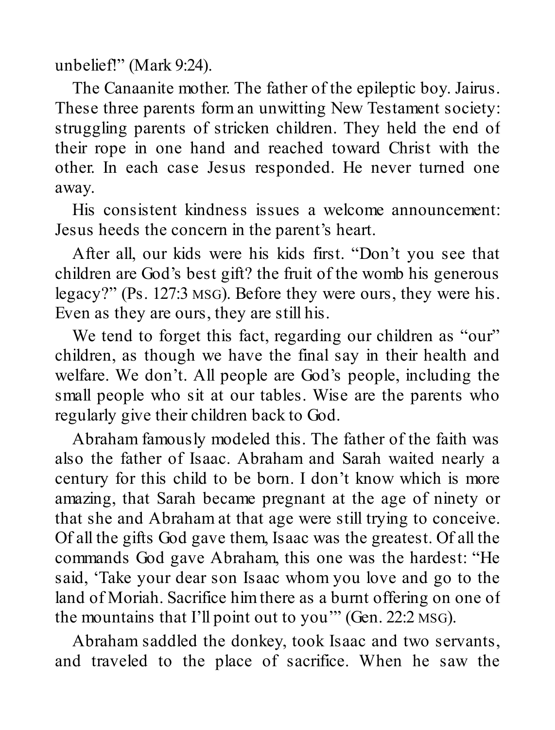unbelief!" (Mark 9:24).

The Canaanite mother. The father of the epileptic boy. Jairus. These three parents form an unwitting New Testament society: struggling parents of stricken children. They held the end of their rope in one hand and reached toward Christ with the other. In each case Jesus responded. He never turned one away.

His consistent kindness issues a welcome announcement: Jesus heeds the concern in the parent's heart.

After all, our kids were his kids first. "Don't you see that children are God's best gift? the fruit of the womb his generous legacy?" (Ps. 127:3 MSG). Before they were ours, they were his. Even as they are ours, they are still his.

We tend to forget this fact, regarding our children as "our" children, as though we have the final say in their health and welfare. We don't. All people are God's people, including the small people who sit at our tables. Wise are the parents who regularly give their children back to God.

Abraham famously modeled this. The father of the faith was also the father of Isaac. Abraham and Sarah waited nearly a century for this child to be born. I don't know which is more amazing, that Sarah became pregnant at the age of ninety or that she and Abraham at that age were still trying to conceive. Of all the gifts God gave them, Isaac was the greatest. Of all the commands God gave Abraham, this one was the hardest: "He said, 'Take your dear son Isaac whom you love and go to the land of Moriah. Sacrifice himthere as a burnt offering on one of the mountains that I'll point out to you'" (Gen. 22:2 MSG).

Abraham saddled the donkey, took Isaac and two servants, and traveled to the place of sacrifice. When he saw the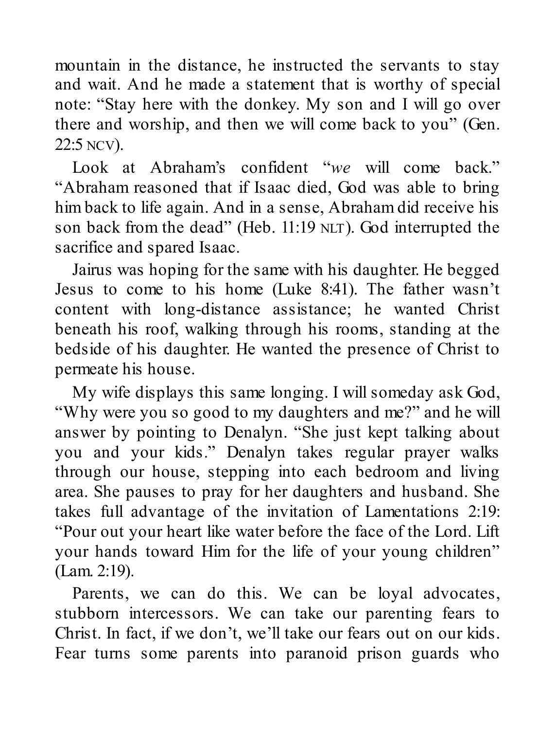mountain in the distance, he instructed the servants to stay and wait. And he made a statement that is worthy of special note: "Stay here with the donkey. My son and I will go over there and worship, and then we will come back to you" (Gen. 22:5 NCV).

Look at Abraham's confident "*we* will come back." "Abraham reasoned that if Isaac died, God was able to bring him back to life again. And in a sense, Abraham did receive his son back from the dead" (Heb. 11:19 NLT). God interrupted the sacrifice and spared Isaac.

Jairus was hoping for the same with his daughter. He begged Jesus to come to his home (Luke 8:41). The father wasn't content with long-distance assistance; he wanted Christ beneath his roof, walking through his rooms, standing at the bedside of his daughter. He wanted the presence of Christ to permeate his house.

My wife displays this same longing. I will someday ask God, "Why were you so good to my daughters and me?" and he will answer by pointing to Denalyn. "She just kept talking about you and your kids." Denalyn takes regular prayer walks through our house, stepping into each bedroom and living area. She pauses to pray for her daughters and husband. She takes full advantage of the invitation of Lamentations 2:19: "Pour out your heart like water before the face of the Lord. Lift your hands toward Him for the life of your young children" (Lam. 2:19).

Parents, we can do this. We can be loyal advocates, stubborn intercessors. We can take our parenting fears to Christ. In fact, if we don't, we'll take our fears out on our kids. Fear turns some parents into paranoid prison guards who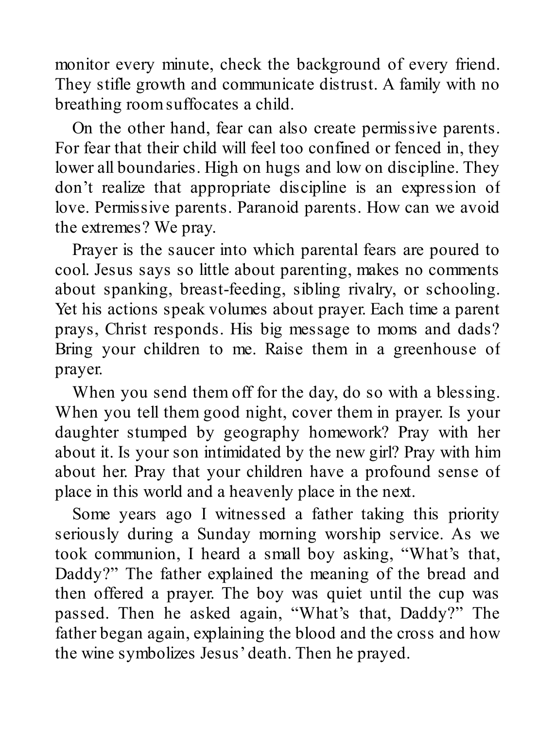monitor every minute, check the background of every friend. They stifle growth and communicate distrust. A family with no breathing roomsuffocates a child.

On the other hand, fear can also create permissive parents. For fear that their child will feel too confined or fenced in, they lower all boundaries. High on hugs and low on discipline. They don't realize that appropriate discipline is an expression of love. Permissive parents. Paranoid parents. How can we avoid the extremes? We pray.

Prayer is the saucer into which parental fears are poured to cool. Jesus says so little about parenting, makes no comments about spanking, breast-feeding, sibling rivalry, or schooling. Yet his actions speak volumes about prayer. Each time a parent prays, Christ responds. His big message to moms and dads? Bring your children to me. Raise them in a greenhouse of prayer.

When you send them off for the day, do so with a blessing. When you tell them good night, cover them in prayer. Is your daughter stumped by geography homework? Pray with her about it. Is your son intimidated by the new girl? Pray with him about her. Pray that your children have a profound sense of place in this world and a heavenly place in the next.

Some years ago I witnessed a father taking this priority seriously during a Sunday morning worship service. As we took communion, I heard a small boy asking, "What's that, Daddy?" The father explained the meaning of the bread and then offered a prayer. The boy was quiet until the cup was passed. Then he asked again, "What's that, Daddy?" The father began again, explaining the blood and the cross and how the wine symbolizes Jesus' death. Then he prayed.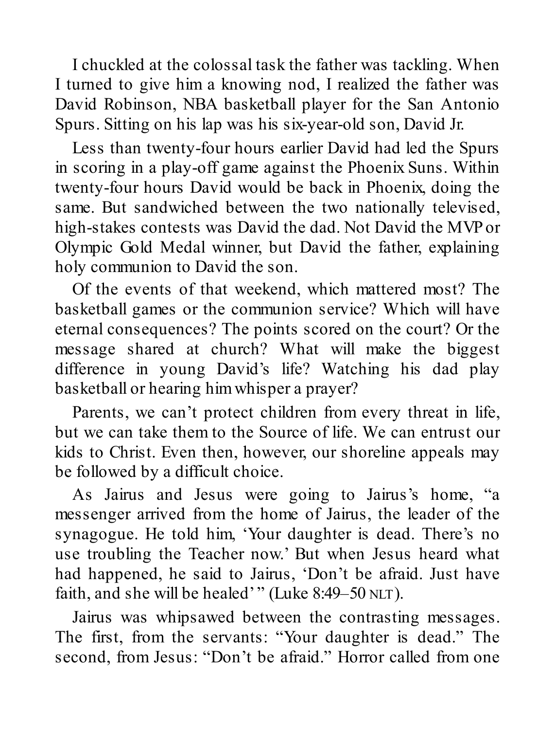I chuckled at the colossal task the father was tackling. When I turned to give him a knowing nod, I realized the father was David Robinson, NBA basketball player for the San Antonio Spurs. Sitting on his lap was his six-year-old son, David Jr.

Less than twenty-four hours earlier David had led the Spurs in scoring in a play-off game against the Phoenix Suns. Within twenty-four hours David would be back in Phoenix, doing the same. But sandwiched between the two nationally televised, high-stakes contests was David the dad. Not David the MVPor Olympic Gold Medal winner, but David the father, explaining holy communion to David the son.

Of the events of that weekend, which mattered most? The basketball games or the communion service? Which will have eternal consequences? The points scored on the court? Or the message shared at church? What will make the biggest difference in young David's life? Watching his dad play basketball or hearing himwhisper a prayer?

Parents, we can't protect children from every threat in life. but we can take them to the Source of life. We can entrust our kids to Christ. Even then, however, our shoreline appeals may be followed by a difficult choice.

As Jairus and Jesus were going to Jairus's home, "a messenger arrived from the home of Jairus, the leader of the synagogue. He told him, 'Your daughter is dead. There's no use troubling the Teacher now.' But when Jesus heard what had happened, he said to Jairus, 'Don't be afraid. Just have faith, and she will be healed'" (Luke 8:49–50 NLT).

Jairus was whipsawed between the contrasting messages. The first, from the servants: "Your daughter is dead." The second, from Jesus: "Don't be afraid." Horror called from one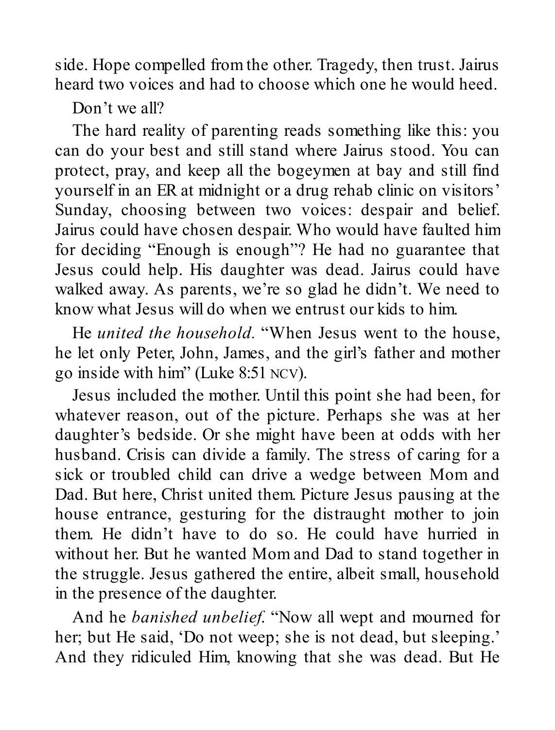side. Hope compelled from the other. Tragedy, then trust. Jairus heard two voices and had to choose which one he would heed.

Don't we all?

The hard reality of parenting reads something like this: you can do your best and still stand where Jairus stood. You can protect, pray, and keep all the bogeymen at bay and still find yourself in an ER at midnight or a drug rehab clinic on visitors' Sunday, choosing between two voices: despair and belief. Jairus could have chosen despair. Who would have faulted him for deciding "Enough is enough"? He had no guarantee that Jesus could help. His daughter was dead. Jairus could have walked away. As parents, we're so glad he didn't. We need to know what Jesus will do when we entrust our kids to him.

He *united the household.* "When Jesus went to the house, he let only Peter, John, James, and the girl's father and mother go inside with him" (Luke 8:51 NCV).

Jesus included the mother. Until this point she had been, for whatever reason, out of the picture. Perhaps she was at her daughter's bedside. Or she might have been at odds with her husband. Crisis can divide a family. The stress of caring for a sick or troubled child can drive a wedge between Mom and Dad. But here, Christ united them. Picture Jesus pausing at the house entrance, gesturing for the distraught mother to join them. He didn't have to do so. He could have hurried in without her. But he wanted Mom and Dad to stand together in the struggle. Jesus gathered the entire, albeit small, household in the presence of the daughter.

And he *banished unbelief*. "Now all wept and mourned for her; but He said, 'Do not weep; she is not dead, but sleeping.' And they ridiculed Him, knowing that she was dead. But He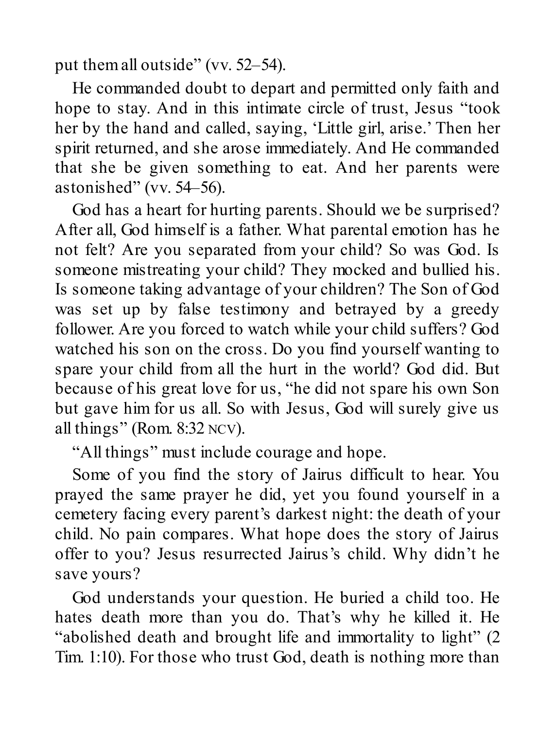put themall outside" (vv. 52–54).

He commanded doubt to depart and permitted only faith and hope to stay. And in this intimate circle of trust, Jesus "took her by the hand and called, saying, 'Little girl, arise.' Then her spirit returned, and she arose immediately. And He commanded that she be given something to eat. And her parents were astonished" (vv. 54–56).

God has a heart for hurting parents. Should we be surprised? After all, God himself is a father. What parental emotion has he not felt? Are you separated from your child? So was God. Is someone mistreating your child? They mocked and bullied his. Is someone taking advantage of your children? The Son of God was set up by false testimony and betrayed by a greedy follower. Are you forced to watch while your child suffers? God watched his son on the cross. Do you find yourself wanting to spare your child from all the hurt in the world? God did. But because of his great love for us, "he did not spare his own Son but gave him for us all. So with Jesus, God will surely give us all things" (Rom. 8:32 NCV).

"All things" must include courage and hope.

Some of you find the story of Jairus difficult to hear. You prayed the same prayer he did, yet you found yourself in a cemetery facing every parent's darkest night: the death of your child. No pain compares. What hope does the story of Jairus offer to you? Jesus resurrected Jairus's child. Why didn't he save yours?

God understands your question. He buried a child too. He hates death more than you do. That's why he killed it. He "abolished death and brought life and immortality to light" (2 Tim. 1:10). For those who trust God, death is nothing more than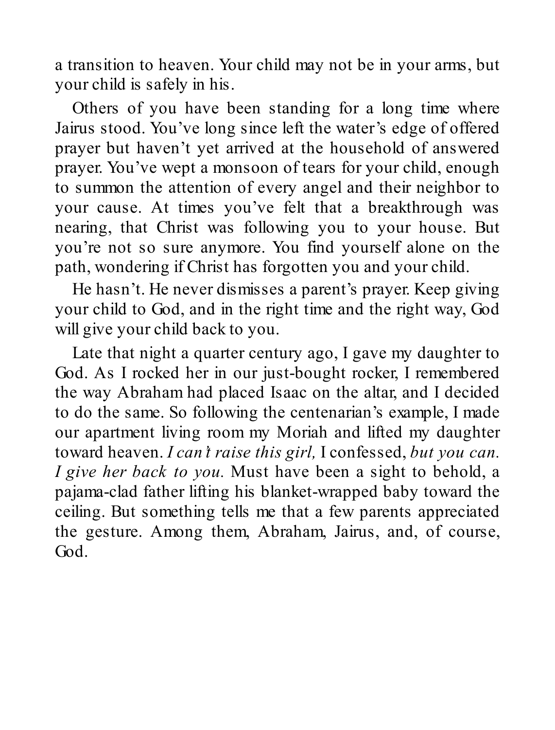a transition to heaven. Your child may not be in your arms, but your child is safely in his.

Others of you have been standing for a long time where Jairus stood. You've long since left the water's edge of offered prayer but haven't yet arrived at the household of answered prayer. You've wept a monsoon of tears for your child, enough to summon the attention of every angel and their neighbor to your cause. At times you've felt that a breakthrough was nearing, that Christ was following you to your house. But you're not so sure anymore. You find yourself alone on the path, wondering if Christ has forgotten you and your child.

He hasn't. He never dismisses a parent's prayer. Keep giving your child to God, and in the right time and the right way, God will give your child back to you.

Late that night a quarter century ago, I gave my daughter to God. As I rocked her in our just-bought rocker, I remembered the way Abraham had placed Isaac on the altar, and I decided to do the same. So following the centenarian's example, I made our apartment living room my Moriah and lifted my daughter toward heaven. *I can't raise this girl,* I confessed, *but you can. I give her back to you.* Must have been a sight to behold, a pajama-clad father lifting his blanket-wrapped baby toward the ceiling. But something tells me that a few parents appreciated the gesture. Among them, Abraham, Jairus, and, of course, God.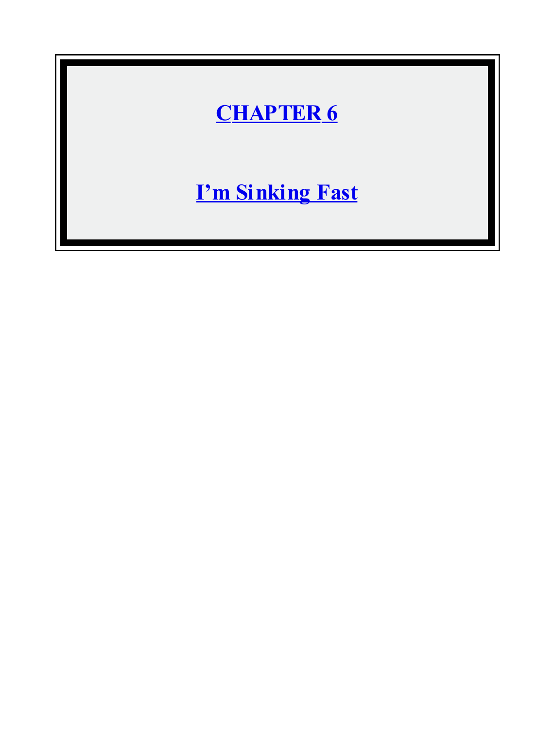**CHAPTER 6**

**I'm Sinking Fast**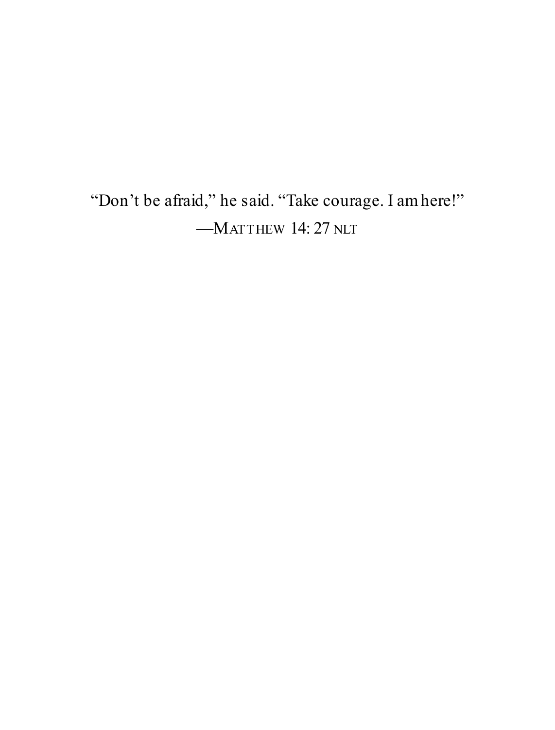"Don't be afraid," he said. "Take courage. I amhere!" —MATTHEW 14: 27 NLT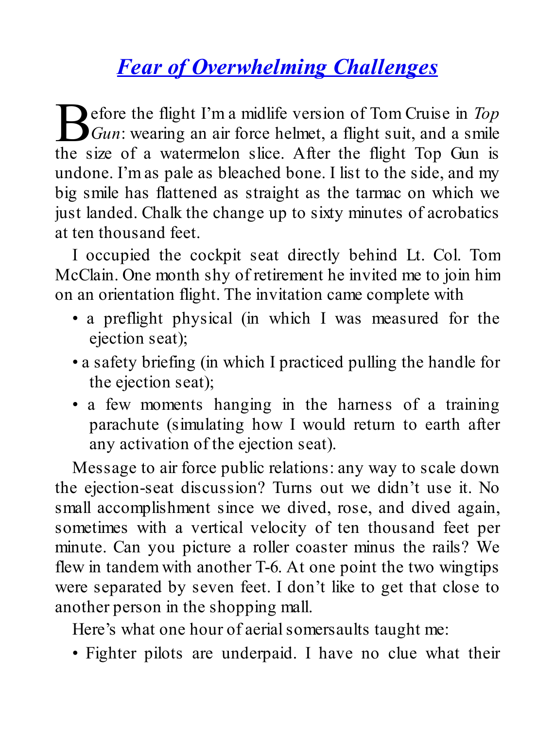# *Fear of Overwhelming Challenges*

**B** efore the flight I'm a midlife version of Tom Cruise in *Top* Gun: wearing an air force helmet, a flight suit, and a smile the size of a watermalpo slice. After the flight Top Gun is *Gun*: wearing an air force helmet, a flight suit, and a smile the size of a watermelon slice. After the flight Top Gun is undone. I'm as pale as bleached bone. I list to the side, and my big smile has flattened as straight as the tarmac on which we just landed. Chalk the change up to sixty minutes of acrobatics at ten thousand feet.

I occupied the cockpit seat directly behind Lt. Col. Tom McClain. One month shy of retirement he invited me to join him on an orientation flight. The invitation came complete with

- a preflight physical (in which I was measured for the ejection seat);
- a safety briefing (in which I practiced pulling the handle for the ejection seat);
- a few moments hanging in the harness of a training parachute (simulating how I would return to earth after any activation of the ejection seat).

Message to air force public relations: any way to scale down the ejection-seat discussion? Turns out we didn't use it. No small accomplishment since we dived, rose, and dived again, sometimes with a vertical velocity of ten thousand feet per minute. Can you picture a roller coaster minus the rails? We flew in tandem with another T-6. At one point the two wingtips were separated by seven feet. I don't like to get that close to another person in the shopping mall.

Here's what one hour of aerial somersaults taught me:

• Fighter pilots are underpaid. I have no clue what their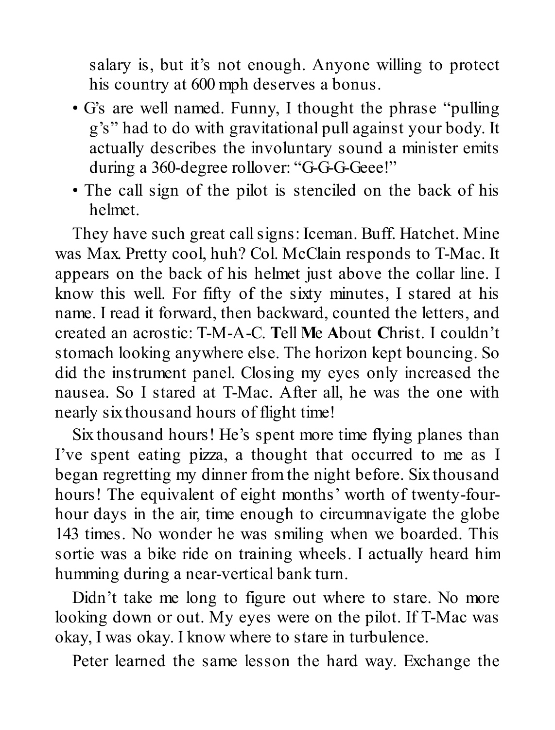salary is, but it's not enough. Anyone willing to protect his country at 600 mph deserves a bonus.

- G's are well named. Funny, I thought the phrase "pulling g's" had to do with gravitational pull against your body. It actually describes the involuntary sound a minister emits during a 360-degree rollover: "G-G-G-Geee!"
- The call sign of the pilot is stenciled on the back of his helmet.

They have such great callsigns: Iceman. Buff. Hatchet. Mine was Max. Pretty cool, huh? Col. McClain responds to T-Mac. It appears on the back of his helmet just above the collar line. I know this well. For fifty of the sixty minutes, I stared at his name. I read it forward, then backward, counted the letters, and created an acrostic: T-M-A-C. **T**ell **M**e **A**bout **C**hrist. I couldn't stomach looking anywhere else. The horizon kept bouncing. So did the instrument panel. Closing my eyes only increased the nausea. So I stared at T-Mac. After all, he was the one with nearly sixthousand hours of flight time!

Six thousand hours! He's spent more time flying planes than I've spent eating pizza, a thought that occurred to me as I began regretting my dinner from the night before. Six thousand hours! The equivalent of eight months' worth of twenty-fourhour days in the air, time enough to circumnavigate the globe 143 times. No wonder he was smiling when we boarded. This sortie was a bike ride on training wheels. I actually heard him humming during a near-vertical bank turn.

Didn't take me long to figure out where to stare. No more looking down or out. My eyes were on the pilot. If T-Mac was okay, I was okay. I know where to stare in turbulence.

Peter learned the same lesson the hard way. Exchange the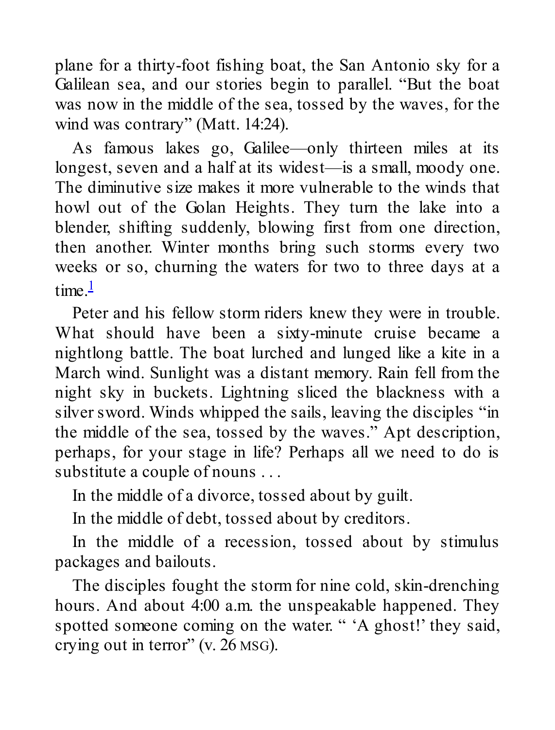plane for a thirty-foot fishing boat, the San Antonio sky for a Galilean sea, and our stories begin to parallel. "But the boat was now in the middle of the sea, tossed by the waves, for the wind was contrary" (Matt. 14:24).

As famous lakes go, Galilee—only thirteen miles at its longest, seven and a half at its widest—is a small, moody one. The diminutive size makes it more vulnerable to the winds that howl out of the Golan Heights. They turn the lake into a blender, shifting suddenly, blowing first from one direction, then another. Winter months bring such storms every two weeks or so, churning the waters for two to three days at a time.<sup>1</sup>

Peter and his fellow storm riders knew they were in trouble. What should have been a sixty-minute cruise became a nightlong battle. The boat lurched and lunged like a kite in a March wind. Sunlight was a distant memory. Rain fell from the night sky in buckets. Lightning sliced the blackness with a silver sword. Winds whipped the sails, leaving the disciples "in the middle of the sea, tossed by the waves." Apt description, perhaps, for your stage in life? Perhaps all we need to do is substitute a couple of nouns . . .

In the middle of a divorce, tossed about by guilt.

In the middle of debt, tossed about by creditors.

In the middle of a recession, tossed about by stimulus packages and bailouts.

The disciples fought the storm for nine cold, skin-drenching hours. And about 4:00 a.m. the unspeakable happened. They spotted someone coming on the water. " 'A ghost!' they said, crying out in terror" (v. 26 MSG).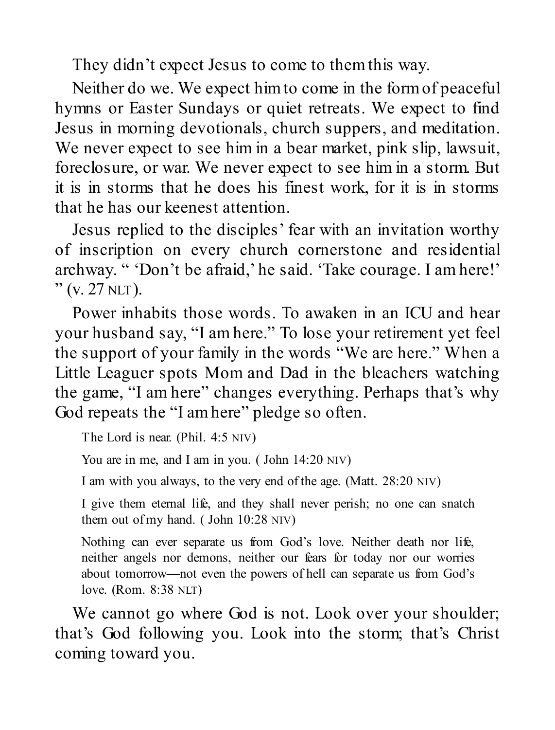They didn't expect Jesus to come to themthis way.

Neither do we. We expect himto come in the formof peaceful hymns or Easter Sundays or quiet retreats. We expect to find Jesus in morning devotionals, church suppers, and meditation. We never expect to see him in a bear market, pink slip, lawsuit, foreclosure, or war. We never expect to see him in a storm. But it is in storms that he does his finest work, for it is in storms that he has our keenest attention.

Jesus replied to the disciples' fear with an invitation worthy of inscription on every church cornerstone and residential archway. " 'Don't be afraid,' he said. 'Take courage. I am here!'  $"$  (v. 27 NLT).

Power inhabits those words. To awaken in an ICU and hear your husband say, "I am here." To lose your retirement yet feel the support of your family in the words "We are here." When a Little Leaguer spots Mom and Dad in the bleachers watching the game, "I am here" changes everything. Perhaps that's why God repeats the "I amhere" pledge so often.

The Lord is near. (Phil. 4:5 NIV)

You are in me, and I am in you. (John 14:20 NIV)

I am with you always, to the very end of the age. (Matt. 28:20 NIV)

I give them eternal life, and they shall never perish; no one can snatch them out of my hand. ( John 10:28 NIV)

Nothing can ever separate us from God's love. Neither death nor life, neither angels nor demons, neither our fears for today nor our worries about tomorrow—not even the powers of hell can separate us from God's love. (Rom. 8:38 NLT)

We cannot go where God is not. Look over your shoulder; that's God following you. Look into the storm; that's Christ coming toward you.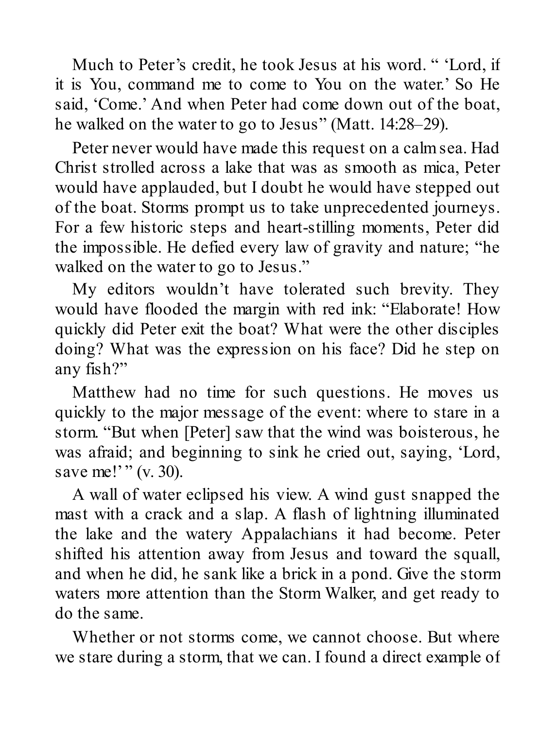Much to Peter's credit, he took Jesus at his word. " 'Lord, if it is You, command me to come to You on the water.' So He said, 'Come.' And when Peter had come down out of the boat, he walked on the water to go to Jesus" (Matt. 14:28–29).

Peter never would have made this request on a calmsea. Had Christ strolled across a lake that was as smooth as mica, Peter would have applauded, but I doubt he would have stepped out of the boat. Storms prompt us to take unprecedented journeys. For a few historic steps and heart-stilling moments, Peter did the impossible. He defied every law of gravity and nature; "he walked on the water to go to Jesus."

My editors wouldn't have tolerated such brevity. They would have flooded the margin with red ink: "Elaborate! How quickly did Peter exit the boat? What were the other disciples doing? What was the expression on his face? Did he step on any fish?"

Matthew had no time for such questions. He moves us quickly to the major message of the event: where to stare in a storm. "But when [Peter] saw that the wind was boisterous, he was afraid; and beginning to sink he cried out, saying, 'Lord, save me!' " (v. 30).

A wall of water eclipsed his view. A wind gust snapped the mast with a crack and a slap. A flash of lightning illuminated the lake and the watery Appalachians it had become. Peter shifted his attention away from Jesus and toward the squall, and when he did, he sank like a brick in a pond. Give the storm waters more attention than the Storm Walker, and get ready to do the same.

Whether or not storms come, we cannot choose. But where we stare during a storm, that we can. I found a direct example of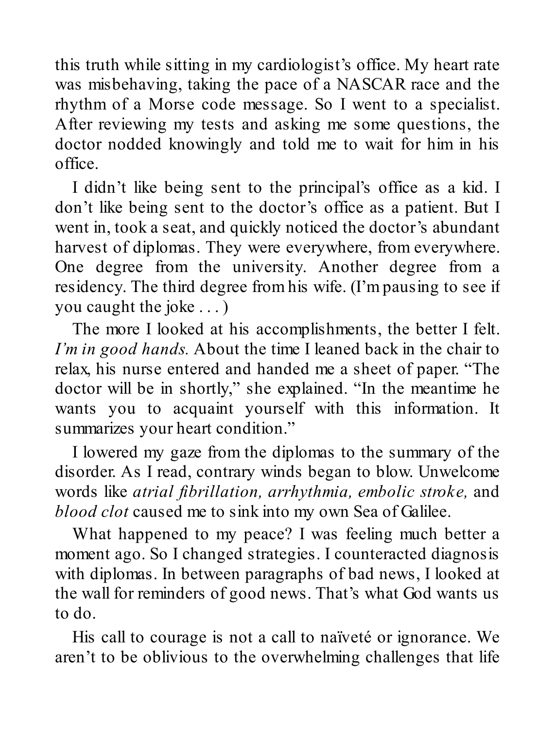this truth while sitting in my cardiologist's office. My heart rate was misbehaving, taking the pace of a NASCAR race and the rhythm of a Morse code message. So I went to a specialist. After reviewing my tests and asking me some questions, the doctor nodded knowingly and told me to wait for him in his office.

I didn't like being sent to the principal's office as a kid. I don't like being sent to the doctor's office as a patient. But I went in, took a seat, and quickly noticed the doctor's abundant harvest of diplomas. They were everywhere, from everywhere. One degree from the university. Another degree from a residency. The third degree from his wife. (I'm pausing to see if you caught the joke . . . )

The more I looked at his accomplishments, the better I felt. *I'm in good hands.* About the time I leaned back in the chair to relax, his nurse entered and handed me a sheet of paper. "The doctor will be in shortly," she explained. "In the meantime he wants you to acquaint yourself with this information. It summarizes your heart condition."

I lowered my gaze from the diplomas to the summary of the disorder. As I read, contrary winds began to blow. Unwelcome words like *atrial fibrillation, arrhythmia, embolic stroke,* and *blood clot* caused me to sink into my own Sea of Galilee.

What happened to my peace? I was feeling much better a moment ago. So I changed strategies. I counteracted diagnosis with diplomas. In between paragraphs of bad news, I looked at the wall for reminders of good news. That's what God wants us to do.

His call to courage is not a call to naïveté or ignorance. We aren't to be oblivious to the overwhelming challenges that life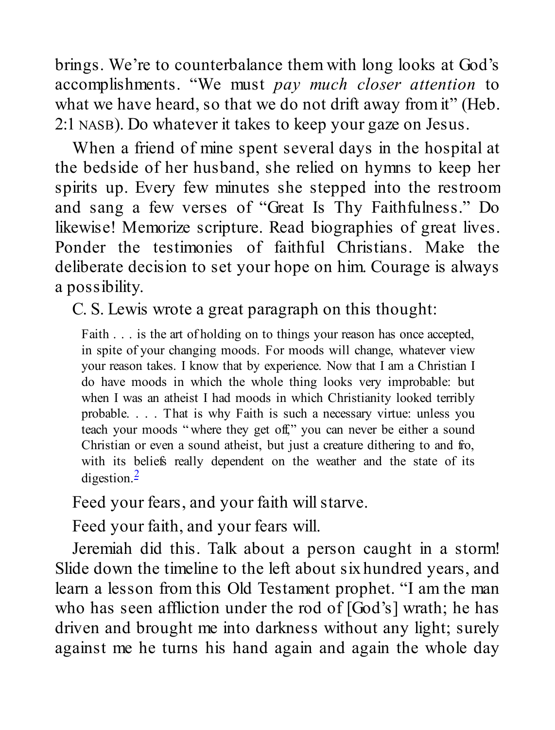brings. We're to counterbalance them with long looks at God's accomplishments. "We must *pay much closer attention* to what we have heard, so that we do not drift away fromit" (Heb. 2:1 NASB). Do whatever it takes to keep your gaze on Jesus.

When a friend of mine spent several days in the hospital at the bedside of her husband, she relied on hymns to keep her spirits up. Every few minutes she stepped into the restroom and sang a few verses of "Great Is Thy Faithfulness." Do likewise! Memorize scripture. Read biographies of great lives. Ponder the testimonies of faithful Christians. Make the deliberate decision to set your hope on him. Courage is always a possibility.

C. S. Lewis wrote a great paragraph on this thought:

Faith . . . is the art of holding on to things your reason has once accepted, in spite of your changing moods. For moods will change, whatever view your reason takes. I know that by experience. Now that I am a Christian I do have moods in which the whole thing looks very improbable: but when I was an atheist I had moods in which Christianity looked terribly probable. . . . That is why Faith is such a necessary virtue: unless you teach your moods " where they get off," you can never be either a sound Christian or even a sound atheist, but just a creature dithering to and fro, with its beliefs really dependent on the weather and the state of its digestion. 2

Feed your fears, and your faith will starve.

Feed your faith, and your fears will.

Jeremiah did this. Talk about a person caught in a storm! Slide down the timeline to the left about six hundred years, and learn a lesson from this Old Testament prophet. "I am the man who has seen affliction under the rod of [God's] wrath; he has driven and brought me into darkness without any light; surely against me he turns his hand again and again the whole day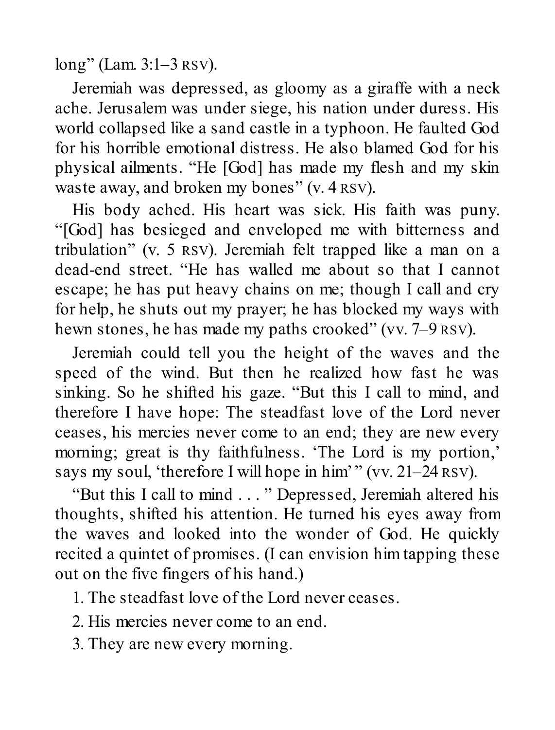long" (Lam. 3:1–3 RSV).

Jeremiah was depressed, as gloomy as a giraffe with a neck ache. Jerusalem was under siege, his nation under duress. His world collapsed like a sand castle in a typhoon. He faulted God for his horrible emotional distress. He also blamed God for his physical ailments. "He [God] has made my flesh and my skin waste away, and broken my bones" (v. 4 RSV).

His body ached. His heart was sick. His faith was puny. "[God] has besieged and enveloped me with bitterness and tribulation" (v. 5 RSV). Jeremiah felt trapped like a man on a dead-end street. "He has walled me about so that I cannot escape; he has put heavy chains on me; though I call and cry for help, he shuts out my prayer; he has blocked my ways with hewn stones, he has made my paths crooked" (vv. 7–9 RSV).

Jeremiah could tell you the height of the waves and the speed of the wind. But then he realized how fast he was sinking. So he shifted his gaze. "But this I call to mind, and therefore I have hope: The steadfast love of the Lord never ceases, his mercies never come to an end; they are new every morning; great is thy faithfulness. 'The Lord is my portion,' says my soul, 'therefore I will hope in him'" (vv. 21–24 RSV).

"But this I call to mind . . . " Depressed, Jeremiah altered his thoughts, shifted his attention. He turned his eyes away from the waves and looked into the wonder of God. He quickly recited a quintet of promises. (I can envision him tapping these out on the five fingers of his hand.)

1. The steadfast love of the Lord never ceases.

- 2. His mercies never come to an end.
- 3. They are new every morning.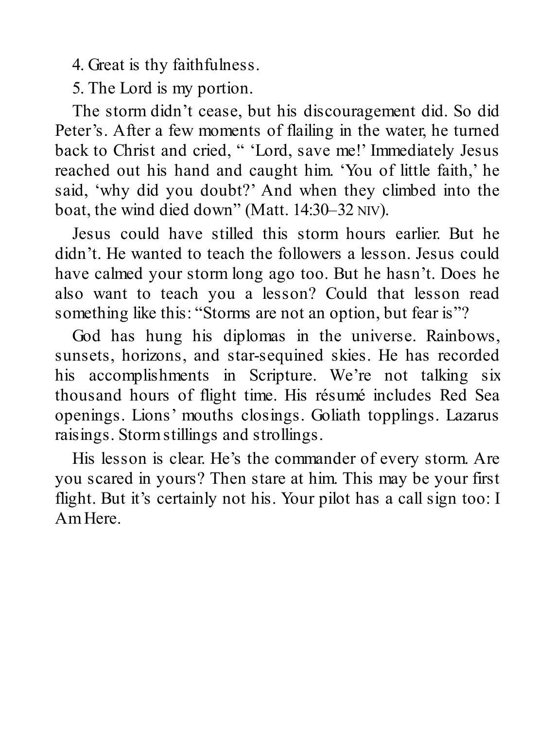4. Great is thy faithfulness.

5. The Lord is my portion.

The storm didn't cease, but his discouragement did. So did Peter's. After a few moments of flailing in the water, he turned back to Christ and cried, " 'Lord, save me!' Immediately Jesus reached out his hand and caught him. 'You of little faith,' he said, 'why did you doubt?' And when they climbed into the boat, the wind died down" (Matt. 14:30–32 NIV).

Jesus could have stilled this storm hours earlier. But he didn't. He wanted to teach the followers a lesson. Jesus could have calmed your storm long ago too. But he hasn't. Does he also want to teach you a lesson? Could that lesson read something like this: "Storms are not an option, but fear is"?

God has hung his diplomas in the universe. Rainbows, sunsets, horizons, and star-sequined skies. He has recorded his accomplishments in Scripture. We're not talking six thousand hours of flight time. His résumé includes Red Sea openings. Lions' mouths closings. Goliath topplings. Lazarus raisings. Stormstillings and strollings.

His lesson is clear. He's the commander of every storm. Are you scared in yours? Then stare at him. This may be your first flight. But it's certainly not his. Your pilot has a call sign too: I AmHere.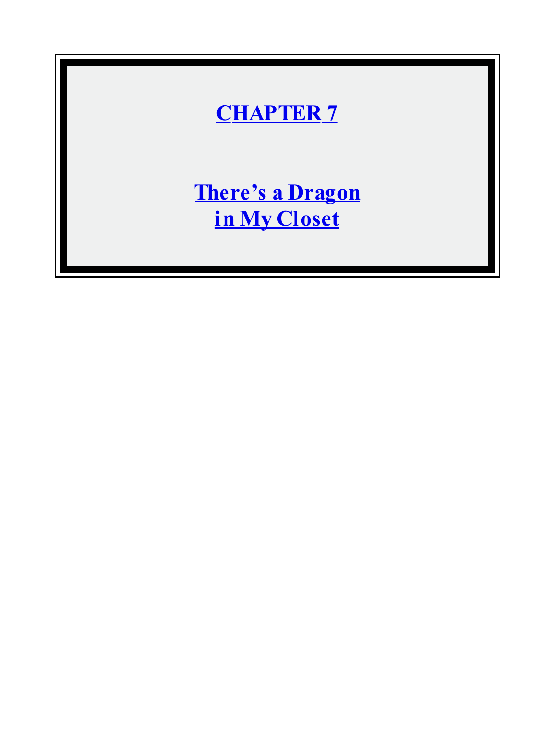**CHAPTER 7**

**There's a Dragon in My Closet**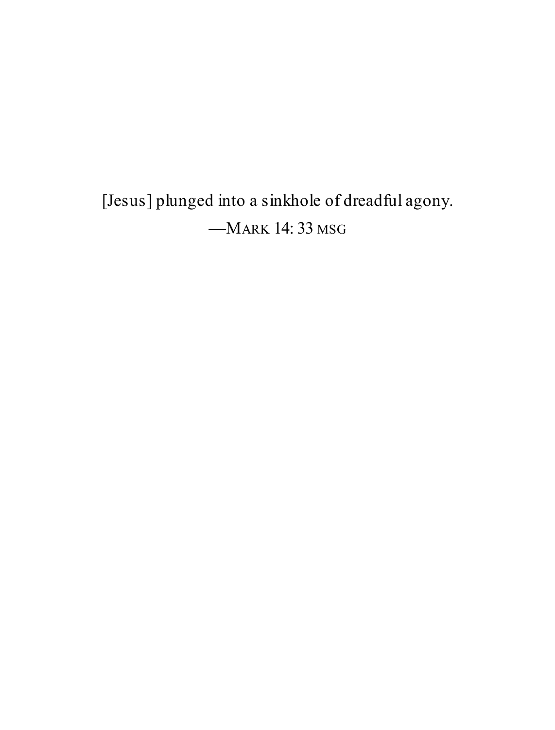### [Jesus] plunged into a sinkhole of dreadful agony. —MARK 14: 33 MSG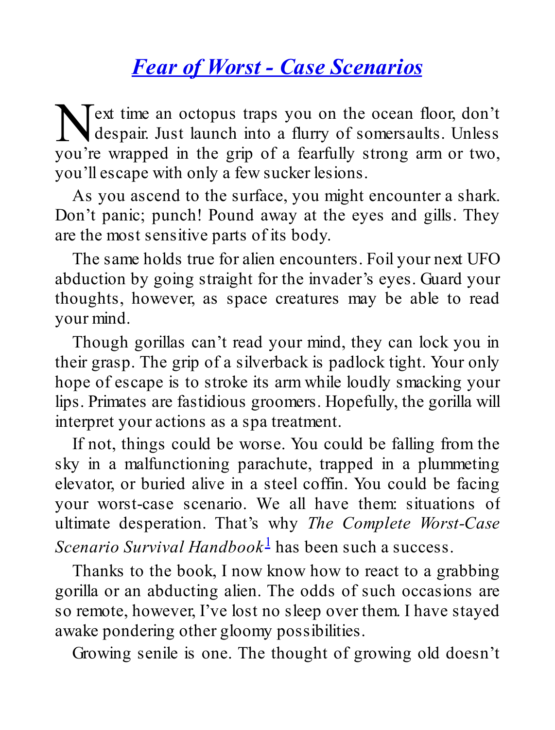## *Fear of Worst - Case Scenarios*

Next time an octopus traps you on the ocean floor, don't<br>despair. Just launch into a flurry of somersaults. Unless despair. Just launch into a flurry of somersaults. Unless you're wrapped in the grip of a fearfully strong arm or two, you'll escape with only a few sucker lesions.

As you ascend to the surface, you might encounter a shark. Don't panic; punch! Pound away at the eyes and gills. They are the most sensitive parts of its body.

The same holds true for alien encounters. Foil your next UFO abduction by going straight for the invader's eyes. Guard your thoughts, however, as space creatures may be able to read your mind.

Though gorillas can't read your mind, they can lock you in their grasp. The grip of a silverback is padlock tight. Your only hope of escape is to stroke its arm while loudly smacking your lips. Primates are fastidious groomers. Hopefully, the gorilla will interpret your actions as a spa treatment.

If not, things could be worse. You could be falling from the sky in a malfunctioning parachute, trapped in a plummeting elevator, or buried alive in a steel coffin. You could be facing your worst-case scenario. We all have them: situations of ultimate desperation. That's why *The Complete Worst-Case Scenario Survival Handbook* <sup>1</sup> has been such a success.

Thanks to the book, I now know how to react to a grabbing gorilla or an abducting alien. The odds of such occasions are so remote, however, I've lost no sleep over them. I have stayed awake pondering other gloomy possibilities.

Growing senile is one. The thought of growing old doesn't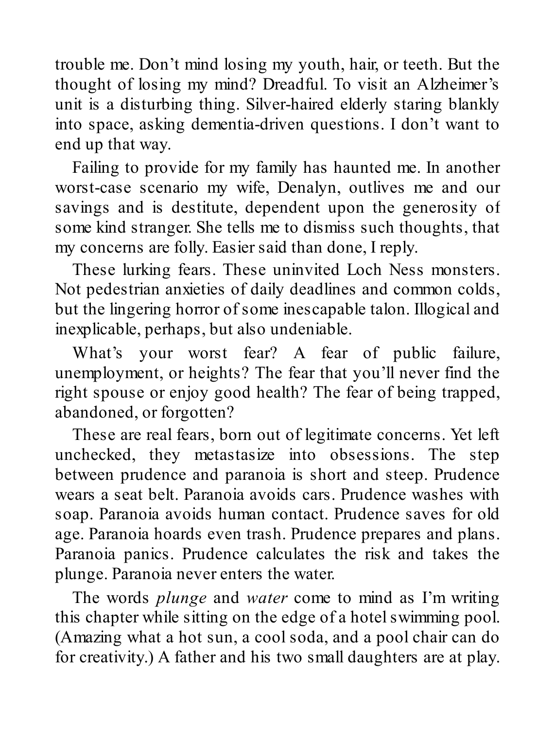trouble me. Don't mind losing my youth, hair, or teeth. But the thought of losing my mind? Dreadful. To visit an Alzheimer's unit is a disturbing thing. Silver-haired elderly staring blankly into space, asking dementia-driven questions. I don't want to end up that way.

Failing to provide for my family has haunted me. In another worst-case scenario my wife, Denalyn, outlives me and our savings and is destitute, dependent upon the generosity of some kind stranger. She tells me to dismiss such thoughts, that my concerns are folly. Easier said than done, I reply.

These lurking fears. These uninvited Loch Ness monsters. Not pedestrian anxieties of daily deadlines and common colds, but the lingering horror of some inescapable talon. Illogical and inexplicable, perhaps, but also undeniable.

What's your worst fear? A fear of public failure, unemployment, or heights? The fear that you'll never find the right spouse or enjoy good health? The fear of being trapped, abandoned, or forgotten?

These are real fears, born out of legitimate concerns. Yet left unchecked, they metastasize into obsessions. The step between prudence and paranoia is short and steep. Prudence wears a seat belt. Paranoia avoids cars. Prudence washes with soap. Paranoia avoids human contact. Prudence saves for old age. Paranoia hoards even trash. Prudence prepares and plans. Paranoia panics. Prudence calculates the risk and takes the plunge. Paranoia never enters the water.

The words *plunge* and *water* come to mind as I'm writing this chapter while sitting on the edge of a hotelswimming pool. (Amazing what a hot sun, a cool soda, and a pool chair can do for creativity.) A father and his two small daughters are at play.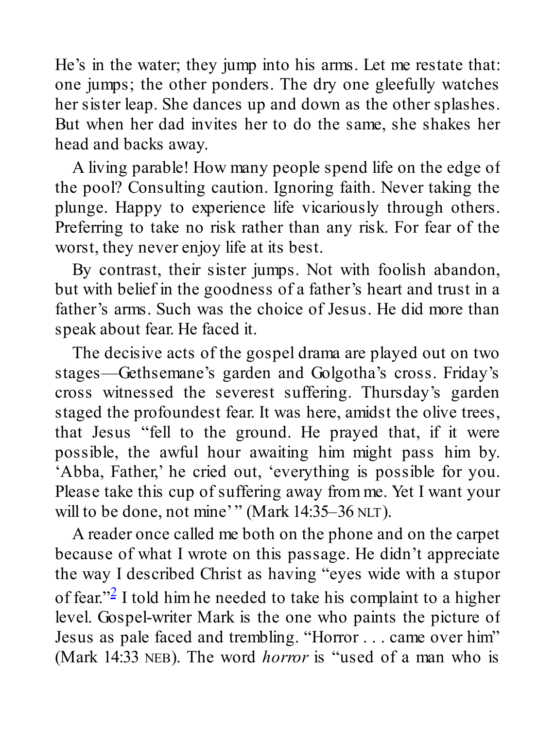He's in the water; they jump into his arms. Let me restate that: one jumps; the other ponders. The dry one gleefully watches her sister leap. She dances up and down as the other splashes. But when her dad invites her to do the same, she shakes her head and backs away.

A living parable! How many people spend life on the edge of the pool? Consulting caution. Ignoring faith. Never taking the plunge. Happy to experience life vicariously through others. Preferring to take no risk rather than any risk. For fear of the worst, they never enjoy life at its best.

By contrast, their sister jumps. Not with foolish abandon, but with belief in the goodness of a father's heart and trust in a father's arms. Such was the choice of Jesus. He did more than speak about fear. He faced it.

The decisive acts of the gospel drama are played out on two stages—Gethsemane's garden and Golgotha's cross. Friday's cross witnessed the severest suffering. Thursday's garden staged the profoundest fear. It was here, amidst the olive trees, that Jesus "fell to the ground. He prayed that, if it were possible, the awful hour awaiting him might pass him by. 'Abba, Father,' he cried out, 'everything is possible for you. Please take this cup of suffering away from me. Yet I want your will to be done, not mine'" (Mark 14:35–36 NLT).

A reader once called me both on the phone and on the carpet because of what I wrote on this passage. He didn't appreciate the way I described Christ as having "eyes wide with a stupor of fear."<sup>2</sup> I told him he needed to take his complaint to a higher level. Gospel-writer Mark is the one who paints the picture of Jesus as pale faced and trembling. "Horror . . . came over him" (Mark 14:33 NEB). The word *horror* is "used of a man who is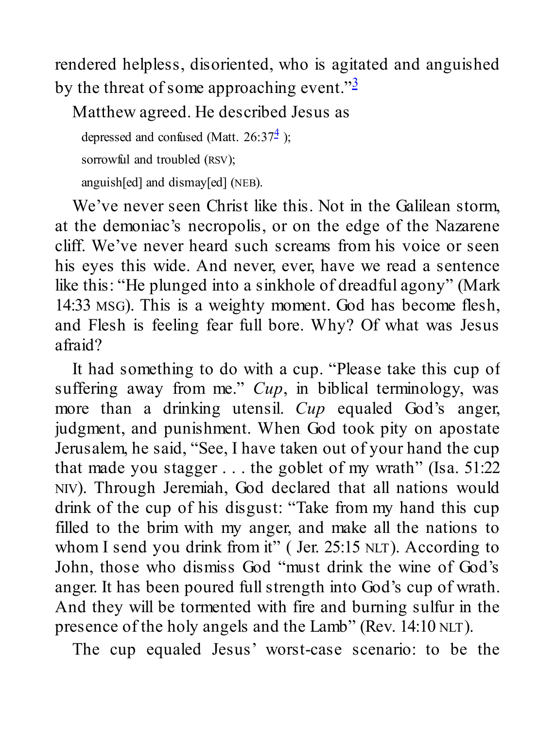rendered helpless, disoriented, who is agitated and anguished by the threat of some approaching event." $\frac{3}{2}$ 

Matthew agreed. He described Jesus as

depressed and confused (Matt.  $26:37<sup>4</sup>$ );

sorrowful and troubled (RSV);

anguish[ed] and dismay[ed] (NEB).

We've never seen Christ like this. Not in the Galilean storm, at the demoniac's necropolis, or on the edge of the Nazarene cliff. We've never heard such screams from his voice or seen his eyes this wide. And never, ever, have we read a sentence like this: "He plunged into a sinkhole of dreadful agony" (Mark 14:33 MSG). This is a weighty moment. God has become flesh, and Flesh is feeling fear full bore. Why? Of what was Jesus afraid?

It had something to do with a cup. "Please take this cup of suffering away from me." *Cup*, in biblical terminology, was more than a drinking utensil. *Cup* equaled God's anger, judgment, and punishment. When God took pity on apostate Jerusalem, he said, "See, I have taken out of your hand the cup that made you stagger . . . the goblet of my wrath" (Isa. 51:22 NIV). Through Jeremiah, God declared that all nations would drink of the cup of his disgust: "Take from my hand this cup filled to the brim with my anger, and make all the nations to whom I send you drink from it" (Jer. 25:15 NLT). According to John, those who dismiss God "must drink the wine of God's anger. It has been poured full strength into God's cup of wrath. And they will be tormented with fire and burning sulfur in the presence of the holy angels and the Lamb" (Rev. 14:10 NLT).

The cup equaled Jesus' worst-case scenario: to be the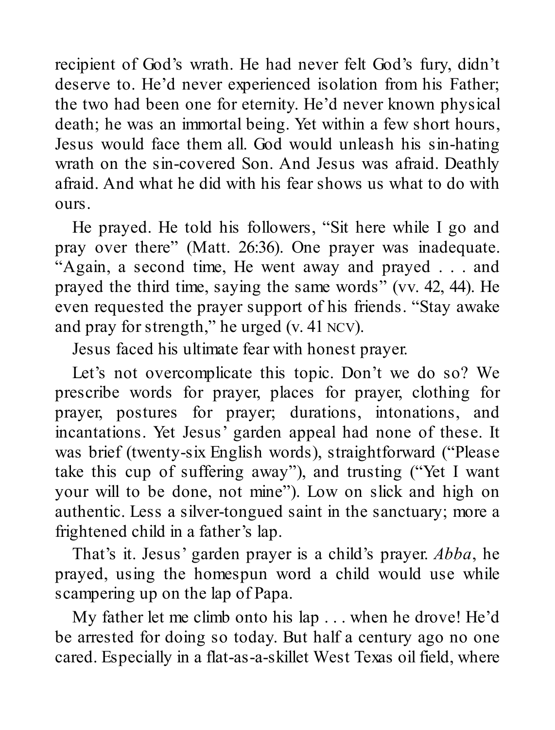recipient of God's wrath. He had never felt God's fury, didn't deserve to. He'd never experienced isolation from his Father; the two had been one for eternity. He'd never known physical death; he was an immortal being. Yet within a few short hours, Jesus would face them all. God would unleash his sin-hating wrath on the sin-covered Son. And Jesus was afraid. Deathly afraid. And what he did with his fear shows us what to do with ours.

He prayed. He told his followers, "Sit here while I go and pray over there" (Matt. 26:36). One prayer was inadequate. "Again, a second time, He went away and prayed . . . and prayed the third time, saying the same words" (vv. 42, 44). He even requested the prayer support of his friends. "Stay awake and pray for strength," he urged (v. 41 NCV).

Jesus faced his ultimate fear with honest prayer.

Let's not overcomplicate this topic. Don't we do so? We prescribe words for prayer, places for prayer, clothing for prayer, postures for prayer; durations, intonations, and incantations. Yet Jesus' garden appeal had none of these. It was brief (twenty-six English words), straightforward ("Please take this cup of suffering away"), and trusting ("Yet I want your will to be done, not mine"). Low on slick and high on authentic. Less a silver-tongued saint in the sanctuary; more a frightened child in a father's lap.

That's it. Jesus' garden prayer is a child's prayer. *Abba*, he prayed, using the homespun word a child would use while scampering up on the lap of Papa.

My father let me climb onto his lap . . . when he drove! He'd be arrested for doing so today. But half a century ago no one cared. Especially in a flat-as-a-skillet West Texas oil field, where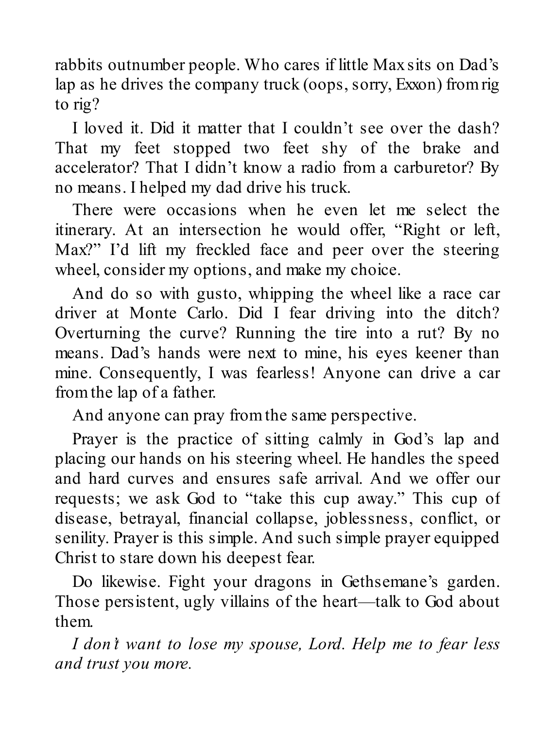rabbits outnumber people. Who cares if little Maxsits on Dad's lap as he drives the company truck (oops, sorry, Exxon) fromrig to rig?

I loved it. Did it matter that I couldn't see over the dash? That my feet stopped two feet shy of the brake and accelerator? That I didn't know a radio from a carburetor? By no means. I helped my dad drive his truck.

There were occasions when he even let me select the itinerary. At an intersection he would offer, "Right or left, Max?" I'd lift my freckled face and peer over the steering wheel, consider my options, and make my choice.

And do so with gusto, whipping the wheel like a race car driver at Monte Carlo. Did I fear driving into the ditch? Overturning the curve? Running the tire into a rut? By no means. Dad's hands were next to mine, his eyes keener than mine. Consequently, I was fearless! Anyone can drive a car fromthe lap of a father.

And anyone can pray fromthe same perspective.

Prayer is the practice of sitting calmly in God's lap and placing our hands on his steering wheel. He handles the speed and hard curves and ensures safe arrival. And we offer our requests; we ask God to "take this cup away." This cup of disease, betrayal, financial collapse, joblessness, conflict, or senility. Prayer is this simple. And such simple prayer equipped Christ to stare down his deepest fear.

Do likewise. Fight your dragons in Gethsemane's garden. Those persistent, ugly villains of the heart—talk to God about them.

*I don't want to lose my spouse, Lord. Help me to fear less and trust you more.*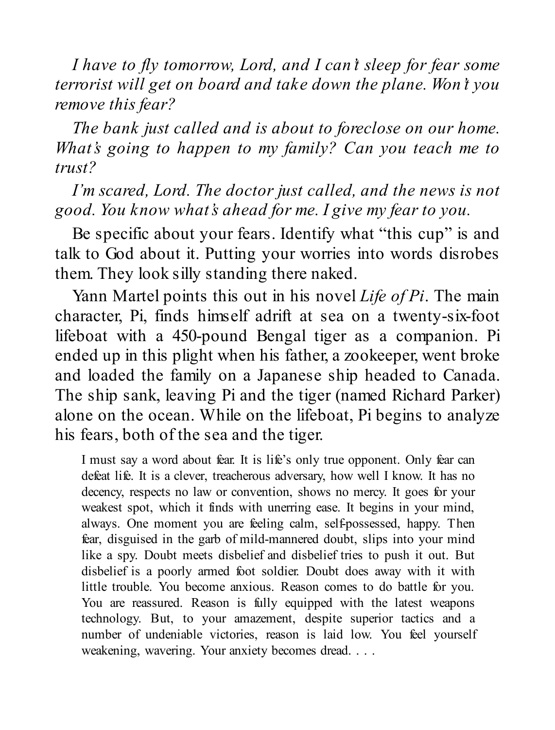*I have to fly tomorrow, Lord, and I can't sleep for fear some terrorist will get on board and take down the plane. Won't you remove this fear?*

*The bank just called and is about to foreclose on our home. What's going to happen to my family? Can you teach me to trust?*

*I'm scared, Lord. The doctor just called, and the news is not good. You know what's ahead for me. I give my fear to you.*

Be specific about your fears. Identify what "this cup" is and talk to God about it. Putting your worries into words disrobes them. They look silly standing there naked.

Yann Martel points this out in his novel *Life of Pi*. The main character, Pi, finds himself adrift at sea on a twenty-six-foot lifeboat with a 450-pound Bengal tiger as a companion. Pi ended up in this plight when his father, a zookeeper, went broke and loaded the family on a Japanese ship headed to Canada. The ship sank, leaving Pi and the tiger (named Richard Parker) alone on the ocean. While on the lifeboat, Pi begins to analyze his fears, both of the sea and the tiger.

I must say a word about fear. It is life's only true opponent. Only fear can defeat life. It is a clever, treacherous adversary, how well I know. It has no decency, respects no law or convention, shows no mercy. It goes for your weakest spot, which it finds with unerring ease. It begins in your mind, always. One moment you are feeling calm, self-possessed, happy. Then fear, disguised in the garb of mild-mannered doubt, slips into your mind like a spy. Doubt meets disbelief and disbelief tries to push it out. But disbelief is a poorly armed foot soldier. Doubt does away with it with little trouble. You become anxious. Reason comes to do battle for you. You are reassured. Reason is fully equipped with the latest weapons technology. But, to your amazement, despite superior tactics and a number of undeniable victories, reason is laid low. You feel yourself weakening, wavering. Your anxiety becomes dread. . . .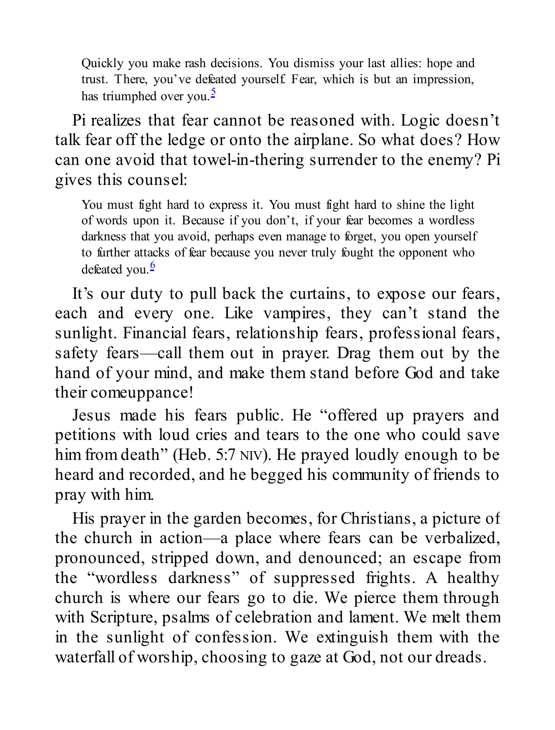Quickly you make rash decisions. You dismiss your last allies: hope and trust. There, you've defeated yourself. Fear, which is but an impression, has triumphed over you.<sup>5</sup>

Pi realizes that fear cannot be reasoned with. Logic doesn't talk fear off the ledge or onto the airplane. So what does? How can one avoid that towel-in-thering surrender to the enemy? Pi gives this counsel:

You must fight hard to express it. You must fight hard to shine the light of words upon it. Because if you don't, if your fear becomes a wordless darkness that you avoid, perhaps even manage to forget, you open yourself to further attacks of fear because you never truly fought the opponent who defeated you.<sup>6</sup>

It's our duty to pull back the curtains, to expose our fears, each and every one. Like vampires, they can't stand the sunlight. Financial fears, relationship fears, professional fears, safety fears—call them out in prayer. Drag them out by the hand of your mind, and make them stand before God and take their comeuppance!

Jesus made his fears public. He "offered up prayers and petitions with loud cries and tears to the one who could save him from death" (Heb. 5:7 NIV). He prayed loudly enough to be heard and recorded, and he begged his community of friends to pray with him.

His prayer in the garden becomes, for Christians, a picture of the church in action—a place where fears can be verbalized, pronounced, stripped down, and denounced; an escape from the "wordless darkness" of suppressed frights. A healthy church is where our fears go to die. We pierce them through with Scripture, psalms of celebration and lament. We melt them in the sunlight of confession. We extinguish them with the waterfall of worship, choosing to gaze at God, not our dreads.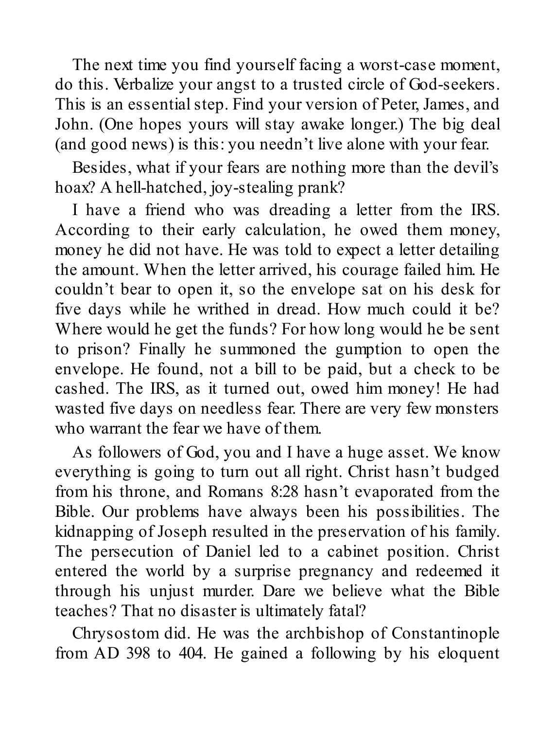The next time you find yourself facing a worst-case moment, do this. Verbalize your angst to a trusted circle of God-seekers. This is an essentialstep. Find your version of Peter, James, and John. (One hopes yours will stay awake longer.) The big deal (and good news) is this: you needn't live alone with your fear.

Besides, what if your fears are nothing more than the devil's hoax? A hell-hatched, joy-stealing prank?

I have a friend who was dreading a letter from the IRS. According to their early calculation, he owed them money, money he did not have. He was told to expect a letter detailing the amount. When the letter arrived, his courage failed him. He couldn't bear to open it, so the envelope sat on his desk for five days while he writhed in dread. How much could it be? Where would he get the funds? For how long would he be sent to prison? Finally he summoned the gumption to open the envelope. He found, not a bill to be paid, but a check to be cashed. The IRS, as it turned out, owed him money! He had wasted five days on needless fear. There are very few monsters who warrant the fear we have of them.

As followers of God, you and I have a huge asset. We know everything is going to turn out all right. Christ hasn't budged from his throne, and Romans 8:28 hasn't evaporated from the Bible. Our problems have always been his possibilities. The kidnapping of Joseph resulted in the preservation of his family. The persecution of Daniel led to a cabinet position. Christ entered the world by a surprise pregnancy and redeemed it through his unjust murder. Dare we believe what the Bible teaches? That no disaster is ultimately fatal?

Chrysostom did. He was the archbishop of Constantinople from AD 398 to 404. He gained a following by his eloquent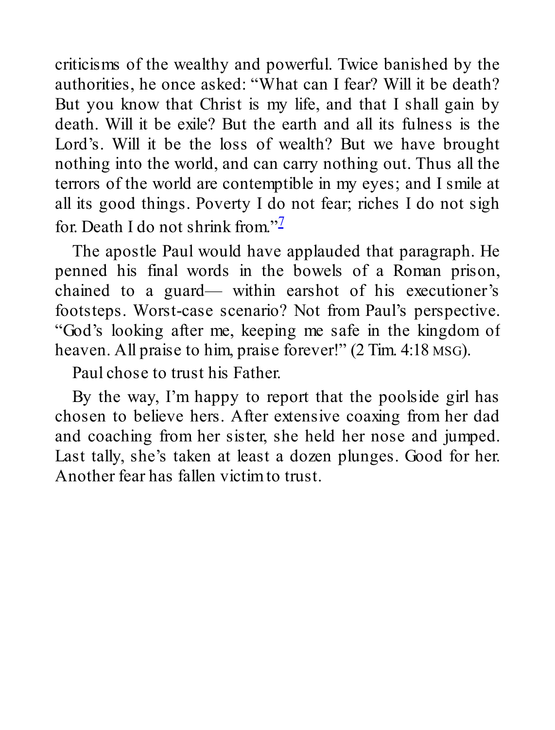criticisms of the wealthy and powerful. Twice banished by the authorities, he once asked: "What can I fear? Will it be death? But you know that Christ is my life, and that I shall gain by death. Will it be exile? But the earth and all its fulness is the Lord's. Will it be the loss of wealth? But we have brought nothing into the world, and can carry nothing out. Thus all the terrors of the world are contemptible in my eyes; and I smile at all its good things. Poverty I do not fear; riches I do not sigh for. Death I do not shrink from."<sup>7</sup>

The apostle Paul would have applauded that paragraph. He penned his final words in the bowels of a Roman prison, chained to a guard— within earshot of his executioner's footsteps. Worst-case scenario? Not from Paul's perspective. "God's looking after me, keeping me safe in the kingdom of heaven. All praise to him, praise forever!" (2 Tim. 4:18 MSG).

Paul chose to trust his Father.

By the way, I'm happy to report that the poolside girl has chosen to believe hers. After extensive coaxing from her dad and coaching from her sister, she held her nose and jumped. Last tally, she's taken at least a dozen plunges. Good for her. Another fear has fallen victimto trust.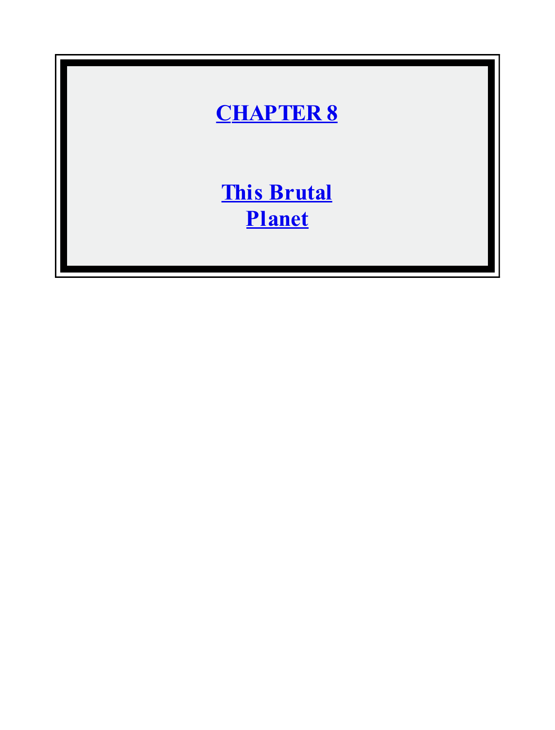**CHAPTER 8**

**This Brutal Planet**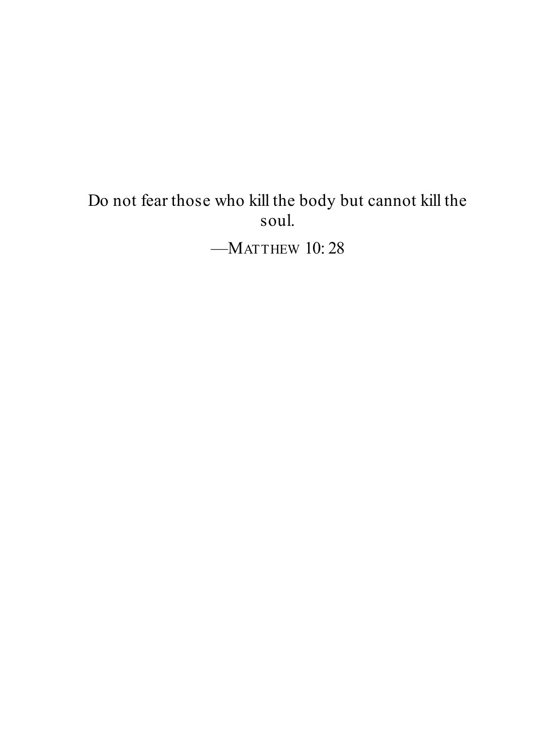#### Do not fear those who kill the body but cannot kill the soul.

—MATTHEW 10: 28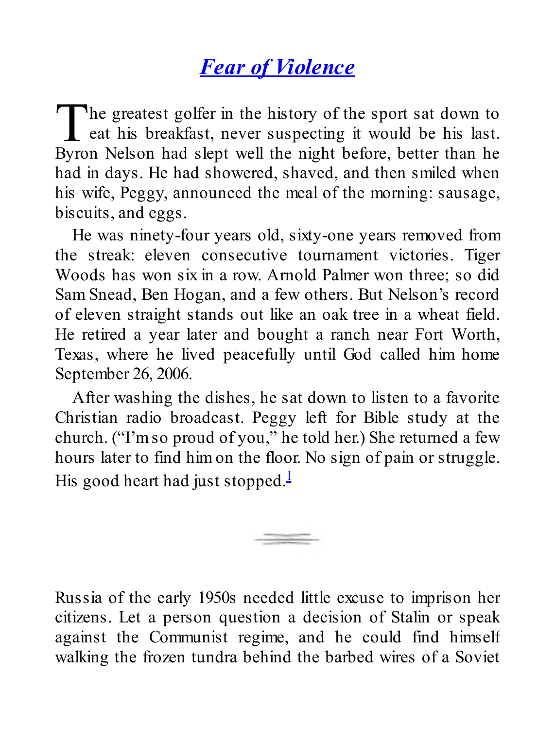# *Fear of Violence*

The greatest golfer in the history of the sport sat down to eat his breakfast, never suspecting it would be his last. eat his breakfast, never suspecting it would be his last. Byron Nelson had slept well the night before, better than he had in days. He had showered, shaved, and then smiled when his wife, Peggy, announced the meal of the morning: sausage, biscuits, and eggs.

He was ninety-four years old, sixty-one years removed from the streak: eleven consecutive tournament victories. Tiger Woods has won six in a row. Arnold Palmer won three; so did Sam Snead, Ben Hogan, and a few others. But Nelson's record of eleven straight stands out like an oak tree in a wheat field. He retired a year later and bought a ranch near Fort Worth, Texas, where he lived peacefully until God called him home September 26, 2006.

After washing the dishes, he sat down to listen to a favorite Christian radio broadcast. Peggy left for Bible study at the church. ("I'mso proud of you," he told her.) She returned a few hours later to find him on the floor. No sign of pain or struggle. His good heart had just stopped. $\frac{1}{1}$ 

Russia of the early 1950s needed little excuse to imprison her citizens. Let a person question a decision of Stalin or speak against the Communist regime, and he could find himself walking the frozen tundra behind the barbed wires of a Soviet

 $\sim$   $\sim$   $\sim$   $\sim$   $\sim$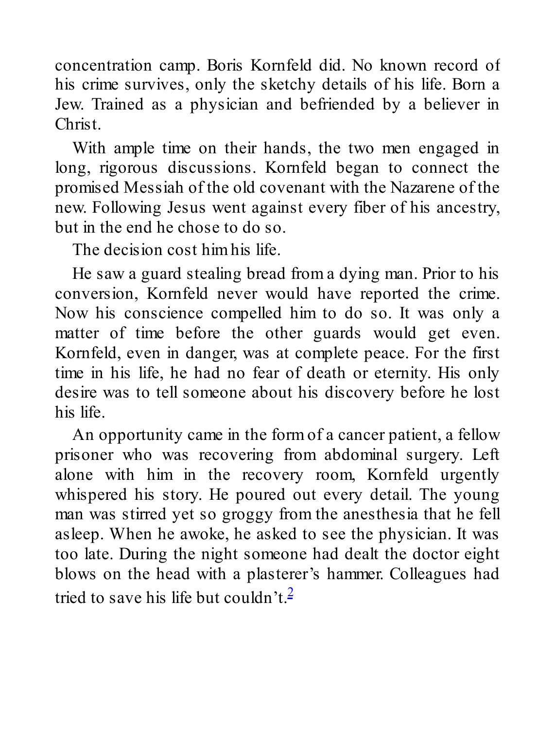concentration camp. Boris Kornfeld did. No known record of his crime survives, only the sketchy details of his life. Born a Jew. Trained as a physician and befriended by a believer in Christ.

With ample time on their hands, the two men engaged in long, rigorous discussions. Kornfeld began to connect the promised Messiah of the old covenant with the Nazarene of the new. Following Jesus went against every fiber of his ancestry, but in the end he chose to do so.

The decision cost himhis life.

He saw a guard stealing bread from a dying man. Prior to his conversion, Kornfeld never would have reported the crime. Now his conscience compelled him to do so. It was only a matter of time before the other guards would get even. Kornfeld, even in danger, was at complete peace. For the first time in his life, he had no fear of death or eternity. His only desire was to tell someone about his discovery before he lost his life.

An opportunity came in the form of a cancer patient, a fellow prisoner who was recovering from abdominal surgery. Left alone with him in the recovery room, Kornfeld urgently whispered his story. He poured out every detail. The young man was stirred yet so groggy from the anesthesia that he fell asleep. When he awoke, he asked to see the physician. It was too late. During the night someone had dealt the doctor eight blows on the head with a plasterer's hammer. Colleagues had tried to save his life but couldn't.<sup>2</sup>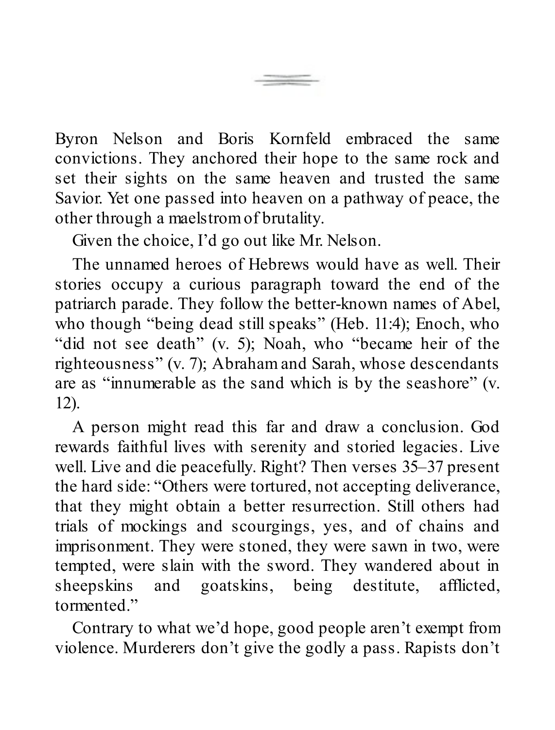Byron Nelson and Boris Kornfeld embraced the same convictions. They anchored their hope to the same rock and set their sights on the same heaven and trusted the same Savior. Yet one passed into heaven on a pathway of peace, the other through a maelstromof brutality.

 $\label{eq:1} \begin{minipage}{0.5\textwidth} \begin{minipage}{0.5\textwidth} \centering \end{minipage} \begin{minipage}{0.5\textwidth} \centering \end{minipage} \begin{minipage}{0.5\textwidth} \centering \begin{minipage}{0.5\textwidth} \centering \end{minipage} \begin{minipage}{0.5\textwidth} \centering \end{minipage} \begin{minipage}{0.5\textwidth} \centering \end{minipage} \begin{minipage}{0.5\textwidth} \centering \end{minipage} \begin{minipage}{0.5\textwidth} \centering \end{minipage} \begin{minipage}{0.5\textwidth}$ 

Given the choice, I'd go out like Mr. Nelson.

The unnamed heroes of Hebrews would have as well. Their stories occupy a curious paragraph toward the end of the patriarch parade. They follow the better-known names of Abel, who though "being dead still speaks" (Heb. 11:4); Enoch, who "did not see death" (v. 5); Noah, who "became heir of the righteousness" (v. 7); Abraham and Sarah, whose descendants are as "innumerable as the sand which is by the seashore" (v. 12).

A person might read this far and draw a conclusion. God rewards faithful lives with serenity and storied legacies. Live well. Live and die peacefully. Right? Then verses 35–37 present the hard side: "Others were tortured, not accepting deliverance, that they might obtain a better resurrection. Still others had trials of mockings and scourgings, yes, and of chains and imprisonment. They were stoned, they were sawn in two, were tempted, were slain with the sword. They wandered about in sheepskins and goatskins, being destitute, afflicted, tormented."

Contrary to what we'd hope, good people aren't exempt from violence. Murderers don't give the godly a pass. Rapists don't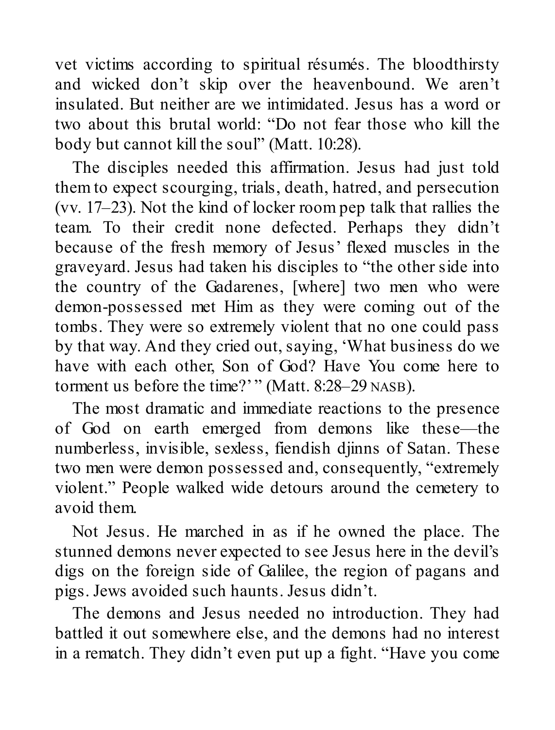vet victims according to spiritual résumés. The bloodthirsty and wicked don't skip over the heavenbound. We aren't insulated. But neither are we intimidated. Jesus has a word or two about this brutal world: "Do not fear those who kill the body but cannot kill the soul" (Matt. 10:28).

The disciples needed this affirmation. Jesus had just told them to expect scourging, trials, death, hatred, and persecution (vv. 17–23). Not the kind of locker room pep talk that rallies the team. To their credit none defected. Perhaps they didn't because of the fresh memory of Jesus' flexed muscles in the graveyard. Jesus had taken his disciples to "the other side into the country of the Gadarenes, [where] two men who were demon-possessed met Him as they were coming out of the tombs. They were so extremely violent that no one could pass by that way. And they cried out, saying, 'What business do we have with each other. Son of God? Have You come here to torment us before the time?' " (Matt. 8:28–29 NASB).

The most dramatic and immediate reactions to the presence of God on earth emerged from demons like these—the numberless, invisible, sexless, fiendish djinns of Satan. These two men were demon possessed and, consequently, "extremely violent." People walked wide detours around the cemetery to avoid them.

Not Jesus. He marched in as if he owned the place. The stunned demons never expected to see Jesus here in the devil's digs on the foreign side of Galilee, the region of pagans and pigs. Jews avoided such haunts. Jesus didn't.

The demons and Jesus needed no introduction. They had battled it out somewhere else, and the demons had no interest in a rematch. They didn't even put up a fight. "Have you come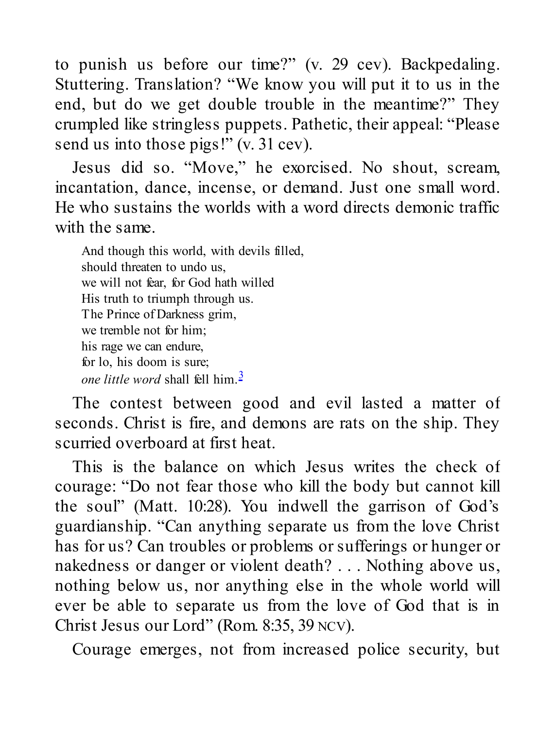to punish us before our time?" (v. 29 cev). Backpedaling. Stuttering. Translation? "We know you will put it to us in the end, but do we get double trouble in the meantime?" They crumpled like stringless puppets. Pathetic, their appeal: "Please send us into those pigs!" (v. 31 cev).

Jesus did so. "Move," he exorcised. No shout, scream, incantation, dance, incense, or demand. Just one small word. He who sustains the worlds with a word directs demonic traffic with the same.

And though this world, with devils filled, should threaten to undo us, we will not fear, for God hath willed His truth to triumph through us. The Prince of Darkness grim, we tremble not for him; his rage we can endure, for lo, his doom is sure; *one little word* shall fell him. 3

The contest between good and evil lasted a matter of seconds. Christ is fire, and demons are rats on the ship. They scurried overboard at first heat.

This is the balance on which Jesus writes the check of courage: "Do not fear those who kill the body but cannot kill the soul" (Matt. 10:28). You indwell the garrison of God's guardianship. "Can anything separate us from the love Christ has for us? Can troubles or problems or sufferings or hunger or nakedness or danger or violent death? . . . Nothing above us, nothing below us, nor anything else in the whole world will ever be able to separate us from the love of God that is in Christ Jesus our Lord" (Rom. 8:35, 39 NCV).

Courage emerges, not from increased police security, but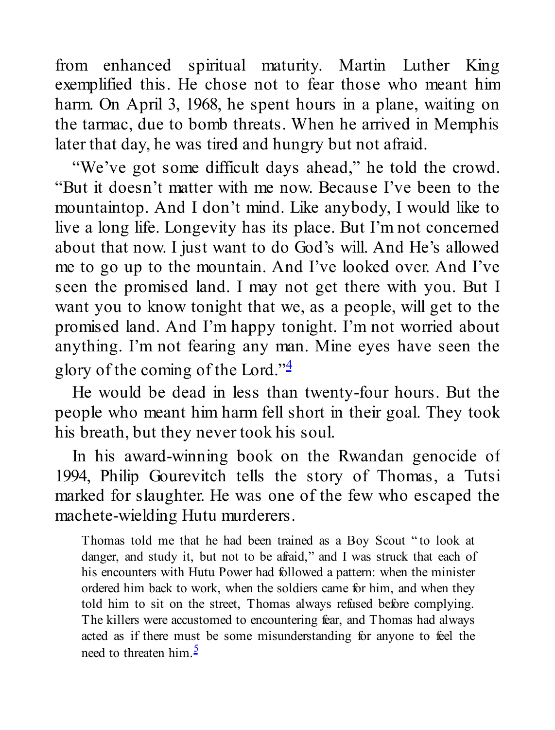from enhanced spiritual maturity. Martin Luther King exemplified this. He chose not to fear those who meant him harm. On April 3, 1968, he spent hours in a plane, waiting on the tarmac, due to bomb threats. When he arrived in Memphis later that day, he was tired and hungry but not afraid.

"We've got some difficult days ahead," he told the crowd. "But it doesn't matter with me now. Because I've been to the mountaintop. And I don't mind. Like anybody, I would like to live a long life. Longevity has its place. But I'm not concerned about that now. I just want to do God's will. And He's allowed me to go up to the mountain. And I've looked over. And I've seen the promised land. I may not get there with you. But I want you to know tonight that we, as a people, will get to the promised land. And I'm happy tonight. I'm not worried about anything. I'm not fearing any man. Mine eyes have seen the glory of the coming of the Lord." 4

He would be dead in less than twenty-four hours. But the people who meant him harm fell short in their goal. They took his breath, but they never took his soul.

In his award-winning book on the Rwandan genocide of 1994, Philip Gourevitch tells the story of Thomas, a Tutsi marked for slaughter. He was one of the few who escaped the machete-wielding Hutu murderers.

Thomas told me that he had been trained as a Boy Scout " to look at danger, and study it, but not to be afraid," and I was struck that each of his encounters with Hutu Power had followed a pattern: when the minister ordered him back to work, when the soldiers came for him, and when they told him to sit on the street, Thomas always refused before complying. The killers were accustomed to encountering fear, and Thomas had always acted as if there must be some misunderstanding for anyone to feel the need to threaten him. 5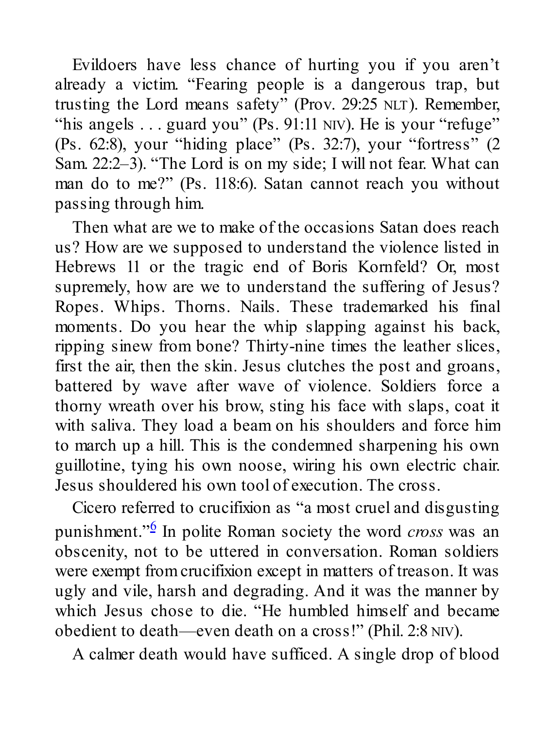Evildoers have less chance of hurting you if you aren't already a victim. "Fearing people is a dangerous trap, but trusting the Lord means safety" (Prov. 29:25 NLT). Remember, "his angels . . . guard you" (Ps. 91:11 NIV). He is your "refuge" (Ps. 62:8), your "hiding place" (Ps. 32:7), your "fortress" (2 Sam. 22:2–3). "The Lord is on my side; I will not fear. What can man do to me?" (Ps. 118:6). Satan cannot reach you without passing through him.

Then what are we to make of the occasions Satan does reach us? How are we supposed to understand the violence listed in Hebrews 11 or the tragic end of Boris Kornfeld? Or, most supremely, how are we to understand the suffering of Jesus? Ropes. Whips. Thorns. Nails. These trademarked his final moments. Do you hear the whip slapping against his back, ripping sinew from bone? Thirty-nine times the leather slices, first the air, then the skin. Jesus clutches the post and groans, battered by wave after wave of violence. Soldiers force a thorny wreath over his brow, sting his face with slaps, coat it with saliva. They load a beam on his shoulders and force him to march up a hill. This is the condemned sharpening his own guillotine, tying his own noose, wiring his own electric chair. Jesus shouldered his own tool of execution. The cross.

Cicero referred to crucifixion as "a most cruel and disgusting punishment." 6 In polite Roman society the word *cross* was an obscenity, not to be uttered in conversation. Roman soldiers were exempt fromcrucifixion except in matters of treason. It was ugly and vile, harsh and degrading. And it was the manner by which Jesus chose to die. "He humbled himself and became obedient to death—even death on a cross!" (Phil. 2:8 NIV).

A calmer death would have sufficed. A single drop of blood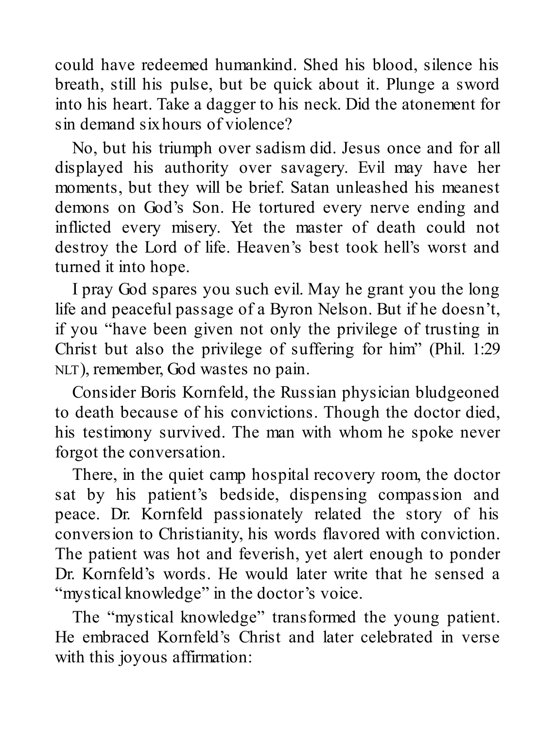could have redeemed humankind. Shed his blood, silence his breath, still his pulse, but be quick about it. Plunge a sword into his heart. Take a dagger to his neck. Did the atonement for sin demand sixhours of violence?

No, but his triumph over sadism did. Jesus once and for all displayed his authority over savagery. Evil may have her moments, but they will be brief. Satan unleashed his meanest demons on God's Son. He tortured every nerve ending and inflicted every misery. Yet the master of death could not destroy the Lord of life. Heaven's best took hell's worst and turned it into hope.

I pray God spares you such evil. May he grant you the long life and peaceful passage of a Byron Nelson. But if he doesn't, if you "have been given not only the privilege of trusting in Christ but also the privilege of suffering for him" (Phil. 1:29 NLT), remember, God wastes no pain.

Consider Boris Kornfeld, the Russian physician bludgeoned to death because of his convictions. Though the doctor died, his testimony survived. The man with whom he spoke never forgot the conversation.

There, in the quiet camp hospital recovery room, the doctor sat by his patient's bedside, dispensing compassion and peace. Dr. Kornfeld passionately related the story of his conversion to Christianity, his words flavored with conviction. The patient was hot and feverish, yet alert enough to ponder Dr. Kornfeld's words. He would later write that he sensed a "mystical knowledge" in the doctor's voice.

The "mystical knowledge" transformed the young patient. He embraced Kornfeld's Christ and later celebrated in verse with this joyous affirmation: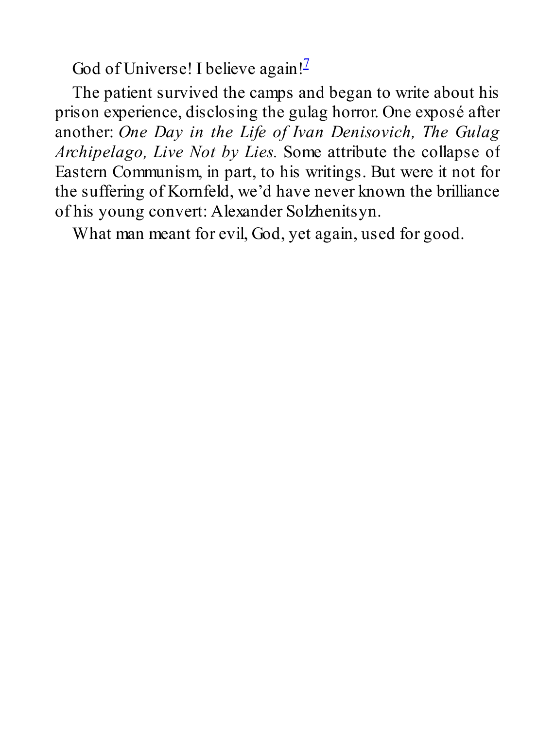God of Universe! I believe again!<sup>7</sup>

The patient survived the camps and began to write about his prison experience, disclosing the gulag horror. One exposé after another: *One Day in the Life of Ivan Denisovich, The Gulag Archipelago, Live Not by Lies.* Some attribute the collapse of Eastern Communism, in part, to his writings. But were it not for the suffering of Kornfeld, we'd have never known the brilliance of his young convert: Alexander Solzhenitsyn.

What man meant for evil, God, yet again, used for good.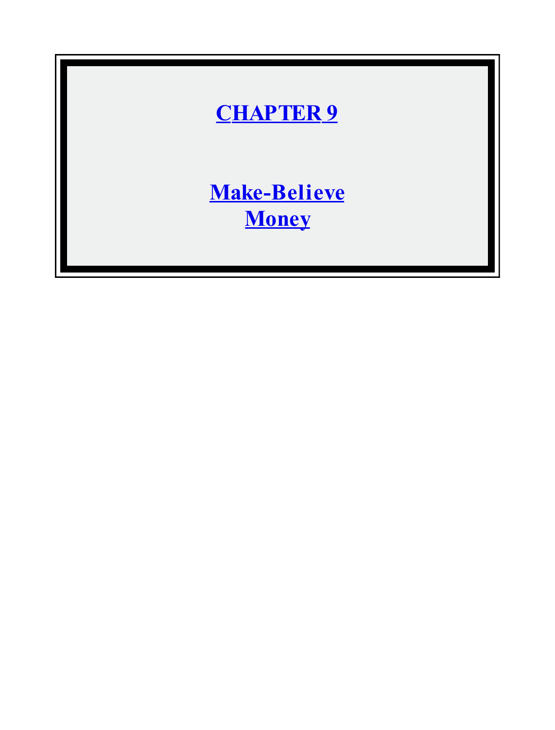**CHAPTER 9**

**Make-Believe Money**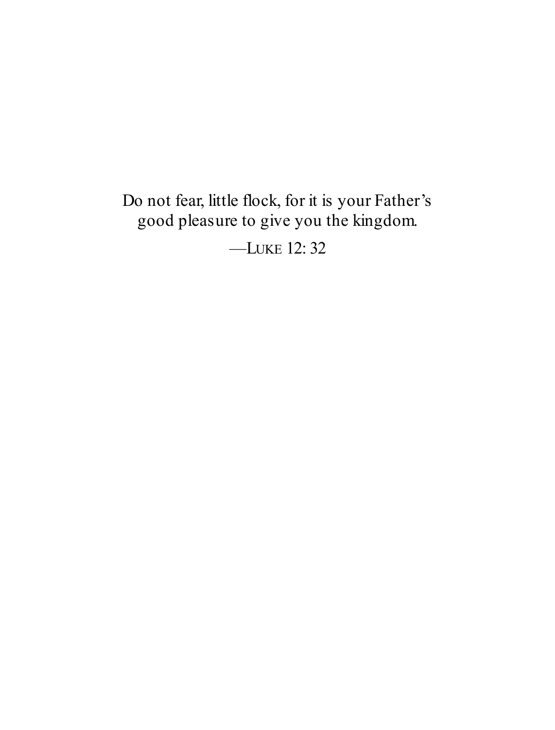## Do not fear, little flock, for it is your Father's good pleasure to give you the kingdom.

—LUKE 12: 32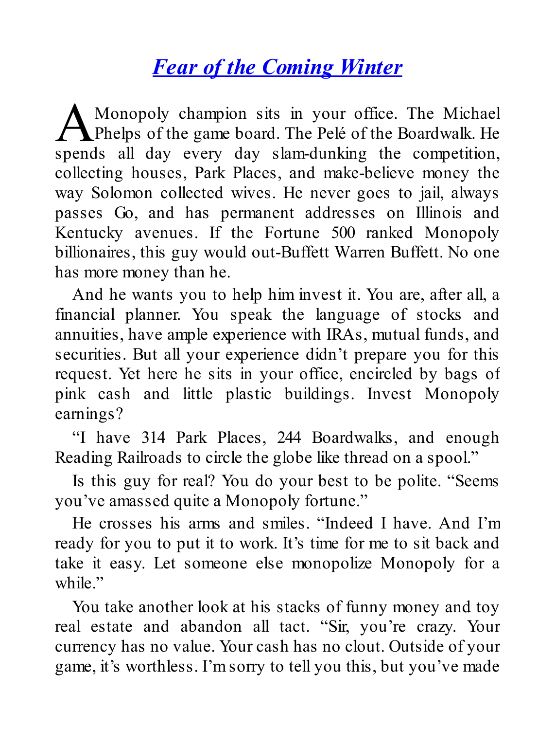## *Fear of the Coming Winter*

A Monopoly champion sits in your office. The Michael<br>Phelps of the game board. The Pelé of the Boardwalk. He<br>spands all day avery day slam durking the competition Monopoly champion sits in your office. The Michael spends all day every day slam-dunking the competition, collecting houses, Park Places, and make-believe money the way Solomon collected wives. He never goes to jail, always passes Go, and has permanent addresses on Illinois and Kentucky avenues. If the Fortune 500 ranked Monopoly billionaires, this guy would out-Buffett Warren Buffett. No one has more money than he.

And he wants you to help him invest it. You are, after all, a financial planner. You speak the language of stocks and annuities, have ample experience with IRAs, mutual funds, and securities. But all your experience didn't prepare you for this request. Yet here he sits in your office, encircled by bags of pink cash and little plastic buildings. Invest Monopoly earnings?

"I have 314 Park Places, 244 Boardwalks, and enough Reading Railroads to circle the globe like thread on a spool."

Is this guy for real? You do your best to be polite. "Seems you've amassed quite a Monopoly fortune."

He crosses his arms and smiles. "Indeed I have. And I'm ready for you to put it to work. It's time for me to sit back and take it easy. Let someone else monopolize Monopoly for a while."

You take another look at his stacks of funny money and toy real estate and abandon all tact. "Sir, you're crazy. Your currency has no value. Your cash has no clout. Outside of your game, it's worthless. I'm sorry to tell you this, but you've made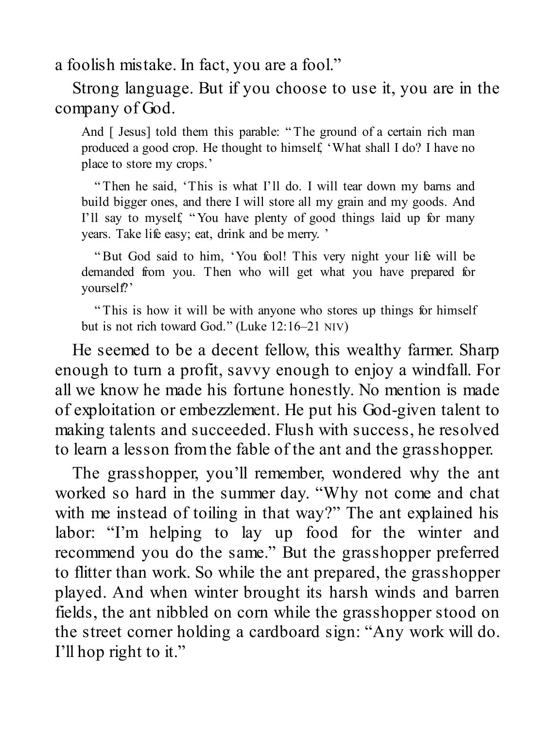a foolish mistake. In fact, you are a fool."

Strong language. But if you choose to use it, you are in the company of God.

And [ Jesus] told them this parable: "The ground of a certain rich man produced a good crop. He thought to himself, 'What shall I do? I have no place to store my crops.'

" Then he said, 'This is what I'll do. I will tear down my barns and build bigger ones, and there I will store all my grain and my goods. And I'll say to myself, "You have plenty of good things laid up for many years. Take life easy; eat, drink and be merry. '

"But God said to him, 'You fool! This very night your life will be demanded from you. Then who will get what you have prepared for yourself?'

" This is how it will be with anyone who stores up things for himself but is not rich toward God." (Luke 12:16–21 NIV)

He seemed to be a decent fellow, this wealthy farmer. Sharp enough to turn a profit, savvy enough to enjoy a windfall. For all we know he made his fortune honestly. No mention is made of exploitation or embezzlement. He put his God-given talent to making talents and succeeded. Flush with success, he resolved to learn a lesson fromthe fable of the ant and the grasshopper.

The grasshopper, you'll remember, wondered why the ant worked so hard in the summer day. "Why not come and chat with me instead of toiling in that way?" The ant explained his labor: "I'm helping to lay up food for the winter and recommend you do the same." But the grasshopper preferred to flitter than work. So while the ant prepared, the grasshopper played. And when winter brought its harsh winds and barren fields, the ant nibbled on corn while the grasshopper stood on the street corner holding a cardboard sign: "Any work will do. I'll hop right to it."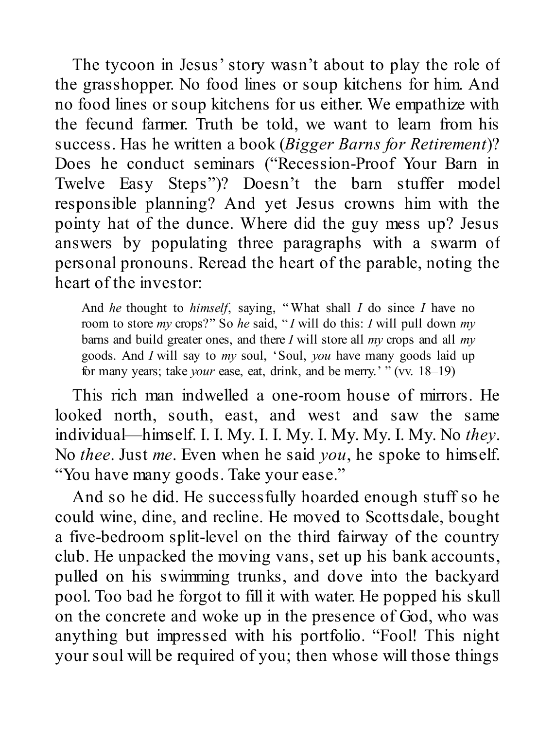The tycoon in Jesus' story wasn't about to play the role of the grasshopper. No food lines or soup kitchens for him. And no food lines or soup kitchens for us either. We empathize with the fecund farmer. Truth be told, we want to learn from his success. Has he written a book (*Bigger Barns for Retirement*)? Does he conduct seminars ("Recession-Proof Your Barn in Twelve Easy Steps")? Doesn't the barn stuffer model responsible planning? And yet Jesus crowns him with the pointy hat of the dunce. Where did the guy mess up? Jesus answers by populating three paragraphs with a swarm of personal pronouns. Reread the heart of the parable, noting the heart of the investor:

And *he* thought to *himself*, saying, "What shall *I* do since *I* have no room to store *my* crops?" So *he* said, " *I* will do this: *I* will pull down *my* barns and build greater ones, and there *I* will store all *my* crops and all *my* goods. And *I* will say to *my* soul, 'Soul, *you* have many goods laid up for many years; take *your* ease, eat, drink, and be merry.'" (vv. 18–19)

This rich man indwelled a one-room house of mirrors. He looked north, south, east, and west and saw the same individual—himself. I. I. My. I. I. My. I. My. My. I. My. No *they*. No *thee*. Just *me*. Even when he said *you*, he spoke to himself. "You have many goods. Take your ease."

And so he did. He successfully hoarded enough stuff so he could wine, dine, and recline. He moved to Scottsdale, bought a five-bedroom split-level on the third fairway of the country club. He unpacked the moving vans, set up his bank accounts, pulled on his swimming trunks, and dove into the backyard pool. Too bad he forgot to fill it with water. He popped his skull on the concrete and woke up in the presence of God, who was anything but impressed with his portfolio. "Fool! This night your soul will be required of you; then whose will those things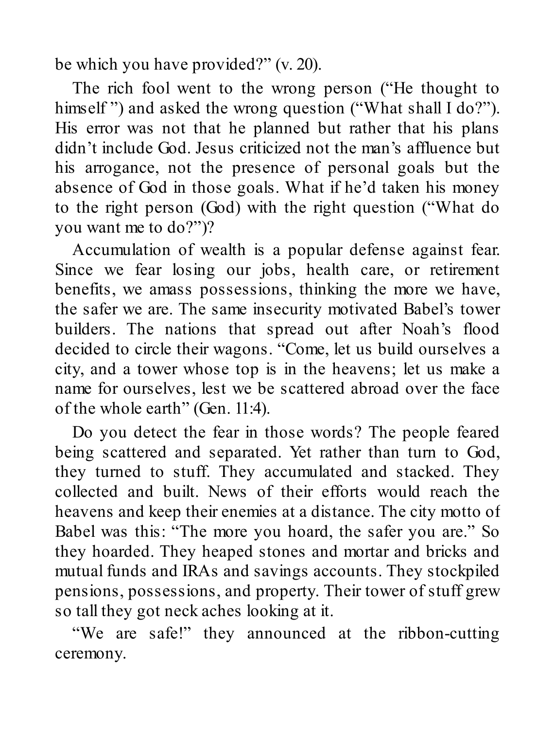be which you have provided?" (v. 20).

The rich fool went to the wrong person ("He thought to himself") and asked the wrong question ("What shall I do?"). His error was not that he planned but rather that his plans didn't include God. Jesus criticized not the man's affluence but his arrogance, not the presence of personal goals but the absence of God in those goals. What if he'd taken his money to the right person (God) with the right question ("What do you want me to do?")?

Accumulation of wealth is a popular defense against fear. Since we fear losing our jobs, health care, or retirement benefits, we amass possessions, thinking the more we have, the safer we are. The same insecurity motivated Babel's tower builders. The nations that spread out after Noah's flood decided to circle their wagons. "Come, let us build ourselves a city, and a tower whose top is in the heavens; let us make a name for ourselves, lest we be scattered abroad over the face of the whole earth" (Gen. 11:4).

Do you detect the fear in those words? The people feared being scattered and separated. Yet rather than turn to God, they turned to stuff. They accumulated and stacked. They collected and built. News of their efforts would reach the heavens and keep their enemies at a distance. The city motto of Babel was this: "The more you hoard, the safer you are." So they hoarded. They heaped stones and mortar and bricks and mutual funds and IRAs and savings accounts. They stockpiled pensions, possessions, and property. Their tower of stuff grew so tall they got neck aches looking at it.

"We are safe!" they announced at the ribbon-cutting ceremony.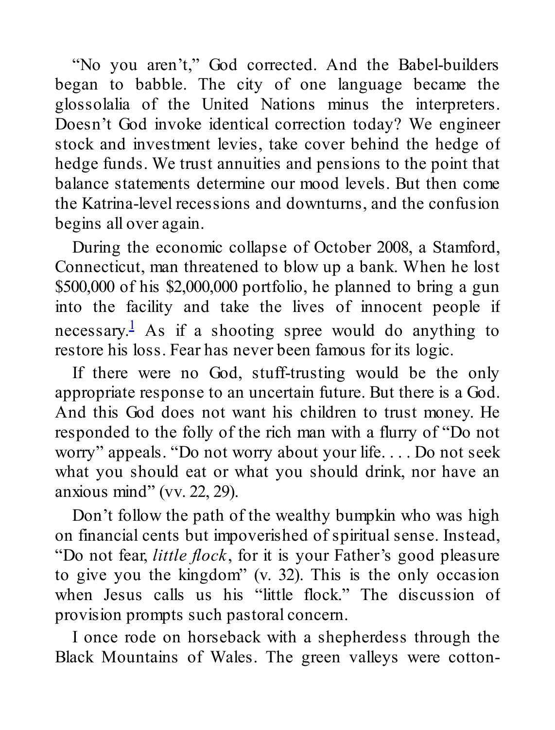"No you aren't," God corrected. And the Babel-builders began to babble. The city of one language became the glossolalia of the United Nations minus the interpreters. Doesn't God invoke identical correction today? We engineer stock and investment levies, take cover behind the hedge of hedge funds. We trust annuities and pensions to the point that balance statements determine our mood levels. But then come the Katrina-level recessions and downturns, and the confusion begins all over again.

During the economic collapse of October 2008, a Stamford, Connecticut, man threatened to blow up a bank. When he lost \$500,000 of his \$2,000,000 portfolio, he planned to bring a gun into the facility and take the lives of innocent people if necessary. <sup>1</sup> As if a shooting spree would do anything to restore his loss. Fear has never been famous for its logic.

If there were no God, stuff-trusting would be the only appropriate response to an uncertain future. But there is a God. And this God does not want his children to trust money. He responded to the folly of the rich man with a flurry of "Do not worry" appeals. "Do not worry about your life. . . . Do not seek what you should eat or what you should drink, nor have an anxious mind" (vv. 22, 29).

Don't follow the path of the wealthy bumpkin who was high on financial cents but impoverished of spiritual sense. Instead, "Do not fear, *little flock*, for it is your Father's good pleasure to give you the kingdom" (v. 32). This is the only occasion when Jesus calls us his "little flock." The discussion of provision prompts such pastoral concern.

I once rode on horseback with a shepherdess through the Black Mountains of Wales. The green valleys were cotton-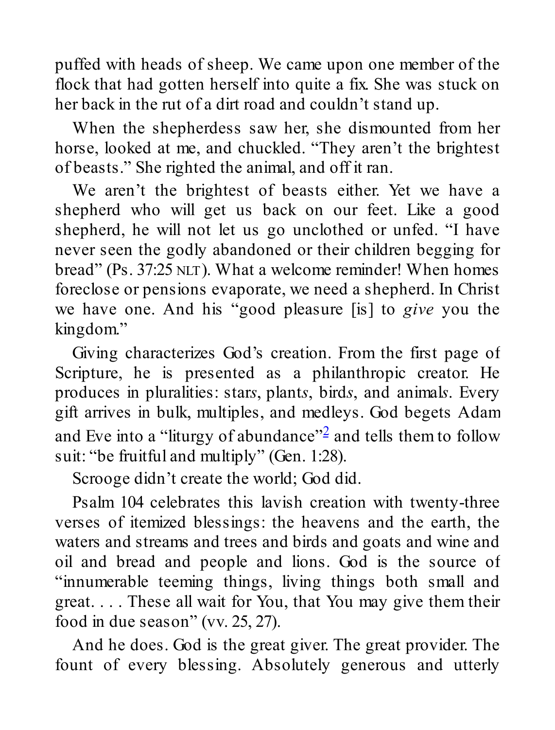puffed with heads of sheep. We came upon one member of the flock that had gotten herself into quite a fix. She was stuck on her back in the rut of a dirt road and couldn't stand up.

When the shepherdess saw her, she dismounted from her horse, looked at me, and chuckled. "They aren't the brightest of beasts." She righted the animal, and off it ran.

We aren't the brightest of beasts either. Yet we have a shepherd who will get us back on our feet. Like a good shepherd, he will not let us go unclothed or unfed. "I have never seen the godly abandoned or their children begging for bread" (Ps. 37:25 NLT). What a welcome reminder! When homes foreclose or pensions evaporate, we need a shepherd. In Christ we have one. And his "good pleasure [is] to *give* you the kingdom."

Giving characterizes God's creation. From the first page of Scripture, he is presented as a philanthropic creator. He produces in pluralities: star*s*, plant*s*, bird*s*, and animal*s*. Every gift arrives in bulk, multiples, and medleys. God begets Adam and Eve into a "liturgy of abundance"<sup>2</sup> and tells them to follow suit: "be fruitful and multiply" (Gen. 1:28).

Scrooge didn't create the world; God did.

Psalm 104 celebrates this lavish creation with twenty-three verses of itemized blessings: the heavens and the earth, the waters and streams and trees and birds and goats and wine and oil and bread and people and lions. God is the source of "innumerable teeming things, living things both small and great. . . . These all wait for You, that You may give them their food in due season" (vv. 25, 27).

And he does. God is the great giver. The great provider. The fount of every blessing. Absolutely generous and utterly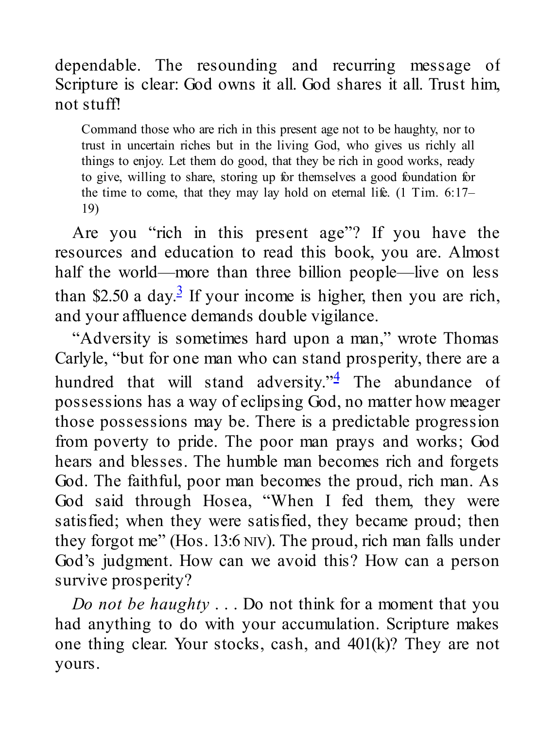dependable. The resounding and recurring message of Scripture is clear: God owns it all. God shares it all. Trust him, not stuff!

Command those who are rich in this present age not to be haughty, nor to trust in uncertain riches but in the living God, who gives us richly all things to enjoy. Let them do good, that they be rich in good works, ready to give, willing to share, storing up for themselves a good foundation for the time to come, that they may lay hold on eternal life. (1 Tim. 6:17– 19)

Are you "rich in this present age"? If you have the resources and education to read this book, you are. Almost half the world—more than three billion people—live on less than \$2.50 a day. $3$  If your income is higher, then you are rich, and your affluence demands double vigilance.

"Adversity is sometimes hard upon a man," wrote Thomas Carlyle, "but for one man who can stand prosperity, there are a hundred that will stand adversity."<sup>4</sup> The abundance of possessions has a way of eclipsing God, no matter how meager those possessions may be. There is a predictable progression from poverty to pride. The poor man prays and works; God hears and blesses. The humble man becomes rich and forgets God. The faithful, poor man becomes the proud, rich man. As God said through Hosea, "When I fed them, they were satisfied; when they were satisfied, they became proud; then they forgot me" (Hos. 13:6 NIV). The proud, rich man falls under God's judgment. How can we avoid this? How can a person survive prosperity?

*Do not be haughty* . . . Do not think for a moment that you had anything to do with your accumulation. Scripture makes one thing clear. Your stocks, cash, and 401(k)? They are not yours.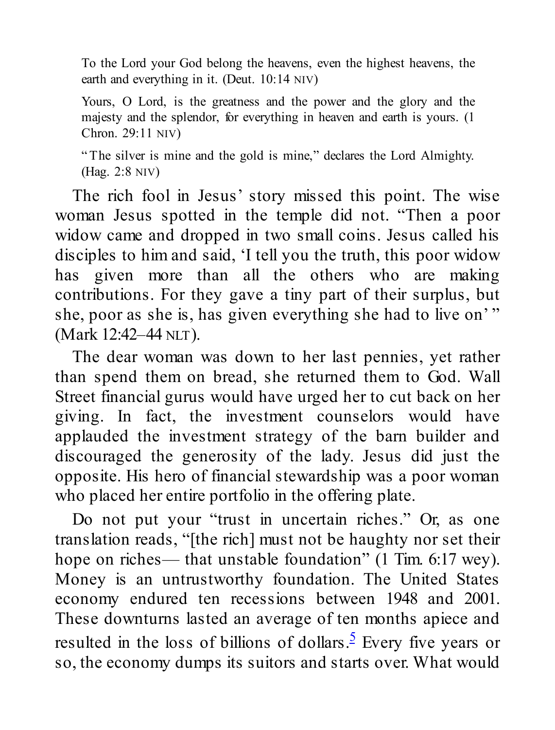To the Lord your God belong the heavens, even the highest heavens, the earth and everything in it. (Deut. 10:14 NIV)

Yours, O Lord, is the greatness and the power and the glory and the majesty and the splendor, for everything in heaven and earth is yours. (1  $Chron$  29:11 NIV)

" The silver is mine and the gold is mine," declares the Lord Almighty. (Hag. 2:8 NIV)

The rich fool in Jesus' story missed this point. The wise woman Jesus spotted in the temple did not. "Then a poor widow came and dropped in two small coins. Jesus called his disciples to him and said, 'I tell you the truth, this poor widow has given more than all the others who are making contributions. For they gave a tiny part of their surplus, but she, poor as she is, has given everything she had to live on' " (Mark 12:42–44 NLT).

The dear woman was down to her last pennies, yet rather than spend them on bread, she returned them to God. Wall Street financial gurus would have urged her to cut back on her giving. In fact, the investment counselors would have applauded the investment strategy of the barn builder and discouraged the generosity of the lady. Jesus did just the opposite. His hero of financial stewardship was a poor woman who placed her entire portfolio in the offering plate.

Do not put your "trust in uncertain riches." Or, as one translation reads, "[the rich] must not be haughty nor set their hope on riches— that unstable foundation" (1 Tim. 6:17 wey). Money is an untrustworthy foundation. The United States economy endured ten recessions between 1948 and 2001. These downturns lasted an average of ten months apiece and resulted in the loss of billions of dollars.<sup>5</sup> Every five years or so, the economy dumps its suitors and starts over. What would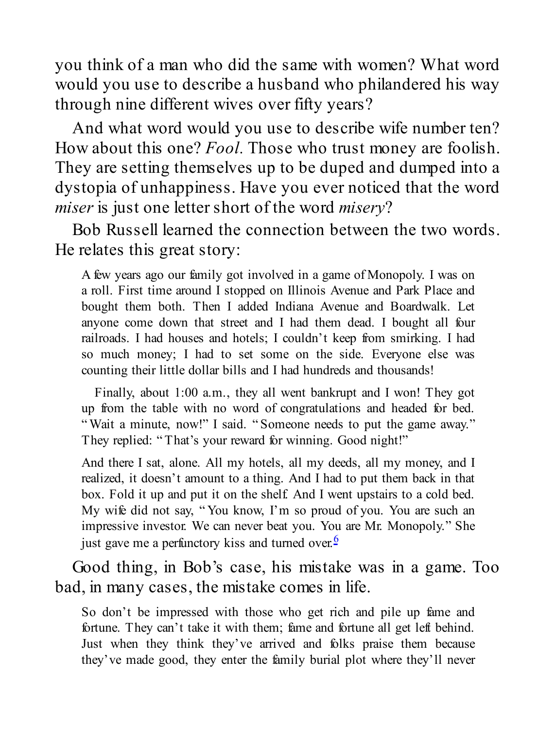you think of a man who did the same with women? What word would you use to describe a husband who philandered his way through nine different wives over fifty years?

And what word would you use to describe wife number ten? How about this one? *Fool.* Those who trust money are foolish. They are setting themselves up to be duped and dumped into a dystopia of unhappiness. Have you ever noticed that the word *miser* is just one letter short of the word *misery*?

Bob Russell learned the connection between the two words. He relates this great story:

A few years ago our family got involved in a game of Monopoly. I was on a roll. First time around I stopped on Illinois Avenue and Park Place and bought them both. Then I added Indiana Avenue and Boardwalk. Let anyone come down that street and I had them dead. I bought all four railroads. I had houses and hotels; I couldn't keep from smirking. I had so much money; I had to set some on the side. Everyone else was counting their little dollar bills and I had hundreds and thousands!

Finally, about 1:00 a.m., they all went bankrupt and I won! They got up from the table with no word of congratulations and headed for bed. "Wait a minute, now!" I said. "Someone needs to put the game away." They replied: " That's your reward for winning. Good night!"

And there I sat, alone. All my hotels, all my deeds, all my money, and I realized, it doesn't amount to a thing. And I had to put them back in that box. Fold it up and put it on the shelf. And I went upstairs to a cold bed. My wife did not say, " You know, I'm so proud of you. You are such an impressive investor. We can never beat you. You are Mr. Monopoly." She just gave me a perfunctory kiss and turned over.<sup>6</sup>

Good thing, in Bob's case, his mistake was in a game. Too bad, in many cases, the mistake comes in life.

So don't be impressed with those who get rich and pile up fame and fortune. They can't take it with them; fame and fortune all get left behind. Just when they think they've arrived and folks praise them because they've made good, they enter the family burial plot where they'll never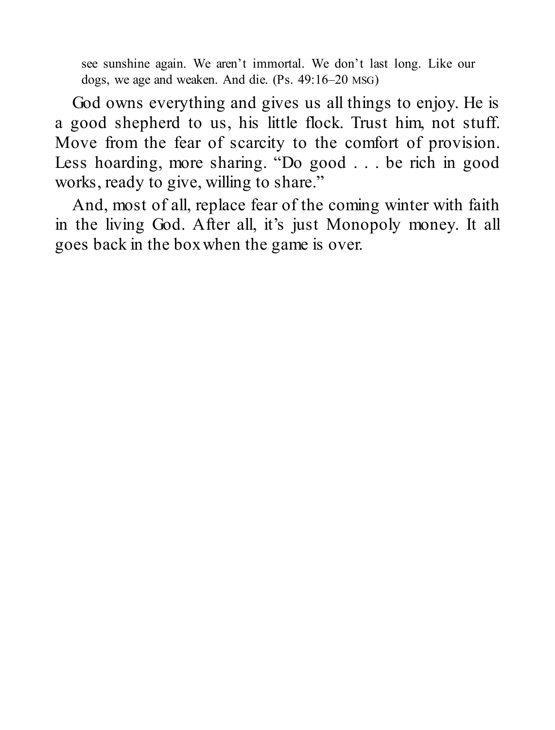see sunshine again. We aren't immortal. We don't last long. Like our dogs, we age and weaken. And die. (Ps. 49:16–20 MSG)

God owns everything and gives us all things to enjoy. He is a good shepherd to us, his little flock. Trust him, not stuff. Move from the fear of scarcity to the comfort of provision. Less hoarding, more sharing. "Do good . . . be rich in good works, ready to give, willing to share."

And, most of all, replace fear of the coming winter with faith in the living God. After all, it's just Monopoly money. It all goes back in the boxwhen the game is over.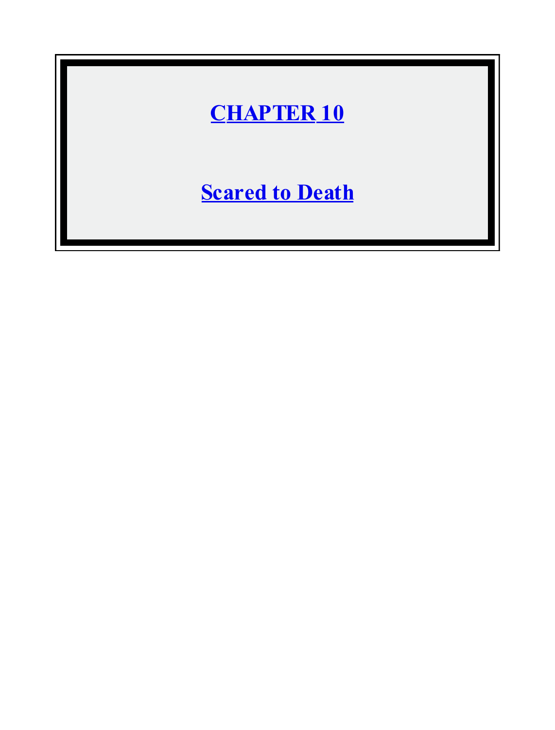**CHAPTER 10**

**Scared to Death**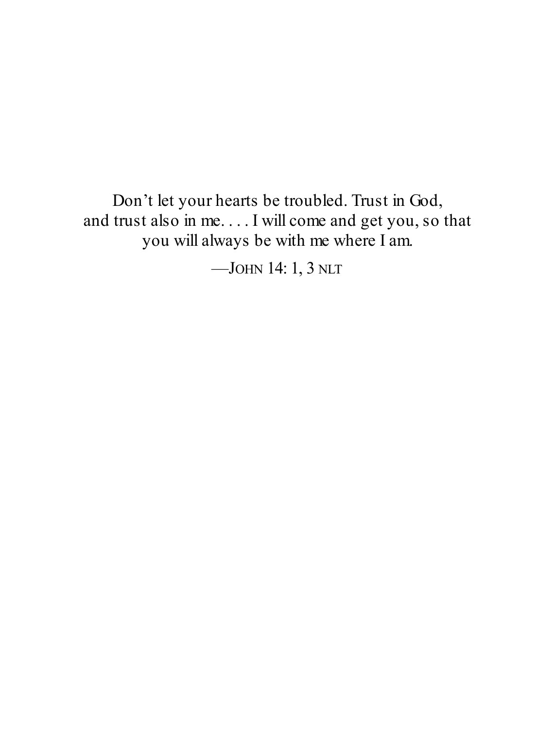Don't let your hearts be troubled. Trust in God, and trust also in me. . . . I will come and get you, so that you will always be with me where I am.

—JOHN 14: 1, 3 NLT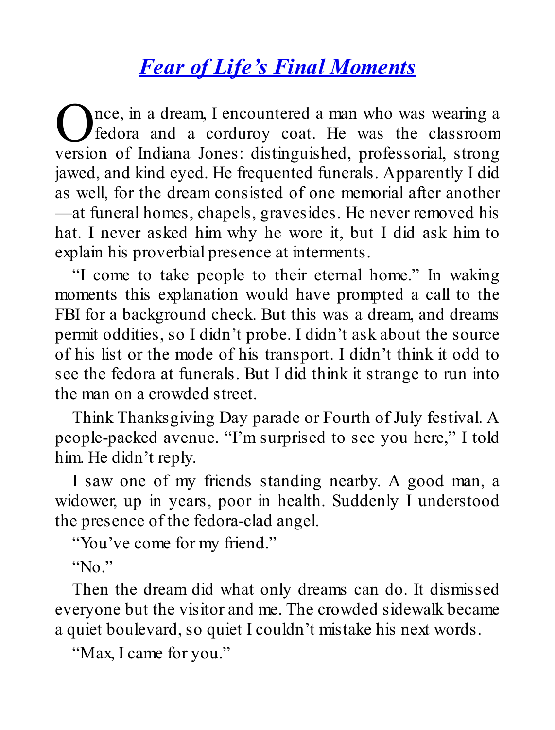## *Fear of Life's Final Moments*

**O** free, in a dream, I encountered a man who was wearing a fedora and a corduroy coat. He was the classroom nce, in a dream, I encountered a man who was wearing a version of Indiana Jones: distinguished, professorial, strong jawed, and kind eyed. He frequented funerals. Apparently I did as well, for the dream consisted of one memorial after another —at funeral homes, chapels, gravesides. He never removed his hat. I never asked him why he wore it, but I did ask him to explain his proverbial presence at interments.

"I come to take people to their eternal home." In waking moments this explanation would have prompted a call to the FBI for a background check. But this was a dream, and dreams permit oddities, so I didn't probe. I didn't ask about the source of his list or the mode of his transport. I didn't think it odd to see the fedora at funerals. But I did think it strange to run into the man on a crowded street.

Think Thanksgiving Day parade or Fourth of July festival. A people-packed avenue. "I'm surprised to see you here," I told him. He didn't reply.

I saw one of my friends standing nearby. A good man, a widower, up in years, poor in health. Suddenly I understood the presence of the fedora-clad angel.

"You've come for my friend."

"No."

Then the dream did what only dreams can do. It dismissed everyone but the visitor and me. The crowded sidewalk became a quiet boulevard, so quiet I couldn't mistake his next words.

"Max, I came for you."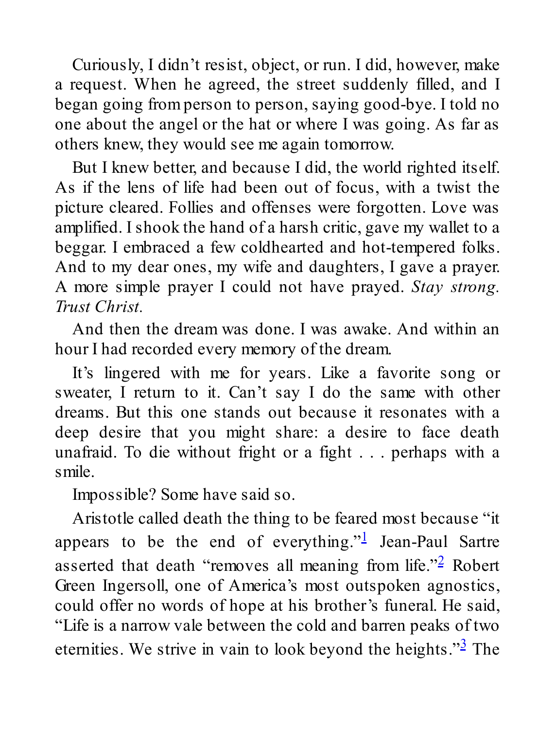Curiously, I didn't resist, object, or run. I did, however, make a request. When he agreed, the street suddenly filled, and I began going fromperson to person, saying good-bye. I told no one about the angel or the hat or where I was going. As far as others knew, they would see me again tomorrow.

But I knew better, and because I did, the world righted itself. As if the lens of life had been out of focus, with a twist the picture cleared. Follies and offenses were forgotten. Love was amplified. I shook the hand of a harsh critic, gave my wallet to a beggar. I embraced a few coldhearted and hot-tempered folks. And to my dear ones, my wife and daughters, I gave a prayer. A more simple prayer I could not have prayed. *Stay strong. Trust Christ.*

And then the dream was done. I was awake. And within an hour I had recorded every memory of the dream.

It's lingered with me for years. Like a favorite song or sweater, I return to it. Can't say I do the same with other dreams. But this one stands out because it resonates with a deep desire that you might share: a desire to face death unafraid. To die without fright or a fight . . . perhaps with a smile.

Impossible? Some have said so.

Aristotle called death the thing to be feared most because "it appears to be the end of everything."<sup>1</sup> Jean-Paul Sartre asserted that death "removes all meaning from life."<sup>2</sup> Robert Green Ingersoll, one of America's most outspoken agnostics, could offer no words of hope at his brother's funeral. He said, "Life is a narrow vale between the cold and barren peaks of two eternities. We strive in vain to look beyond the heights."<sup>3</sup> The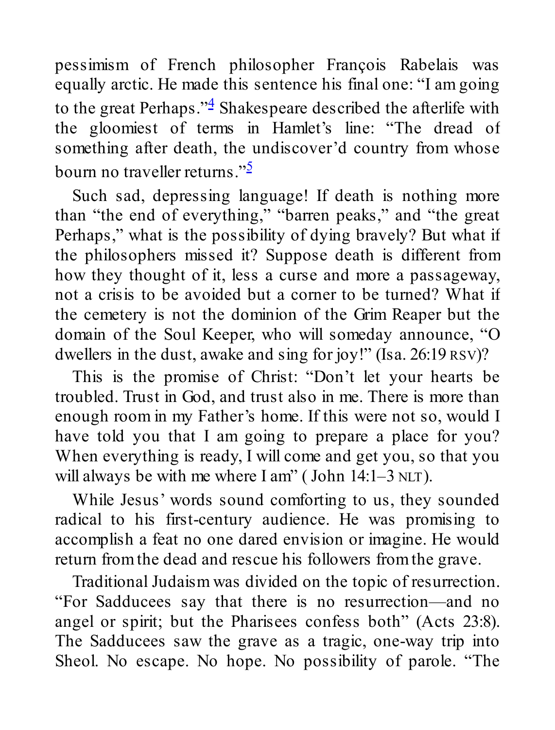pessimism of French philosopher François Rabelais was equally arctic. He made this sentence his final one: "I am going to the great Perhaps."<sup>4</sup> Shakespeare described the afterlife with the gloomiest of terms in Hamlet's line: "The dread of something after death, the undiscover'd country from whose bourn no traveller returns." 5

Such sad, depressing language! If death is nothing more than "the end of everything," "barren peaks," and "the great Perhaps," what is the possibility of dying bravely? But what if the philosophers missed it? Suppose death is different from how they thought of it, less a curse and more a passageway, not a crisis to be avoided but a corner to be turned? What if the cemetery is not the dominion of the Grim Reaper but the domain of the Soul Keeper, who will someday announce, "O dwellers in the dust, awake and sing for joy!" (Isa. 26:19 RSV)?

This is the promise of Christ: "Don't let your hearts be troubled. Trust in God, and trust also in me. There is more than enough room in my Father's home. If this were not so, would I have told you that I am going to prepare a place for you? When everything is ready, I will come and get you, so that you will always be with me where I am" (John 14:1–3 NLT).

While Jesus' words sound comforting to us, they sounded radical to his first-century audience. He was promising to accomplish a feat no one dared envision or imagine. He would return fromthe dead and rescue his followers fromthe grave.

Traditional Judaism was divided on the topic of resurrection. "For Sadducees say that there is no resurrection—and no angel or spirit; but the Pharisees confess both" (Acts 23:8). The Sadducees saw the grave as a tragic, one-way trip into Sheol. No escape. No hope. No possibility of parole. "The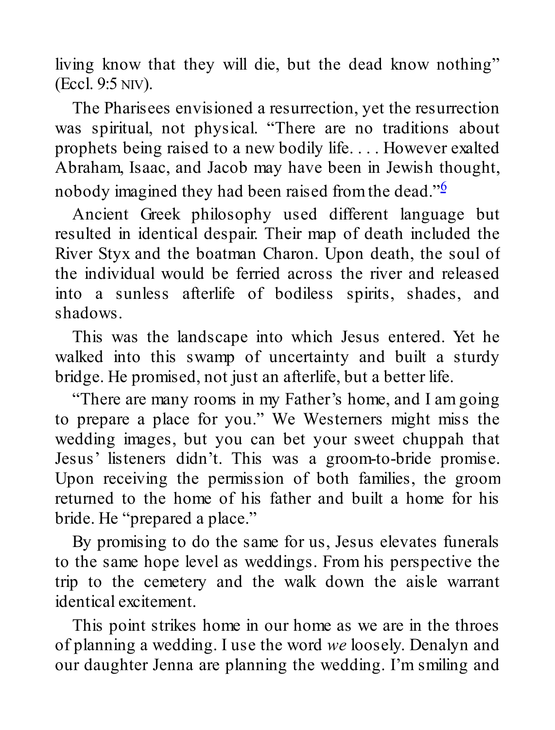living know that they will die, but the dead know nothing" (Eccl. 9:5 NIV).

The Pharisees envisioned a resurrection, yet the resurrection was spiritual, not physical. "There are no traditions about prophets being raised to a new bodily life. . . . However exalted Abraham, Isaac, and Jacob may have been in Jewish thought, nobody imagined they had been raised from the dead."<sup>6</sup>

Ancient Greek philosophy used different language but resulted in identical despair. Their map of death included the River Styx and the boatman Charon. Upon death, the soul of the individual would be ferried across the river and released into a sunless afterlife of bodiless spirits, shades, and shadows.

This was the landscape into which Jesus entered. Yet he walked into this swamp of uncertainty and built a sturdy bridge. He promised, not just an afterlife, but a better life.

"There are many rooms in my Father's home, and I am going to prepare a place for you." We Westerners might miss the wedding images, but you can bet your sweet chuppah that Jesus' listeners didn't. This was a groom-to-bride promise. Upon receiving the permission of both families, the groom returned to the home of his father and built a home for his bride. He "prepared a place."

By promising to do the same for us, Jesus elevates funerals to the same hope level as weddings. From his perspective the trip to the cemetery and the walk down the aisle warrant identical excitement.

This point strikes home in our home as we are in the throes of planning a wedding. I use the word *we* loosely. Denalyn and our daughter Jenna are planning the wedding. I'm smiling and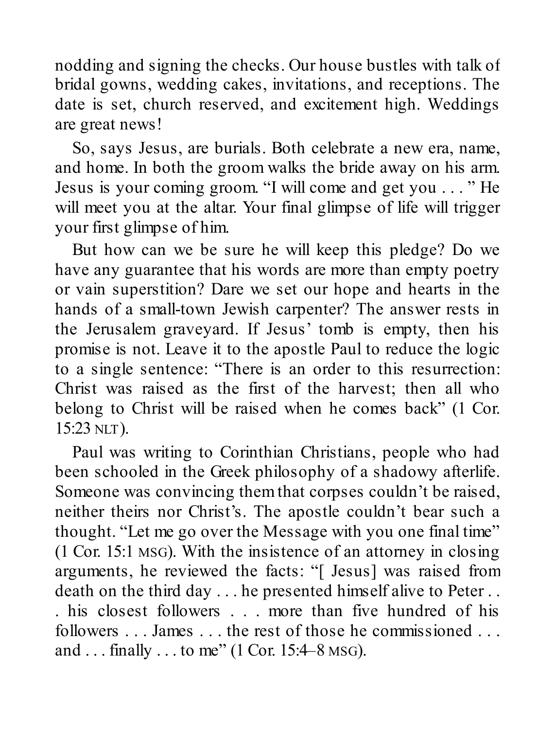nodding and signing the checks. Our house bustles with talk of bridal gowns, wedding cakes, invitations, and receptions. The date is set, church reserved, and excitement high. Weddings are great news!

So, says Jesus, are burials. Both celebrate a new era, name, and home. In both the groom walks the bride away on his arm. Jesus is your coming groom. "I will come and get you . . . " He will meet you at the altar. Your final glimpse of life will trigger your first glimpse of him.

But how can we be sure he will keep this pledge? Do we have any guarantee that his words are more than empty poetry or vain superstition? Dare we set our hope and hearts in the hands of a small-town Jewish carpenter? The answer rests in the Jerusalem graveyard. If Jesus' tomb is empty, then his promise is not. Leave it to the apostle Paul to reduce the logic to a single sentence: "There is an order to this resurrection: Christ was raised as the first of the harvest; then all who belong to Christ will be raised when he comes back" (1 Cor. 15:23 NLT).

Paul was writing to Corinthian Christians, people who had been schooled in the Greek philosophy of a shadowy afterlife. Someone was convincing themthat corpses couldn't be raised, neither theirs nor Christ's. The apostle couldn't bear such a thought. "Let me go over the Message with you one final time" (1 Cor. 15:1 MSG). With the insistence of an attorney in closing arguments, he reviewed the facts: "[ Jesus] was raised from death on the third day . . . he presented himself alive to Peter . . . his closest followers . . . more than five hundred of his followers . . . James . . . the rest of those he commissioned . . . and . . . finally . . . to me" (1 Cor. 15:4–8 MSG).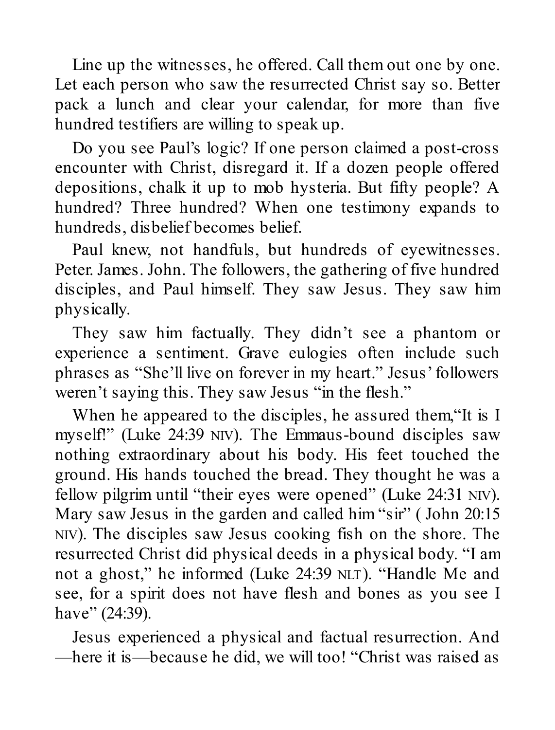Line up the witnesses, he offered. Call them out one by one. Let each person who saw the resurrected Christ say so. Better pack a lunch and clear your calendar, for more than five hundred testifiers are willing to speak up.

Do you see Paul's logic? If one person claimed a post-cross encounter with Christ, disregard it. If a dozen people offered depositions, chalk it up to mob hysteria. But fifty people? A hundred? Three hundred? When one testimony expands to hundreds, disbelief becomes belief.

Paul knew, not handfuls, but hundreds of eyewitnesses. Peter. James. John. The followers, the gathering of five hundred disciples, and Paul himself. They saw Jesus. They saw him physically.

They saw him factually. They didn't see a phantom or experience a sentiment. Grave eulogies often include such phrases as "She'll live on forever in my heart." Jesus'followers weren't saying this. They saw Jesus "in the flesh."

When he appeared to the disciples, he assured them,"It is I myself!" (Luke 24:39 NIV). The Emmaus-bound disciples saw nothing extraordinary about his body. His feet touched the ground. His hands touched the bread. They thought he was a fellow pilgrim until "their eyes were opened" (Luke 24:31 NIV). Mary saw Jesus in the garden and called him "sir" (John 20:15 NIV). The disciples saw Jesus cooking fish on the shore. The resurrected Christ did physical deeds in a physical body. "I am not a ghost," he informed (Luke 24:39 NLT). "Handle Me and see, for a spirit does not have flesh and bones as you see I have" (24:39).

Jesus experienced a physical and factual resurrection. And —here it is—because he did, we will too! "Christ was raised as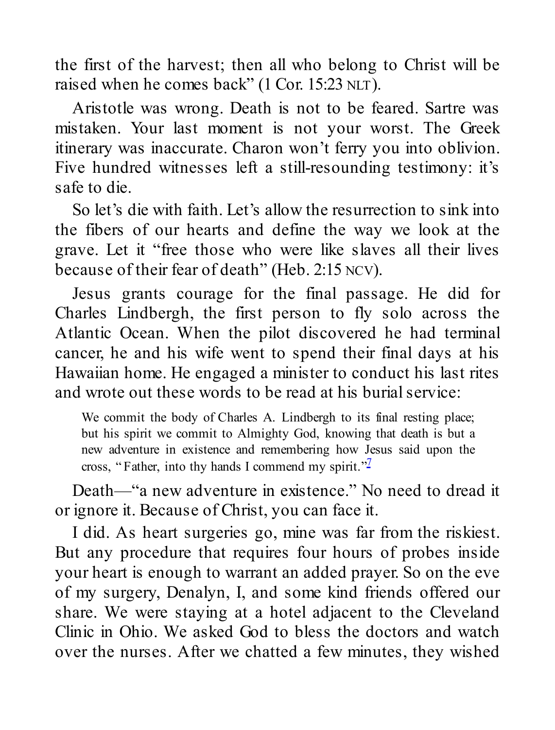the first of the harvest; then all who belong to Christ will be raised when he comes back" (1 Cor. 15:23 NLT).

Aristotle was wrong. Death is not to be feared. Sartre was mistaken. Your last moment is not your worst. The Greek itinerary was inaccurate. Charon won't ferry you into oblivion. Five hundred witnesses left a still-resounding testimony: it's safe to die.

So let's die with faith. Let's allow the resurrection to sink into the fibers of our hearts and define the way we look at the grave. Let it "free those who were like slaves all their lives because of their fear of death" (Heb. 2:15 NCV).

Jesus grants courage for the final passage. He did for Charles Lindbergh, the first person to fly solo across the Atlantic Ocean. When the pilot discovered he had terminal cancer, he and his wife went to spend their final days at his Hawaiian home. He engaged a minister to conduct his last rites and wrote out these words to be read at his burial service:

We commit the body of Charles A. Lindbergh to its final resting place; but his spirit we commit to Almighty God, knowing that death is but a new adventure in existence and remembering how Jesus said upon the cross, "Father, into thy hands I commend my spirit."<sup>7</sup>

Death—"a new adventure in existence." No need to dread it or ignore it. Because of Christ, you can face it.

I did. As heart surgeries go, mine was far from the riskiest. But any procedure that requires four hours of probes inside your heart is enough to warrant an added prayer. So on the eve of my surgery, Denalyn, I, and some kind friends offered our share. We were staying at a hotel adjacent to the Cleveland Clinic in Ohio. We asked God to bless the doctors and watch over the nurses. After we chatted a few minutes, they wished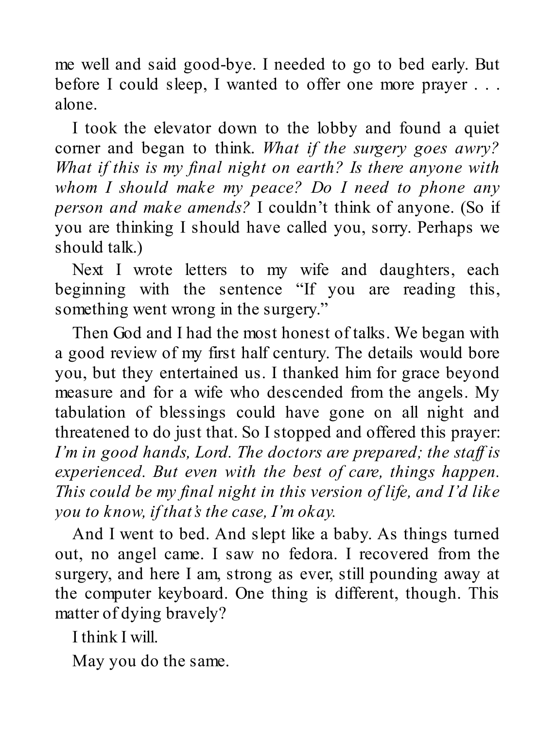me well and said good-bye. I needed to go to bed early. But before I could sleep, I wanted to offer one more prayer . . . alone.

I took the elevator down to the lobby and found a quiet corner and began to think. *What if the surgery goes awry? What if this is my final night on earth? Is there anyone with whom I should make my peace? Do I need to phone any person and make amends?* I couldn't think of anyone. (So if you are thinking I should have called you, sorry. Perhaps we should talk.)

Next I wrote letters to my wife and daughters, each beginning with the sentence "If you are reading this, something went wrong in the surgery."

Then God and I had the most honest of talks. We began with a good review of my first half century. The details would bore you, but they entertained us. I thanked him for grace beyond measure and for a wife who descended from the angels. My tabulation of blessings could have gone on all night and threatened to do just that. So I stopped and offered this prayer: *I'm in good hands, Lord. The doctors are prepared; the staf is experienced. But even with the best of care, things happen. This could be my final night in this version of life, and I'd like you to know, if that's the case, I'm okay.*

And I went to bed. And slept like a baby. As things turned out, no angel came. I saw no fedora. I recovered from the surgery, and here I am, strong as ever, still pounding away at the computer keyboard. One thing is different, though. This matter of dying bravely?

I think I will.

May you do the same.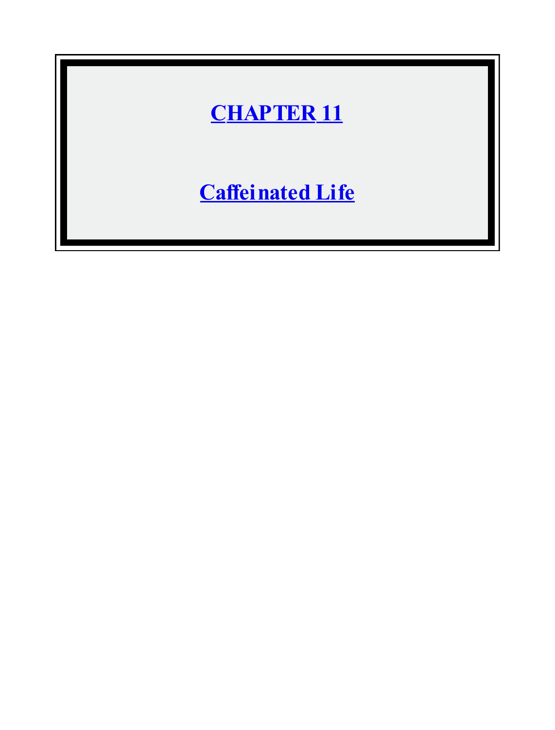**CHAPTER 11**

**Caffeinated Life**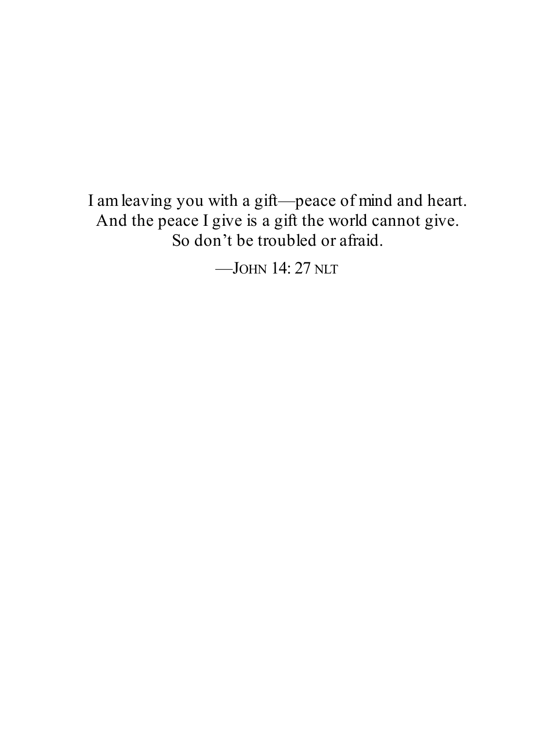I amleaving you with a gift—peace of mind and heart. And the peace I give is a gift the world cannot give. So don't be troubled or afraid.

—JOHN 14: 27 NLT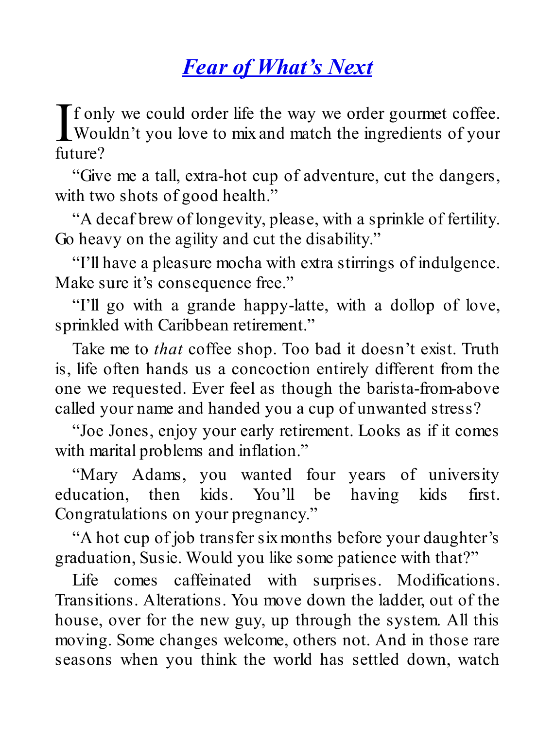## *Fear of What's Next*

If only we could order life the way we order gourmet coffee.<br>Wouldn't you love to mix and match the ingredients of your Wouldn't you love to mix and match the ingredients of your future?

"Give me a tall, extra-hot cup of adventure, cut the dangers, with two shots of good health.<sup>3</sup>

"A decaf brew of longevity, please, with a sprinkle of fertility. Go heavy on the agility and cut the disability."

"I'll have a pleasure mocha with extra stirrings of indulgence. Make sure it's consequence free."

"I'll go with a grande happy-latte, with a dollop of love, sprinkled with Caribbean retirement."

Take me to *that* coffee shop. Too bad it doesn't exist. Truth is, life often hands us a concoction entirely different from the one we requested. Ever feel as though the barista-from-above called your name and handed you a cup of unwanted stress?

"Joe Jones, enjoy your early retirement. Looks as if it comes with marital problems and inflation."

"Mary Adams, you wanted four years of university education, then kids. You'll be having kids first. Congratulations on your pregnancy."

"A hot cup of job transfer sixmonths before your daughter's graduation, Susie. Would you like some patience with that?"

Life comes caffeinated with surprises. Modifications. Transitions. Alterations. You move down the ladder, out of the house, over for the new guy, up through the system. All this moving. Some changes welcome, others not. And in those rare seasons when you think the world has settled down, watch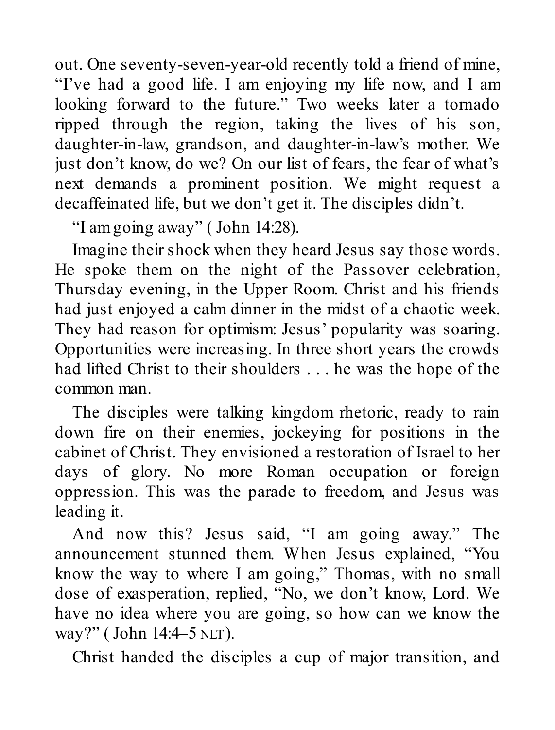out. One seventy-seven-year-old recently told a friend of mine, "I've had a good life. I am enjoying my life now, and I am looking forward to the future." Two weeks later a tornado ripped through the region, taking the lives of his son, daughter-in-law, grandson, and daughter-in-law's mother. We just don't know, do we? On our list of fears, the fear of what's next demands a prominent position. We might request a decaffeinated life, but we don't get it. The disciples didn't.

"I amgoing away" ( John 14:28).

Imagine their shock when they heard Jesus say those words. He spoke them on the night of the Passover celebration, Thursday evening, in the Upper Room. Christ and his friends had just enjoyed a calm dinner in the midst of a chaotic week. They had reason for optimism: Jesus' popularity was soaring. Opportunities were increasing. In three short years the crowds had lifted Christ to their shoulders . . . he was the hope of the common man.

The disciples were talking kingdom rhetoric, ready to rain down fire on their enemies, jockeying for positions in the cabinet of Christ. They envisioned a restoration of Israel to her days of glory. No more Roman occupation or foreign oppression. This was the parade to freedom, and Jesus was leading it.

And now this? Jesus said, "I am going away." The announcement stunned them. When Jesus explained, "You know the way to where I am going," Thomas, with no small dose of exasperation, replied, "No, we don't know, Lord. We have no idea where you are going, so how can we know the way?" ( John 14:4–5 NLT).

Christ handed the disciples a cup of major transition, and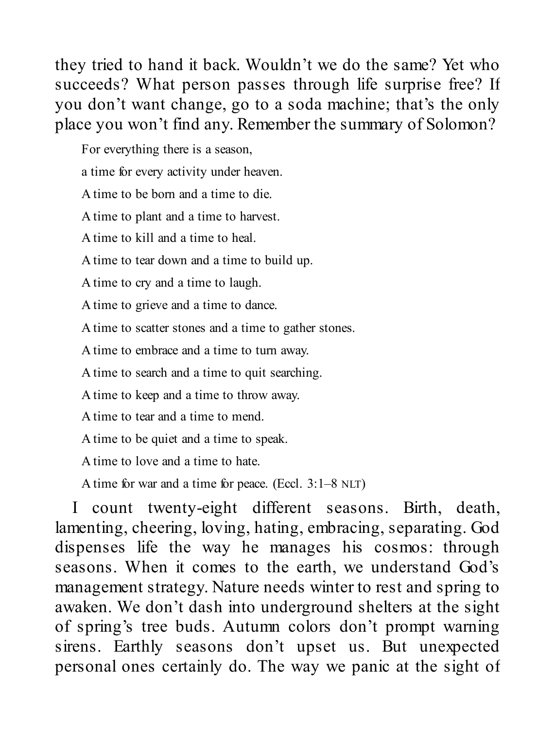they tried to hand it back. Wouldn't we do the same? Yet who succeeds? What person passes through life surprise free? If you don't want change, go to a soda machine; that's the only place you won't find any. Remember the summary of Solomon?

For everything there is a season, a time for every activity under heaven. A time to be born and a time to die. A time to plant and a time to harvest. A time to kill and a time to heal. A time to tear down and a time to build up. A time to cry and a time to laugh. A time to grieve and a time to dance. A time to scatter stones and a time to gather stones. A time to embrace and a time to turn away. A time to search and a time to quit searching. A time to keep and a time to throw away. A time to tear and a time to mend. A time to be quiet and a time to speak.

A time to love and a time to hate.

A time for war and a time for peace. (Eccl. 3:1–8 NLT)

I count twenty-eight different seasons. Birth, death, lamenting, cheering, loving, hating, embracing, separating. God dispenses life the way he manages his cosmos: through seasons. When it comes to the earth, we understand God's management strategy. Nature needs winter to rest and spring to awaken. We don't dash into underground shelters at the sight of spring's tree buds. Autumn colors don't prompt warning sirens. Earthly seasons don't upset us. But unexpected personal ones certainly do. The way we panic at the sight of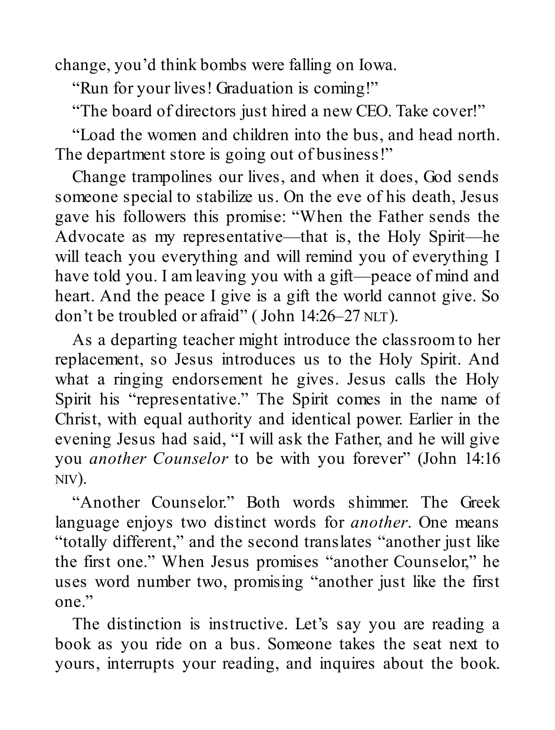change, you'd think bombs were falling on Iowa.

"Run for your lives! Graduation is coming!"

"The board of directors just hired a new CEO. Take cover!"

"Load the women and children into the bus, and head north. The department store is going out of business!"

Change trampolines our lives, and when it does, God sends someone special to stabilize us. On the eve of his death, Jesus gave his followers this promise: "When the Father sends the Advocate as my representative—that is, the Holy Spirit—he will teach you everything and will remind you of everything I have told you. I am leaving you with a gift—peace of mind and heart. And the peace I give is a gift the world cannot give. So don't be troubled or afraid" ( John 14:26–27 NLT).

As a departing teacher might introduce the classroom to her replacement, so Jesus introduces us to the Holy Spirit. And what a ringing endorsement he gives. Jesus calls the Holy Spirit his "representative." The Spirit comes in the name of Christ, with equal authority and identical power. Earlier in the evening Jesus had said, "I will ask the Father, and he will give you *another Counselor* to be with you forever" (John 14:16 NIV).

"Another Counselor." Both words shimmer. The Greek language enjoys two distinct words for *another*. One means "totally different," and the second translates "another just like the first one." When Jesus promises "another Counselor," he uses word number two, promising "another just like the first one."

The distinction is instructive. Let's say you are reading a book as you ride on a bus. Someone takes the seat next to yours, interrupts your reading, and inquires about the book.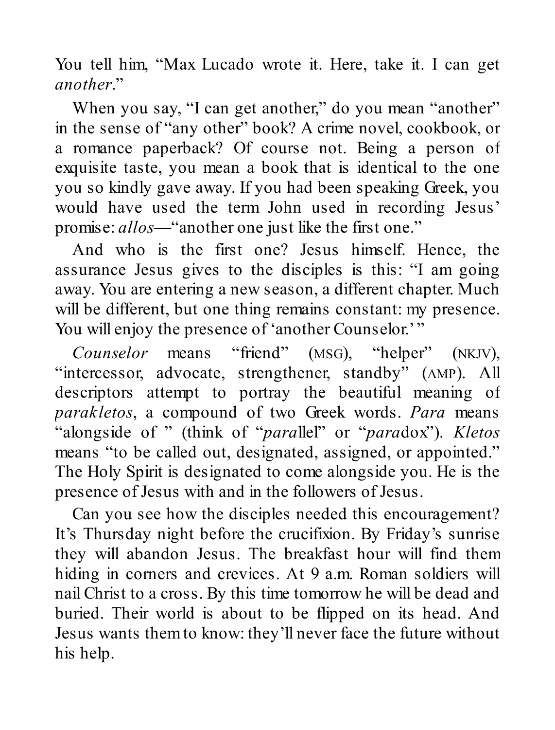You tell him, "Max Lucado wrote it. Here, take it. I can get *another*."

When you say, "I can get another," do you mean "another" in the sense of "any other" book? A crime novel, cookbook, or a romance paperback? Of course not. Being a person of exquisite taste, you mean a book that is identical to the one you so kindly gave away. If you had been speaking Greek, you would have used the term John used in recording Jesus' promise: *allos*—"another one just like the first one."

And who is the first one? Jesus himself. Hence, the assurance Jesus gives to the disciples is this: "I am going away. You are entering a new season, a different chapter. Much will be different, but one thing remains constant: my presence. You will enjoy the presence of 'another Counselor.'"

*Counselor* means "friend" (MSG), "helper" (NKJV), "intercessor, advocate, strengthener, standby" (AMP). All descriptors attempt to portray the beautiful meaning of *parakletos*, a compound of two Greek words. *Para* means "alongside of " (think of "*para*llel" or "*para*dox"). *Kletos* means "to be called out, designated, assigned, or appointed." The Holy Spirit is designated to come alongside you. He is the presence of Jesus with and in the followers of Jesus.

Can you see how the disciples needed this encouragement? It's Thursday night before the crucifixion. By Friday's sunrise they will abandon Jesus. The breakfast hour will find them hiding in corners and crevices. At 9 a.m. Roman soldiers will nail Christ to a cross. By this time tomorrow he will be dead and buried. Their world is about to be flipped on its head. And Jesus wants themto know: they'll never face the future without his help.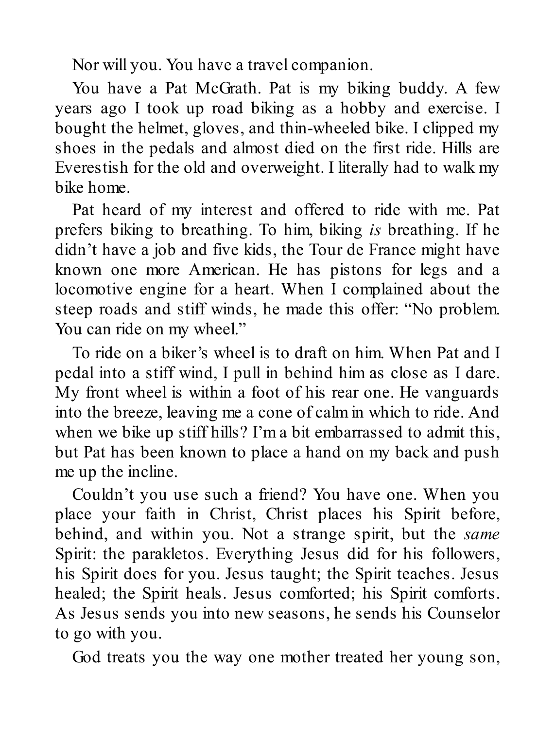Nor will you. You have a travel companion.

You have a Pat McGrath. Pat is my biking buddy. A few years ago I took up road biking as a hobby and exercise. I bought the helmet, gloves, and thin-wheeled bike. I clipped my shoes in the pedals and almost died on the first ride. Hills are Everestish for the old and overweight. I literally had to walk my bike home.

Pat heard of my interest and offered to ride with me. Pat prefers biking to breathing. To him, biking *is* breathing. If he didn't have a job and five kids, the Tour de France might have known one more American. He has pistons for legs and a locomotive engine for a heart. When I complained about the steep roads and stiff winds, he made this offer: "No problem. You can ride on my wheel."

To ride on a biker's wheel is to draft on him. When Pat and I pedal into a stiff wind, I pull in behind him as close as I dare. My front wheel is within a foot of his rear one. He vanguards into the breeze, leaving me a cone of calm in which to ride. And when we bike up stiff hills? I'm a bit embarrassed to admit this, but Pat has been known to place a hand on my back and push me up the incline.

Couldn't you use such a friend? You have one. When you place your faith in Christ, Christ places his Spirit before, behind, and within you. Not a strange spirit, but the *same* Spirit: the parakletos. Everything Jesus did for his followers, his Spirit does for you. Jesus taught; the Spirit teaches. Jesus healed; the Spirit heals. Jesus comforted; his Spirit comforts. As Jesus sends you into new seasons, he sends his Counselor to go with you.

God treats you the way one mother treated her young son,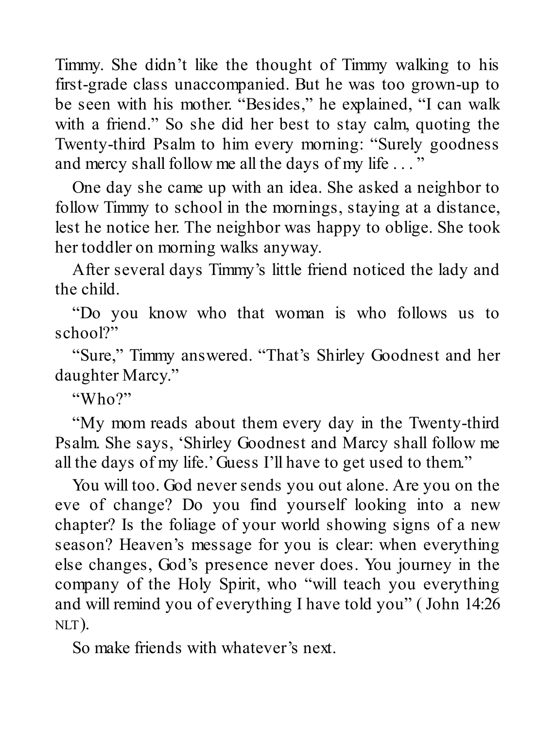Timmy. She didn't like the thought of Timmy walking to his first-grade class unaccompanied. But he was too grown-up to be seen with his mother. "Besides," he explained, "I can walk with a friend." So she did her best to stay calm, quoting the Twenty-third Psalm to him every morning: "Surely goodness and mercy shall follow me all the days of my life  $\ldots$ ."

One day she came up with an idea. She asked a neighbor to follow Timmy to school in the mornings, staying at a distance, lest he notice her. The neighbor was happy to oblige. She took her toddler on morning walks anyway.

After several days Timmy's little friend noticed the lady and the child.

"Do you know who that woman is who follows us to school?"

"Sure," Timmy answered. "That's Shirley Goodnest and her daughter Marcy."

"Who?"

"My mom reads about them every day in the Twenty-third Psalm. She says, 'Shirley Goodnest and Marcy shall follow me all the days of my life.' Guess I'll have to get used to them."

You will too. God never sends you out alone. Are you on the eve of change? Do you find yourself looking into a new chapter? Is the foliage of your world showing signs of a new season? Heaven's message for you is clear: when everything else changes, God's presence never does. You journey in the company of the Holy Spirit, who "will teach you everything and will remind you of everything I have told you" ( John 14:26  $NT$ ).

So make friends with whatever's next.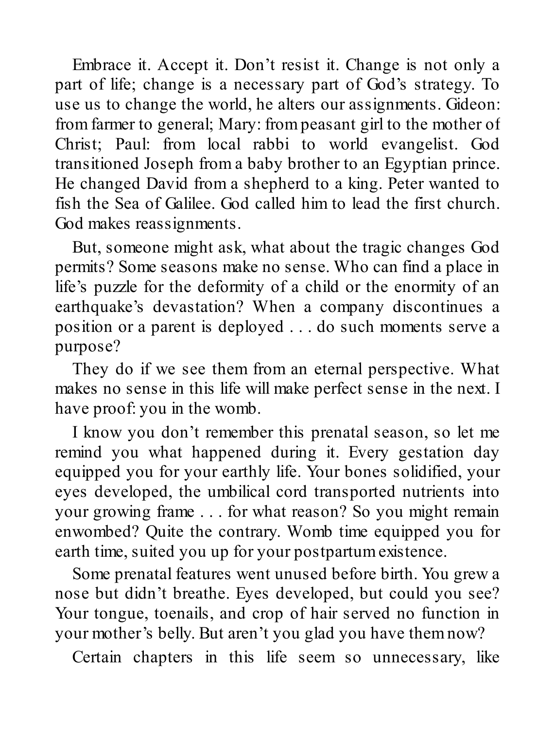Embrace it. Accept it. Don't resist it. Change is not only a part of life; change is a necessary part of God's strategy. To use us to change the world, he alters our assignments. Gideon: from farmer to general; Mary: from peasant girl to the mother of Christ; Paul: from local rabbi to world evangelist. God transitioned Joseph from a baby brother to an Egyptian prince. He changed David from a shepherd to a king. Peter wanted to fish the Sea of Galilee. God called him to lead the first church. God makes reassignments.

But, someone might ask, what about the tragic changes God permits? Some seasons make no sense. Who can find a place in life's puzzle for the deformity of a child or the enormity of an earthquake's devastation? When a company discontinues a position or a parent is deployed . . . do such moments serve a purpose?

They do if we see them from an eternal perspective. What makes no sense in this life will make perfect sense in the next. I have proof: you in the womb.

I know you don't remember this prenatal season, so let me remind you what happened during it. Every gestation day equipped you for your earthly life. Your bones solidified, your eyes developed, the umbilical cord transported nutrients into your growing frame . . . for what reason? So you might remain enwombed? Quite the contrary. Womb time equipped you for earth time, suited you up for your postpartumexistence.

Some prenatal features went unused before birth. You grew a nose but didn't breathe. Eyes developed, but could you see? Your tongue, toenails, and crop of hair served no function in your mother's belly. But aren't you glad you have themnow?

Certain chapters in this life seem so unnecessary, like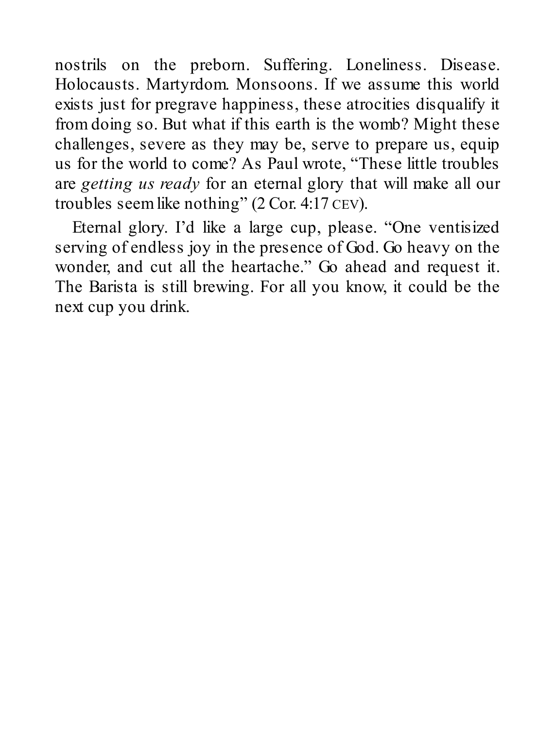nostrils on the preborn. Suffering. Loneliness. Disease. Holocausts. Martyrdom. Monsoons. If we assume this world exists just for pregrave happiness, these atrocities disqualify it from doing so. But what if this earth is the womb? Might these challenges, severe as they may be, serve to prepare us, equip us for the world to come? As Paul wrote, "These little troubles are *getting us ready* for an eternal glory that will make all our troubles seemlike nothing" (2 Cor. 4:17 CEV).

Eternal glory. I'd like a large cup, please. "One ventisized serving of endless joy in the presence of God. Go heavy on the wonder, and cut all the heartache." Go ahead and request it. The Barista is still brewing. For all you know, it could be the next cup you drink.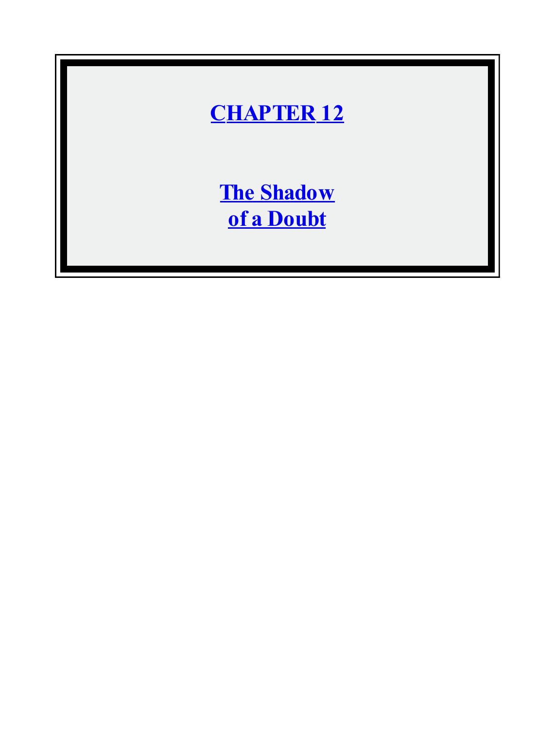# **CHAPTER 12**

**The Shadow of a Doubt**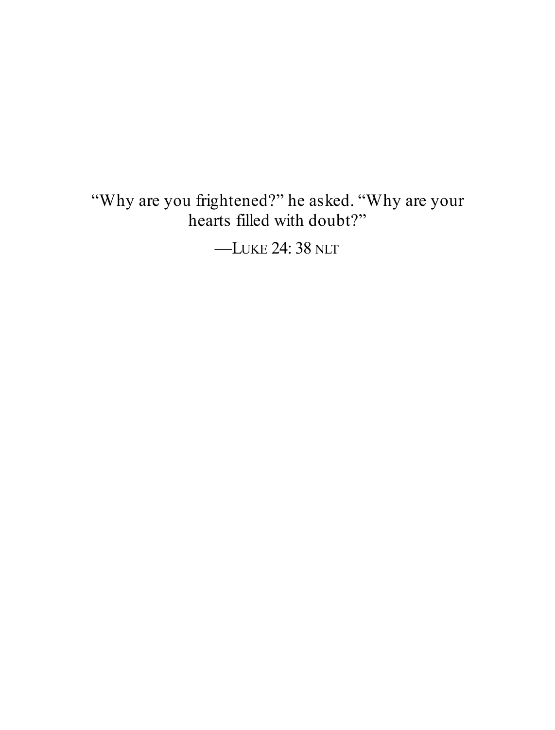"Why are you frightened?" he asked. "Why are your hearts filled with doubt?"

—LUKE 24: 38 NLT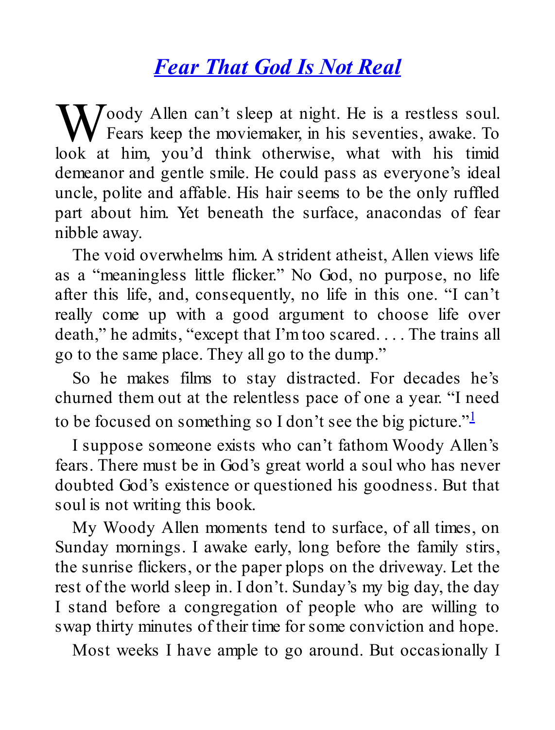### *Fear That God Is Not Real*

**W** oody Allen can't sleep at night. He is a restless soul.<br>
Fears keep the moviemaker, in his seventies, awake. To Fears keep the moviemaker, in his seventies, awake. To look at him, you'd think otherwise, what with his timid demeanor and gentle smile. He could pass as everyone's ideal uncle, polite and affable. His hair seems to be the only ruffled part about him. Yet beneath the surface, anacondas of fear nibble away.

The void overwhelms him. A strident atheist, Allen views life as a "meaningless little flicker." No God, no purpose, no life after this life, and, consequently, no life in this one. "I can't really come up with a good argument to choose life over death," he admits, "except that I'm too scared. . . . The trains all go to the same place. They all go to the dump."

So he makes films to stay distracted. For decades he's churned them out at the relentless pace of one a year. "I need to be focused on something so I don't see the big picture." $\frac{1}{2}$ 

I suppose someone exists who can't fathom Woody Allen's fears. There must be in God's great world a soul who has never doubted God's existence or questioned his goodness. But that soul is not writing this book.

My Woody Allen moments tend to surface, of all times, on Sunday mornings. I awake early, long before the family stirs, the sunrise flickers, or the paper plops on the driveway. Let the rest of the world sleep in. I don't. Sunday's my big day, the day I stand before a congregation of people who are willing to swap thirty minutes of their time for some conviction and hope.

Most weeks I have ample to go around. But occasionally I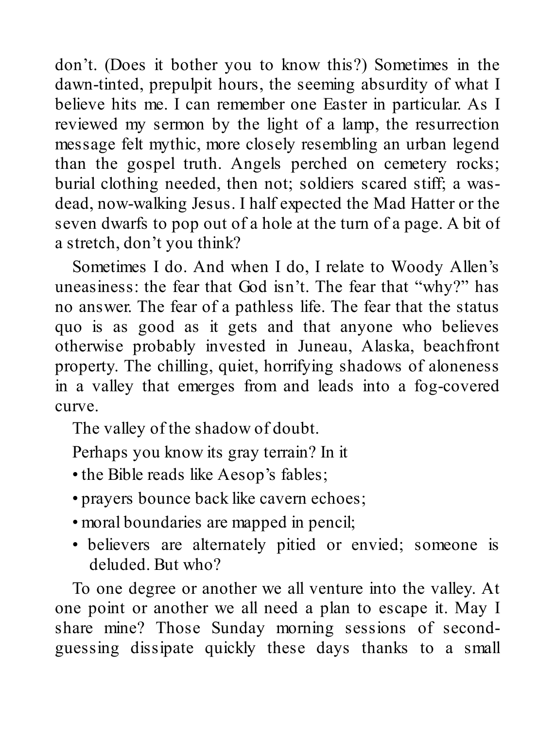don't. (Does it bother you to know this?) Sometimes in the dawn-tinted, prepulpit hours, the seeming absurdity of what I believe hits me. I can remember one Easter in particular. As I reviewed my sermon by the light of a lamp, the resurrection message felt mythic, more closely resembling an urban legend than the gospel truth. Angels perched on cemetery rocks; burial clothing needed, then not; soldiers scared stiff; a wasdead, now-walking Jesus. I half expected the Mad Hatter or the seven dwarfs to pop out of a hole at the turn of a page. A bit of a stretch, don't you think?

Sometimes I do. And when I do, I relate to Woody Allen's uneasiness: the fear that God isn't. The fear that "why?" has no answer. The fear of a pathless life. The fear that the status quo is as good as it gets and that anyone who believes otherwise probably invested in Juneau, Alaska, beachfront property. The chilling, quiet, horrifying shadows of aloneness in a valley that emerges from and leads into a fog-covered curve.

The valley of the shadow of doubt.

Perhaps you know its gray terrain? In it

- the Bible reads like Aesop's fables;
- prayers bounce back like cavern echoes;
- moral boundaries are mapped in pencil;
- believers are alternately pitied or envied; someone is deluded. But who?

To one degree or another we all venture into the valley. At one point or another we all need a plan to escape it. May I share mine? Those Sunday morning sessions of secondguessing dissipate quickly these days thanks to a small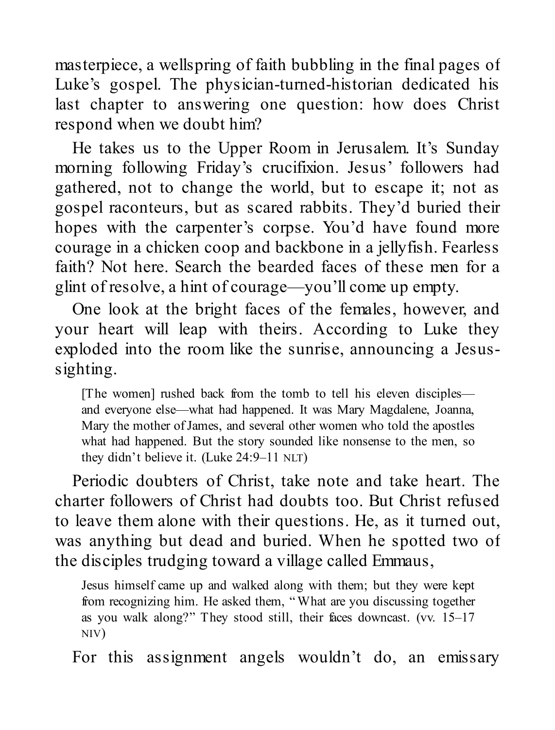masterpiece, a wellspring of faith bubbling in the final pages of Luke's gospel. The physician-turned-historian dedicated his last chapter to answering one question: how does Christ respond when we doubt him?

He takes us to the Upper Room in Jerusalem. It's Sunday morning following Friday's crucifixion. Jesus' followers had gathered, not to change the world, but to escape it; not as gospel raconteurs, but as scared rabbits. They'd buried their hopes with the carpenter's corpse. You'd have found more courage in a chicken coop and backbone in a jellyfish. Fearless faith? Not here. Search the bearded faces of these men for a glint of resolve, a hint of courage—you'll come up empty.

One look at the bright faces of the females, however, and your heart will leap with theirs. According to Luke they exploded into the room like the sunrise, announcing a Jesussighting.

[The women] rushed back from the tomb to tell his eleven disciples and everyone else—what had happened. It was Mary Magdalene, Joanna, Mary the mother ofJames, and several other women who told the apostles what had happened. But the story sounded like nonsense to the men, so they didn't believe it. (Luke  $24.9-11$  NLT)

Periodic doubters of Christ, take note and take heart. The charter followers of Christ had doubts too. But Christ refused to leave them alone with their questions. He, as it turned out, was anything but dead and buried. When he spotted two of the disciples trudging toward a village called Emmaus,

Jesus himself came up and walked along with them; but they were kept from recognizing him. He asked them, "What are you discussing together as you walk along?" They stood still, their faces downcast. (vv. 15–17 NIV)

For this assignment angels wouldn't do, an emissary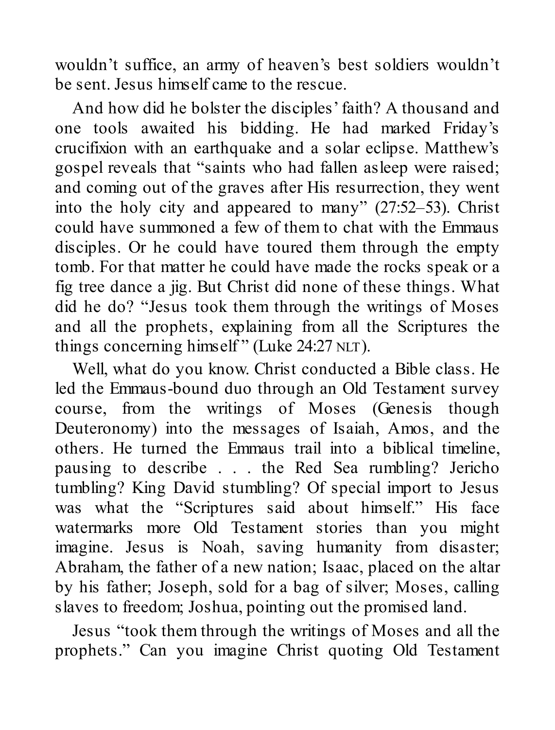wouldn't suffice, an army of heaven's best soldiers wouldn't be sent. Jesus himself came to the rescue.

And how did he bolster the disciples'faith? A thousand and one tools awaited his bidding. He had marked Friday's crucifixion with an earthquake and a solar eclipse. Matthew's gospel reveals that "saints who had fallen asleep were raised; and coming out of the graves after His resurrection, they went into the holy city and appeared to many" (27:52–53). Christ could have summoned a few of them to chat with the Emmaus disciples. Or he could have toured them through the empty tomb. For that matter he could have made the rocks speak or a fig tree dance a jig. But Christ did none of these things. What did he do? "Jesus took them through the writings of Moses and all the prophets, explaining from all the Scriptures the things concerning himself " (Luke 24:27 NLT).

Well, what do you know. Christ conducted a Bible class. He led the Emmaus-bound duo through an Old Testament survey course, from the writings of Moses (Genesis though Deuteronomy) into the messages of Isaiah, Amos, and the others. He turned the Emmaus trail into a biblical timeline, pausing to describe . . . the Red Sea rumbling? Jericho tumbling? King David stumbling? Of special import to Jesus was what the "Scriptures said about himself." His face watermarks more Old Testament stories than you might imagine. Jesus is Noah, saving humanity from disaster; Abraham, the father of a new nation; Isaac, placed on the altar by his father; Joseph, sold for a bag of silver; Moses, calling slaves to freedom; Joshua, pointing out the promised land.

Jesus "took them through the writings of Moses and all the prophets." Can you imagine Christ quoting Old Testament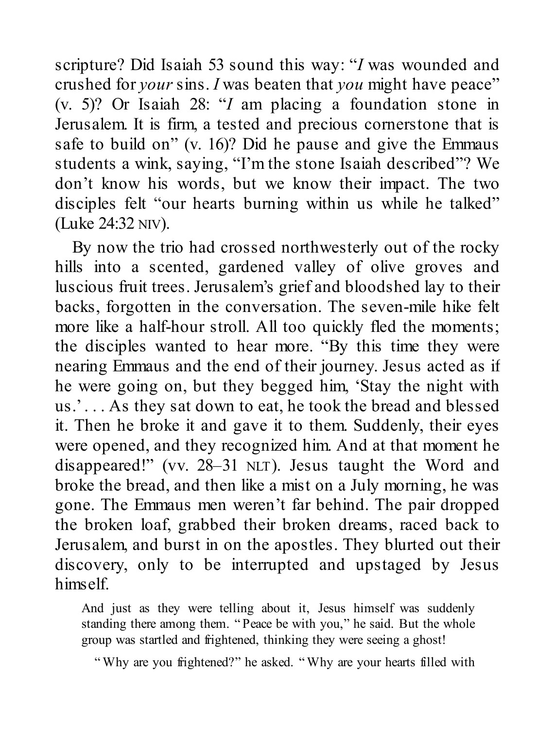scripture? Did Isaiah 53 sound this way: "*I* was wounded and crushed for *your* sins. *I* was beaten that *you* might have peace" (v. 5)? Or Isaiah 28: "*I* am placing a foundation stone in Jerusalem. It is firm, a tested and precious cornerstone that is safe to build on"  $(v, 16)$ ? Did he pause and give the Emmaus students a wink, saying, "I'm the stone Isaiah described"? We don't know his words, but we know their impact. The two disciples felt "our hearts burning within us while he talked" (Luke 24:32 NIV).

By now the trio had crossed northwesterly out of the rocky hills into a scented, gardened valley of olive groves and luscious fruit trees. Jerusalem's grief and bloodshed lay to their backs, forgotten in the conversation. The seven-mile hike felt more like a half-hour stroll. All too quickly fled the moments; the disciples wanted to hear more. "By this time they were nearing Emmaus and the end of their journey. Jesus acted as if he were going on, but they begged him, 'Stay the night with us.'. . . As they sat down to eat, he took the bread and blessed it. Then he broke it and gave it to them. Suddenly, their eyes were opened, and they recognized him. And at that moment he disappeared!" (vv. 28–31 NLT). Jesus taught the Word and broke the bread, and then like a mist on a July morning, he was gone. The Emmaus men weren't far behind. The pair dropped the broken loaf, grabbed their broken dreams, raced back to Jerusalem, and burst in on the apostles. They blurted out their discovery, only to be interrupted and upstaged by Jesus himself.

And just as they were telling about it, Jesus himself was suddenly standing there among them. "Peace be with you," he said. But the whole group was startled and frightened, thinking they were seeing a ghost!

"Why are you frightened?" he asked. "Why are your hearts filled with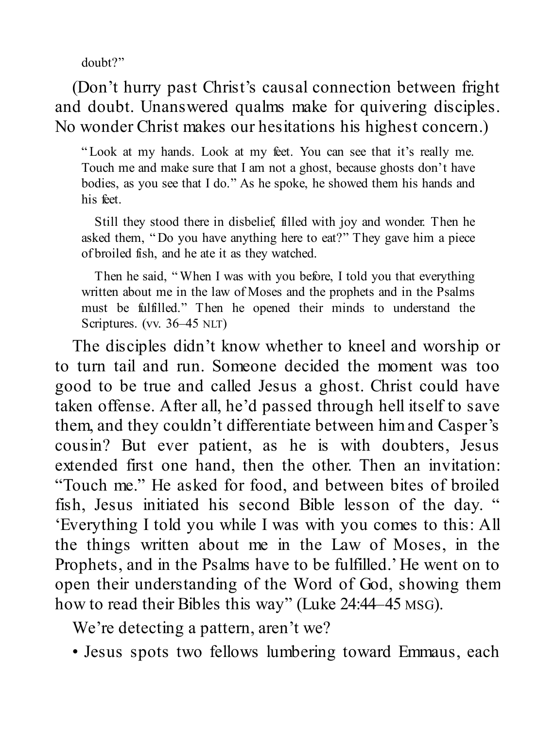doubt?"

(Don't hurry past Christ's causal connection between fright and doubt. Unanswered qualms make for quivering disciples. No wonder Christ makes our hesitations his highest concern.)

" Look at my hands. Look at my feet. You can see that it's really me. Touch me and make sure that I am not a ghost, because ghosts don't have bodies, as you see that I do." As he spoke, he showed them his hands and his feet.

Still they stood there in disbelief, filled with joy and wonder. Then he asked them, " Do you have anything here to eat?" They gave him a piece of broiled fish, and he ate it as they watched.

Then he said, "When I was with you before, I told you that everything written about me in the law of Moses and the prophets and in the Psalms must be fulfilled." Then he opened their minds to understand the Scriptures. (vv. 36–45 NLT)

The disciples didn't know whether to kneel and worship or to turn tail and run. Someone decided the moment was too good to be true and called Jesus a ghost. Christ could have taken offense. After all, he'd passed through hell itself to save them, and they couldn't differentiate between himand Casper's cousin? But ever patient, as he is with doubters, Jesus extended first one hand, then the other. Then an invitation: "Touch me." He asked for food, and between bites of broiled fish, Jesus initiated his second Bible lesson of the day. " 'Everything I told you while I was with you comes to this: All the things written about me in the Law of Moses, in the Prophets, and in the Psalms have to be fulfilled.' He went on to open their understanding of the Word of God, showing them how to read their Bibles this way" (Luke 24:44–45 MSG).

We're detecting a pattern, aren't we?

• Jesus spots two fellows lumbering toward Emmaus, each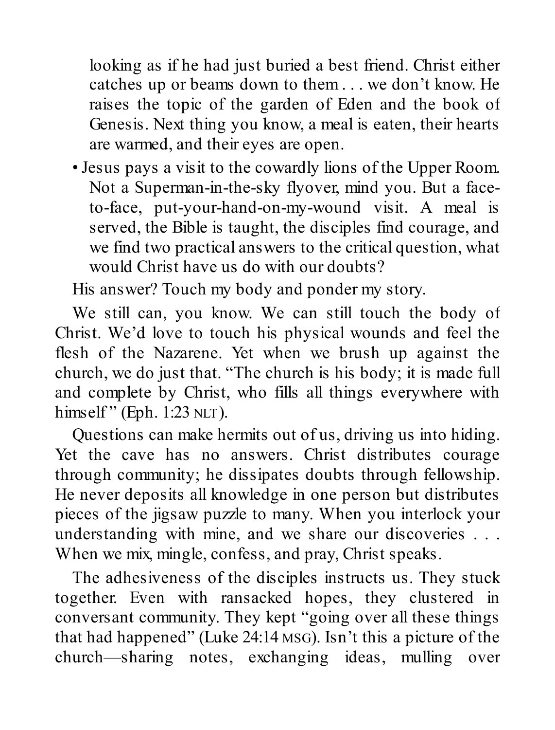looking as if he had just buried a best friend. Christ either catches up or beams down to them . . . we don't know. He raises the topic of the garden of Eden and the book of Genesis. Next thing you know, a meal is eaten, their hearts are warmed, and their eyes are open.

•Jesus pays a visit to the cowardly lions of the Upper Room. Not a Superman-in-the-sky flyover, mind you. But a faceto-face, put-your-hand-on-my-wound visit. A meal is served, the Bible is taught, the disciples find courage, and we find two practical answers to the critical question, what would Christ have us do with our doubts?

His answer? Touch my body and ponder my story.

We still can, you know. We can still touch the body of Christ. We'd love to touch his physical wounds and feel the flesh of the Nazarene. Yet when we brush up against the church, we do just that. "The church is his body; it is made full and complete by Christ, who fills all things everywhere with himself" (Eph. 1:23 NLT).

Questions can make hermits out of us, driving us into hiding. Yet the cave has no answers. Christ distributes courage through community; he dissipates doubts through fellowship. He never deposits all knowledge in one person but distributes pieces of the jigsaw puzzle to many. When you interlock your understanding with mine, and we share our discoveries . . . When we mix, mingle, confess, and pray, Christ speaks.

The adhesiveness of the disciples instructs us. They stuck together. Even with ransacked hopes, they clustered in conversant community. They kept "going over all these things that had happened" (Luke 24:14 MSG). Isn't this a picture of the church—sharing notes, exchanging ideas, mulling over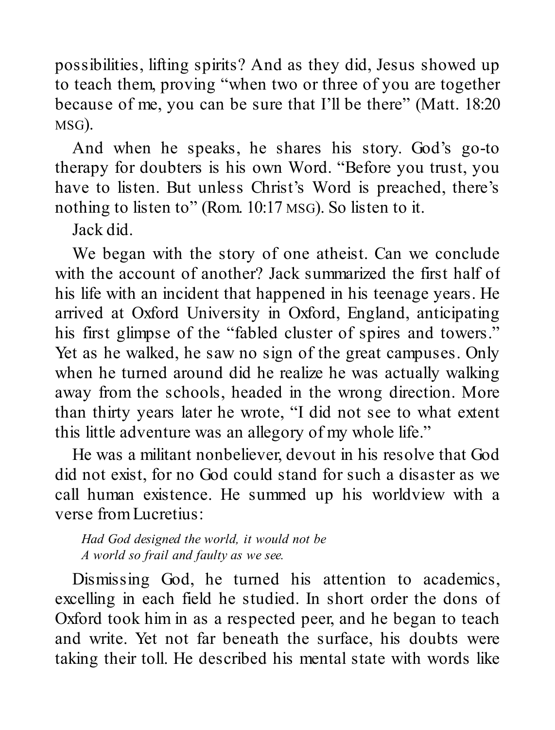possibilities, lifting spirits? And as they did, Jesus showed up to teach them, proving "when two or three of you are together because of me, you can be sure that I'll be there" (Matt. 18:20 MSG).

And when he speaks, he shares his story. God's go-to therapy for doubters is his own Word. "Before you trust, you have to listen. But unless Christ's Word is preached, there's nothing to listen to" (Rom. 10:17 MSG). So listen to it.

Jack did.

We began with the story of one atheist. Can we conclude with the account of another? Jack summarized the first half of his life with an incident that happened in his teenage years. He arrived at Oxford University in Oxford, England, anticipating his first glimpse of the "fabled cluster of spires and towers." Yet as he walked, he saw no sign of the great campuses. Only when he turned around did he realize he was actually walking away from the schools, headed in the wrong direction. More than thirty years later he wrote, "I did not see to what extent this little adventure was an allegory of my whole life."

He was a militant nonbeliever, devout in his resolve that God did not exist, for no God could stand for such a disaster as we call human existence. He summed up his worldview with a verse from Lucretius:

*Had God designed the world, it would not be A world so frail and faulty as we see.*

Dismissing God, he turned his attention to academics, excelling in each field he studied. In short order the dons of Oxford took him in as a respected peer, and he began to teach and write. Yet not far beneath the surface, his doubts were taking their toll. He described his mental state with words like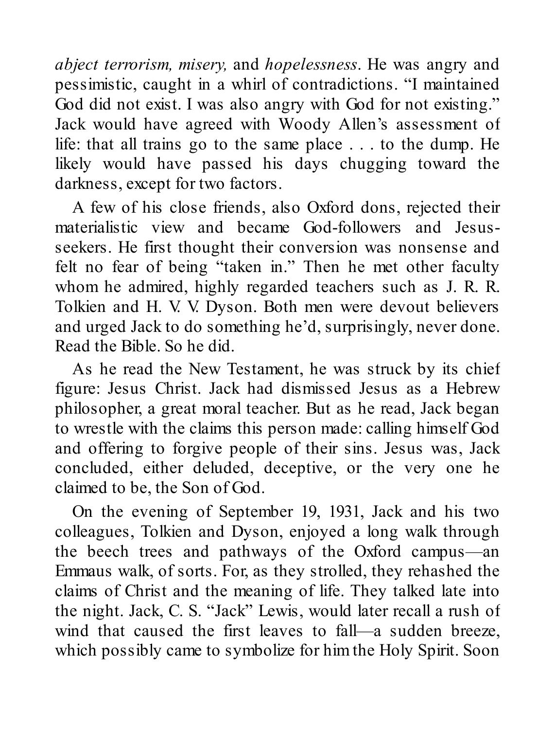*abject terrorism, misery,* and *hopelessness*. He was angry and pessimistic, caught in a whirl of contradictions. "I maintained God did not exist. I was also angry with God for not existing." Jack would have agreed with Woody Allen's assessment of life: that all trains go to the same place . . . to the dump. He likely would have passed his days chugging toward the darkness, except for two factors.

A few of his close friends, also Oxford dons, rejected their materialistic view and became God-followers and Jesusseekers. He first thought their conversion was nonsense and felt no fear of being "taken in." Then he met other faculty whom he admired, highly regarded teachers such as J. R. R. Tolkien and H. V. V. Dyson. Both men were devout believers and urged Jack to do something he'd, surprisingly, never done. Read the Bible. So he did.

As he read the New Testament, he was struck by its chief figure: Jesus Christ. Jack had dismissed Jesus as a Hebrew philosopher, a great moral teacher. But as he read, Jack began to wrestle with the claims this person made: calling himself God and offering to forgive people of their sins. Jesus was, Jack concluded, either deluded, deceptive, or the very one he claimed to be, the Son of God.

On the evening of September 19, 1931, Jack and his two colleagues, Tolkien and Dyson, enjoyed a long walk through the beech trees and pathways of the Oxford campus—an Emmaus walk, of sorts. For, as they strolled, they rehashed the claims of Christ and the meaning of life. They talked late into the night. Jack, C. S. "Jack" Lewis, would later recall a rush of wind that caused the first leaves to fall—a sudden breeze, which possibly came to symbolize for him the Holy Spirit. Soon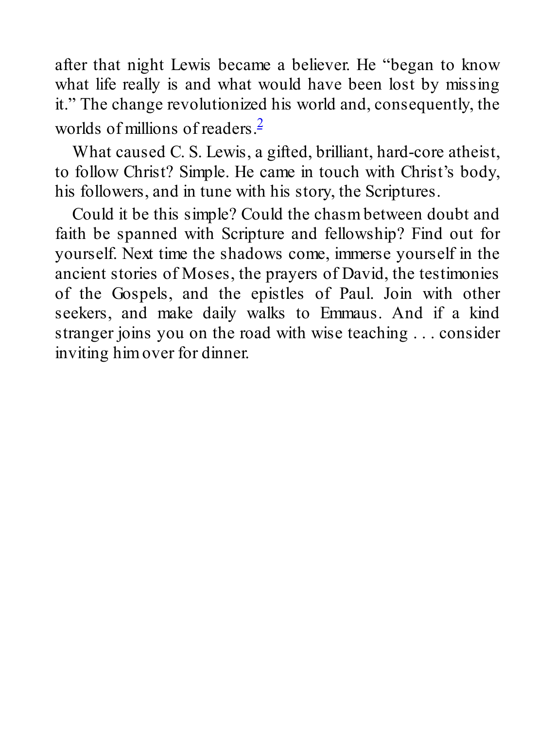after that night Lewis became a believer. He "began to know what life really is and what would have been lost by missing it." The change revolutionized his world and, consequently, the worlds of millions of readers. 2

What caused C. S. Lewis, a gifted, brilliant, hard-core atheist, to follow Christ? Simple. He came in touch with Christ's body, his followers, and in tune with his story, the Scriptures.

Could it be this simple? Could the chasm between doubt and faith be spanned with Scripture and fellowship? Find out for yourself. Next time the shadows come, immerse yourself in the ancient stories of Moses, the prayers of David, the testimonies of the Gospels, and the epistles of Paul. Join with other seekers, and make daily walks to Emmaus. And if a kind stranger joins you on the road with wise teaching . . . consider inviting himover for dinner.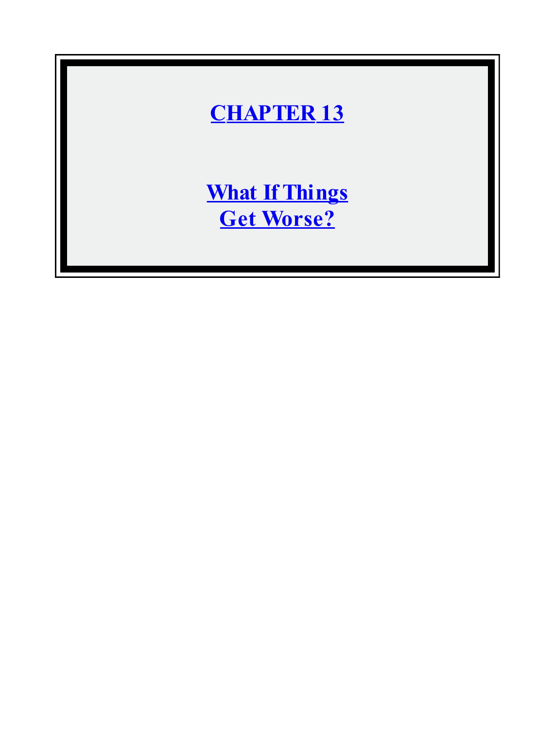**CHAPTER 13**

**What If Things Get Worse?**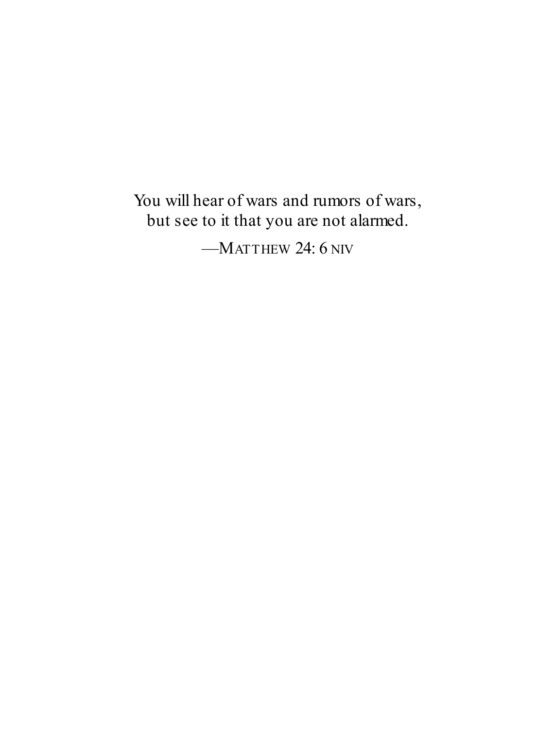You will hear of wars and rumors of wars, but see to it that you are not alarmed.

—MATTHEW 24: 6 NIV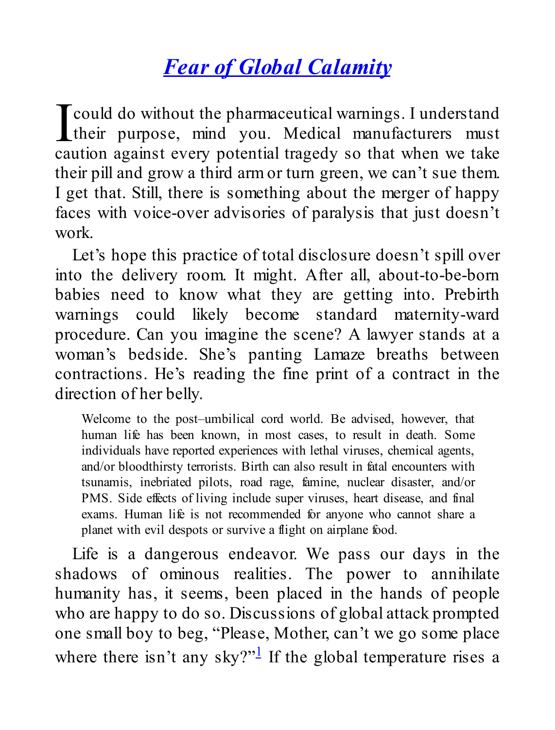### *Fear of Global Calamity*

**I** could do without the pharmaceutical warnings. I understand<br>their purpose, mind you. Medical manufacturers must<br>coution against every notantial tracedy so that when we take their purpose, mind you. Medical manufacturers must caution against every potential tragedy so that when we take their pill and grow a third arm or turn green, we can't sue them. I get that. Still, there is something about the merger of happy faces with voice-over advisories of paralysis that just doesn't work.

Let's hope this practice of total disclosure doesn't spill over into the delivery room. It might. After all, about-to-be-born babies need to know what they are getting into. Prebirth warnings could likely become standard maternity-ward procedure. Can you imagine the scene? A lawyer stands at a woman's bedside. She's panting Lamaze breaths between contractions. He's reading the fine print of a contract in the direction of her belly.

Welcome to the post–umbilical cord world. Be advised, however, that human life has been known, in most cases, to result in death. Some individuals have reported experiences with lethal viruses, chemical agents, and/or bloodthirsty terrorists. Birth can also result in fatal encounters with tsunamis, inebriated pilots, road rage, famine, nuclear disaster, and/or PMS. Side effects of living include super viruses, heart disease, and final exams. Human life is not recommended for anyone who cannot share a planet with evil despots or survive a flight on airplane food.

Life is a dangerous endeavor. We pass our days in the shadows of ominous realities. The power to annihilate humanity has, it seems, been placed in the hands of people who are happy to do so. Discussions of global attack prompted one small boy to beg, "Please, Mother, can't we go some place where there isn't any sky?" $\frac{1}{2}$  If the global temperature rises a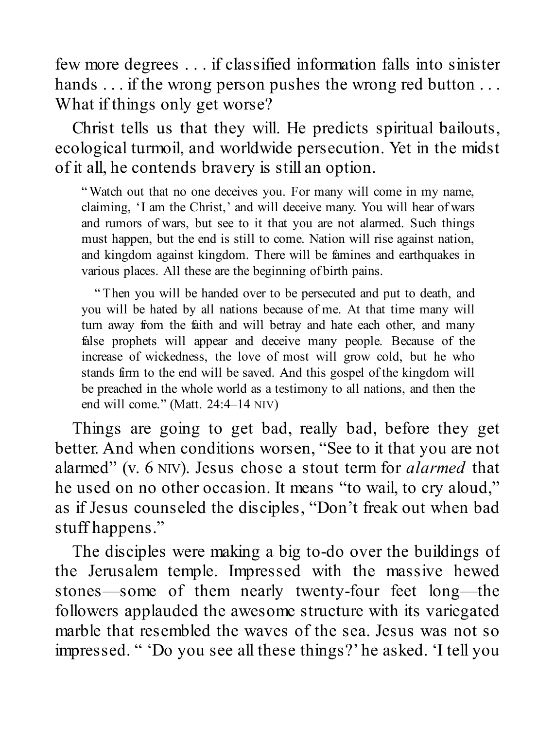few more degrees . . . if classified information falls into sinister hands ... if the wrong person pushes the wrong red button ... What if things only get worse?

Christ tells us that they will. He predicts spiritual bailouts, ecological turmoil, and worldwide persecution. Yet in the midst of it all, he contends bravery is still an option.

"Watch out that no one deceives you. For many will come in my name, claiming, 'I am the Christ,' and will deceive many. You will hear of wars and rumors of wars, but see to it that you are not alarmed. Such things must happen, but the end is still to come. Nation will rise against nation, and kingdom against kingdom. There will be famines and earthquakes in various places. All these are the beginning of birth pains.

" Then you will be handed over to be persecuted and put to death, and you will be hated by all nations because of me. At that time many will turn away from the faith and will betray and hate each other, and many false prophets will appear and deceive many people. Because of the increase of wickedness, the love of most will grow cold, but he who stands firm to the end will be saved. And this gospel of the kingdom will be preached in the whole world as a testimony to all nations, and then the end will come." (Matt. 24:4–14 NIV)

Things are going to get bad, really bad, before they get better. And when conditions worsen, "See to it that you are not alarmed" (v. 6 NIV). Jesus chose a stout term for *alarmed* that he used on no other occasion. It means "to wail, to cry aloud," as if Jesus counseled the disciples, "Don't freak out when bad stuff happens."

The disciples were making a big to-do over the buildings of the Jerusalem temple. Impressed with the massive hewed stones—some of them nearly twenty-four feet long—the followers applauded the awesome structure with its variegated marble that resembled the waves of the sea. Jesus was not so impressed. " 'Do you see all these things?' he asked. 'I tell you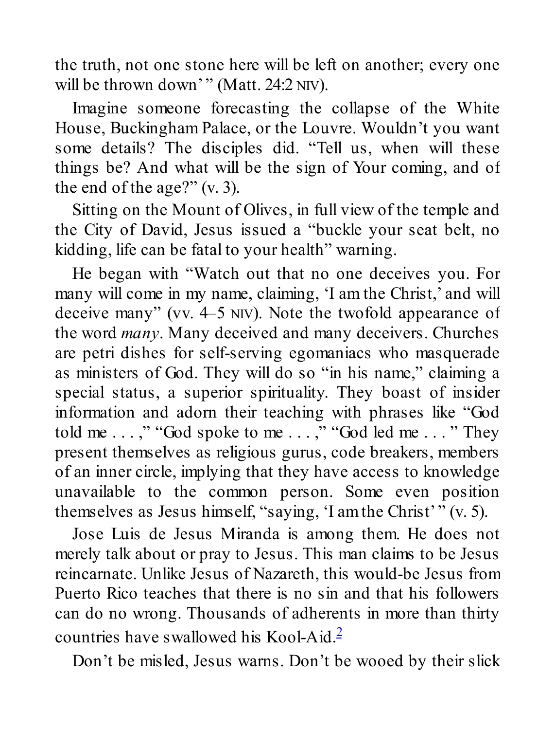the truth, not one stone here will be left on another; every one will be thrown down'" (Matt. 24:2 NIV).

Imagine someone forecasting the collapse of the White House, Buckingham Palace, or the Louvre. Wouldn't you want some details? The disciples did. "Tell us, when will these things be? And what will be the sign of Your coming, and of the end of the age?" (v. 3).

Sitting on the Mount of Olives, in full view of the temple and the City of David, Jesus issued a "buckle your seat belt, no kidding, life can be fatal to your health" warning.

He began with "Watch out that no one deceives you. For many will come in my name, claiming, 'I am the Christ,' and will deceive many" (vv. 4–5 NIV). Note the twofold appearance of the word *many*. Many deceived and many deceivers. Churches are petri dishes for self-serving egomaniacs who masquerade as ministers of God. They will do so "in his name," claiming a special status, a superior spirituality. They boast of insider information and adorn their teaching with phrases like "God told me . . . ," "God spoke to me . . . ," "God led me . . . " They present themselves as religious gurus, code breakers, members of an inner circle, implying that they have access to knowledge unavailable to the common person. Some even position themselves as Jesus himself, "saying, 'I am the Christ'<sup>"</sup> (v. 5).

Jose Luis de Jesus Miranda is among them. He does not merely talk about or pray to Jesus. This man claims to be Jesus reincarnate. Unlike Jesus of Nazareth, this would-be Jesus from Puerto Rico teaches that there is no sin and that his followers can do no wrong. Thousands of adherents in more than thirty countries have swallowed his Kool-Aid. 2

Don't be misled, Jesus warns. Don't be wooed by their slick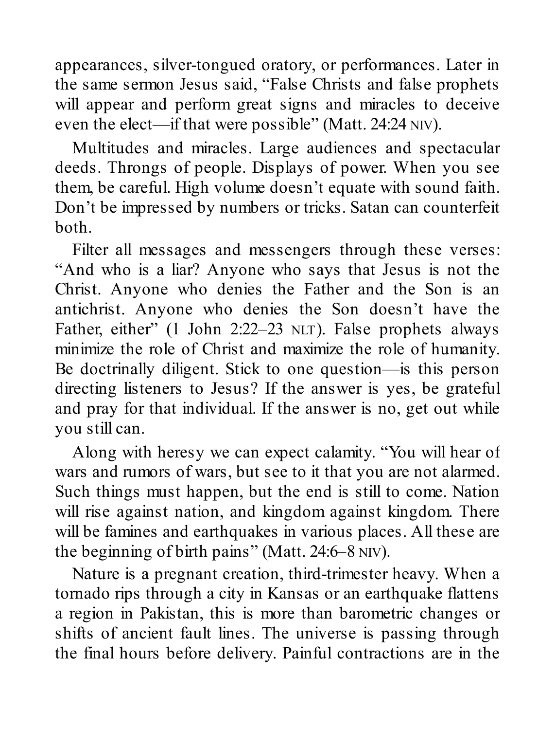appearances, silver-tongued oratory, or performances. Later in the same sermon Jesus said, "False Christs and false prophets will appear and perform great signs and miracles to deceive even the elect—if that were possible" (Matt. 24:24 NIV).

Multitudes and miracles. Large audiences and spectacular deeds. Throngs of people. Displays of power. When you see them, be careful. High volume doesn't equate with sound faith. Don't be impressed by numbers or tricks. Satan can counterfeit both.

Filter all messages and messengers through these verses: "And who is a liar? Anyone who says that Jesus is not the Christ. Anyone who denies the Father and the Son is an antichrist. Anyone who denies the Son doesn't have the Father, either" (1 John 2:22–23 NLT). False prophets always minimize the role of Christ and maximize the role of humanity. Be doctrinally diligent. Stick to one question—is this person directing listeners to Jesus? If the answer is yes, be grateful and pray for that individual. If the answer is no, get out while you still can.

Along with heresy we can expect calamity. "You will hear of wars and rumors of wars, but see to it that you are not alarmed. Such things must happen, but the end is still to come. Nation will rise against nation, and kingdom against kingdom. There will be famines and earthquakes in various places. All these are the beginning of birth pains" (Matt. 24:6–8 NIV).

Nature is a pregnant creation, third-trimester heavy. When a tornado rips through a city in Kansas or an earthquake flattens a region in Pakistan, this is more than barometric changes or shifts of ancient fault lines. The universe is passing through the final hours before delivery. Painful contractions are in the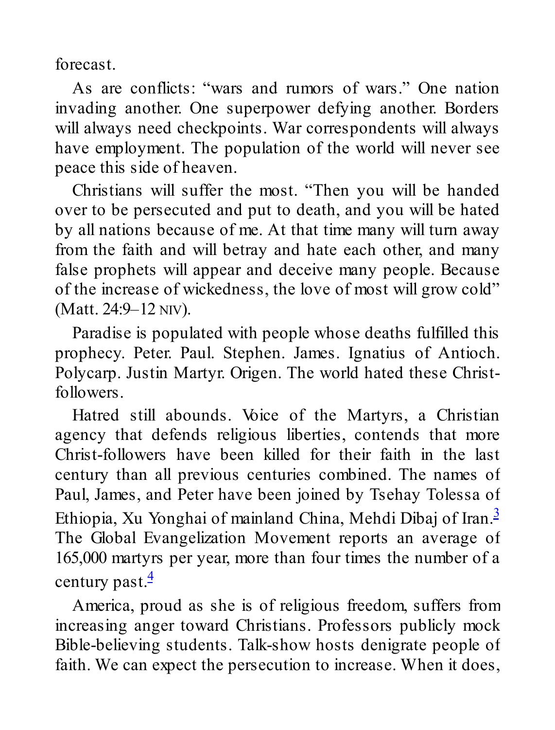forecast.

As are conflicts: "wars and rumors of wars." One nation invading another. One superpower defying another. Borders will always need checkpoints. War correspondents will always have employment. The population of the world will never see peace this side of heaven.

Christians will suffer the most. "Then you will be handed over to be persecuted and put to death, and you will be hated by all nations because of me. At that time many will turn away from the faith and will betray and hate each other, and many false prophets will appear and deceive many people. Because of the increase of wickedness, the love of most will grow cold" (Matt. 24:9–12 NIV).

Paradise is populated with people whose deaths fulfilled this prophecy. Peter. Paul. Stephen. James. Ignatius of Antioch. Polycarp. Justin Martyr. Origen. The world hated these Christfollowers.

Hatred still abounds. Voice of the Martyrs, a Christian agency that defends religious liberties, contends that more Christ-followers have been killed for their faith in the last century than all previous centuries combined. The names of Paul, James, and Peter have been joined by Tsehay Tolessa of Ethiopia, Xu Yonghai of mainland China, Mehdi Dibaj of Iran.<sup>3</sup> The Global Evangelization Movement reports an average of 165,000 martyrs per year, more than four times the number of a century past. 4

America, proud as she is of religious freedom, suffers from increasing anger toward Christians. Professors publicly mock Bible-believing students. Talk-show hosts denigrate people of faith. We can expect the persecution to increase. When it does,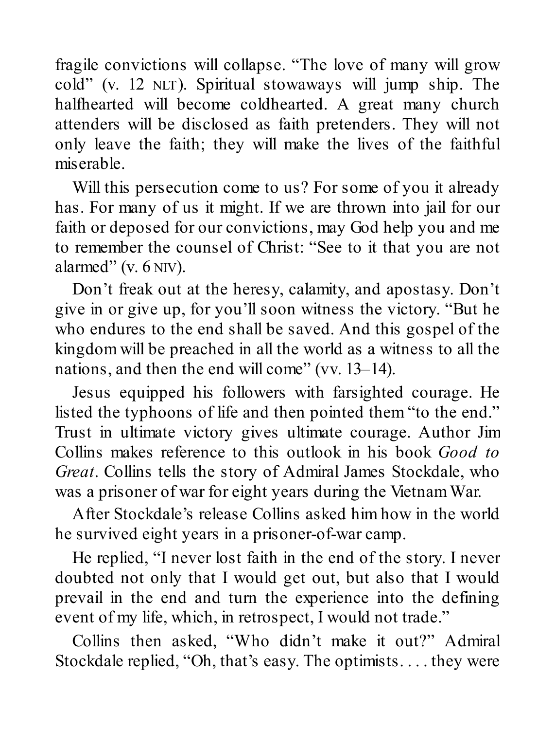fragile convictions will collapse. "The love of many will grow cold" (v. 12 NLT). Spiritual stowaways will jump ship. The halfhearted will become coldhearted. A great many church attenders will be disclosed as faith pretenders. They will not only leave the faith; they will make the lives of the faithful miserable.

Will this persecution come to us? For some of you it already has. For many of us it might. If we are thrown into jail for our faith or deposed for our convictions, may God help you and me to remember the counsel of Christ: "See to it that you are not alarmed" (v. 6 NIV).

Don't freak out at the heresy, calamity, and apostasy. Don't give in or give up, for you'll soon witness the victory. "But he who endures to the end shall be saved. And this gospel of the kingdom will be preached in all the world as a witness to all the nations, and then the end will come" (vv. 13–14).

Jesus equipped his followers with farsighted courage. He listed the typhoons of life and then pointed them "to the end." Trust in ultimate victory gives ultimate courage. Author Jim Collins makes reference to this outlook in his book *Good to Great*. Collins tells the story of Admiral James Stockdale, who was a prisoner of war for eight years during the VietnamWar.

After Stockdale's release Collins asked him how in the world he survived eight years in a prisoner-of-war camp.

He replied, "I never lost faith in the end of the story. I never doubted not only that I would get out, but also that I would prevail in the end and turn the experience into the defining event of my life, which, in retrospect, I would not trade."

Collins then asked, "Who didn't make it out?" Admiral Stockdale replied, "Oh, that's easy. The optimists. . . . they were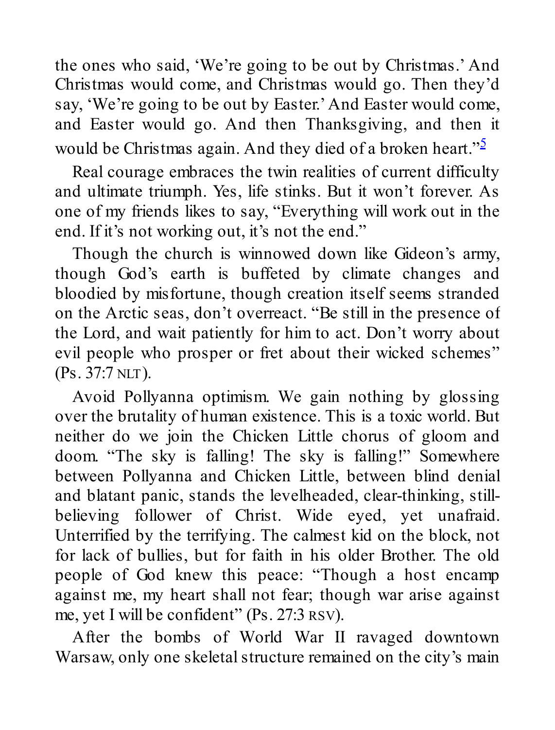the ones who said, 'We're going to be out by Christmas.' And Christmas would come, and Christmas would go. Then they'd say, 'We're going to be out by Easter.'And Easter would come, and Easter would go. And then Thanksgiving, and then it would be Christmas again. And they died of a broken heart."<sup>5</sup>

Real courage embraces the twin realities of current difficulty and ultimate triumph. Yes, life stinks. But it won't forever. As one of my friends likes to say, "Everything will work out in the end. If it's not working out, it's not the end."

Though the church is winnowed down like Gideon's army, though God's earth is buffeted by climate changes and bloodied by misfortune, though creation itself seems stranded on the Arctic seas, don't overreact. "Be still in the presence of the Lord, and wait patiently for him to act. Don't worry about evil people who prosper or fret about their wicked schemes" (Ps. 37:7 NLT).

Avoid Pollyanna optimism. We gain nothing by glossing over the brutality of human existence. This is a toxic world. But neither do we join the Chicken Little chorus of gloom and doom. "The sky is falling! The sky is falling!" Somewhere between Pollyanna and Chicken Little, between blind denial and blatant panic, stands the levelheaded, clear-thinking, stillbelieving follower of Christ. Wide eyed, yet unafraid. Unterrified by the terrifying. The calmest kid on the block, not for lack of bullies, but for faith in his older Brother. The old people of God knew this peace: "Though a host encamp against me, my heart shall not fear; though war arise against me, yet I will be confident" (Ps. 27:3 RSV).

After the bombs of World War II ravaged downtown Warsaw, only one skeletal structure remained on the city's main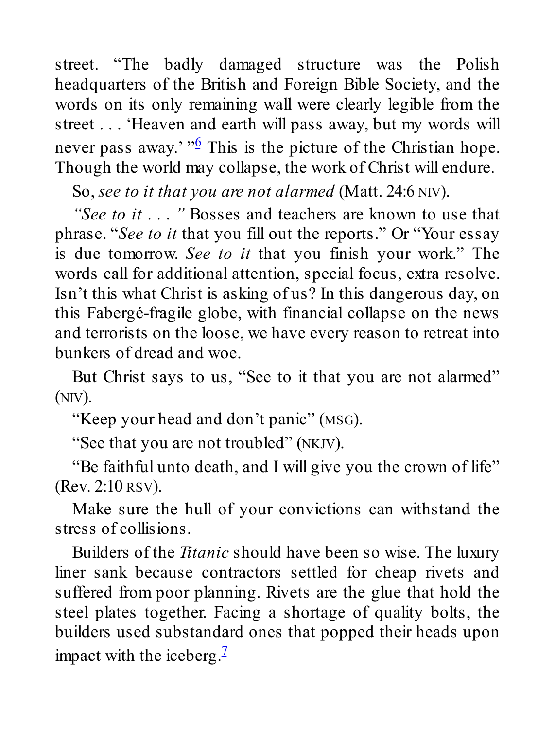street. "The badly damaged structure was the Polish headquarters of the British and Foreign Bible Society, and the words on its only remaining wall were clearly legible from the street . . . 'Heaven and earth will pass away, but my words will never pass away.' " $\frac{6}{5}$  This is the picture of the Christian hope. Though the world may collapse, the work of Christ will endure.

So, *see to it that you are not alarmed* (Matt. 24:6 NIV).

*"See to it* . . . *"* Bosses and teachers are known to use that phrase. "*See to it* that you fill out the reports." Or "Your essay is due tomorrow. *See to it* that you finish your work." The words call for additional attention, special focus, extra resolve. Isn't this what Christ is asking of us? In this dangerous day, on this Fabergé-fragile globe, with financial collapse on the news and terrorists on the loose, we have every reason to retreat into bunkers of dread and woe.

But Christ says to us, "See to it that you are not alarmed" (NIV).

"Keep your head and don't panic" (MSG).

"See that you are not troubled" (NKJV).

"Be faithful unto death, and I will give you the crown of life" (Rev. 2:10 RSV).

Make sure the hull of your convictions can withstand the stress of collisions.

Builders of the *Titanic* should have been so wise. The luxury liner sank because contractors settled for cheap rivets and suffered from poor planning. Rivets are the glue that hold the steel plates together. Facing a shortage of quality bolts, the builders used substandard ones that popped their heads upon impact with the iceberg.<sup>7</sup>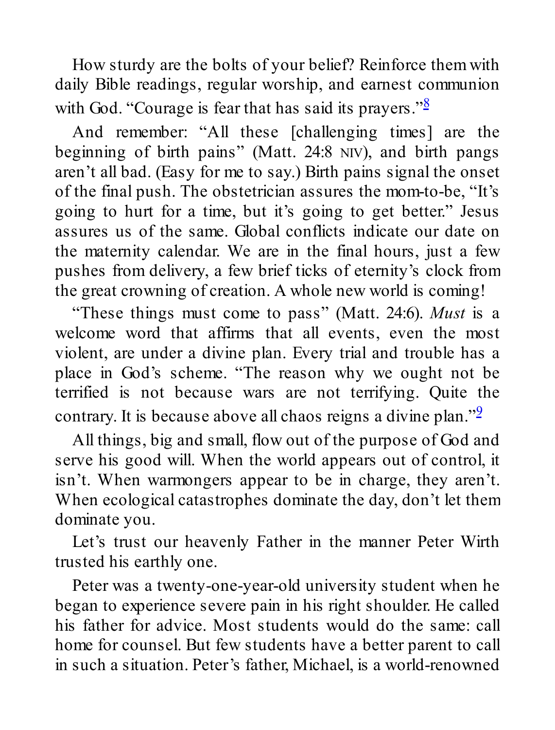How sturdy are the bolts of your belief? Reinforce them with daily Bible readings, regular worship, and earnest communion with God. "Courage is fear that has said its prayers."<sup>8</sup>

And remember: "All these [challenging times] are the beginning of birth pains" (Matt. 24:8 NIV), and birth pangs aren't all bad. (Easy for me to say.) Birth pains signal the onset of the final push. The obstetrician assures the mom-to-be, "It's going to hurt for a time, but it's going to get better." Jesus assures us of the same. Global conflicts indicate our date on the maternity calendar. We are in the final hours, just a few pushes from delivery, a few brief ticks of eternity's clock from the great crowning of creation. A whole new world is coming!

"These things must come to pass" (Matt. 24:6). *Must* is a welcome word that affirms that all events, even the most violent, are under a divine plan. Every trial and trouble has a place in God's scheme. "The reason why we ought not be terrified is not because wars are not terrifying. Quite the contrary. It is because above all chaos reigns a divine plan."<sup>2</sup>

All things, big and small, flow out of the purpose of God and serve his good will. When the world appears out of control, it isn't. When warmongers appear to be in charge, they aren't. When ecological catastrophes dominate the day, don't let them dominate you.

Let's trust our heavenly Father in the manner Peter Wirth trusted his earthly one.

Peter was a twenty-one-year-old university student when he began to experience severe pain in his right shoulder. He called his father for advice. Most students would do the same: call home for counsel. But few students have a better parent to call in such a situation. Peter's father, Michael, is a world-renowned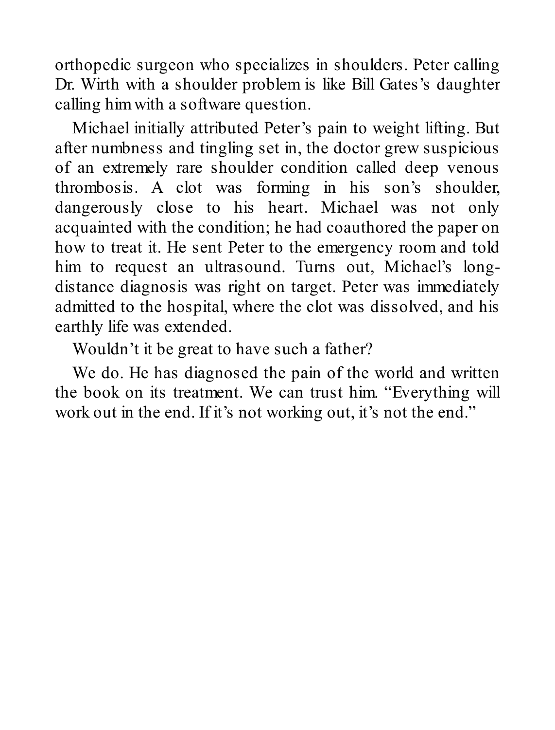orthopedic surgeon who specializes in shoulders. Peter calling Dr. Wirth with a shoulder problem is like Bill Gates's daughter calling himwith a software question.

Michael initially attributed Peter's pain to weight lifting. But after numbness and tingling set in, the doctor grew suspicious of an extremely rare shoulder condition called deep venous thrombosis. A clot was forming in his son's shoulder, dangerously close to his heart. Michael was not only acquainted with the condition; he had coauthored the paper on how to treat it. He sent Peter to the emergency room and told him to request an ultrasound. Turns out, Michael's longdistance diagnosis was right on target. Peter was immediately admitted to the hospital, where the clot was dissolved, and his earthly life was extended.

Wouldn't it be great to have such a father?

We do. He has diagnosed the pain of the world and written the book on its treatment. We can trust him. "Everything will work out in the end. If it's not working out, it's not the end."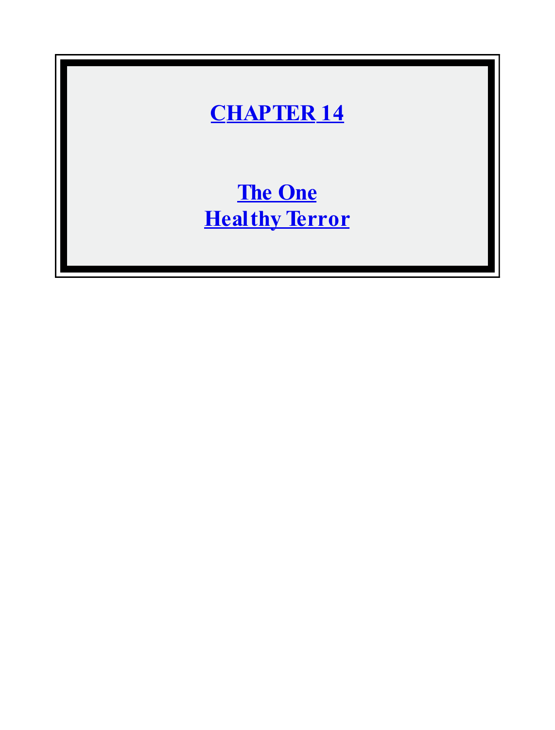**CHAPTER 14**

**The One Healthy Terror**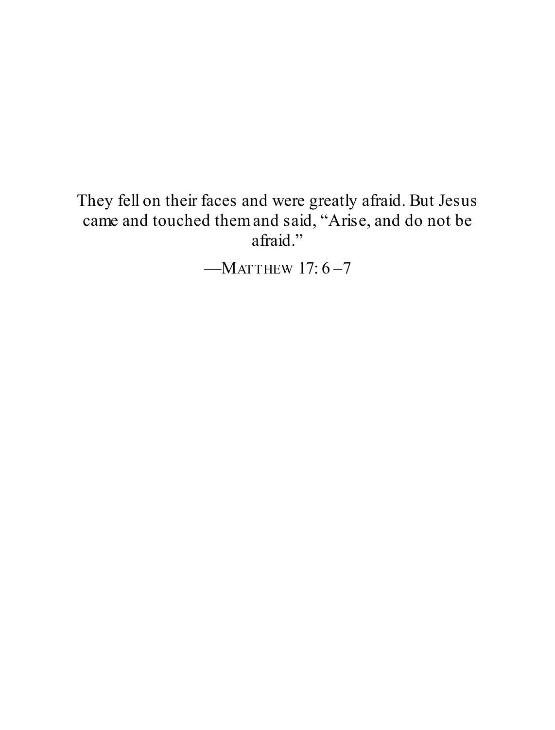#### They fell on their faces and were greatly afraid. But Jesus came and touched themand said, "Arise, and do not be afraid."

—MATTHEW 17: 6 –7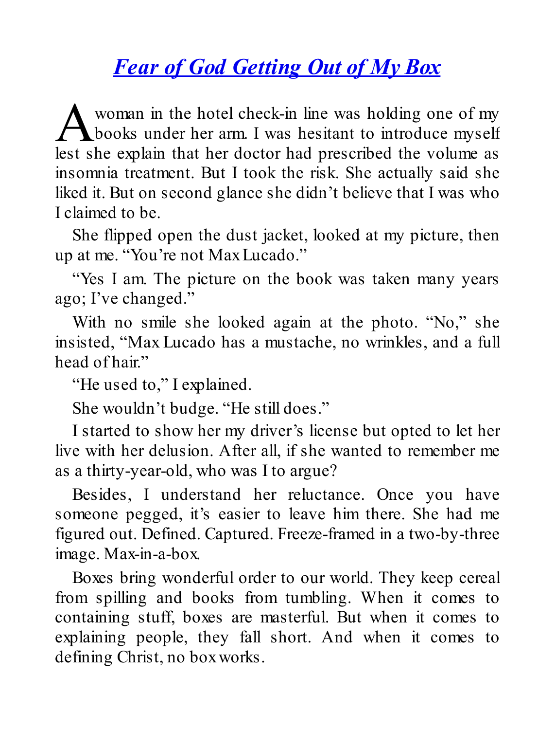## *Fear of God Getting Out of My Box*

**A** woman in the hotel check-in line was holding one of my<br>hooks under her arm. I was hesitant to introduce myself books under her arm. I was hesitant to introduce myself lest she explain that her doctor had prescribed the volume as insomnia treatment. But I took the risk. She actually said she liked it. But on second glance she didn't believe that I was who I claimed to be.

She flipped open the dust jacket, looked at my picture, then up at me. "You're not Max Lucado."

"Yes I am. The picture on the book was taken many years ago; I've changed."

With no smile she looked again at the photo. "No," she insisted, "Max Lucado has a mustache, no wrinkles, and a full head of hair."

"He used to," I explained.

She wouldn't budge. "He still does."

I started to show her my driver's license but opted to let her live with her delusion. After all, if she wanted to remember me as a thirty-year-old, who was I to argue?

Besides, I understand her reluctance. Once you have someone pegged, it's easier to leave him there. She had me figured out. Defined. Captured. Freeze-framed in a two-by-three image. Max-in-a-box.

Boxes bring wonderful order to our world. They keep cereal from spilling and books from tumbling. When it comes to containing stuff, boxes are masterful. But when it comes to explaining people, they fall short. And when it comes to defining Christ, no boxworks.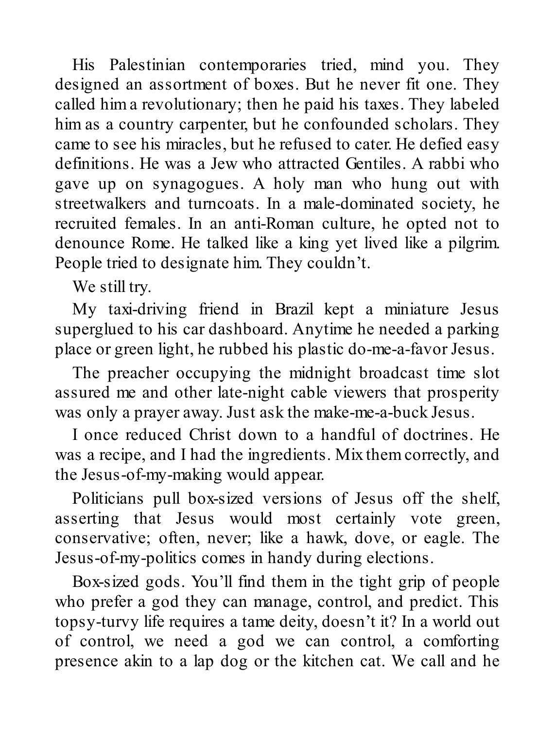His Palestinian contemporaries tried, mind you. They designed an assortment of boxes. But he never fit one. They called him a revolutionary; then he paid his taxes. They labeled him as a country carpenter, but he confounded scholars. They came to see his miracles, but he refused to cater. He defied easy definitions. He was a Jew who attracted Gentiles. A rabbi who gave up on synagogues. A holy man who hung out with streetwalkers and turncoats. In a male-dominated society, he recruited females. In an anti-Roman culture, he opted not to denounce Rome. He talked like a king yet lived like a pilgrim. People tried to designate him. They couldn't.

We still try.

My taxi-driving friend in Brazil kept a miniature Jesus superglued to his car dashboard. Anytime he needed a parking place or green light, he rubbed his plastic do-me-a-favor Jesus.

The preacher occupying the midnight broadcast time slot assured me and other late-night cable viewers that prosperity was only a prayer away. Just ask the make-me-a-buck Jesus.

I once reduced Christ down to a handful of doctrines. He was a recipe, and I had the ingredients. Mix them correctly, and the Jesus-of-my-making would appear.

Politicians pull box-sized versions of Jesus off the shelf, asserting that Jesus would most certainly vote green, conservative; often, never; like a hawk, dove, or eagle. The Jesus-of-my-politics comes in handy during elections.

Box-sized gods. You'll find them in the tight grip of people who prefer a god they can manage, control, and predict. This topsy-turvy life requires a tame deity, doesn't it? In a world out of control, we need a god we can control, a comforting presence akin to a lap dog or the kitchen cat. We call and he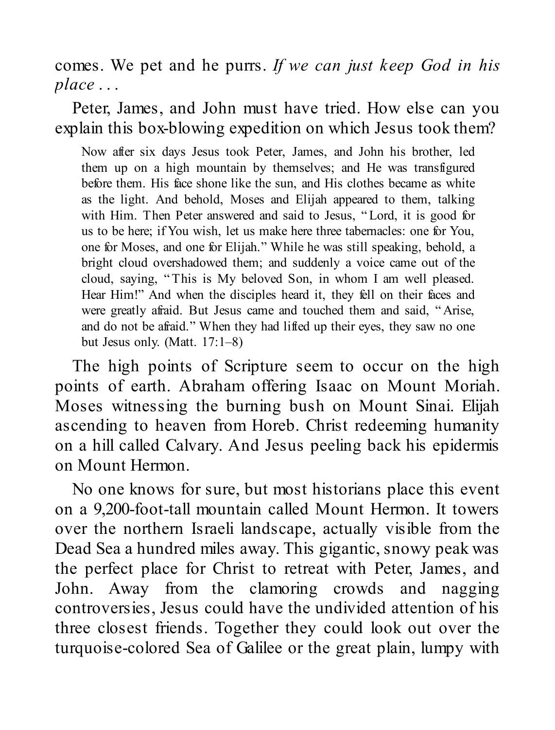comes. We pet and he purrs. *If we can just keep God in his place* . . .

Peter, James, and John must have tried. How else can you explain this box-blowing expedition on which Jesus took them?

Now after six days Jesus took Peter, James, and John his brother, led them up on a high mountain by themselves; and He was transfigured before them. His face shone like the sun, and His clothes became as white as the light. And behold, Moses and Elijah appeared to them, talking with Him. Then Peter answered and said to Jesus, " Lord, it is good for us to be here; if You wish, let us make here three tabernacles: one for You, one for Moses, and one for Elijah." While he was still speaking, behold, a bright cloud overshadowed them; and suddenly a voice came out of the cloud, saying, " This is My beloved Son, in whom I am well pleased. Hear Him!" And when the disciples heard it, they fell on their faces and were greatly afraid. But Jesus came and touched them and said, " Arise, and do not be afraid." When they had lifted up their eyes, they saw no one but Jesus only. (Matt. 17:1–8)

The high points of Scripture seem to occur on the high points of earth. Abraham offering Isaac on Mount Moriah. Moses witnessing the burning bush on Mount Sinai. Elijah ascending to heaven from Horeb. Christ redeeming humanity on a hill called Calvary. And Jesus peeling back his epidermis on Mount Hermon.

No one knows for sure, but most historians place this event on a 9,200-foot-tall mountain called Mount Hermon. It towers over the northern Israeli landscape, actually visible from the Dead Sea a hundred miles away. This gigantic, snowy peak was the perfect place for Christ to retreat with Peter, James, and John. Away from the clamoring crowds and nagging controversies, Jesus could have the undivided attention of his three closest friends. Together they could look out over the turquoise-colored Sea of Galilee or the great plain, lumpy with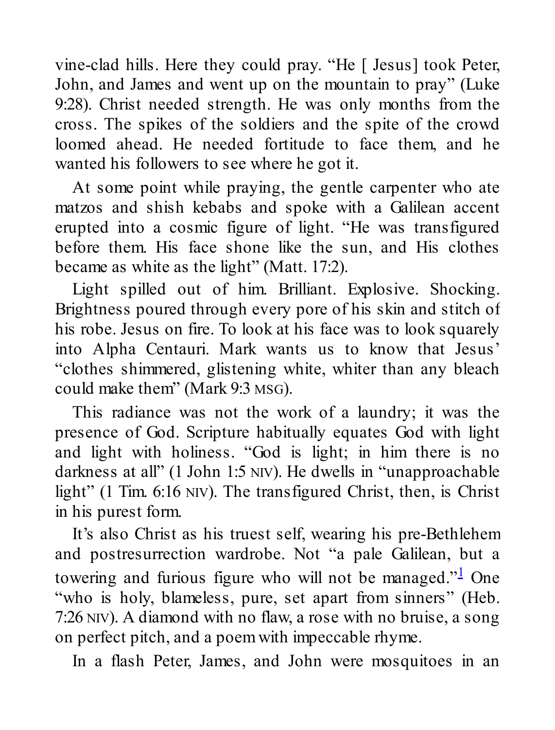vine-clad hills. Here they could pray. "He [ Jesus] took Peter, John, and James and went up on the mountain to pray" (Luke 9:28). Christ needed strength. He was only months from the cross. The spikes of the soldiers and the spite of the crowd loomed ahead. He needed fortitude to face them, and he wanted his followers to see where he got it.

At some point while praying, the gentle carpenter who ate matzos and shish kebabs and spoke with a Galilean accent erupted into a cosmic figure of light. "He was transfigured before them. His face shone like the sun, and His clothes became as white as the light" (Matt. 17:2).

Light spilled out of him. Brilliant. Explosive. Shocking. Brightness poured through every pore of his skin and stitch of his robe. Jesus on fire. To look at his face was to look squarely into Alpha Centauri. Mark wants us to know that Jesus' "clothes shimmered, glistening white, whiter than any bleach could make them" (Mark 9:3 MSG).

This radiance was not the work of a laundry; it was the presence of God. Scripture habitually equates God with light and light with holiness. "God is light; in him there is no darkness at all" (1 John 1:5 NIV). He dwells in "unapproachable light" (1 Tim. 6:16 NIV). The transfigured Christ, then, is Christ in his purest form.

It's also Christ as his truest self, wearing his pre-Bethlehem and postresurrection wardrobe. Not "a pale Galilean, but a towering and furious figure who will not be managed."<sup>1</sup> One "who is holy, blameless, pure, set apart from sinners" (Heb. 7:26 NIV). A diamond with no flaw, a rose with no bruise, a song on perfect pitch, and a poemwith impeccable rhyme.

In a flash Peter, James, and John were mosquitoes in an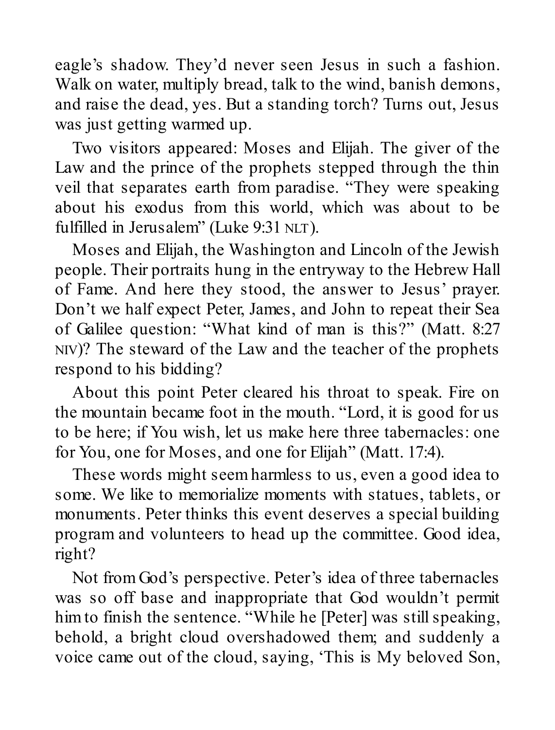eagle's shadow. They'd never seen Jesus in such a fashion. Walk on water, multiply bread, talk to the wind, banish demons, and raise the dead, yes. But a standing torch? Turns out, Jesus was just getting warmed up.

Two visitors appeared: Moses and Elijah. The giver of the Law and the prince of the prophets stepped through the thin veil that separates earth from paradise. "They were speaking about his exodus from this world, which was about to be fulfilled in Jerusalem" (Luke 9:31 NLT).

Moses and Elijah, the Washington and Lincoln of the Jewish people. Their portraits hung in the entryway to the Hebrew Hall of Fame. And here they stood, the answer to Jesus' prayer. Don't we half expect Peter, James, and John to repeat their Sea of Galilee question: "What kind of man is this?" (Matt. 8:27 NIV)? The steward of the Law and the teacher of the prophets respond to his bidding?

About this point Peter cleared his throat to speak. Fire on the mountain became foot in the mouth. "Lord, it is good for us to be here; if You wish, let us make here three tabernacles: one for You, one for Moses, and one for Elijah" (Matt. 17:4).

These words might seemharmless to us, even a good idea to some. We like to memorialize moments with statues, tablets, or monuments. Peter thinks this event deserves a special building program and volunteers to head up the committee. Good idea, right?

Not from God's perspective. Peter's idea of three tabernacles was so off base and inappropriate that God wouldn't permit him to finish the sentence. "While he [Peter] was still speaking, behold, a bright cloud overshadowed them; and suddenly a voice came out of the cloud, saying, 'This is My beloved Son,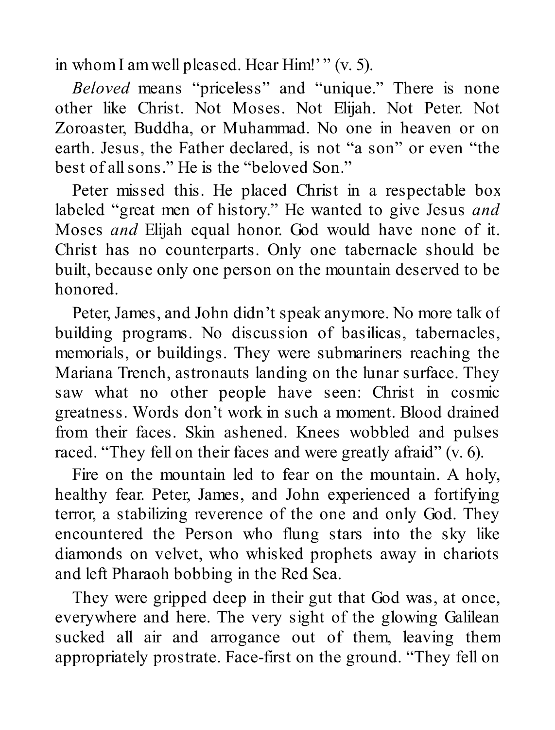in whom I am well pleased. Hear Him!'" (v. 5).

*Beloved* means "priceless" and "unique." There is none other like Christ. Not Moses. Not Elijah. Not Peter. Not Zoroaster, Buddha, or Muhammad. No one in heaven or on earth. Jesus, the Father declared, is not "a son" or even "the best of allsons." He is the "beloved Son."

Peter missed this. He placed Christ in a respectable box labeled "great men of history." He wanted to give Jesus *and* Moses *and* Elijah equal honor. God would have none of it. Christ has no counterparts. Only one tabernacle should be built, because only one person on the mountain deserved to be honored.

Peter, James, and John didn't speak anymore. No more talk of building programs. No discussion of basilicas, tabernacles, memorials, or buildings. They were submariners reaching the Mariana Trench, astronauts landing on the lunar surface. They saw what no other people have seen: Christ in cosmic greatness. Words don't work in such a moment. Blood drained from their faces. Skin ashened. Knees wobbled and pulses raced. "They fell on their faces and were greatly afraid" (v. 6).

Fire on the mountain led to fear on the mountain. A holy, healthy fear. Peter, James, and John experienced a fortifying terror, a stabilizing reverence of the one and only God. They encountered the Person who flung stars into the sky like diamonds on velvet, who whisked prophets away in chariots and left Pharaoh bobbing in the Red Sea.

They were gripped deep in their gut that God was, at once, everywhere and here. The very sight of the glowing Galilean sucked all air and arrogance out of them, leaving them appropriately prostrate. Face-first on the ground. "They fell on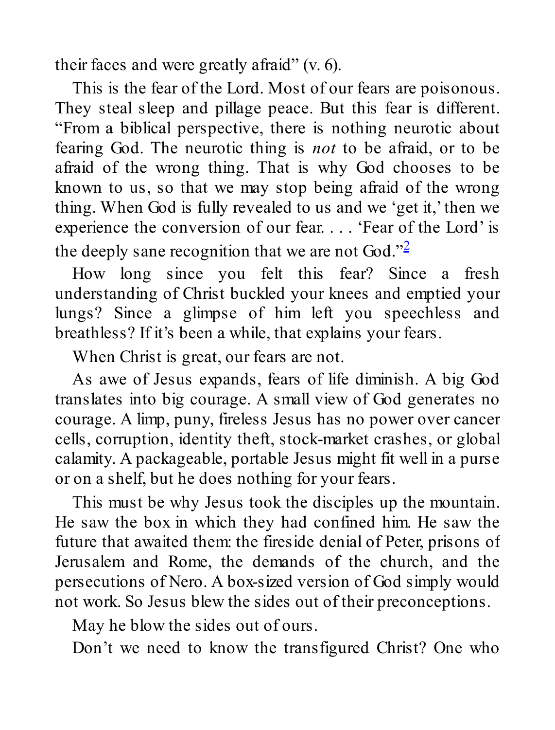their faces and were greatly afraid" (v. 6).

This is the fear of the Lord. Most of our fears are poisonous. They steal sleep and pillage peace. But this fear is different. "From a biblical perspective, there is nothing neurotic about fearing God. The neurotic thing is *not* to be afraid, or to be afraid of the wrong thing. That is why God chooses to be known to us, so that we may stop being afraid of the wrong thing. When God is fully revealed to us and we 'get it,'then we experience the conversion of our fear. . . . 'Fear of the Lord' is the deeply sane recognition that we are not God."<sup>2</sup>

How long since you felt this fear? Since a fresh understanding of Christ buckled your knees and emptied your lungs? Since a glimpse of him left you speechless and breathless? If it's been a while, that explains your fears.

When Christ is great, our fears are not.

As awe of Jesus expands, fears of life diminish. A big God translates into big courage. A small view of God generates no courage. A limp, puny, fireless Jesus has no power over cancer cells, corruption, identity theft, stock-market crashes, or global calamity. A packageable, portable Jesus might fit well in a purse or on a shelf, but he does nothing for your fears.

This must be why Jesus took the disciples up the mountain. He saw the box in which they had confined him. He saw the future that awaited them: the fireside denial of Peter, prisons of Jerusalem and Rome, the demands of the church, and the persecutions of Nero. A box-sized version of God simply would not work. So Jesus blew the sides out of their preconceptions.

May he blow the sides out of ours.

Don't we need to know the transfigured Christ? One who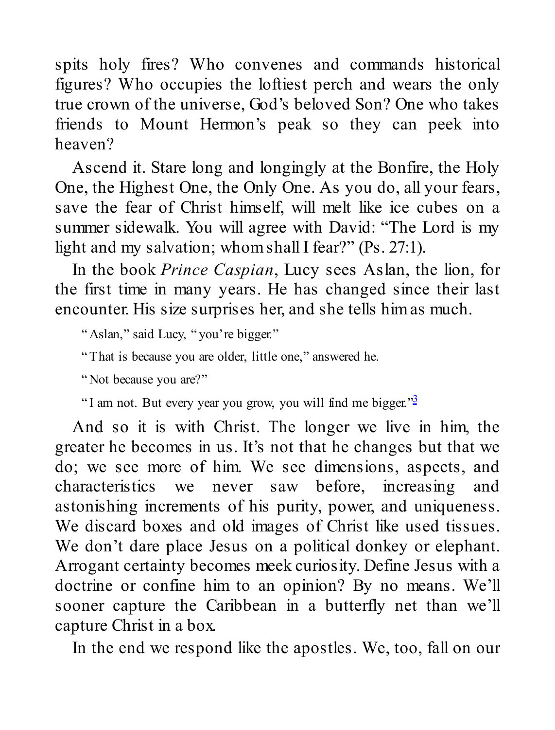spits holy fires? Who convenes and commands historical figures? Who occupies the loftiest perch and wears the only true crown of the universe, God's beloved Son? One who takes friends to Mount Hermon's peak so they can peek into heaven?

Ascend it. Stare long and longingly at the Bonfire, the Holy One, the Highest One, the Only One. As you do, all your fears, save the fear of Christ himself, will melt like ice cubes on a summer sidewalk. You will agree with David: "The Lord is my light and my salvation; whomshall I fear?" (Ps. 27:1).

In the book *Prince Caspian*, Lucy sees Aslan, the lion, for the first time in many years. He has changed since their last encounter. His size surprises her, and she tells himas much.

- " Aslan," said Lucy, " you're bigger."
- " That is because you are older, little one," answered he.
- " Not because you are?"
- " I am not. But every year you grow, you will find me bigger." $\frac{3}{2}$

And so it is with Christ. The longer we live in him, the greater he becomes in us. It's not that he changes but that we do; we see more of him. We see dimensions, aspects, and characteristics we never saw before, increasing and astonishing increments of his purity, power, and uniqueness. We discard boxes and old images of Christ like used tissues. We don't dare place Jesus on a political donkey or elephant. Arrogant certainty becomes meek curiosity. Define Jesus with a doctrine or confine him to an opinion? By no means. We'll sooner capture the Caribbean in a butterfly net than we'll capture Christ in a box.

In the end we respond like the apostles. We, too, fall on our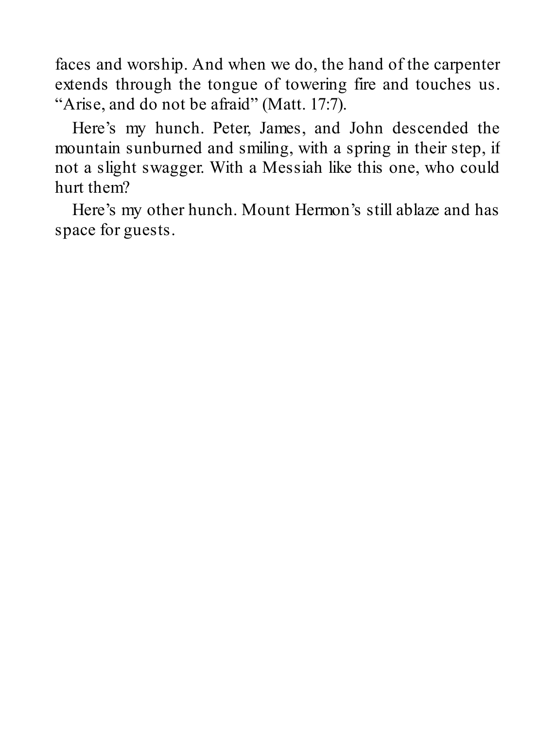faces and worship. And when we do, the hand of the carpenter extends through the tongue of towering fire and touches us. "Arise, and do not be afraid" (Matt. 17:7).

Here's my hunch. Peter, James, and John descended the mountain sunburned and smiling, with a spring in their step, if not a slight swagger. With a Messiah like this one, who could hurt them?

Here's my other hunch. Mount Hermon's still ablaze and has space for guests.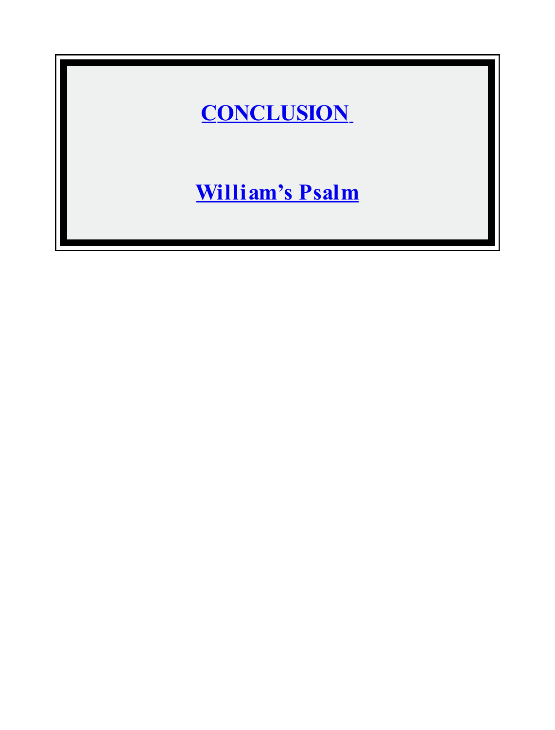**CONCLUSION**

**William's Psalm**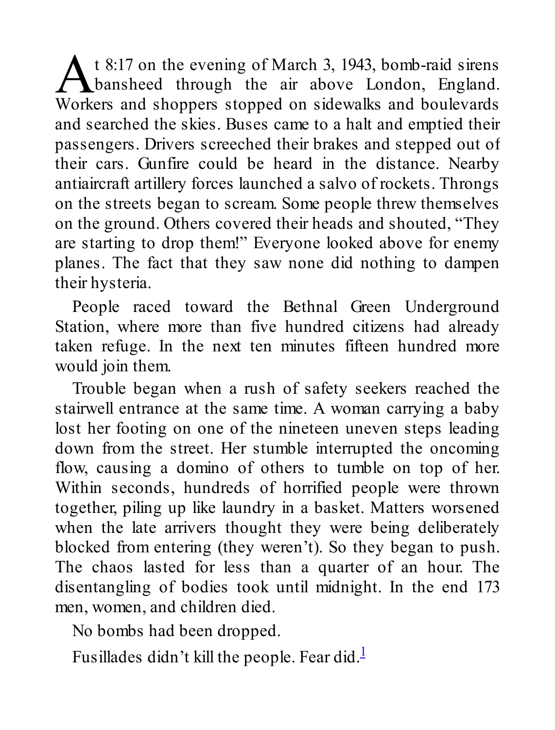$\Lambda$  t 8:17 on the evening of March 3, 1943, bomb-raid sirens<br>Workers and shonners stopped on sidewalks and boulevards bansheed through the air above London, England. Workers and shoppers stopped on sidewalks and boulevards and searched the skies. Buses came to a halt and emptied their passengers. Drivers screeched their brakes and stepped out of their cars. Gunfire could be heard in the distance. Nearby antiaircraft artillery forces launched a salvo of rockets. Throngs on the streets began to scream. Some people threw themselves on the ground. Others covered their heads and shouted, "They are starting to drop them!" Everyone looked above for enemy planes. The fact that they saw none did nothing to dampen their hysteria.

People raced toward the Bethnal Green Underground Station, where more than five hundred citizens had already taken refuge. In the next ten minutes fifteen hundred more would join them.

Trouble began when a rush of safety seekers reached the stairwell entrance at the same time. A woman carrying a baby lost her footing on one of the nineteen uneven steps leading down from the street. Her stumble interrupted the oncoming flow, causing a domino of others to tumble on top of her. Within seconds, hundreds of horrified people were thrown together, piling up like laundry in a basket. Matters worsened when the late arrivers thought they were being deliberately blocked from entering (they weren't). So they began to push. The chaos lasted for less than a quarter of an hour. The disentangling of bodies took until midnight. In the end 173 men, women, and children died.

No bombs had been dropped.

Fusillades didn't kill the people. Fear did.<sup>1</sup>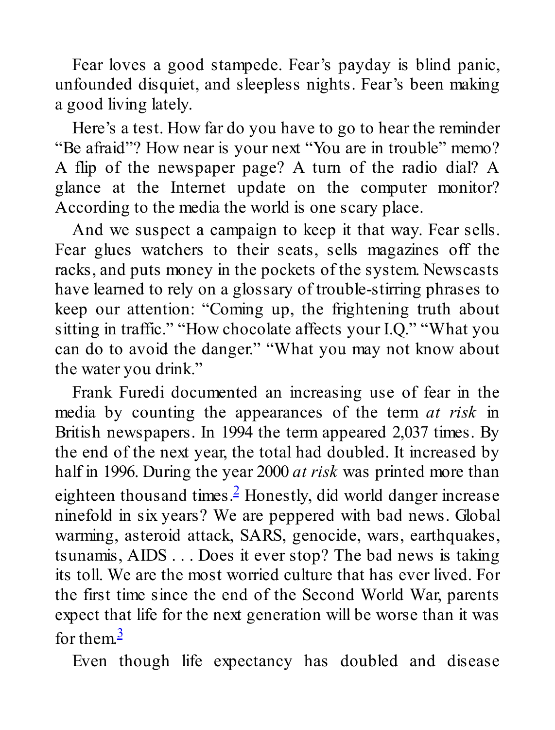Fear loves a good stampede. Fear's payday is blind panic, unfounded disquiet, and sleepless nights. Fear's been making a good living lately.

Here's a test. How far do you have to go to hear the reminder "Be afraid"? How near is your next "You are in trouble" memo? A flip of the newspaper page? A turn of the radio dial? A glance at the Internet update on the computer monitor? According to the media the world is one scary place.

And we suspect a campaign to keep it that way. Fear sells. Fear glues watchers to their seats, sells magazines off the racks, and puts money in the pockets of the system. Newscasts have learned to rely on a glossary of trouble-stirring phrases to keep our attention: "Coming up, the frightening truth about sitting in traffic." "How chocolate affects your I.Q." "What you can do to avoid the danger." "What you may not know about the water you drink."

Frank Furedi documented an increasing use of fear in the media by counting the appearances of the term *at risk* in British newspapers. In 1994 the term appeared 2,037 times. By the end of the next year, the total had doubled. It increased by half in 1996. During the year 2000 *at risk* was printed more than eighteen thousand times. <sup>2</sup> Honestly, did world danger increase ninefold in six years? We are peppered with bad news. Global warming, asteroid attack, SARS, genocide, wars, earthquakes, tsunamis, AIDS . . . Does it ever stop? The bad news is taking its toll. We are the most worried culture that has ever lived. For the first time since the end of the Second World War, parents expect that life for the next generation will be worse than it was for them.<sup>3</sup>

Even though life expectancy has doubled and disease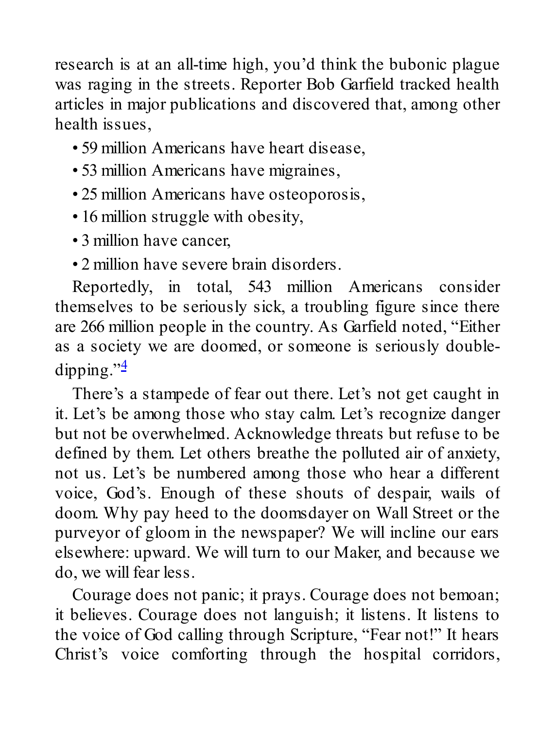research is at an all-time high, you'd think the bubonic plague was raging in the streets. Reporter Bob Garfield tracked health articles in major publications and discovered that, among other health issues,

- 59 million Americans have heart disease,
- 53 million Americans have migraines,
- 25 million Americans have osteoporosis,
- 16 million struggle with obesity,
- 
- 3 million have cancer,
- 2 million have severe brain disorders.

Reportedly, in total, 543 million Americans consider themselves to be seriously sick, a troubling figure since there are 266 million people in the country. As Garfield noted, "Either as a society we are doomed, or someone is seriously doubledipping." 4

There's a stampede of fear out there. Let's not get caught in it. Let's be among those who stay calm. Let's recognize danger but not be overwhelmed. Acknowledge threats but refuse to be defined by them. Let others breathe the polluted air of anxiety, not us. Let's be numbered among those who hear a different voice, God's. Enough of these shouts of despair, wails of doom. Why pay heed to the doomsdayer on Wall Street or the purveyor of gloom in the newspaper? We will incline our ears elsewhere: upward. We will turn to our Maker, and because we do, we will fear less.

Courage does not panic; it prays. Courage does not bemoan; it believes. Courage does not languish; it listens. It listens to the voice of God calling through Scripture, "Fear not!" It hears Christ's voice comforting through the hospital corridors,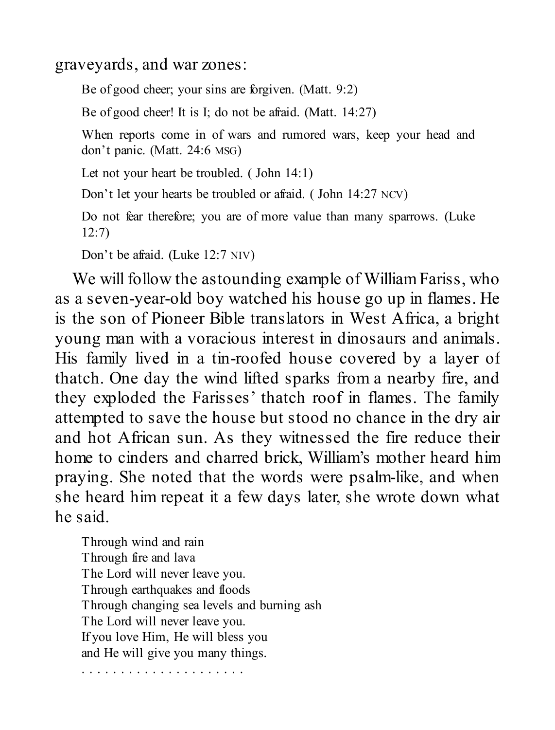graveyards, and war zones:

Be of good cheer; your sins are forgiven. (Matt. 9:2)

Be of good cheer! It is I: do not be afraid. (Matt. 14:27).

When reports come in of wars and rumored wars, keep your head and don't panic. (Matt. 24:6 MSG)

Let not your heart be troubled. ( John 14:1)

Don't let your hearts be troubled or afraid. ( John 14:27 NCV)

Do not fear therefore; you are of more value than many sparrows. (Luke  $12.7$ 

Don't be afraid. (Luke 12:7 NIV)

We will follow the astounding example of William Fariss, who as a seven-year-old boy watched his house go up in flames. He is the son of Pioneer Bible translators in West Africa, a bright young man with a voracious interest in dinosaurs and animals. His family lived in a tin-roofed house covered by a layer of thatch. One day the wind lifted sparks from a nearby fire, and they exploded the Farisses' thatch roof in flames. The family attempted to save the house but stood no chance in the dry air and hot African sun. As they witnessed the fire reduce their home to cinders and charred brick, William's mother heard him praying. She noted that the words were psalm-like, and when she heard him repeat it a few days later, she wrote down what he said.

Through wind and rain Through fire and lava The Lord will never leave you. Through earthquakes and floods Through changing sea levels and burning ash The Lord will never leave you. If you love Him, He will bless you and He will give you many things.

. . . . . . . . . . . . . . . . . . . . .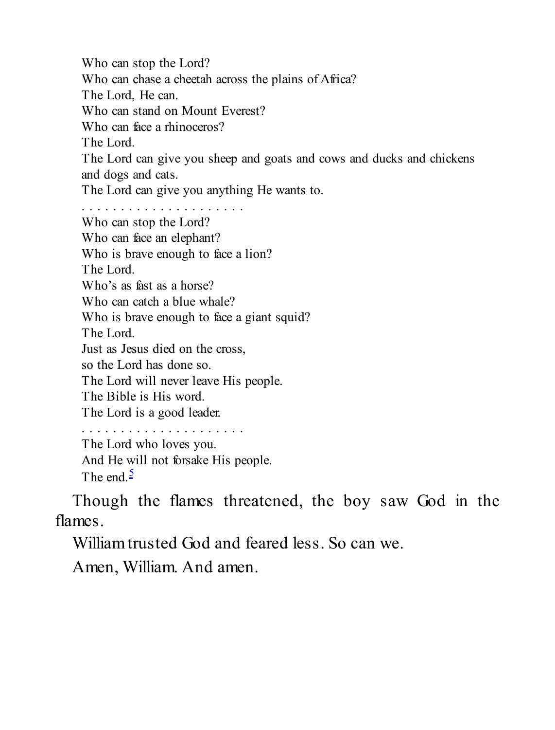Who can chase a cheetah across the plains of Africa?<br>Who can chase a cheetah across the plains of Africa?<br>The Lord, He can.<br>Who can stand on Mount Everest? Who can face a rhinoceros? The Lord. The Lord can give you sheep and goats and cows and ducks and chickens and dogs and cats. The Lord can give you anything He wants to. . . . . . . . . . . . . . . . . . . . . . Who can stop the Lord? Who can face an elephant? Who is brave enough to face a lion? The Lord. Who's as fast as a horse? Who can catch a blue whale? Who is brave enough to face a giant squid? The Lord. Just as Jesus died on the cross, so the Lord has done so. The Lord will never leave His people. The Bible is His word. The Lord is a good leader. . . . . . . . . . . . . . . . . . . . . . The Lord who loves you. And He will not forsake His people. The end.<sup>5</sup> Though the flames threatened, the boy saw God in the flames. Williamtrusted God and feared less. So can we.

Amen, William. And amen.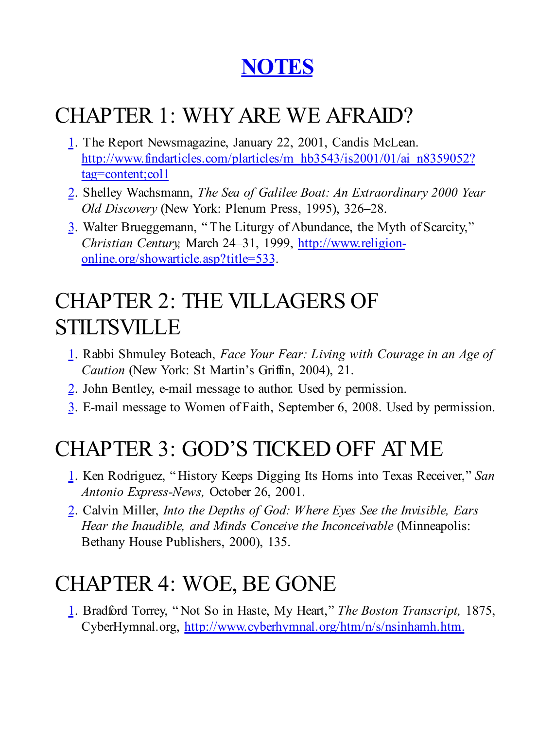# **NOTES**

### CHAPTER 1: WHY ARE WE AFRAID?

- 1. The Report Newsmagazine, January 22, 2001, Candis McLean. http://www.findarticles.com/plarticles/m\_hb3543/is2001/01/ai\_n8359052?<br>tag=content;col1
- 2. Shelley Wachsmann, *The Sea of Galilee Boat: An Extraordinary 2000 Year Old Discovery* (New York: Plenum Press, 1995), 326–28.
- 3. Walter Brueggemann, " The Liturgy of Abundance, the Myth ofScarcity," *Christian Century,* March 24–31, 1999, http://www.religiononline.org/showarticle.asp?title=533.

## CHAPTER 2: THE VILLAGERS OF **STILTSVILLE**

- 1. Rabbi Shmuley Boteach, *Face Your Fear: Living with Courage in an Age of Caution* (New York: St Martin's Griffin, 2004), 21.
- 2. John Bentley, e-mail message to author. Used by permission.
- 3. E-mail message to Women ofFaith, September 6, 2008. Used by permission.

### CHAPTER 3: GOD'S TICKED OFF AT ME

- 1. Ken Rodriguez, " History Keeps Digging Its Horns into Texas Receiver," *San Antonio Express-News,* October 26, 2001.
- 2. Calvin Miller, *Into the Depths of God: Where Eyes See the Invisible, Ears Hear the Inaudible, and Minds Conceive the Inconceivable (Minneapolis:* Bethany House Publishers, 2000), 135.

### CHAPTER 4: WOE, BE GONE

1. Bradford Torrey, " Not So in Haste, My Heart," *The Boston Transcript,* 1875, CyberHymnal.org, http://www.cyberhymnal.org/htm/n/s/nsinhamh.htm.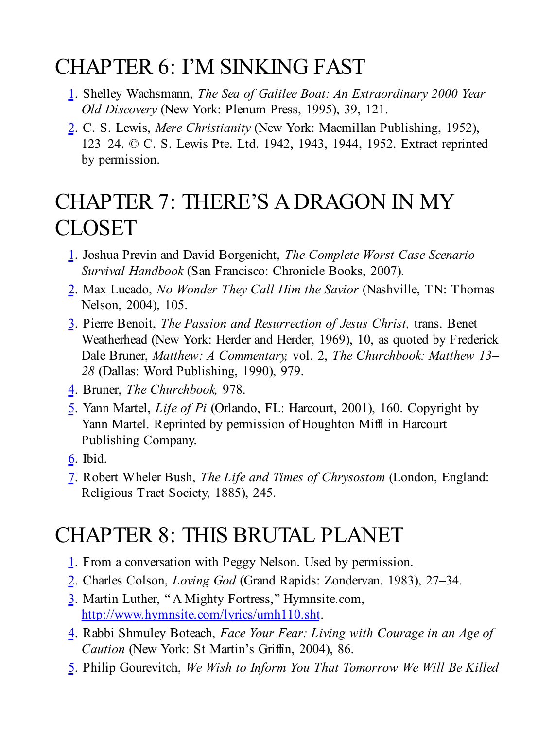### CHAPTER 6: I'M SINKING FAST

- 1. Shelley Wachsmann, *The Sea of Galilee Boat: An Extraordinary 2000 Year Old Discovery* (New York: Plenum Press, 1995), 39, 121.
- 2. C. S. Lewis, *Mere Christianity* (New York: Macmillan Publishing, 1952), 123–24. © C. S. Lewis Pte. Ltd. 1942, 1943, 1944, 1952. Extract reprinted by permission.

## CHAPTER 7: THERE'S A DRAGON IN MY CLOSET

- 1. Joshua Previn and David Borgenicht, *The Complete Worst-Case Scenario*
- *Survival Handbook* (San Francisco: Chronicle Books, 2007). 2. Max Lucado, *No Wonder They Call Him the Savior* (Nashville, TN: Thomas
- Nelson, 2004), 105. 3. Pierre Benoit, *The Passion and Resurrection of Jesus Christ,* trans. Benet
- Weatherhead (New York: Herder and Herder, 1969), 10, as quoted by Frederick Dale Bruner, *Matthew: A Commentary,* vol. 2, *The Churchbook: Matthew 13– 28* (Dallas: Word Publishing, 1990), 979.
- 4. Bruner, *The Churchbook,* 978.
- 5. Yann Martel, *Life of Pi* (Orlando, FL: Harcourt, 2001), 160. Copyright by Yann Martel. Reprinted by permission of Houghton Miffl in Harcourt Publishing Company.
- $6.$  Ibid.
- 7. Robert Wheler Bush, *The Life and Times of Chrysostom* (London, England: Religious Tract Society, 1885), 245.

## CHAPTER 8: THIS BRUTAL PLANET

- 1. From a conversation with Peggy Nelson. Used by permission.
- 2. Charles Colson, *Loving God* (Grand Rapids: Zondervan, 1983), 27–34.
- 3. Martin Luther, " A Mighty Fortress," Hymnsite.com,
- http://www.hymnsite.com/lyrics/umh110.sht.
- 4. Rabbi Shmuley Boteach, *Face Your Fear: Living with Courage in an Age of Caution* (New York: St Martin's Griffin, 2004), 86.
- 5. Philip Gourevitch, *We Wish to Inform You That Tomorrow We Will Be Killed*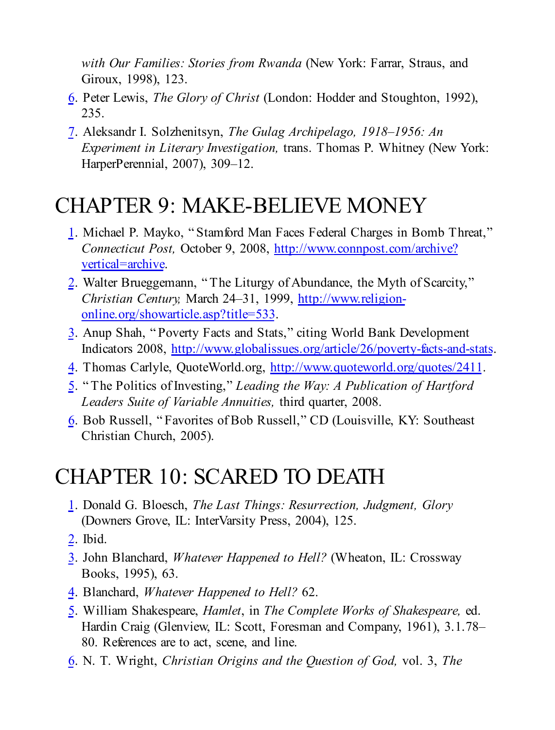*with Our Families: Stories from Rwanda* (New York: Farrar, Straus, and Giroux, 1998), 123.

- 6. Peter Lewis, *The Glory of Christ* (London: Hodder and Stoughton, 1992), 235.
- 7. Aleksandr I. Solzhenitsyn, *The Gulag Archipelago, 1918–1956: An Experiment in Literary Investigation,* trans. Thomas P. Whitney (New York: HarperPerennial, 2007), 309-12.

### CHAPTER 9: MAKE-BELIEVE MONEY

- 1. Michael P. Mayko, "Stamford Man Faces Federal Charges in Bomb Threat," *Connecticut Post,* October 9, 2008, http://www.connpost.com/archive? vertical=archive.
- 2. Walter Brueggemann, "The Liturgy of Abundance, the Myth of Scarcity," *Christian Century,* March 24–31, 1999, http://www.religiononline.org/showarticle.asp?title=533.
- 3. Anup Shah, "Poverty Facts and Stats," citing World Bank Development Indicators 2008, http://www.globalissues.org/article/26/poverty-facts-and-stats.
- 4. Thomas Carlyle, QuoteWorld.org, http://www.quoteworld.org/quotes/2411.
- 5. " The Politics of Investing," *Leading the Way: A Publication of Hartford Leaders Suite of Variable Annuities,* third quarter, 2008.
- $\underline{6}$ . Bob Russell, "Favorites of Bob Russell, "CD (Louisville, KY: Southeast Christian Church, 2005).

### CHAPTER 10: SCARED TO DEATH

- 1. Donald G. Bloesch, *The Last Things: Resurrection, Judgment, Glory* (Downers Grove, IL: InterVarsity Press, 2004), 125.
- 2. Ibid.
- 3. John Blanchard, *Whatever Happened to Hell?* (Wheaton, IL: Crossway Books, 1995), 63.
- 4. Blanchard, *Whatever Happened to Hell?* 62.
- 5. William Shakespeare, *Hamlet*, in *The Complete Works of Shakespeare,* ed. Hardin Craig (Glenview, IL: Scott, Foresman and Company, 1961), 3.1.78– 80. References are to act, scene, and line.
- 6. N. T. Wright, *Christian Origins and the Question of God,* vol. 3, *The*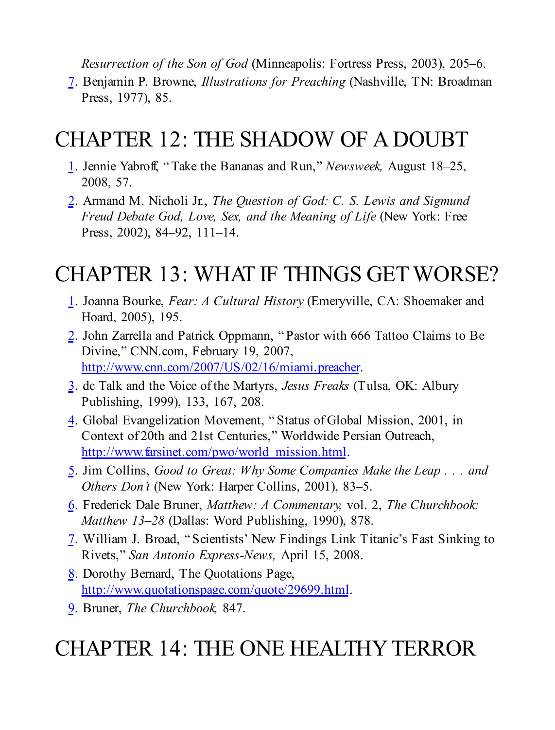*Resurrection of the Son of God* (Minneapolis: Fortress Press, 2003), 205–6. 7. Benjamin P. Browne, *Illustrations for Preaching* (Nashville, TN: Broadman Press, 1977), 85.

### CHAPTER 12: THE SHADOW OF A DOUBT

- 1. Jennie Yabroff, " Take the Bananas and Run," *Newsweek,* August 18–25, 2008, 57.
- 2. Armand M. Nicholi Jr., *The Question of God: C. S. Lewis and Sigmund Freud Debate God, Love, Sex, and the Meaning of Life* (New York: Free Press, 2002), 84–92, 111–14.

### CHAPTER 13: WHAT IF THINGS GETWORSE?

- 1. Joanna Bourke, *Fear: A Cultural History* (Emeryville, CA: Shoemaker and Hoard, 2005), 195.
- 2. John Zarrella and Patrick Oppmann, "Pastor with 666 Tattoo Claims to Be Divine," CNN.com, February 19, 2007,<br>http://www.cnn.com/2007/US/02/16/miami.preacher.
- 3. dc Talk and the Voice of the Martyrs, *Jesus Freaks* (Tulsa, OK: Albury
- Publishing, 1999), 133, 167, 208. 4. Global Evangelization Movement, "Status of Global Mission, 2001, in<br>Context of 20th and 21st Centuries," Worldwide Persian Outreach,<br>http://www.farsinet.com/pwo/world\_mission.html.
- 5. Jim Collins, *Good to Great: Why Some Companies Make the Leap . . . and Others Don't* (New York: Harper Collins, 2001), 83–5.
- 6. Frederick Dale Bruner, *Matthew: A Commentary,* vol. 2, *The Churchbook: Matthew 13–28* (Dallas: Word Publishing, 1990), 878.
- 7. William J. Broad, "Scientists' New Findings Link Titanic's Fast Sinking to Rivets," *San Antonio Express-News,* April 15, 2008.
- 
- 8. Dorothy Bernard, The Quotations Page, http://www.quotationspage.com/quote/29699.html.
- 9. Bruner, *The Churchbook,* 847.

### CHAPTER 14: THE ONE HEALTHY TERROR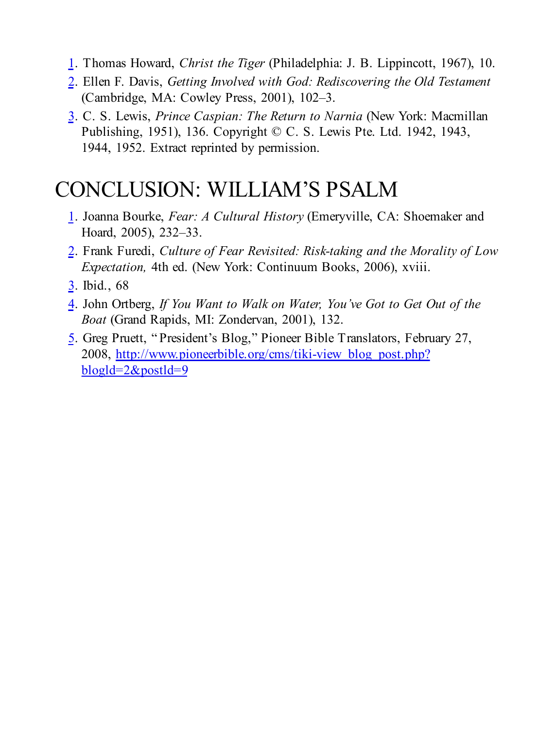- 1. Thomas Howard, *Christ the Tiger* (Philadelphia: J. B. Lippincott, 1967), 10.
- 2. Ellen F. Davis, *Getting Involved with God: Rediscovering the Old Testament* (Cambridge, MA: Cowley Press, 2001), 102–3.
- 3. C. S. Lewis, *Prince Caspian: The Return to Narnia* (New York: Macmillan Publishing, 1951), 136. Copyright © C. S. Lewis Pte. Ltd. 1942, 1943, 1943, 1944, 1952. Extract reprinted by permission.

### CONCLUSION: WILLIAM'S PSALM

- 1. Joanna Bourke, *Fear: A Cultural History* (Emeryville, CA: Shoemaker and Hoard, 2005), 232–33.
- 
- 2. Frank Furedi, *Culture of Fear Revisited: Risk-taking and the Morality of Low Expectation,* 4th ed. (New York: Continuum Books, 2006), xviii.
- 3. Ibid., 68
- $\frac{4}{5}$ . John Ortberg, If You Want to Walk on Water, You've Got to Get Out of the Boat (Grand Rapids, MI: Zondervan, 2001), 132.
- 5. Greg Pruett, "President's Blog," Pioneer Bible Translators, February 27,<br>
2008, http://www.pioneerbible.org/cms/tiki-view\_blog\_post.php?<br>
blogld=2&postld=9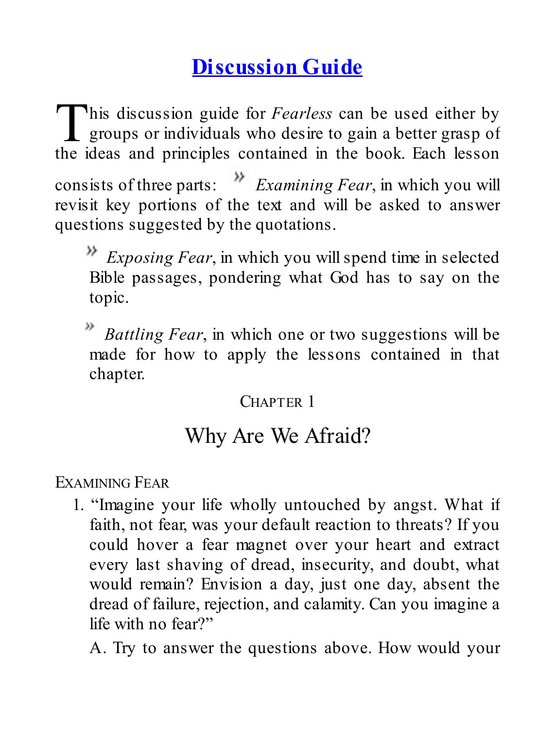## **Discussion Guide**

This discussion guide for *Fearless* can be used either by groups or individuals who desire to gain a better grasp of the ideas and principles contained in the book. Fach lesson groups or individuals who desire to gain a better grasp of the ideas and principles contained in the book. Each lesson

consists of three parts: *Examining Fear*, in which you will revisit key portions of the text and will be asked to answer questions suggested by the quotations.

*Exposing Fear*, in which you willspend time in selected Bible passages, pondering what God has to say on the topic.

*Battling Fear*, in which one or two suggestions will be made for how to apply the lessons contained in that chapter.

### CHAPTER 1

### Why Are We Afraid?

EXAMINING FEAR

- 1. "Imagine your life wholly untouched by angst. What if faith, not fear, was your default reaction to threats? If you could hover a fear magnet over your heart and extract every last shaving of dread, insecurity, and doubt, what would remain? Envision a day, just one day, absent the dread of failure, rejection, and calamity. Can you imagine a life with no fear?"
	- A. Try to answer the questions above. How would your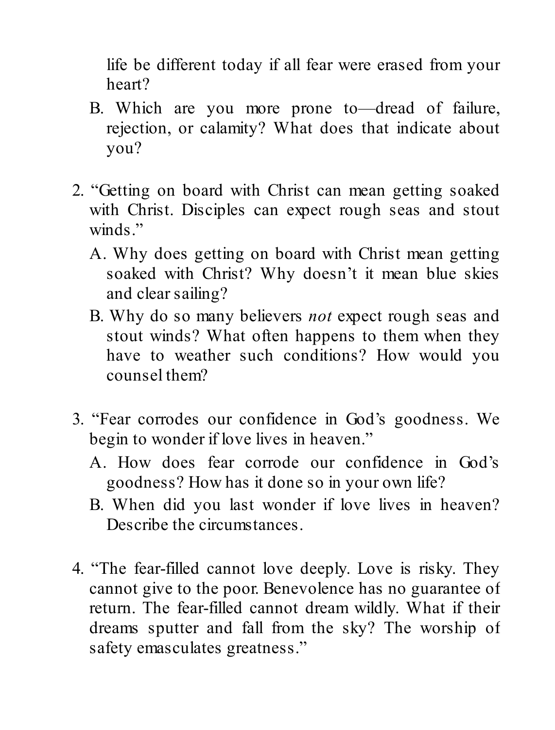life be different today if all fear were erased from your heart?

- B. Which are you more prone to—dread of failure, rejection, or calamity? What does that indicate about you?
- 2. "Getting on board with Christ can mean getting soaked with Christ. Disciples can expect rough seas and stout winds."
	- A. Why does getting on board with Christ mean getting soaked with Christ? Why doesn't it mean blue skies and clear sailing?
	- B. Why do so many believers *not* expect rough seas and stout winds? What often happens to them when they have to weather such conditions? How would you counsel them?
- 3. "Fear corrodes our confidence in God's goodness. We begin to wonder if love lives in heaven."
	- A. How does fear corrode our confidence in God's goodness? How has it done so in your own life?
	- B. When did you last wonder if love lives in heaven? Describe the circumstances.
- 4. "The fear-filled cannot love deeply. Love is risky. They cannot give to the poor. Benevolence has no guarantee of return. The fear-filled cannot dream wildly. What if their dreams sputter and fall from the sky? The worship of safety emasculates greatness."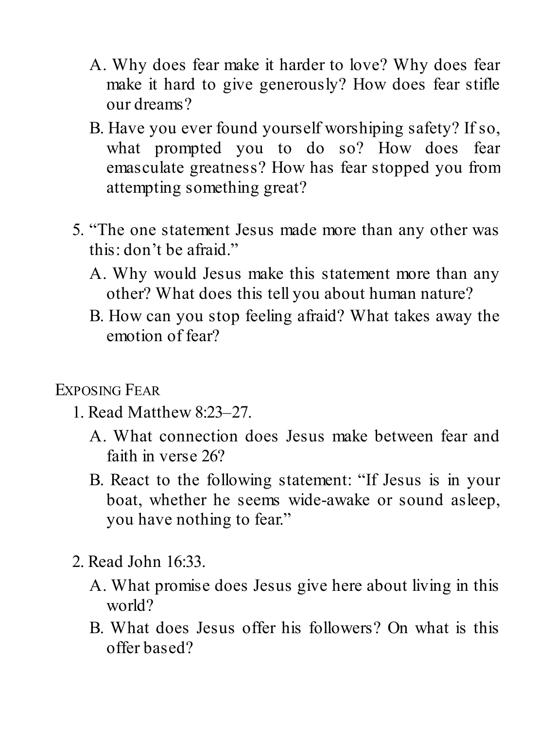- A. Why does fear make it harder to love? Why does fear make it hard to give generously? How does fear stifle our dreams?
- B. Have you ever found yourself worshiping safety? If so, what prompted you to do so? How does fear emasculate greatness? How has fear stopped you from attempting something great?
- 5. "The one statement Jesus made more than any other was this: don't be afraid."
	- A. Why would Jesus make this statement more than any other? What does this tell you about human nature?
	- B. How can you stop feeling afraid? What takes away the emotion of fear?

#### EXPOSING FEAR

- 1. Read Matthew 8:23–27.
	- A. What connection does Jesus make between fear and faith in verse 26?
	- B. React to the following statement: "If Jesus is in your boat, whether he seems wide-awake or sound asleep, you have nothing to fear."
- 2. Read John 16:33.
	- A. What promise does Jesus give here about living in this world?
	- B. What does Jesus offer his followers? On what is this offer based?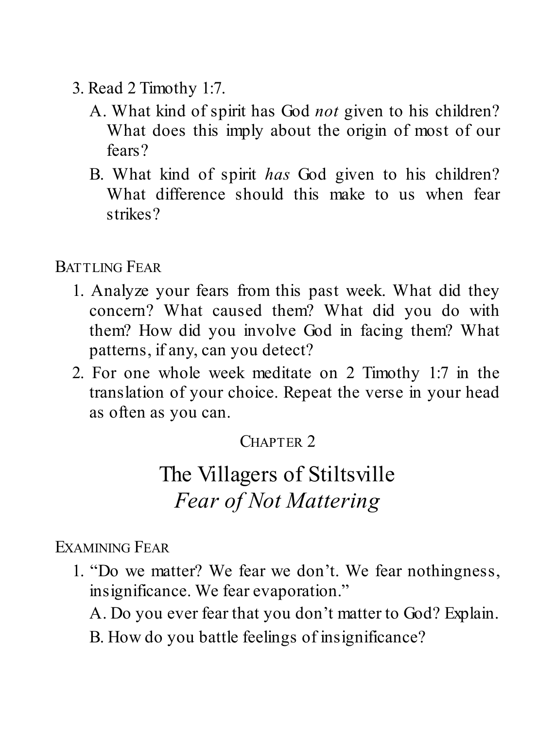- 3. Read 2 Timothy 1:7.
	- A. What kind of spirit has God *not* given to his children? What does this imply about the origin of most of our fears?
	- B. What kind of spirit *has* God given to his children? What difference should this make to us when fear strikes?

#### BATTLING FEAR

- 1. Analyze your fears from this past week. What did they concern? What caused them? What did you do with them? How did you involve God in facing them? What patterns, if any, can you detect?
- 2. For one whole week meditate on 2 Timothy 1:7 in the translation of your choice. Repeat the verse in your head as often as you can.

#### CHAPTER 2

## The Villagers of Stiltsville *Fear of Not Mattering*

#### EXAMINING FEAR

- 1. "Do we matter? We fear we don't. We fear nothingness, insignificance. We fear evaporation."
	- A. Do you ever fear that you don't matter to God? Explain.
	- B. How do you battle feelings of insignificance?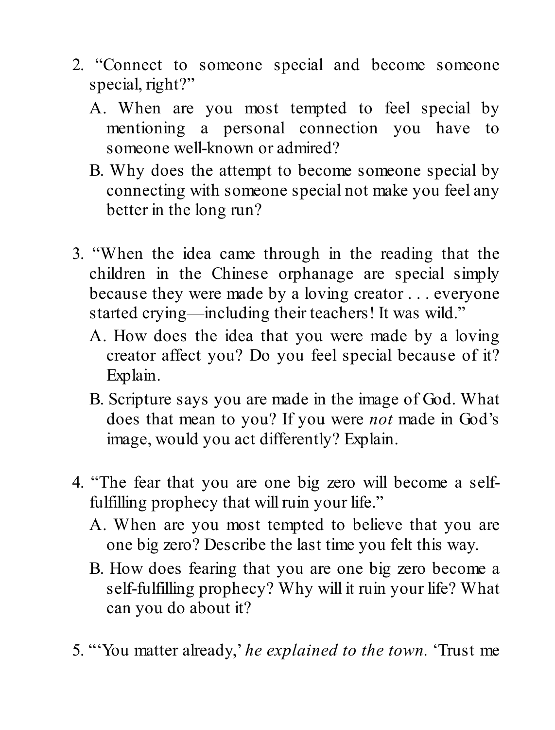- 2. "Connect to someone special and become someone special, right?"
	- A. When are you most tempted to feel special by mentioning a personal connection you have to someone well-known or admired?
	- B. Why does the attempt to become someone special by connecting with someone special not make you feel any better in the long run?
- 3. "When the idea came through in the reading that the children in the Chinese orphanage are special simply because they were made by a loving creator . . . everyone started crying—including their teachers! It was wild."
	- A. How does the idea that you were made by a loving creator affect you? Do you feel special because of it? Explain.
	- B. Scripture says you are made in the image of God. What does that mean to you? If you were *not* made in God's image, would you act differently? Explain.
- 4. "The fear that you are one big zero will become a selffulfilling prophecy that will ruin your life."
	- A. When are you most tempted to believe that you are one big zero? Describe the last time you felt this way.
	- B. How does fearing that you are one big zero become a self-fulfilling prophecy? Why will it ruin your life? What can you do about it?
- 5. "'You matter already,' *he explained to the town.* 'Trust me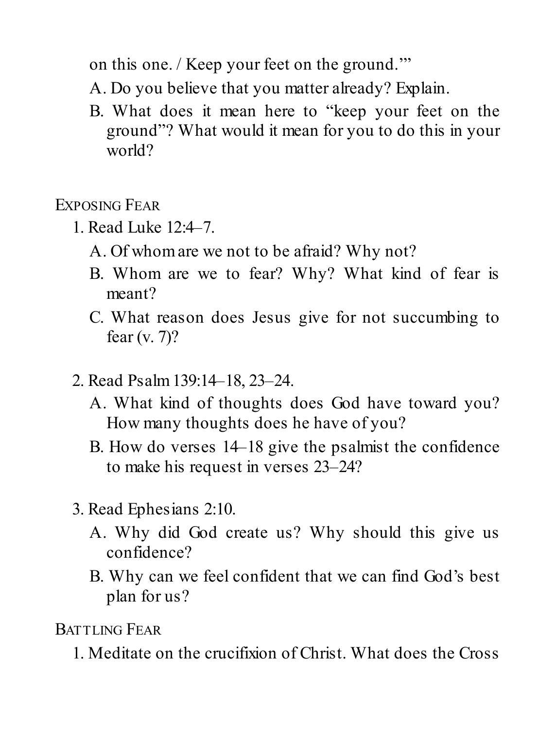on this one. / Keep your feet on the ground.'"

- A. Do you believe that you matter already? Explain.
- B. What does it mean here to "keep your feet on the ground"? What would it mean for you to do this in your world?

#### EXPOSING FEAR

- 1. Read Luke 12:4–7.
	- A. Of whomare we not to be afraid? Why not?
	- B. Whom are we to fear? Why? What kind of fear is meant?
	- C. What reason does Jesus give for not succumbing to fear (v. 7)?
- 2. Read Psalm139:14–18, 23–24.
	- A. What kind of thoughts does God have toward you? How many thoughts does he have of you?
	- B. How do verses 14–18 give the psalmist the confidence to make his request in verses 23–24?
- 3. Read Ephesians 2:10.
	- A. Why did God create us? Why should this give us confidence?
	- B. Why can we feel confident that we can find God's best plan for us?

**BATTLING FEAR** 

1. Meditate on the crucifixion of Christ. What does the Cross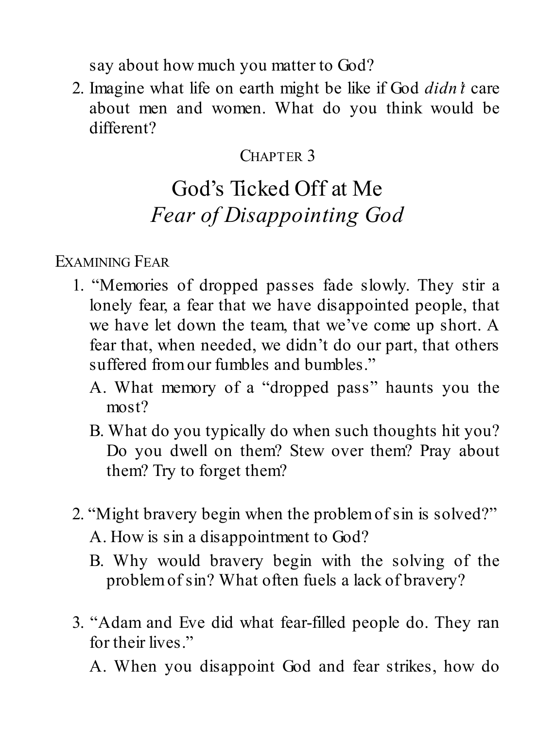say about how much you matter to God?

2. Imagine what life on earth might be like if God *didn't* care about men and women. What do you think would be different?

#### CHAPTER 3

## God's Ticked Off at Me *Fear of Disappointing God*

#### EXAMINING FEAR

- 1. "Memories of dropped passes fade slowly. They stir a lonely fear, a fear that we have disappointed people, that we have let down the team, that we've come up short. A fear that, when needed, we didn't do our part, that others suffered fromour fumbles and bumbles."
	- A. What memory of a "dropped pass" haunts you the most?
	- B. What do you typically do when such thoughts hit you? Do you dwell on them? Stew over them? Pray about them? Try to forget them?
- 2. "Might bravery begin when the problemof sin is solved?" A. How is sin a disappointment to God?
	- B. Why would bravery begin with the solving of the problemof sin? What often fuels a lack of bravery?
- 3. "Adam and Eve did what fear-filled people do. They ran for their lives."
	- A. When you disappoint God and fear strikes, how do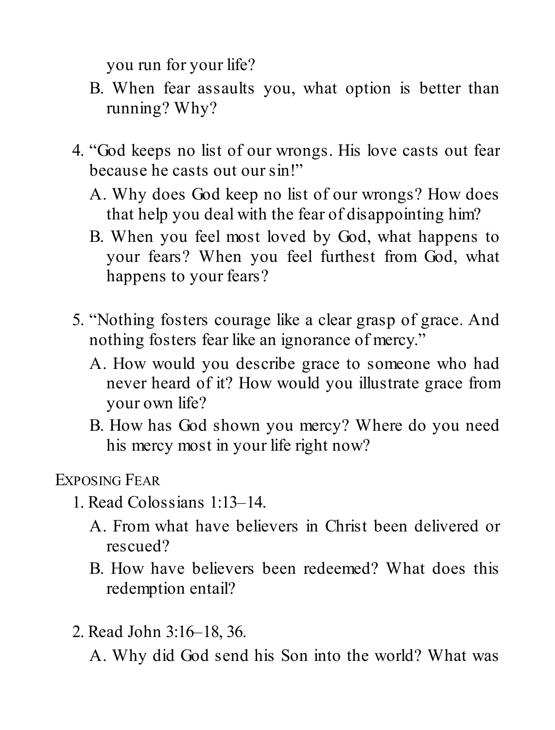you run for your life?

- B. When fear assaults you, what option is better than running? Why?
- 4. "God keeps no list of our wrongs. His love casts out fear because he casts out our sin!"
	- A. Why does God keep no list of our wrongs? How does that help you deal with the fear of disappointing him?
	- B. When you feel most loved by God, what happens to your fears? When you feel furthest from God, what happens to your fears?
- 5. "Nothing fosters courage like a clear grasp of grace. And nothing fosters fear like an ignorance of mercy."
	- A. How would you describe grace to someone who had never heard of it? How would you illustrate grace from your own life?
	- B. How has God shown you mercy? Where do you need his mercy most in your life right now?

EXPOSING FEAR

- 1. Read Colossians 1:13–14.
	- A. From what have believers in Christ been delivered or rescued?
	- B. How have believers been redeemed? What does this redemption entail?
- 2. Read John 3:16–18, 36. A. Why did God send his Son into the world? What was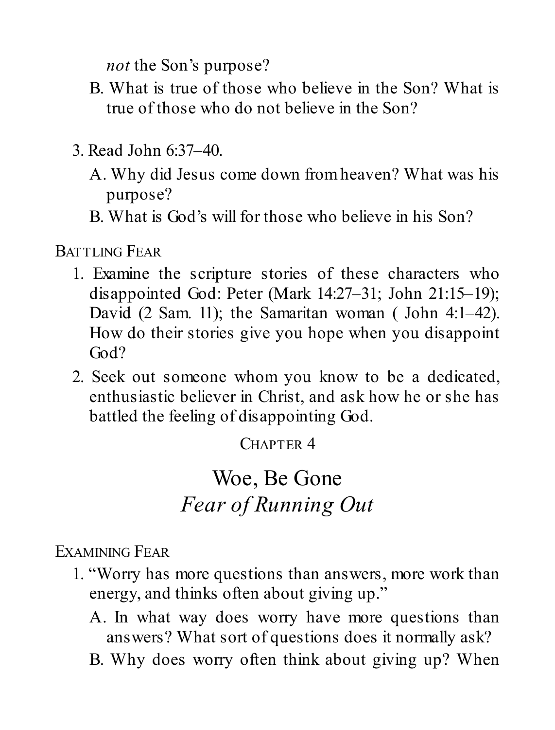*not* the Son's purpose?

- B. What is true of those who believe in the Son? What is true of those who do not believe in the Son?
- 3. Read John 6:37–40.
	- A. Why did Jesus come down fromheaven? What was his purpose?
	- B. What is God's will for those who believe in his Son?

**BATTLING FEAR** 

- 1. Examine the scripture stories of these characters who disappointed God: Peter (Mark 14:27–31; John 21:15–19); David (2 Sam. 11); the Samaritan woman ( John 4:1–42). How do their stories give you hope when you disappoint God?
- 2. Seek out someone whom you know to be a dedicated, enthusiastic believer in Christ, and ask how he or she has battled the feeling of disappointing God.

CHAPTER 4

## Woe, Be Gone *Fear of Running Out*

#### EXAMINING FEAR

- 1. "Worry has more questions than answers, more work than energy, and thinks often about giving up."
	- A. In what way does worry have more questions than answers? What sort of questions does it normally ask?
	- B. Why does worry often think about giving up? When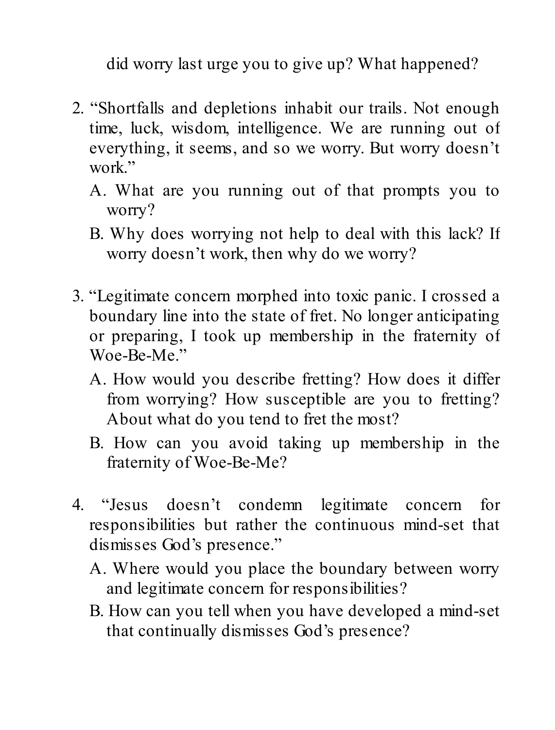did worry last urge you to give up? What happened?

- 2. "Shortfalls and depletions inhabit our trails. Not enough time, luck, wisdom, intelligence. We are running out of everything, it seems, and so we worry. But worry doesn't work"
	- A. What are you running out of that prompts you to worry?
	- B. Why does worrying not help to deal with this lack? If worry doesn't work, then why do we worry?
- 3. "Legitimate concern morphed into toxic panic. I crossed a boundary line into the state of fret. No longer anticipating or preparing, I took up membership in the fraternity of Woe-Be-Me."
	- A. How would you describe fretting? How does it differ from worrying? How susceptible are you to fretting? About what do you tend to fret the most?
	- B. How can you avoid taking up membership in the fraternity of Woe-Be-Me?
- 4. "Jesus doesn't condemn legitimate concern for responsibilities but rather the continuous mind-set that dismisses God's presence."
	- A. Where would you place the boundary between worry and legitimate concern for responsibilities?
	- B. How can you tell when you have developed a mind-set that continually dismisses God's presence?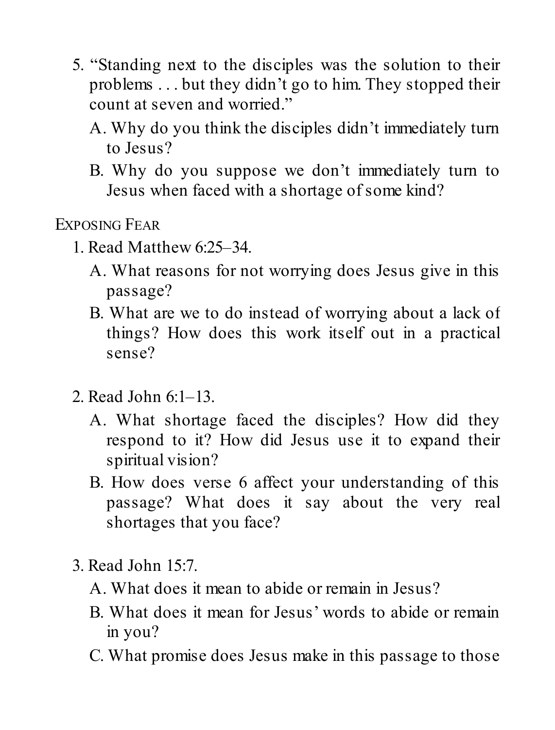- 5. "Standing next to the disciples was the solution to their problems . . . but they didn't go to him. They stopped their count at seven and worried."
	- A. Why do you think the disciples didn't immediately turn to Jesus?
	- B. Why do you suppose we don't immediately turn to Jesus when faced with a shortage of some kind?

EXPOSING FEAR

- 1. Read Matthew 6:25–34.
	- A. What reasons for not worrying does Jesus give in this passage?
	- B. What are we to do instead of worrying about a lack of things? How does this work itself out in a practical sense?
- 2. Read John 6:1–13.
	- A. What shortage faced the disciples? How did they respond to it? How did Jesus use it to expand their spiritual vision?
	- B. How does verse 6 affect your understanding of this passage? What does it say about the very real shortages that you face?
- 3. Read John 15:7.
	- A. What does it mean to abide or remain in Jesus?
	- B. What does it mean for Jesus' words to abide or remain in you?
	- C. What promise does Jesus make in this passage to those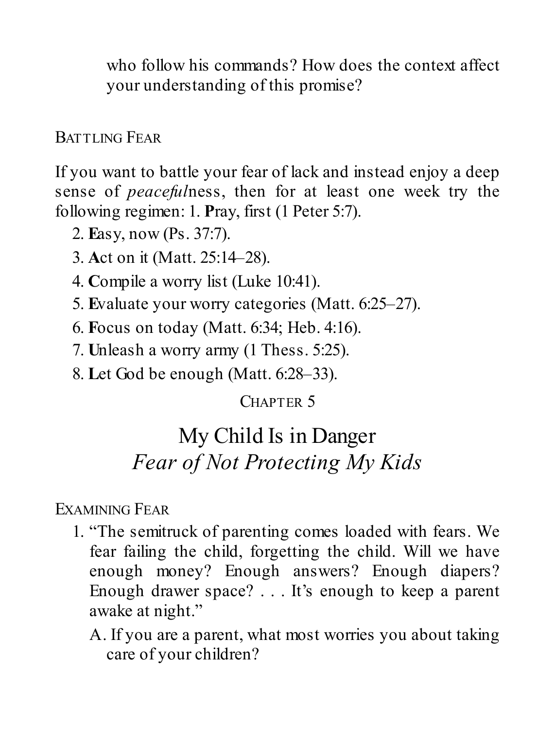who follow his commands? How does the context affect your understanding of this promise?

#### **BATTLING FEAR**

If you want to battle your fear of lack and instead enjoy a deep sense of *peaceful*ness, then for at least one week try the following regimen: 1. **P**ray, first (1 Peter 5:7).

- 2. **E**asy, now (Ps. 37:7).
- 3. **A**ct on it (Matt. 25:14–28).
- 4. **C**ompile a worry list (Luke 10:41).
- 5. **E**valuate your worry categories (Matt. 6:25–27).
- 6. **F**ocus on today (Matt. 6:34; Heb. 4:16).
- 7. **U**nleash a worry army (1 Thess. 5:25).
- 8. **L**et God be enough (Matt. 6:28–33).

CHAPTER 5

## My Child Is in Danger *Fear of Not Protecting My Kids*

EXAMINING FEAR

- 1. "The semitruck of parenting comes loaded with fears. We fear failing the child, forgetting the child. Will we have enough money? Enough answers? Enough diapers? Enough drawer space? . . . It's enough to keep a parent awake at night."
	- A. If you are a parent, what most worries you about taking care of your children?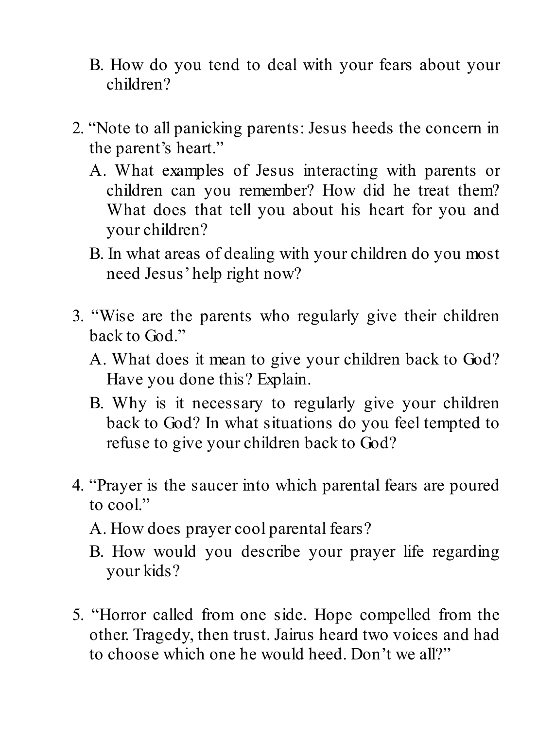- B. How do you tend to deal with your fears about your children?
- 2. "Note to all panicking parents: Jesus heeds the concern in the parent's heart."
	- A. What examples of Jesus interacting with parents or children can you remember? How did he treat them? What does that tell you about his heart for you and your children?
	- B. In what areas of dealing with your children do you most need Jesus' help right now?
- 3. "Wise are the parents who regularly give their children back to God."
	- A. What does it mean to give your children back to God? Have you done this? Explain.
	- B. Why is it necessary to regularly give your children back to God? In what situations do you feel tempted to refuse to give your children back to God?
- 4. "Prayer is the saucer into which parental fears are poured to cool."
	- A. How does prayer cool parental fears?
	- B. How would you describe your prayer life regarding your kids?
- 5. "Horror called from one side. Hope compelled from the other. Tragedy, then trust. Jairus heard two voices and had to choose which one he would heed. Don't we all?"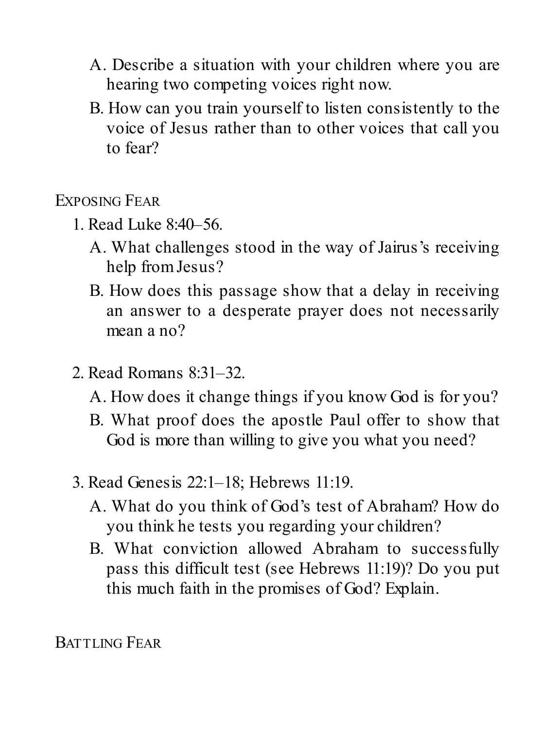- A. Describe a situation with your children where you are hearing two competing voices right now.
- B. How can you train yourself to listen consistently to the voice of Jesus rather than to other voices that call you to fear?

EXPOSING FEAR

- 1. Read Luke 8:40–56.
	- A. What challenges stood in the way of Jairus's receiving help from Jesus?
	- B. How does this passage show that a delay in receiving an answer to a desperate prayer does not necessarily mean a no?
- 2. Read Romans 8:31–32.
	- A. How does it change things if you know God is for you?
	- B. What proof does the apostle Paul offer to show that God is more than willing to give you what you need?
- 3. Read Genesis 22:1–18; Hebrews 11:19.
	- A. What do you think of God's test of Abraham? How do you think he tests you regarding your children?
	- B. What conviction allowed Abraham to successfully pass this difficult test (see Hebrews 11:19)? Do you put this much faith in the promises of God? Explain.

**BATTLING FEAR**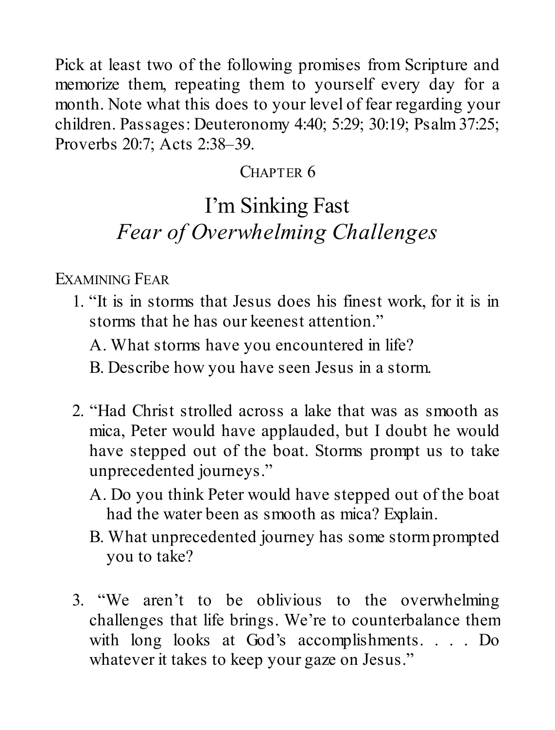Pick at least two of the following promises from Scripture and memorize them, repeating them to yourself every day for a month. Note what this does to your level of fear regarding your children. Passages: Deuteronomy 4:40; 5:29; 30:19; Psalm 37:25; Proverbs 20:7; Acts 2:38–39.

#### CHAPTER 6

## I'm Sinking Fast *Fear of Overwhelming Challenges*

#### EXAMINING FEAR

- 1. "It is in storms that Jesus does his finest work, for it is in storms that he has our keenest attention."
	- A. What storms have you encountered in life?

B. Describe how you have seen Jesus in a storm.

- 2. "Had Christ strolled across a lake that was as smooth as mica, Peter would have applauded, but I doubt he would have stepped out of the boat. Storms prompt us to take unprecedented journeys."
	- A. Do you think Peter would have stepped out of the boat had the water been as smooth as mica? Explain.
	- B. What unprecedented journey has some stormprompted you to take?
- 3. "We aren't to be oblivious to the overwhelming challenges that life brings. We're to counterbalance them with long looks at God's accomplishments. . . . Do whatever it takes to keep your gaze on Jesus."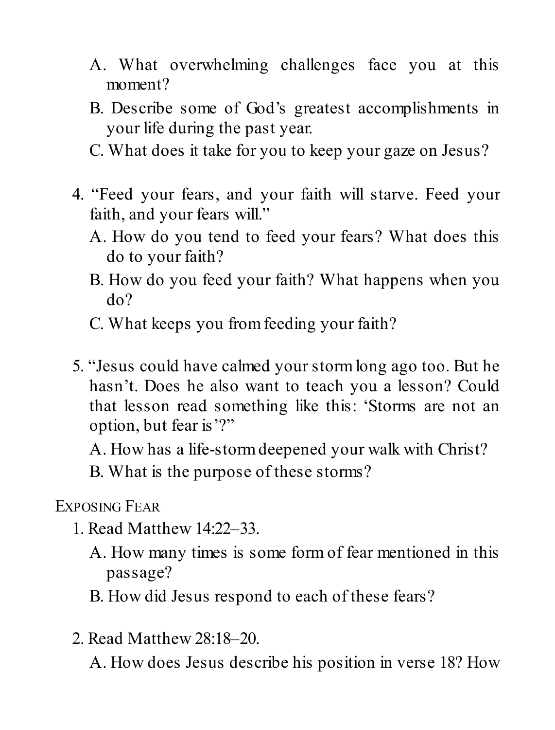- A. What overwhelming challenges face you at this moment?
- B. Describe some of God's greatest accomplishments in your life during the past year.
- C. What does it take for you to keep your gaze on Jesus?
- 4. "Feed your fears, and your faith will starve. Feed your faith, and your fears will."
	- A. How do you tend to feed your fears? What does this do to your faith?
	- B. How do you feed your faith? What happens when you do?
	- C. What keeps you fromfeeding your faith?
- 5. "Jesus could have calmed your stormlong ago too. But he hasn't. Does he also want to teach you a lesson? Could that lesson read something like this: 'Storms are not an option, but fear is'?"

A. How has a life-stormdeepened your walk with Christ?

B. What is the purpose of these storms?

EXPOSING FEAR

- 1. Read Matthew 14:22–33.
	- A. How many times is some form of fear mentioned in this passage?
	- B. How did Jesus respond to each of these fears?
- 2. Read Matthew 28:18–20.

A. How does Jesus describe his position in verse 18? How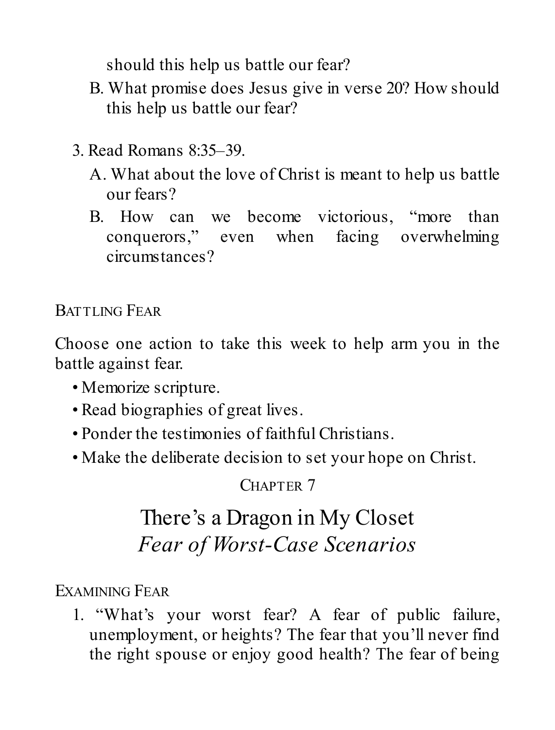should this help us battle our fear?

- B. What promise does Jesus give in verse 20? How should this help us battle our fear?
- 3. Read Romans 8:35–39.
	- A. What about the love of Christ is meant to help us battle our fears?
	- B. How can we become victorious, "more than conquerors," even when facing overwhelming circumstances?

**BATTLING FEAR** 

Choose one action to take this week to help arm you in the battle against fear.

- Memorize scripture.
- Read biographies of great lives.
- Ponder the testimonies of faithful Christians.
- Make the deliberate decision to set your hope on Christ.

CHAPTER 7

## There's a Dragon in My Closet *Fear of Worst-Case Scenarios*

EXAMINING FEAR

1. "What's your worst fear? A fear of public failure, unemployment, or heights? The fear that you'll never find the right spouse or enjoy good health? The fear of being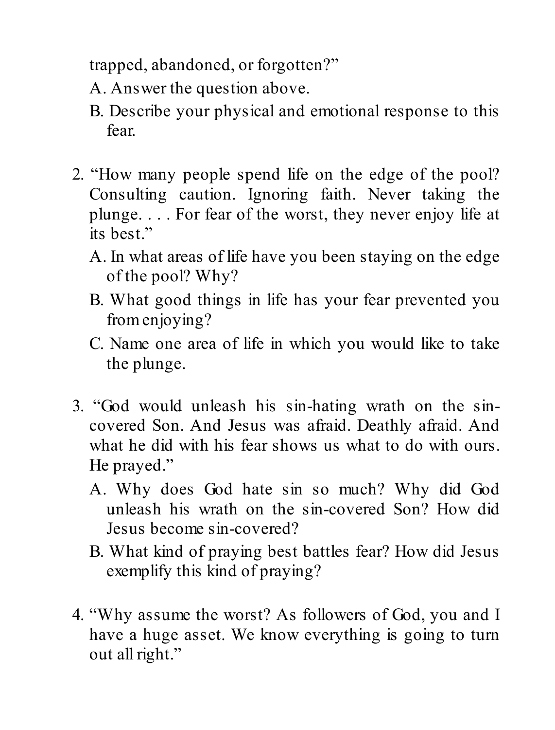trapped, abandoned, or forgotten?"

- A. Answer the question above.
- B. Describe your physical and emotional response to this fear.
- 2. "How many people spend life on the edge of the pool? Consulting caution. Ignoring faith. Never taking the plunge. . . . For fear of the worst, they never enjoy life at its hest."
	- A. In what areas of life have you been staying on the edge of the pool? Why?
	- B. What good things in life has your fear prevented you fromenjoying?
	- C. Name one area of life in which you would like to take the plunge.
- 3. "God would unleash his sin-hating wrath on the sincovered Son. And Jesus was afraid. Deathly afraid. And what he did with his fear shows us what to do with ours. He prayed."
	- A. Why does God hate sin so much? Why did God unleash his wrath on the sin-covered Son? How did Jesus become sin-covered?
	- B. What kind of praying best battles fear? How did Jesus exemplify this kind of praying?
- 4. "Why assume the worst? As followers of God, you and I have a huge asset. We know everything is going to turn out all right."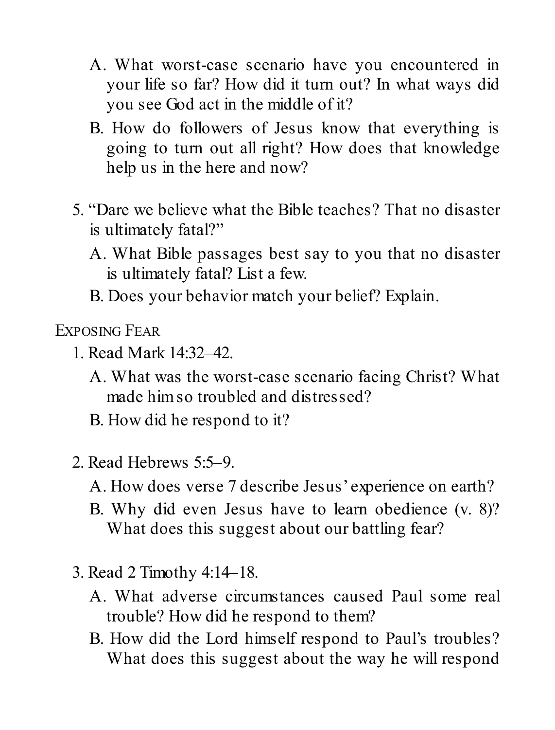- A. What worst-case scenario have you encountered in your life so far? How did it turn out? In what ways did you see God act in the middle of it?
- B. How do followers of Jesus know that everything is going to turn out all right? How does that knowledge help us in the here and now?
- 5. "Dare we believe what the Bible teaches? That no disaster is ultimately fatal?"
	- A. What Bible passages best say to you that no disaster is ultimately fatal? List a few.
	- B. Does your behavior match your belief? Explain.

EXPOSING FEAR

- 1. Read Mark 14:32–42.
	- A. What was the worst-case scenario facing Christ? What made himso troubled and distressed?
	- B. How did he respond to it?
- 2. Read Hebrews 5:5–9.
	- A. How does verse 7 describe Jesus' experience on earth?
	- B. Why did even Jesus have to learn obedience (v. 8)? What does this suggest about our battling fear?
- 3. Read 2 Timothy 4:14–18.
	- A. What adverse circumstances caused Paul some real trouble? How did he respond to them?
	- B. How did the Lord himself respond to Paul's troubles? What does this suggest about the way he will respond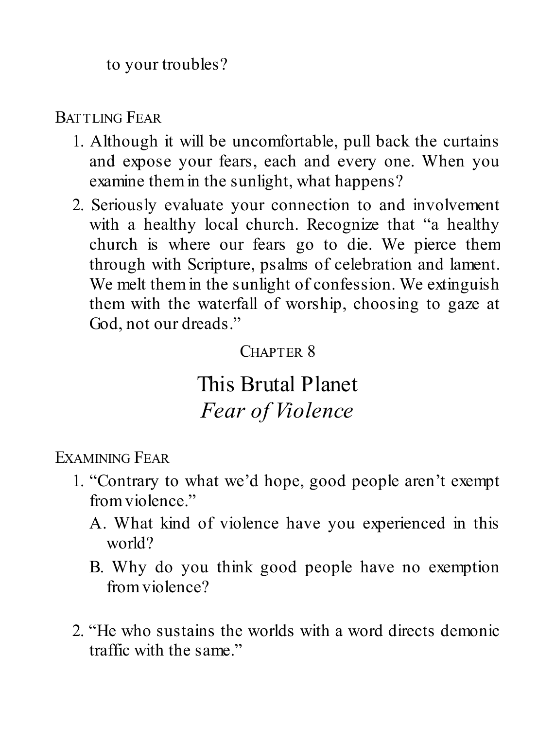to your troubles?

**BATTLING FEAR** 

- 1. Although it will be uncomfortable, pull back the curtains and expose your fears, each and every one. When you examine themin the sunlight, what happens?
- 2. Seriously evaluate your connection to and involvement with a healthy local church. Recognize that "a healthy church is where our fears go to die. We pierce them through with Scripture, psalms of celebration and lament. We melt them in the sunlight of confession. We extinguish them with the waterfall of worship, choosing to gaze at God, not our dreads."

#### CHAPTER 8

## This Brutal Planet *Fear of Violence*

EXAMINING FEAR

- 1. "Contrary to what we'd hope, good people aren't exempt from violence."
	- A. What kind of violence have you experienced in this world?
	- B. Why do you think good people have no exemption from violence?
- 2. "He who sustains the worlds with a word directs demonic traffic with the same."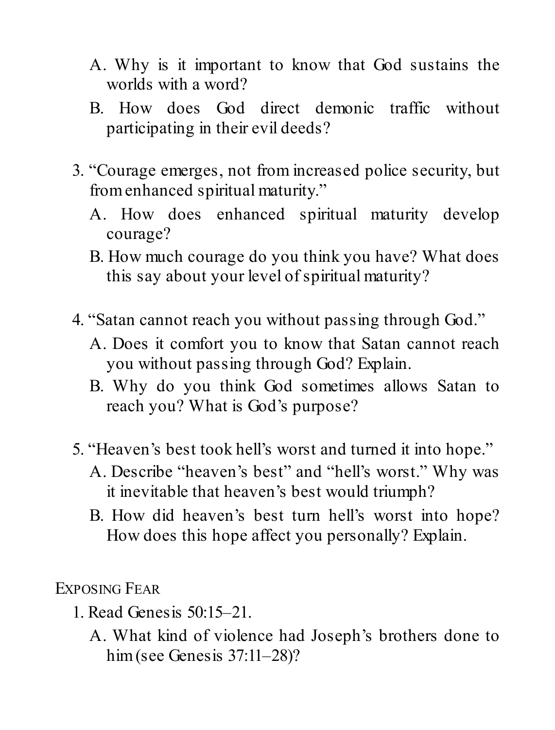- A. Why is it important to know that God sustains the worlds with a word?
- B. How does God direct demonic traffic without participating in their evil deeds?
- 3. "Courage emerges, not from increased police security, but fromenhanced spiritual maturity."
	- A. How does enhanced spiritual maturity develop courage?
	- B. How much courage do you think you have? What does this say about your level of spiritual maturity?
- 4. "Satan cannot reach you without passing through God."
	- A. Does it comfort you to know that Satan cannot reach you without passing through God? Explain.
	- B. Why do you think God sometimes allows Satan to reach you? What is God's purpose?
- 5. "Heaven's best took hell's worst and turned it into hope."
	- A. Describe "heaven's best" and "hell's worst." Why was it inevitable that heaven's best would triumph?
	- B. How did heaven's best turn hell's worst into hope? How does this hope affect you personally? Explain.

EXPOSING FEAR

- 1. Read Genesis 50:15–21.
	- A. What kind of violence had Joseph's brothers done to him(see Genesis 37:11–28)?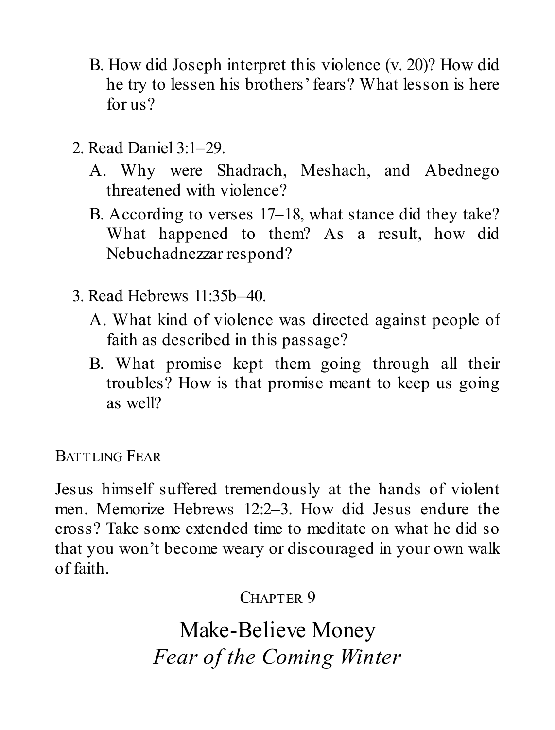- B. How did Joseph interpret this violence (v. 20)? How did he try to lessen his brothers'fears? What lesson is here for us?
- 2. Read Daniel 3:1–29.
	- A. Why were Shadrach, Meshach, and Abednego threatened with violence?
	- B. According to verses 17–18, what stance did they take? What happened to them? As a result, how did Nebuchadnezzar respond?
- 3. Read Hebrews 11:35b–40.
	- A. What kind of violence was directed against people of faith as described in this passage?
	- B. What promise kept them going through all their troubles? How is that promise meant to keep us going as well?

**BATTLING FEAR** 

Jesus himself suffered tremendously at the hands of violent men. Memorize Hebrews 12:2–3. How did Jesus endure the cross? Take some extended time to meditate on what he did so that you won't become weary or discouraged in your own walk of faith.

CHAPTER 9

Make-Believe Money *Fear of the Coming Winter*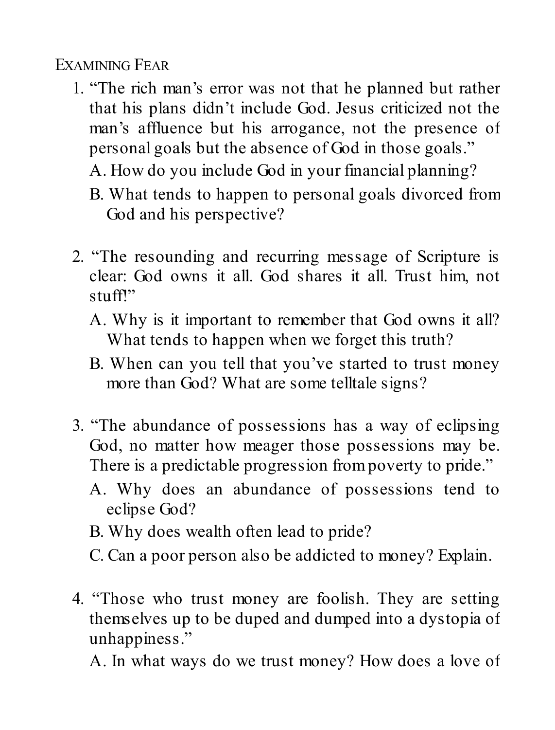EXAMINING FEAR

- 1. "The rich man's error was not that he planned but rather that his plans didn't include God. Jesus criticized not the man's affluence but his arrogance, not the presence of personal goals but the absence of God in those goals." A. How do you include God in your financial planning?
	- B. What tends to happen to personal goals divorced from God and his perspective?
- 2. "The resounding and recurring message of Scripture is clear: God owns it all. God shares it all. Trust him, not stuff!"
	- A. Why is it important to remember that God owns it all? What tends to happen when we forget this truth?
	- B. When can you tell that you've started to trust money more than God? What are some telltale signs?
- 3. "The abundance of possessions has a way of eclipsing God, no matter how meager those possessions may be. There is a predictable progression frompoverty to pride."
	- A. Why does an abundance of possessions tend to eclipse God?
	- B. Why does wealth often lead to pride?
	- C. Can a poor person also be addicted to money? Explain.
- 4. "Those who trust money are foolish. They are setting themselves up to be duped and dumped into a dystopia of unhappiness."

A. In what ways do we trust money? How does a love of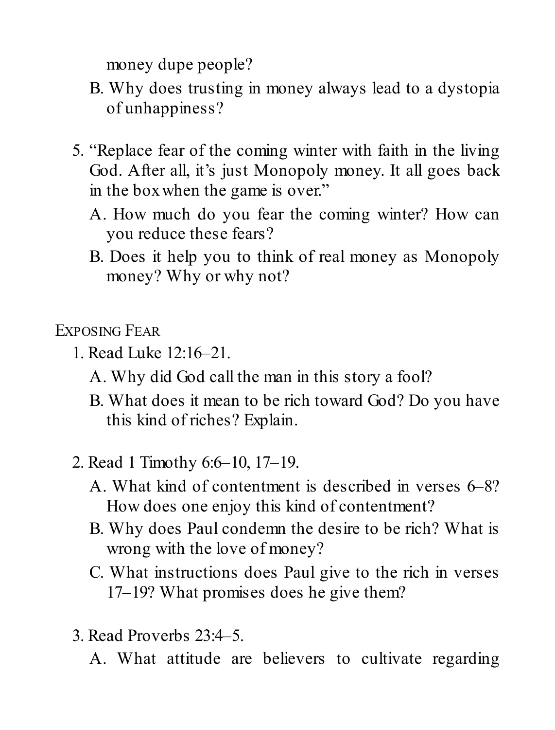money dupe people?

- B. Why does trusting in money always lead to a dystopia of unhappiness?
- 5. "Replace fear of the coming winter with faith in the living God. After all, it's just Monopoly money. It all goes back in the boxwhen the game is over."
	- A. How much do you fear the coming winter? How can you reduce these fears?
	- B. Does it help you to think of real money as Monopoly money? Why or why not?

EXPOSING FEAR

- 1. Read Luke 12:16–21.
	- A. Why did God call the man in this story a fool?
	- B. What does it mean to be rich toward God? Do you have this kind of riches? Explain.
- 2. Read 1 Timothy 6:6–10, 17–19.
	- A. What kind of contentment is described in verses 6–8? How does one enjoy this kind of contentment?
	- B. Why does Paul condemn the desire to be rich? What is wrong with the love of money?
	- C. What instructions does Paul give to the rich in verses 17–19? What promises does he give them?
- 3. Read Proverbs 23:4–5.
	- A. What attitude are believers to cultivate regarding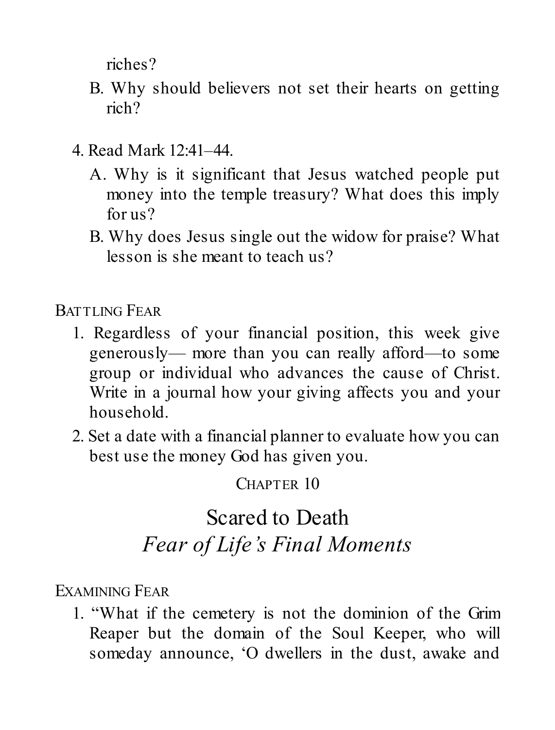riches?

- B. Why should believers not set their hearts on getting rich?
- 4. Read Mark 12:41–44.
	- A. Why is it significant that Jesus watched people put money into the temple treasury? What does this imply for us?
	- B. Why does Jesus single out the widow for praise? What lesson is she meant to teach us?

**BATTLING FEAR** 

- 1. Regardless of your financial position, this week give generously— more than you can really afford—to some group or individual who advances the cause of Christ. Write in a journal how your giving affects you and your household.
- 2. Set a date with a financial planner to evaluate how you can best use the money God has given you.

CHAPTER 10

## Scared to Death *Fear of Life's Final Moments*

EXAMINING FEAR

1. "What if the cemetery is not the dominion of the Grim Reaper but the domain of the Soul Keeper, who will someday announce, 'O dwellers in the dust, awake and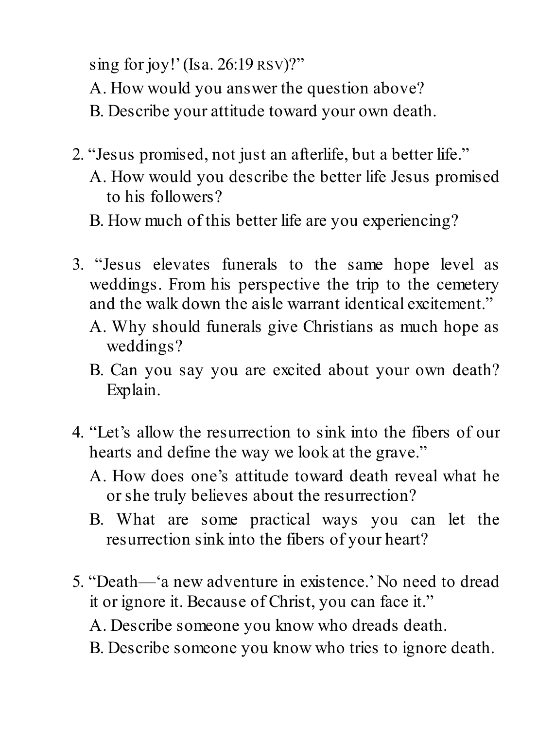sing for joy!' (Isa. 26:19 RSV)?"

- A. How would you answer the question above?
- B. Describe your attitude toward your own death.
- 2. "Jesus promised, not just an afterlife, but a better life."
	- A. How would you describe the better life Jesus promised to his followers?
	- B. How much of this better life are you experiencing?
- 3. "Jesus elevates funerals to the same hope level as weddings. From his perspective the trip to the cemetery and the walk down the aisle warrant identical excitement."
	- A. Why should funerals give Christians as much hope as weddings?
	- B. Can you say you are excited about your own death? Explain.
- 4. "Let's allow the resurrection to sink into the fibers of our hearts and define the way we look at the grave."
	- A. How does one's attitude toward death reveal what he or she truly believes about the resurrection?
	- B. What are some practical ways you can let the resurrection sink into the fibers of your heart?
- 5. "Death—'a new adventure in existence.' No need to dread it or ignore it. Because of Christ, you can face it."
	- A. Describe someone you know who dreads death.
	- B. Describe someone you know who tries to ignore death.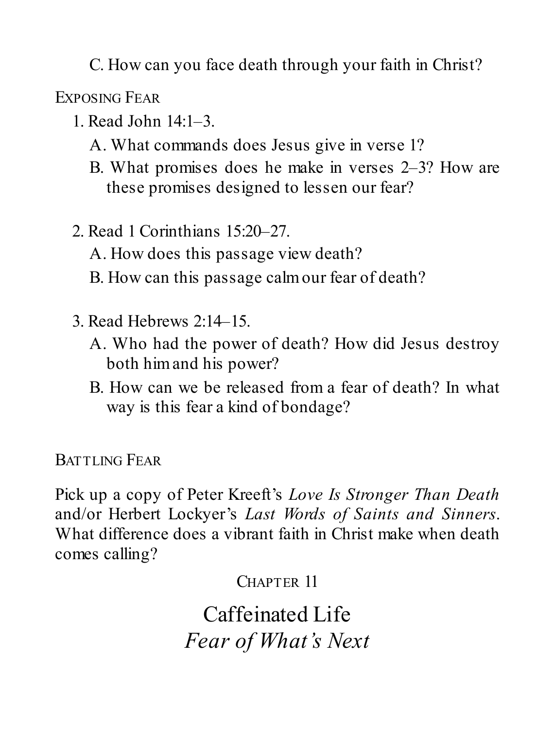C. How can you face death through your faith in Christ?

EXPOSING FEAR

- 1. Read John 14:1–3.
	- A. What commands does Jesus give in verse 1?
	- B. What promises does he make in verses 2–3? How are these promises designed to lessen our fear?
- 2. Read 1 Corinthians 15:20–27.
	- A. How does this passage view death?
	- B. How can this passage calmour fear of death?
- 3. Read Hebrews 2:14–15.
	- A. Who had the power of death? How did Jesus destroy both himand his power?
	- B. How can we be released from a fear of death? In what way is this fear a kind of bondage?

BATTLING FEAR

Pick up a copy of Peter Kreeft's *Love Is Stronger Than Death* and/or Herbert Lockyer's *Last Words of Saints and Sinners*. What difference does a vibrant faith in Christ make when death comes calling?

CHAPTER 11

Caffeinated Life *Fear of What's Next*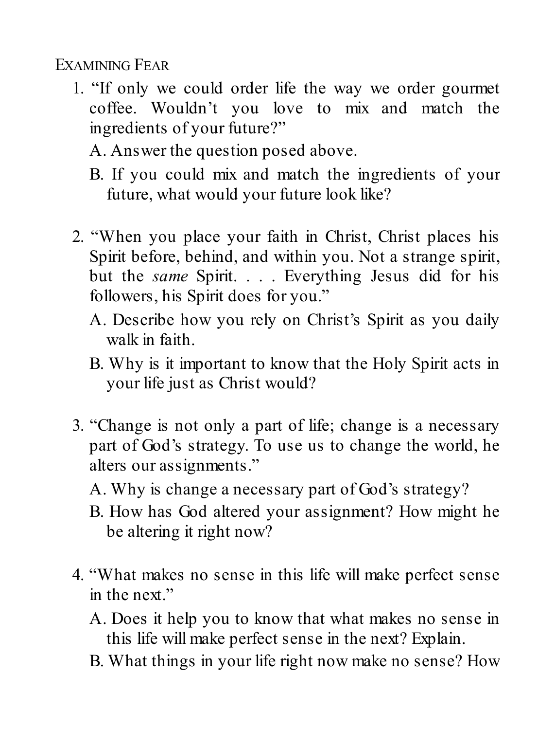- 1. "If only we could order life the way we order gourmet coffee. Wouldn't you love to mix and match the ingredients of your future?"
	- A. Answer the question posed above.
	- B. If you could mix and match the ingredients of your future, what would your future look like?
- 2. "When you place your faith in Christ, Christ places his Spirit before, behind, and within you. Not a strange spirit, but the *same* Spirit. . . . Everything Jesus did for his followers, his Spirit does for you."
	- A. Describe how you rely on Christ's Spirit as you daily walk in faith.
	- B. Why is it important to know that the Holy Spirit acts in your life just as Christ would?
- 3. "Change is not only a part of life; change is a necessary part of God's strategy. To use us to change the world, he alters our assignments."
	- A. Why is change a necessary part of God's strategy?
	- B. How has God altered your assignment? How might he be altering it right now?
- 4. "What makes no sense in this life will make perfect sense in the next."
	- A. Does it help you to know that what makes no sense in this life will make perfect sense in the next? Explain.
	- B. What things in your life right now make no sense? How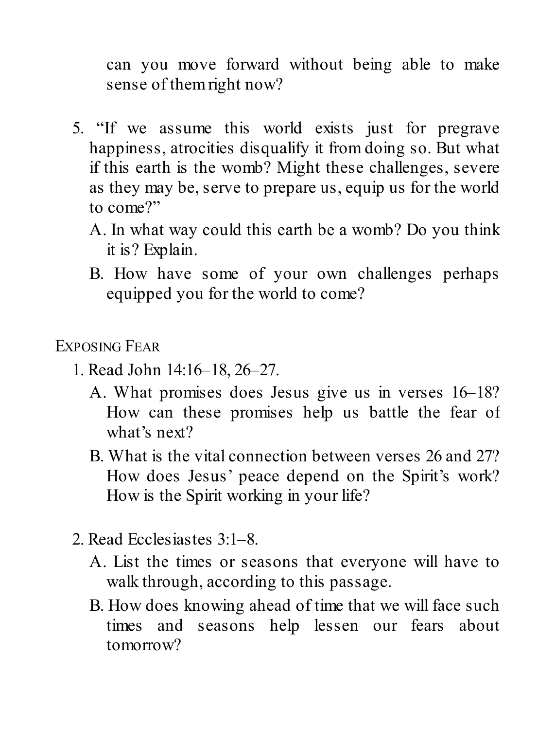can you move forward without being able to make sense of themright now?

- 5. "If we assume this world exists just for pregrave happiness, atrocities disqualify it from doing so. But what if this earth is the womb? Might these challenges, severe as they may be, serve to prepare us, equip us for the world to come?"
	- A. In what way could this earth be a womb? Do you think it is? Explain.
	- B. How have some of your own challenges perhaps equipped you for the world to come?

EXPOSING FEAR

- 1. Read John 14:16–18, 26–27.
	- A. What promises does Jesus give us in verses 16–18? How can these promises help us battle the fear of what's next?
	- B. What is the vital connection between verses 26 and 27? How does Jesus' peace depend on the Spirit's work? How is the Spirit working in your life?
- 2. Read Ecclesiastes 3:1–8.
	- A. List the times or seasons that everyone will have to walk through, according to this passage.
	- B. How does knowing ahead of time that we will face such times and seasons help lessen our fears about tomorrow?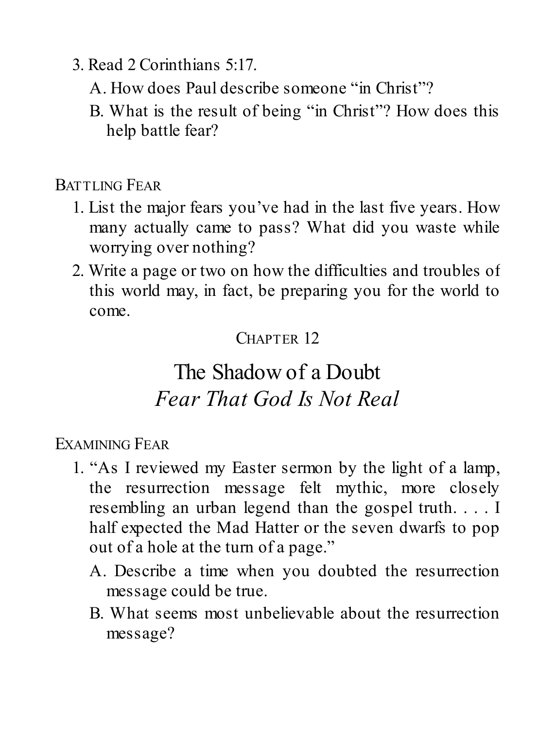- 3. Read 2 Corinthians 5:17.
	- A. How does Paul describe someone "in Christ"?
	- B. What is the result of being "in Christ"? How does this help battle fear?

**BATTLING FEAR** 

- 1. List the major fears you've had in the last five years. How many actually came to pass? What did you waste while worrying over nothing?
- 2. Write a page or two on how the difficulties and troubles of this world may, in fact, be preparing you for the world to come.

#### CHAPTER 12

## The Shadow of a Doubt *Fear That God Is Not Real*

- 1. "As I reviewed my Easter sermon by the light of a lamp, the resurrection message felt mythic, more closely resembling an urban legend than the gospel truth. . . . I half expected the Mad Hatter or the seven dwarfs to pop out of a hole at the turn of a page."
	- A. Describe a time when you doubted the resurrection message could be true.
	- B. What seems most unbelievable about the resurrection message?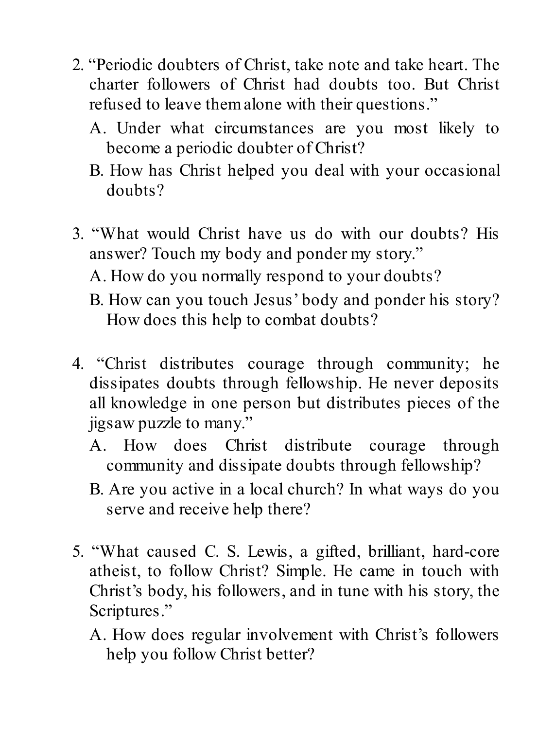- 2. "Periodic doubters of Christ, take note and take heart. The charter followers of Christ had doubts too. But Christ refused to leave themalone with their questions."
	- A. Under what circumstances are you most likely to become a periodic doubter of Christ?
	- B. How has Christ helped you deal with your occasional doubts?
- 3. "What would Christ have us do with our doubts? His answer? Touch my body and ponder my story."
	- A. How do you normally respond to your doubts?
	- B. How can you touch Jesus' body and ponder his story? How does this help to combat doubts?
- 4. "Christ distributes courage through community; he dissipates doubts through fellowship. He never deposits all knowledge in one person but distributes pieces of the jigsaw puzzle to many."
	- A. How does Christ distribute courage through community and dissipate doubts through fellowship?
	- B. Are you active in a local church? In what ways do you serve and receive help there?
- 5. "What caused C. S. Lewis, a gifted, brilliant, hard-core atheist, to follow Christ? Simple. He came in touch with Christ's body, his followers, and in tune with his story, the Scriptures."
	- A. How does regular involvement with Christ's followers help you follow Christ better?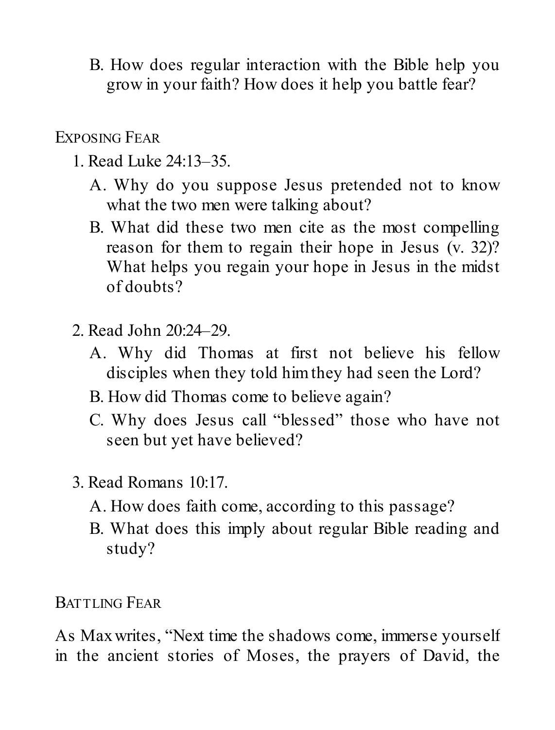B. How does regular interaction with the Bible help you grow in your faith? How does it help you battle fear?

#### EXPOSING FEAR

- 1. Read Luke 24:13–35.
	- A. Why do you suppose Jesus pretended not to know what the two men were talking about?
	- B. What did these two men cite as the most compelling reason for them to regain their hope in Jesus (v. 32)? What helps you regain your hope in Jesus in the midst of doubts?
- 2. Read John 20:24–29.
	- A. Why did Thomas at first not believe his fellow disciples when they told himthey had seen the Lord?
	- B. How did Thomas come to believe again?
	- C. Why does Jesus call "blessed" those who have not seen but yet have believed?
- 3. Read Romans 10:17.
	- A. How does faith come, according to this passage?
	- B. What does this imply about regular Bible reading and study?

#### **BATTLING FEAR**

As Maxwrites, "Next time the shadows come, immerse yourself in the ancient stories of Moses, the prayers of David, the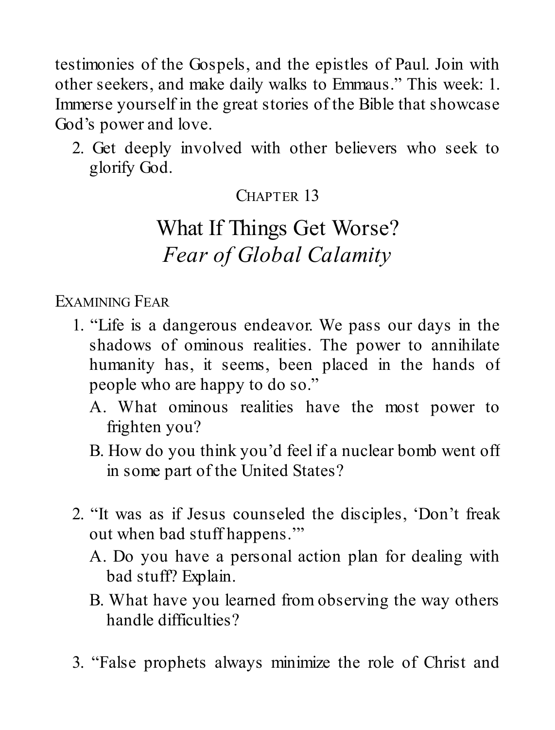testimonies of the Gospels, and the epistles of Paul. Join with other seekers, and make daily walks to Emmaus." This week: 1. Immerse yourself in the great stories of the Bible that showcase God's power and love.

2. Get deeply involved with other believers who seek to glorify God.

#### CHAPTER 13

## What If Things Get Worse? *Fear of Global Calamity*

- 1. "Life is a dangerous endeavor. We pass our days in the shadows of ominous realities. The power to annihilate humanity has, it seems, been placed in the hands of people who are happy to do so."
	- A. What ominous realities have the most power to frighten you?
	- B. How do you think you'd feel if a nuclear bomb went off in some part of the United States?
- 2. "It was as if Jesus counseled the disciples, 'Don't freak out when bad stuff happens.'"
	- A. Do you have a personal action plan for dealing with bad stuff? Explain.
	- B. What have you learned from observing the way others handle difficulties?
- 3. "False prophets always minimize the role of Christ and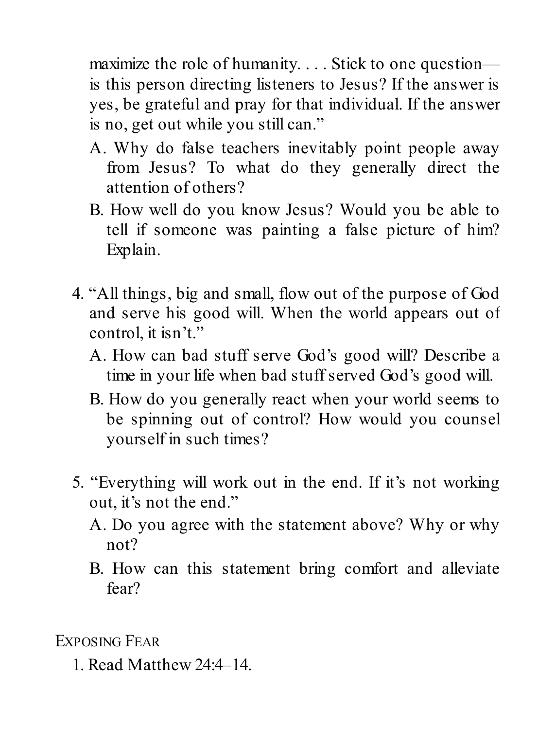maximize the role of humanity. . . . Stick to one question is this person directing listeners to Jesus? If the answer is yes, be grateful and pray for that individual. If the answer is no, get out while you still can."

- A. Why do false teachers inevitably point people away from Jesus? To what do they generally direct the attention of others?
- B. How well do you know Jesus? Would you be able to tell if someone was painting a false picture of him? Explain.
- 4. "All things, big and small, flow out of the purpose of God and serve his good will. When the world appears out of control, it isn't."
	- A. How can bad stuff serve God's good will? Describe a time in your life when bad stuff served God's good will.
	- B. How do you generally react when your world seems to be spinning out of control? How would you counsel yourself in such times?
- 5. "Everything will work out in the end. If it's not working out, it's not the end."
	- A. Do you agree with the statement above? Why or why not?
	- B. How can this statement bring comfort and alleviate fear?

EXPOSING FEAR

1. Read Matthew 24:4–14.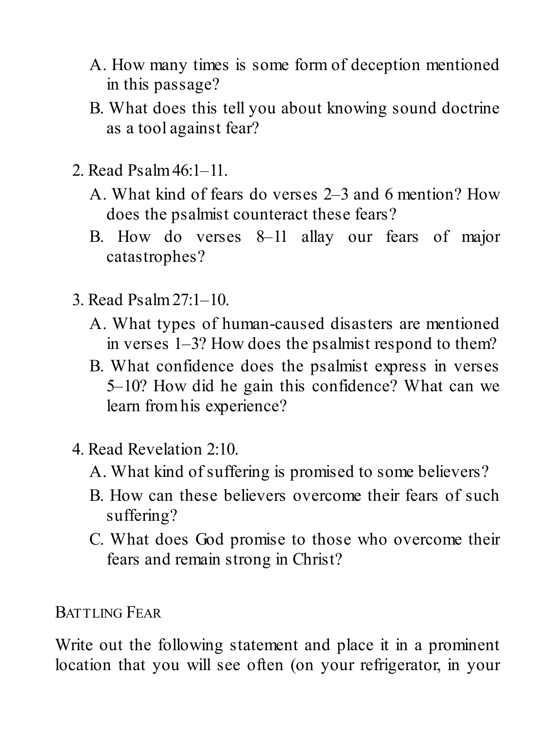- A. How many times is some form of deception mentioned in this passage?
- B. What does this tell you about knowing sound doctrine as a tool against fear?
- $2.$  Read Psalm $46:1-11$ .
	- A. What kind of fears do verses 2–3 and 6 mention? How does the psalmist counteract these fears?
	- B. How do verses 8–11 allay our fears of major catastrophes?
- 3. Read Psalm27:1–10.
	- A. What types of human-caused disasters are mentioned in verses 1–3? How does the psalmist respond to them?
	- B. What confidence does the psalmist express in verses 5–10? How did he gain this confidence? What can we learn fromhis experience?
- 4. Read Revelation 2:10.
	- A. What kind of suffering is promised to some believers?
	- B. How can these believers overcome their fears of such suffering?
	- C. What does God promise to those who overcome their fears and remain strong in Christ?

#### **BATTLING FEAR**

Write out the following statement and place it in a prominent location that you will see often (on your refrigerator, in your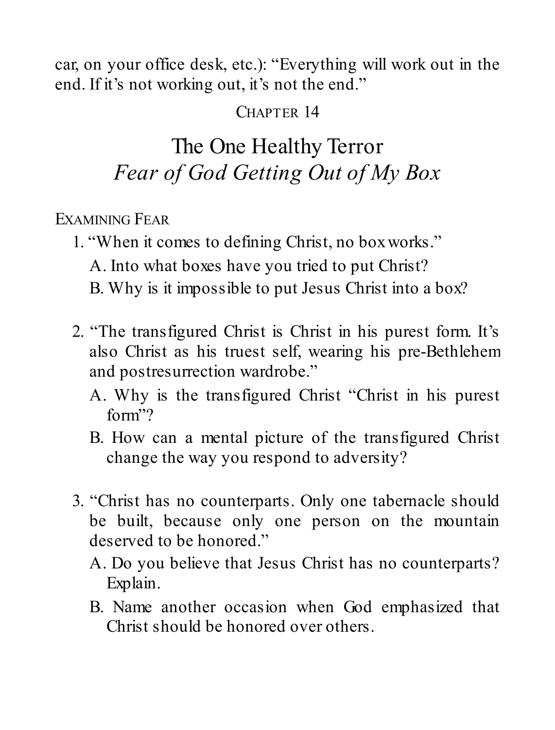car, on your office desk, etc.): "Everything will work out in the end. If it's not working out, it's not the end."

#### $C$ HAPTER  $14$

## The One Healthy Terror *Fear of God Getting Out of My Box*

- 1. "When it comes to defining Christ, no boxworks." A. Into what boxes have you tried to put Christ? B. Why is it impossible to put Jesus Christ into a box?
- 2. "The transfigured Christ is Christ in his purest form. It's also Christ as his truest self, wearing his pre-Bethlehem and postresurrection wardrobe."
	- A. Why is the transfigured Christ "Christ in his purest form"?
	- B. How can a mental picture of the transfigured Christ change the way you respond to adversity?
- 3. "Christ has no counterparts. Only one tabernacle should be built, because only one person on the mountain deserved to be honored."
	- A. Do you believe that Jesus Christ has no counterparts? Explain.
	- B. Name another occasion when God emphasized that Christ should be honored over others.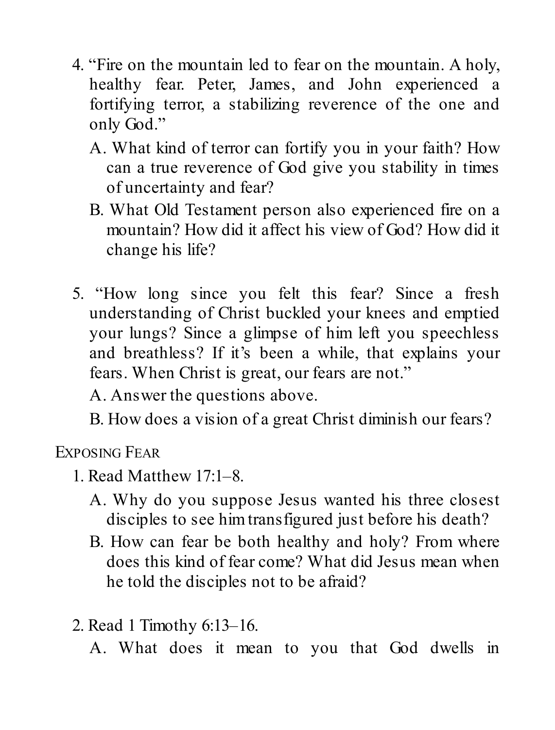- 4. "Fire on the mountain led to fear on the mountain. A holy, healthy fear. Peter, James, and John experienced a fortifying terror, a stabilizing reverence of the one and only God."
	- A. What kind of terror can fortify you in your faith? How can a true reverence of God give you stability in times of uncertainty and fear?
	- B. What Old Testament person also experienced fire on a mountain? How did it affect his view of God? How did it change his life?
- 5. "How long since you felt this fear? Since a fresh understanding of Christ buckled your knees and emptied your lungs? Since a glimpse of him left you speechless and breathless? If it's been a while, that explains your fears. When Christ is great, our fears are not."

A. Answer the questions above.

B. How does a vision of a great Christ diminish our fears?

EXPOSING FEAR

- 1. Read Matthew 17:1–8.
	- A. Why do you suppose Jesus wanted his three closest disciples to see him transfigured just before his death?
	- B. How can fear be both healthy and holy? From where does this kind of fear come? What did Jesus mean when he told the disciples not to be afraid?
- 2. Read 1 Timothy 6:13–16.
	- A. What does it mean to you that God dwells in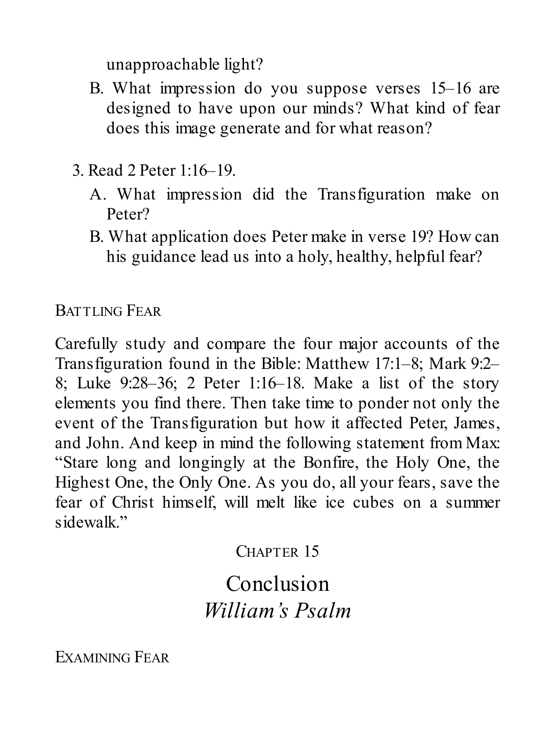unapproachable light?

- B. What impression do you suppose verses 15–16 are designed to have upon our minds? What kind of fear does this image generate and for what reason?
- 3. Read 2 Peter 1:16–19.
	- A. What impression did the Transfiguration make on Peter?
	- B. What application does Peter make in verse 19? How can his guidance lead us into a holy, healthy, helpful fear?

**BATTLING FEAR** 

Carefully study and compare the four major accounts of the Transfiguration found in the Bible: Matthew 17:1–8; Mark 9:2– 8; Luke 9:28–36; 2 Peter 1:16–18. Make a list of the story elements you find there. Then take time to ponder not only the event of the Transfiguration but how it affected Peter, James, and John. And keep in mind the following statement from Max: "Stare long and longingly at the Bonfire, the Holy One, the Highest One, the Only One. As you do, all your fears, save the fear of Christ himself, will melt like ice cubes on a summer sidewalk"

CHAPTER 15

Conclusion *William's Psalm*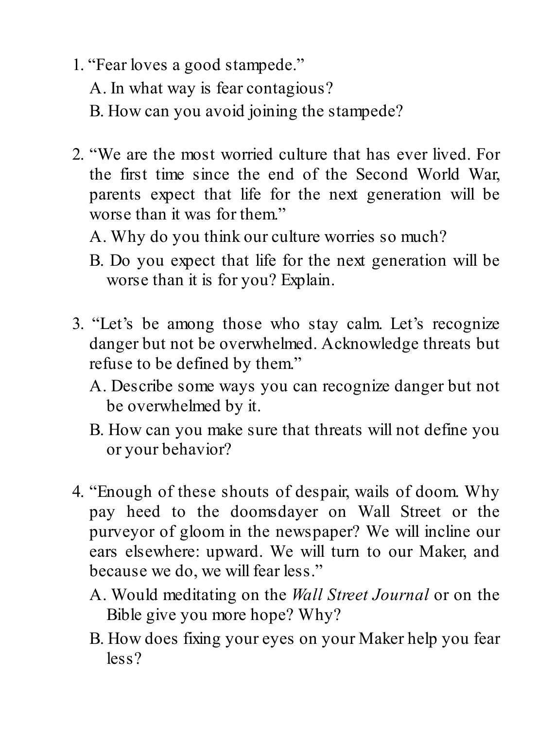1. "Fear loves a good stampede."

A. In what way is fear contagious?

B. How can you avoid joining the stampede?

- 2. "We are the most worried culture that has ever lived. For the first time since the end of the Second World War, parents expect that life for the next generation will be worse than it was for them"
	- A. Why do you think our culture worries so much?
	- B. Do you expect that life for the next generation will be worse than it is for you? Explain.
- 3. "Let's be among those who stay calm. Let's recognize danger but not be overwhelmed. Acknowledge threats but refuse to be defined by them."
	- A. Describe some ways you can recognize danger but not be overwhelmed by it.
	- B. How can you make sure that threats will not define you or your behavior?
- 4. "Enough of these shouts of despair, wails of doom. Why pay heed to the doomsdayer on Wall Street or the purveyor of gloom in the newspaper? We will incline our ears elsewhere: upward. We will turn to our Maker, and because we do, we will fear less."
	- A. Would meditating on the *Wall Street Journal* or on the Bible give you more hope? Why?
	- B. How does fixing your eyes on your Maker help you fear less?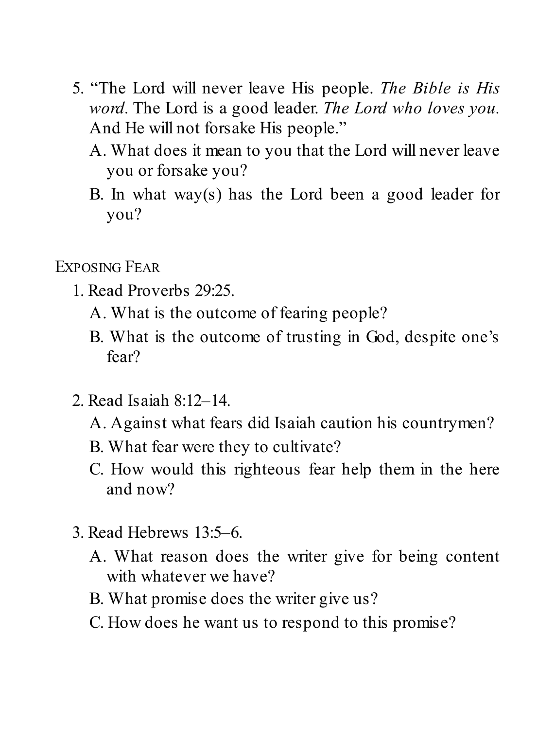- 5. "The Lord will never leave His people. *The Bible is His word.* The Lord is a good leader. *The Lord who loves you.* And He will not forsake His people."
	- A. What does it mean to you that the Lord will never leave you or forsake you?
	- B. In what way(s) has the Lord been a good leader for you?

EXPOSING FEAR

- 1. Read Proverbs 29:25.
	- A. What is the outcome of fearing people?
	- B. What is the outcome of trusting in God, despite one's fear?
- 2. Read Isaiah 8:12–14.
	- A. Against what fears did Isaiah caution his countrymen?
	- B. What fear were they to cultivate?
	- C. How would this righteous fear help them in the here and now?
- 3. Read Hebrews 13:5–6.
	- A. What reason does the writer give for being content with whatever we have?
	- B. What promise does the writer give us?
	- C. How does he want us to respond to this promise?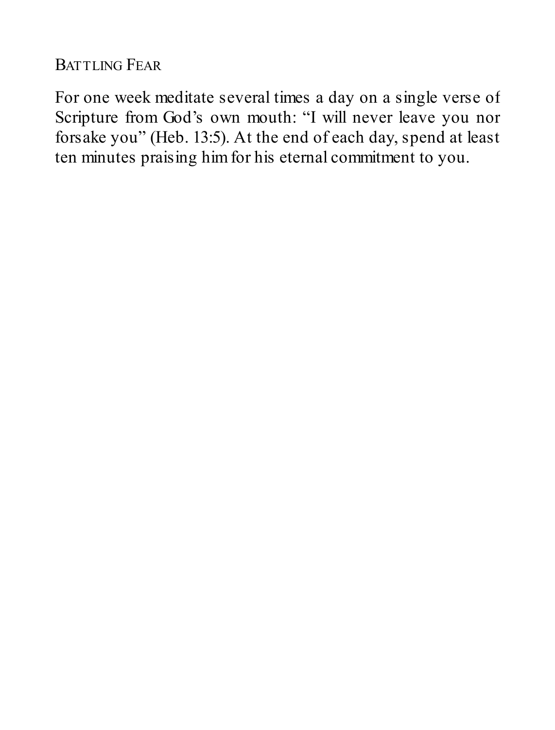#### BATTLING FEAR

For one week meditate several times a day on a single verse of Scripture from God's own mouth: "I will never leave you nor forsake you" (Heb. 13:5). At the end of each day, spend at least ten minutes praising himfor his eternal commitment to you.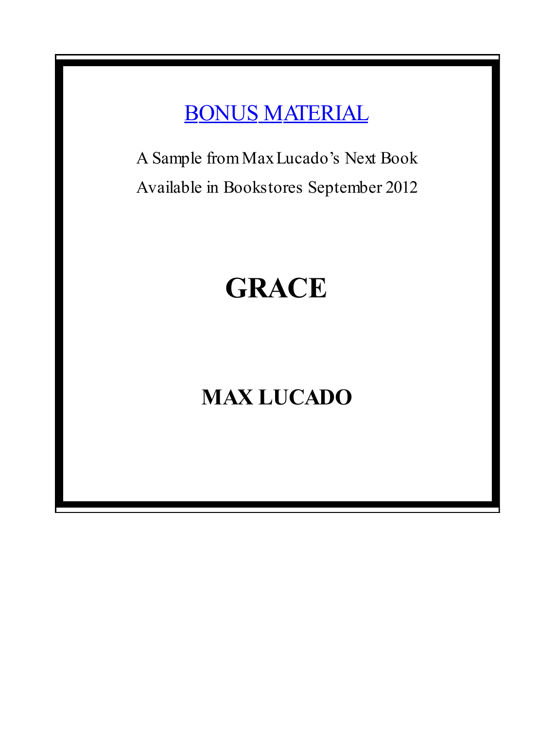## BONUS MATERIAL

A Sample fromMaxLucado's Next Book Available in Bookstores September 2012

# **GRACE**

**MAX LUCADO**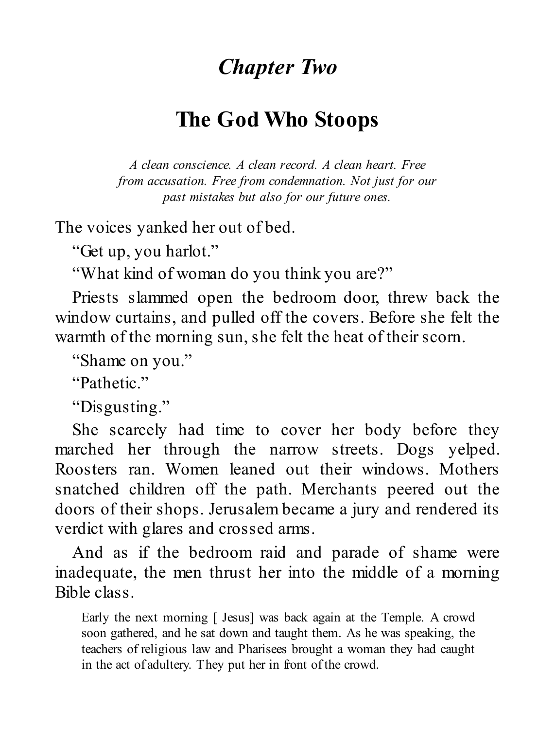## *Chapter Two*

## **The God Who Stoops**

*A clean conscience. A clean record. A clean heart. Free from accusation. Free from condemnation. Not just for our past mistakes but also for our future ones.*

The voices yanked her out of bed.

"Get up, you harlot."

"What kind of woman do you think you are?"

Priests slammed open the bedroom door, threw back the window curtains, and pulled off the covers. Before she felt the warmth of the morning sun, she felt the heat of their scorn.

"Shame on you."

"Pathetic."

"Disgusting."

She scarcely had time to cover her body before they marched her through the narrow streets. Dogs yelped. Roosters ran. Women leaned out their windows. Mothers snatched children off the path. Merchants peered out the doors of their shops. Jerusalem became a jury and rendered its verdict with glares and crossed arms.

And as if the bedroom raid and parade of shame were inadequate, the men thrust her into the middle of a morning Bible class.

Early the next morning [ Jesus] was back again at the Temple. A crowd soon gathered, and he sat down and taught them. As he was speaking, the teachers of religious law and Pharisees brought a woman they had caught in the act of adultery. They put her in front of the crowd.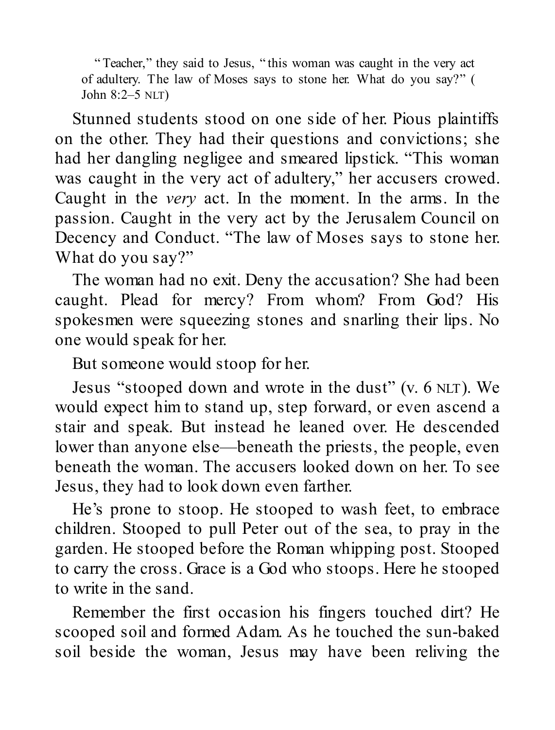" Teacher," they said to Jesus, " this woman was caught in the very act of adultery. The law of Moses says to stone her. What do you say?" ( John 8:2–5 NLT)

Stunned students stood on one side of her. Pious plaintiffs on the other. They had their questions and convictions; she had her dangling negligee and smeared lipstick. "This woman was caught in the very act of adultery," her accusers crowed. Caught in the *very* act. In the moment. In the arms. In the passion. Caught in the very act by the Jerusalem Council on Decency and Conduct. "The law of Moses says to stone her. What do you say?"

The woman had no exit. Deny the accusation? She had been caught. Plead for mercy? From whom? From God? His spokesmen were squeezing stones and snarling their lips. No one would speak for her.

But someone would stoop for her.

Jesus "stooped down and wrote in the dust" (v. 6 NLT). We would expect him to stand up, step forward, or even ascend a stair and speak. But instead he leaned over. He descended lower than anyone else—beneath the priests, the people, even beneath the woman. The accusers looked down on her. To see Jesus, they had to look down even farther.

He's prone to stoop. He stooped to wash feet, to embrace children. Stooped to pull Peter out of the sea, to pray in the garden. He stooped before the Roman whipping post. Stooped to carry the cross. Grace is a God who stoops. Here he stooped to write in the sand.

Remember the first occasion his fingers touched dirt? He scooped soil and formed Adam. As he touched the sun-baked soil beside the woman, Jesus may have been reliving the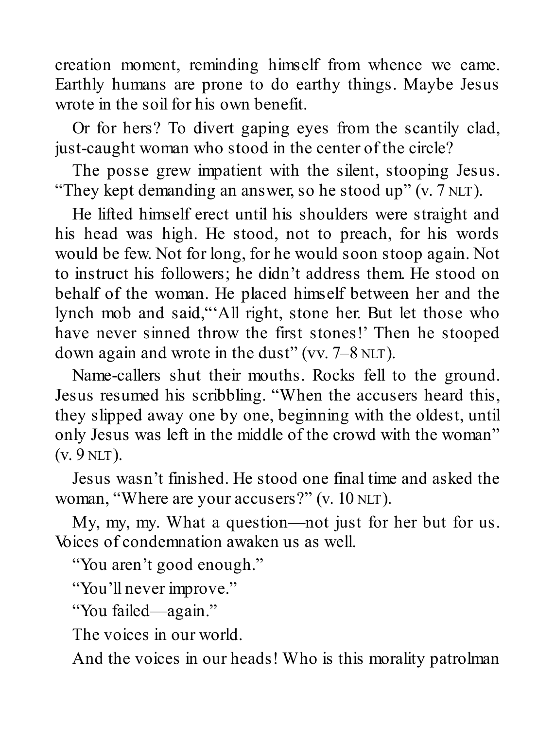creation moment, reminding himself from whence we came. Earthly humans are prone to do earthy things. Maybe Jesus wrote in the soil for his own benefit.

Or for hers? To divert gaping eyes from the scantily clad, just-caught woman who stood in the center of the circle?

The posse grew impatient with the silent, stooping Jesus. "They kept demanding an answer, so he stood up" (v. 7 NLT).

He lifted himself erect until his shoulders were straight and his head was high. He stood, not to preach, for his words would be few. Not for long, for he would soon stoop again. Not to instruct his followers; he didn't address them. He stood on behalf of the woman. He placed himself between her and the lynch mob and said,"'All right, stone her. But let those who have never sinned throw the first stones!' Then he stooped down again and wrote in the dust" (vv. 7–8 NLT).

Name-callers shut their mouths. Rocks fell to the ground. Jesus resumed his scribbling. "When the accusers heard this, they slipped away one by one, beginning with the oldest, until only Jesus was left in the middle of the crowd with the woman" (v. 9 NLT).

Jesus wasn't finished. He stood one final time and asked the woman, "Where are your accusers?" (v. 10 NLT).

My, my, my. What a question—not just for her but for us. Voices of condemnation awaken us as well.

"You aren't good enough."

"You'll never improve."

"You failed—again."

The voices in our world.

And the voices in our heads! Who is this morality patrolman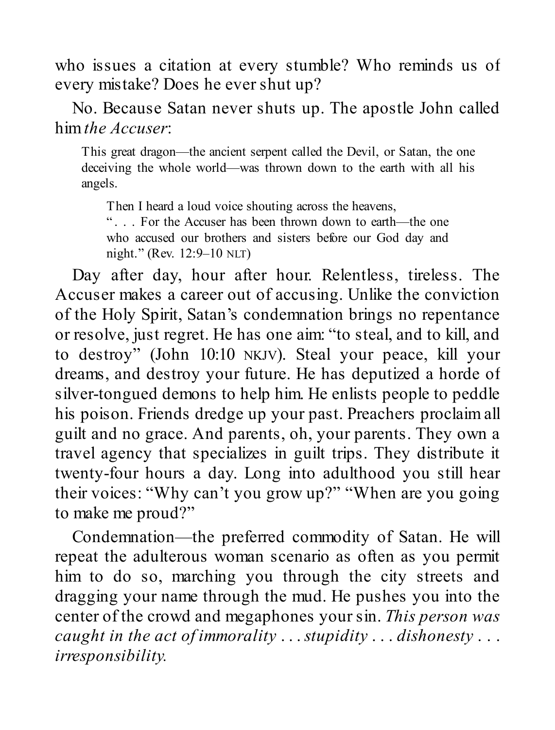who issues a citation at every stumble? Who reminds us of every mistake? Does he ever shut up?

No. Because Satan never shuts up. The apostle John called him*the Accuser*:

This great dragon—the ancient serpent called the Devil, or Satan, the one deceiving the whole world—was thrown down to the earth with all his angels.

Then I heard a loud voice shouting across the heavens

" . . . For the Accuser has been thrown down to earth—the one who accused our brothers and sisters before our God day and night." (Rev. 12:9-10 NLT)

Day after day, hour after hour. Relentless, tireless. The Accuser makes a career out of accusing. Unlike the conviction of the Holy Spirit, Satan's condemnation brings no repentance or resolve, just regret. He has one aim: "to steal, and to kill, and to destroy" (John 10:10 NKJV). Steal your peace, kill your dreams, and destroy your future. He has deputized a horde of silver-tongued demons to help him. He enlists people to peddle his poison. Friends dredge up your past. Preachers proclaim all guilt and no grace. And parents, oh, your parents. They own a travel agency that specializes in guilt trips. They distribute it twenty-four hours a day. Long into adulthood you still hear their voices: "Why can't you grow up?" "When are you going to make me proud?"

Condemnation—the preferred commodity of Satan. He will repeat the adulterous woman scenario as often as you permit him to do so, marching you through the city streets and dragging your name through the mud. He pushes you into the center of the crowd and megaphones your sin. *This person was caught in the act of immorality* . . . *stupidity* . . . *dishonesty* . . . *irresponsibility.*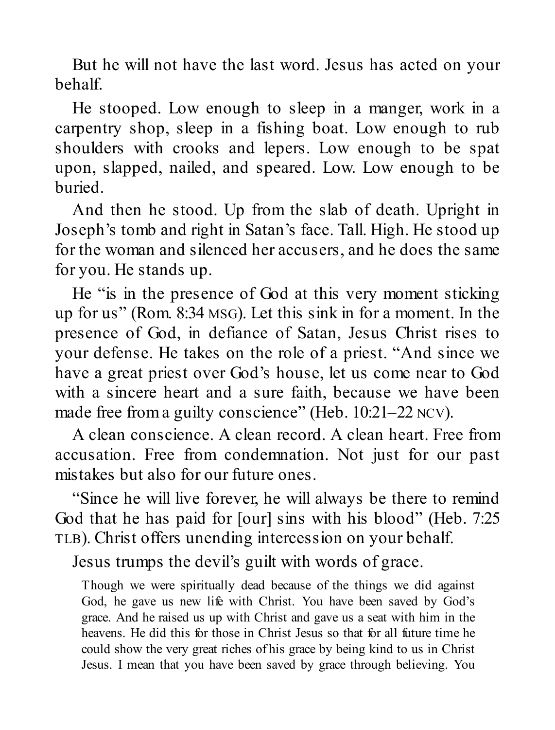But he will not have the last word. Jesus has acted on your behalf.

He stooped. Low enough to sleep in a manger, work in a carpentry shop, sleep in a fishing boat. Low enough to rub shoulders with crooks and lepers. Low enough to be spat upon, slapped, nailed, and speared. Low. Low enough to be buried.

And then he stood. Up from the slab of death. Upright in Joseph's tomb and right in Satan's face. Tall. High. He stood up for the woman and silenced her accusers, and he does the same for you. He stands up.

He "is in the presence of God at this very moment sticking up for us" (Rom. 8:34 MSG). Let this sink in for a moment. In the presence of God, in defiance of Satan, Jesus Christ rises to your defense. He takes on the role of a priest. "And since we have a great priest over God's house, let us come near to God with a sincere heart and a sure faith, because we have been made free froma guilty conscience" (Heb. 10:21–22 NCV).

A clean conscience. A clean record. A clean heart. Free from accusation. Free from condemnation. Not just for our past mistakes but also for our future ones.

"Since he will live forever, he will always be there to remind God that he has paid for [our] sins with his blood" (Heb. 7:25) TLB). Christ offers unending intercession on your behalf.

Jesus trumps the devil's guilt with words of grace.

Though we were spiritually dead because of the things we did against God, he gave us new life with Christ. You have been saved by God's grace. And he raised us up with Christ and gave us a seat with him in the heavens. He did this for those in Christ Jesus so that for all future time he could show the very great riches of his grace by being kind to us in Christ Jesus. I mean that you have been saved by grace through believing. You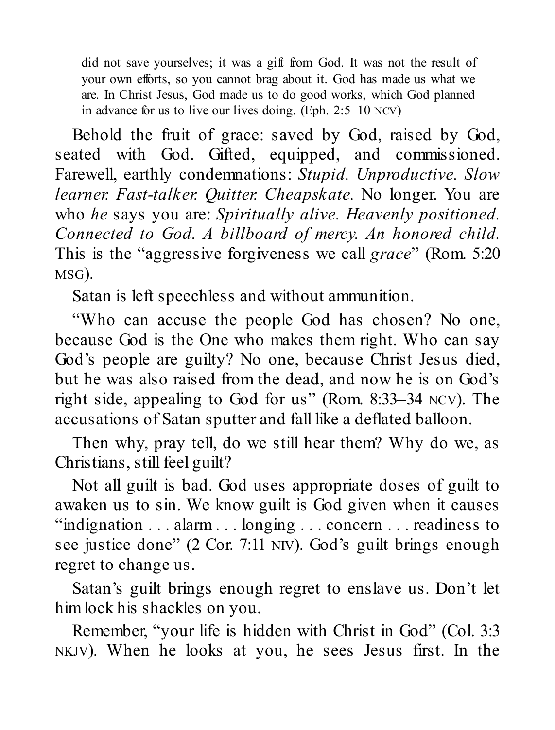did not save yourselves; it was a gift from God. It was not the result of your own efforts, so you cannot brag about it. God has made us what we are. In Christ Jesus, God made us to do good works, which God planned in advance for us to live our lives doing. (Eph. 2:5–10 NCV)

Behold the fruit of grace: saved by God, raised by God, seated with God. Gifted, equipped, and commissioned. Farewell, earthly condemnations: *Stupid. Unproductive. Slow learner. Fast-talker. Quitter. Cheapskate.* No longer. You are who *he* says you are: *Spiritually alive. Heavenly positioned. Connected to God. A billboard of mercy. An honored child.* This is the "aggressive forgiveness we call *grace*" (Rom. 5:20 MSG).

Satan is left speechless and without ammunition.

"Who can accuse the people God has chosen? No one, because God is the One who makes them right. Who can say God's people are guilty? No one, because Christ Jesus died, but he was also raised from the dead, and now he is on God's right side, appealing to God for us" (Rom. 8:33–34 NCV). The accusations of Satan sputter and fall like a deflated balloon.

Then why, pray tell, do we still hear them? Why do we, as Christians, still feel guilt?

Not all guilt is bad. God uses appropriate doses of guilt to awaken us to sin. We know guilt is God given when it causes "indignation . . . alarm .. . longing . . . concern . . . readiness to see justice done" (2 Cor. 7:11 NIV). God's guilt brings enough regret to change us.

Satan's guilt brings enough regret to enslave us. Don't let himlock his shackles on you.

Remember, "your life is hidden with Christ in God" (Col. 3:3 NKJV). When he looks at you, he sees Jesus first. In the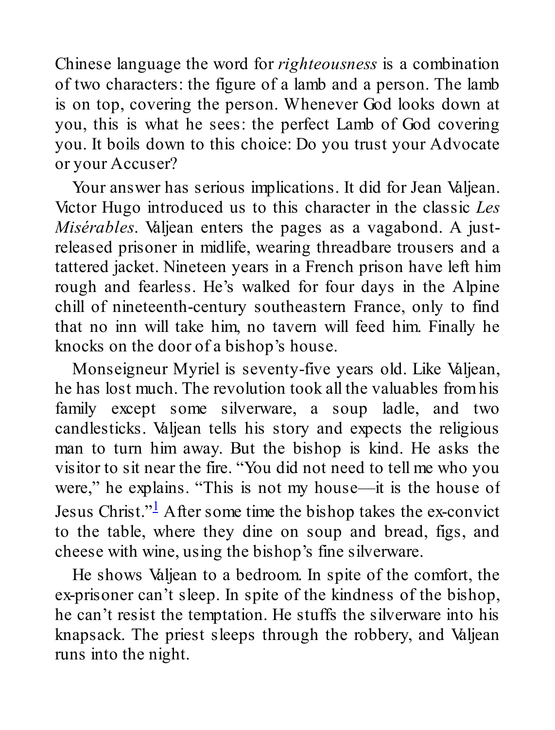Chinese language the word for *righteousness* is a combination of two characters: the figure of a lamb and a person. The lamb is on top, covering the person. Whenever God looks down at you, this is what he sees: the perfect Lamb of God covering you. It boils down to this choice: Do you trust your Advocate or your Accuser?

Your answer has serious implications. It did for Jean Valjean. Victor Hugo introduced us to this character in the classic *Les Misérables*. Valjean enters the pages as a vagabond. A justreleased prisoner in midlife, wearing threadbare trousers and a tattered jacket. Nineteen years in a French prison have left him rough and fearless. He's walked for four days in the Alpine chill of nineteenth-century southeastern France, only to find that no inn will take him, no tavern will feed him. Finally he knocks on the door of a bishop's house.

Monseigneur Myriel is seventy-five years old. Like Valjean, he has lost much. The revolution took all the valuables fromhis family except some silverware, a soup ladle, and two candlesticks. Valjean tells his story and expects the religious man to turn him away. But the bishop is kind. He asks the visitor to sit near the fire. "You did not need to tell me who you were," he explains. "This is not my house—it is the house of Jesus Christ." <sup>1</sup> After some time the bishop takes the ex-convict to the table, where they dine on soup and bread, figs, and cheese with wine, using the bishop's fine silverware.

He shows Valjean to a bedroom. In spite of the comfort, the ex-prisoner can't sleep. In spite of the kindness of the bishop, he can't resist the temptation. He stuffs the silverware into his knapsack. The priest sleeps through the robbery, and Valjean runs into the night.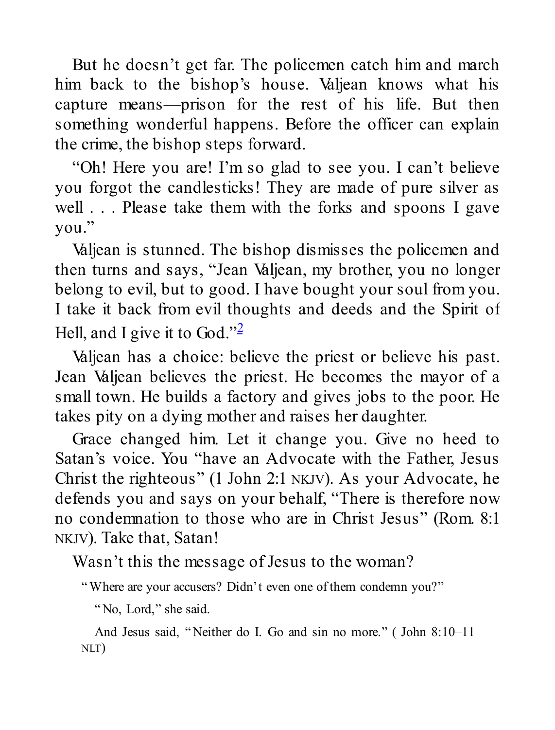But he doesn't get far. The policemen catch him and march him back to the bishop's house. Valjean knows what his capture means—prison for the rest of his life. But then something wonderful happens. Before the officer can explain the crime, the bishop steps forward.

"Oh! Here you are! I'm so glad to see you. I can't believe you forgot the candlesticks! They are made of pure silver as well . . . Please take them with the forks and spoons I gave you."

Valjean is stunned. The bishop dismisses the policemen and then turns and says, "Jean Valjean, my brother, you no longer belong to evil, but to good. I have bought your soul from you. I take it back from evil thoughts and deeds and the Spirit of Hell, and I give it to God." $\frac{2}{3}$ 

Valjean has a choice: believe the priest or believe his past. Jean Valjean believes the priest. He becomes the mayor of a small town. He builds a factory and gives jobs to the poor. He takes pity on a dying mother and raises her daughter.

Grace changed him. Let it change you. Give no heed to Satan's voice. You "have an Advocate with the Father, Jesus Christ the righteous" (1 John 2:1 NKJV). As your Advocate, he defends you and says on your behalf, "There is therefore now no condemnation to those who are in Christ Jesus" (Rom. 8:1 NKJV). Take that, Satan!

Wasn't this the message of Jesus to the woman?

"Where are your accusers? Didn't even one of them condemn you?" " No, Lord," she said.

And Jesus said, " Neither do I. Go and sin no more." ( John 8:10–11 NLT)